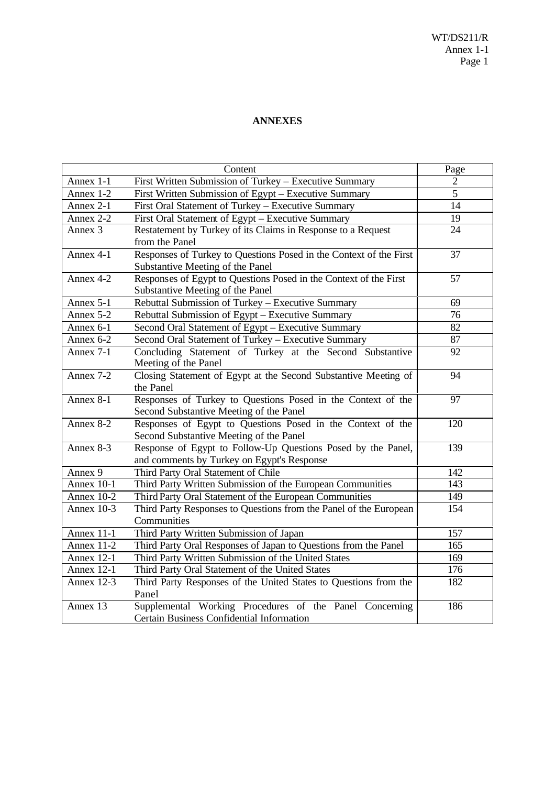# **ANNEXES**

|                    | Content                                                            | Page           |
|--------------------|--------------------------------------------------------------------|----------------|
| Annex 1-1          | First Written Submission of Turkey – Executive Summary             | 2              |
| Annex 1-2          | First Written Submission of Egypt – Executive Summary              | $\overline{5}$ |
| Annex 2-1          | First Oral Statement of Turkey - Executive Summary                 | 14             |
| Annex 2-2          | First Oral Statement of Egypt - Executive Summary                  | 19             |
| Annex <sub>3</sub> | Restatement by Turkey of its Claims in Response to a Request       | 24             |
|                    | from the Panel                                                     |                |
| Annex 4-1          | Responses of Turkey to Questions Posed in the Context of the First | 37             |
|                    | Substantive Meeting of the Panel                                   |                |
| Annex $4-2$        | Responses of Egypt to Questions Posed in the Context of the First  | 57             |
|                    | Substantive Meeting of the Panel                                   |                |
| Annex 5-1          | Rebuttal Submission of Turkey - Executive Summary                  | 69             |
| Annex 5-2          | Rebuttal Submission of Egypt - Executive Summary                   | 76             |
| Annex 6-1          | Second Oral Statement of Egypt - Executive Summary                 | 82             |
| Annex 6-2          | Second Oral Statement of Turkey - Executive Summary                | 87             |
| Annex 7-1          | Concluding Statement of Turkey at the Second Substantive           | 92             |
|                    | Meeting of the Panel                                               |                |
| Annex $7-2$        | Closing Statement of Egypt at the Second Substantive Meeting of    | 94             |
|                    | the Panel                                                          |                |
| Annex 8-1          | Responses of Turkey to Questions Posed in the Context of the       | 97             |
|                    | Second Substantive Meeting of the Panel                            |                |
| Annex $8-2$        | Responses of Egypt to Questions Posed in the Context of the        | 120            |
|                    | Second Substantive Meeting of the Panel                            |                |
| Annex 8-3          | Response of Egypt to Follow-Up Questions Posed by the Panel,       | 139            |
|                    | and comments by Turkey on Egypt's Response                         |                |
| Annex 9            | Third Party Oral Statement of Chile                                | 142            |
| Annex 10-1         | Third Party Written Submission of the European Communities         | 143            |
| Annex 10-2         | Third Party Oral Statement of the European Communities             | 149            |
| <b>Annex 10-3</b>  | Third Party Responses to Questions from the Panel of the European  | 154            |
|                    | Communities                                                        |                |
| <b>Annex 11-1</b>  | Third Party Written Submission of Japan                            | 157            |
| <b>Annex 11-2</b>  | Third Party Oral Responses of Japan to Questions from the Panel    | 165            |
| Annex 12-1         | Third Party Written Submission of the United States                | 169            |
| Annex 12-1         | Third Party Oral Statement of the United States                    | 176            |
| <b>Annex 12-3</b>  | Third Party Responses of the United States to Questions from the   | 182            |
|                    | Panel                                                              |                |
| Annex 13           | Supplemental Working Procedures of the Panel Concerning            | 186            |
|                    | Certain Business Confidential Information                          |                |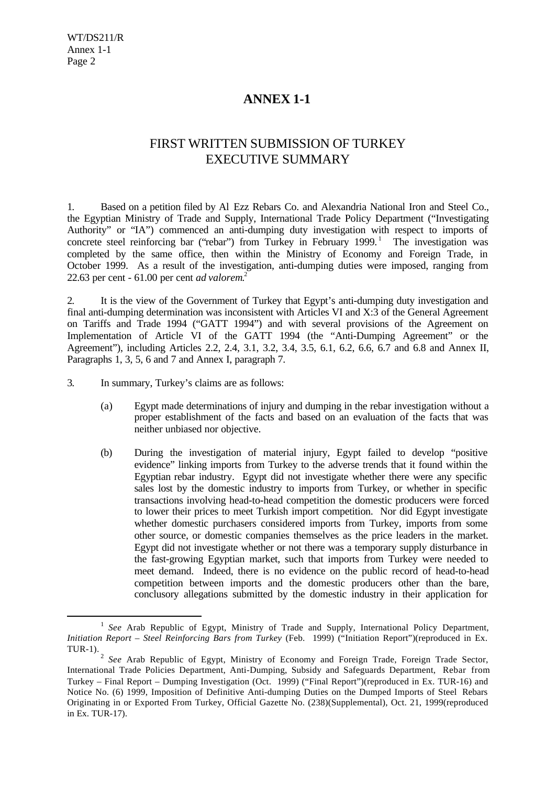WT/DS211/R Annex 1-1 Page 2

l

# **ANNEX 1-1**

# FIRST WRITTEN SUBMISSION OF TURKEY EXECUTIVE SUMMARY

1. Based on a petition filed by Al Ezz Rebars Co. and Alexandria National Iron and Steel Co., the Egyptian Ministry of Trade and Supply, International Trade Policy Department ("Investigating Authority" or "IA") commenced an anti-dumping duty investigation with respect to imports of concrete steel reinforcing bar ("rebar") from Turkey in February 1999.<sup>1</sup> The investigation was completed by the same office, then within the Ministry of Economy and Foreign Trade, in October 1999. As a result of the investigation, anti-dumping duties were imposed, ranging from 22.63 per cent - 61.00 per cent *ad valorem*. 2

2. It is the view of the Government of Turkey that Egypt's anti-dumping duty investigation and final anti-dumping determination was inconsistent with Articles VI and X:3 of the General Agreement on Tariffs and Trade 1994 ("GATT 1994") and with several provisions of the Agreement on Implementation of Article VI of the GATT 1994 (the "Anti-Dumping Agreement" or the Agreement"), including Articles 2.2, 2.4, 3.1, 3.2, 3.4, 3.5, 6.1, 6.2, 6.6, 6.7 and 6.8 and Annex II, Paragraphs 1, 3, 5, 6 and 7 and Annex I, paragraph 7.

3. In summary, Turkey's claims are as follows:

- (a) Egypt made determinations of injury and dumping in the rebar investigation without a proper establishment of the facts and based on an evaluation of the facts that was neither unbiased nor objective.
- (b) During the investigation of material injury, Egypt failed to develop "positive evidence" linking imports from Turkey to the adverse trends that it found within the Egyptian rebar industry. Egypt did not investigate whether there were any specific sales lost by the domestic industry to imports from Turkey, or whether in specific transactions involving head-to-head competition the domestic producers were forced to lower their prices to meet Turkish import competition. Nor did Egypt investigate whether domestic purchasers considered imports from Turkey, imports from some other source, or domestic companies themselves as the price leaders in the market. Egypt did not investigate whether or not there was a temporary supply disturbance in the fast-growing Egyptian market, such that imports from Turkey were needed to meet demand. Indeed, there is no evidence on the public record of head-to-head competition between imports and the domestic producers other than the bare, conclusory allegations submitted by the domestic industry in their application for

<sup>&</sup>lt;sup>1</sup> See Arab Republic of Egypt, Ministry of Trade and Supply, International Policy Department, *Initiation Report – Steel Reinforcing Bars from Turkey* (Feb. 1999) ("Initiation Report")(reproduced in Ex.

TUR-1). 2 *See* Arab Republic of Egypt, Ministry of Economy and Foreign Trade, Foreign Trade Sector, International Trade Policies Department, Anti-Dumping, Subsidy and Safeguards Department, Rebar from Turkey – Final Report – Dumping Investigation (Oct. 1999) ("Final Report")(reproduced in Ex. TUR-16) and Notice No. (6) 1999, Imposition of Definitive Anti-dumping Duties on the Dumped Imports of Steel Rebars Originating in or Exported From Turkey, Official Gazette No. (238)(Supplemental), Oct. 21, 1999(reproduced in Ex. TUR-17).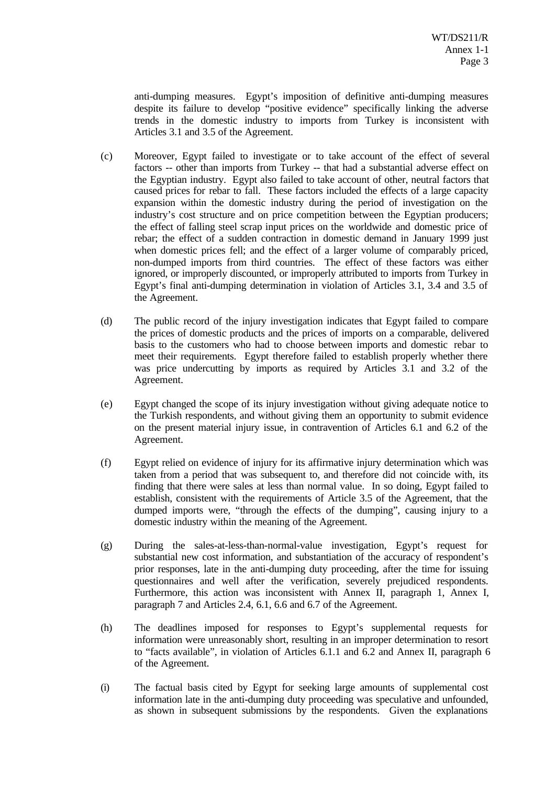anti-dumping measures. Egypt's imposition of definitive anti-dumping measures despite its failure to develop "positive evidence" specifically linking the adverse trends in the domestic industry to imports from Turkey is inconsistent with Articles 3.1 and 3.5 of the Agreement.

- (c) Moreover, Egypt failed to investigate or to take account of the effect of several factors -- other than imports from Turkey -- that had a substantial adverse effect on the Egyptian industry. Egypt also failed to take account of other, neutral factors that caused prices for rebar to fall. These factors included the effects of a large capacity expansion within the domestic industry during the period of investigation on the industry's cost structure and on price competition between the Egyptian producers; the effect of falling steel scrap input prices on the worldwide and domestic price of rebar; the effect of a sudden contraction in domestic demand in January 1999 just when domestic prices fell; and the effect of a larger volume of comparably priced, non-dumped imports from third countries. The effect of these factors was either ignored, or improperly discounted, or improperly attributed to imports from Turkey in Egypt's final anti-dumping determination in violation of Articles 3.1, 3.4 and 3.5 of the Agreement.
- (d) The public record of the injury investigation indicates that Egypt failed to compare the prices of domestic products and the prices of imports on a comparable, delivered basis to the customers who had to choose between imports and domestic rebar to meet their requirements. Egypt therefore failed to establish properly whether there was price undercutting by imports as required by Articles 3.1 and 3.2 of the Agreement.
- (e) Egypt changed the scope of its injury investigation without giving adequate notice to the Turkish respondents, and without giving them an opportunity to submit evidence on the present material injury issue, in contravention of Articles 6.1 and 6.2 of the Agreement.
- (f) Egypt relied on evidence of injury for its affirmative injury determination which was taken from a period that was subsequent to, and therefore did not coincide with, its finding that there were sales at less than normal value. In so doing, Egypt failed to establish, consistent with the requirements of Article 3.5 of the Agreement, that the dumped imports were, "through the effects of the dumping", causing injury to a domestic industry within the meaning of the Agreement.
- (g) During the sales-at-less-than-normal-value investigation, Egypt's request for substantial new cost information, and substantiation of the accuracy of respondent's prior responses, late in the anti-dumping duty proceeding, after the time for issuing questionnaires and well after the verification, severely prejudiced respondents. Furthermore, this action was inconsistent with Annex II, paragraph 1, Annex I, paragraph 7 and Articles 2.4, 6.1, 6.6 and 6.7 of the Agreement.
- (h) The deadlines imposed for responses to Egypt's supplemental requests for information were unreasonably short, resulting in an improper determination to resort to "facts available", in violation of Articles 6.1.1 and 6.2 and Annex II, paragraph 6 of the Agreement.
- (i) The factual basis cited by Egypt for seeking large amounts of supplemental cost information late in the anti-dumping duty proceeding was speculative and unfounded, as shown in subsequent submissions by the respondents. Given the explanations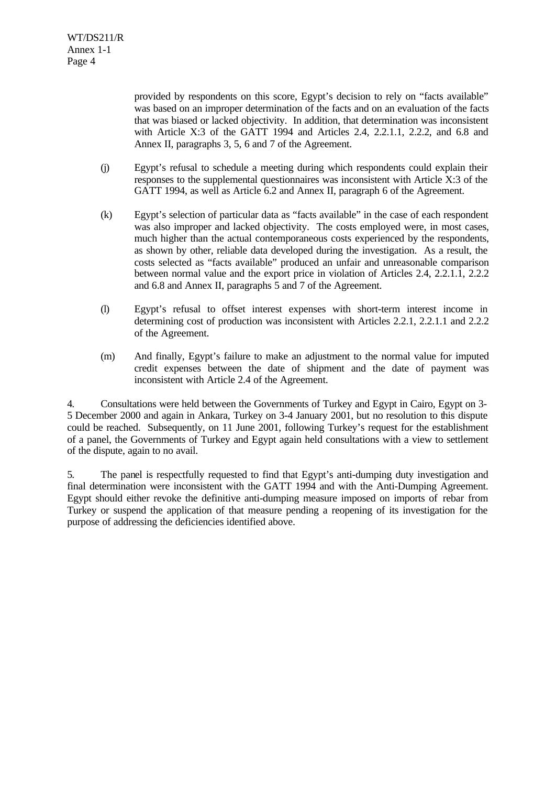provided by respondents on this score, Egypt's decision to rely on "facts available" was based on an improper determination of the facts and on an evaluation of the facts that was biased or lacked objectivity. In addition, that determination was inconsistent with Article X:3 of the GATT 1994 and Articles 2.4, 2.2.1.1, 2.2.2, and 6.8 and Annex II, paragraphs 3, 5, 6 and 7 of the Agreement.

- (j) Egypt's refusal to schedule a meeting during which respondents could explain their responses to the supplemental questionnaires was inconsistent with Article X:3 of the GATT 1994, as well as Article 6.2 and Annex II, paragraph 6 of the Agreement.
- (k) Egypt's selection of particular data as "facts available" in the case of each respondent was also improper and lacked objectivity. The costs employed were, in most cases, much higher than the actual contemporaneous costs experienced by the respondents, as shown by other, reliable data developed during the investigation. As a result, the costs selected as "facts available" produced an unfair and unreasonable comparison between normal value and the export price in violation of Articles 2.4, 2.2.1.1, 2.2.2 and 6.8 and Annex II, paragraphs 5 and 7 of the Agreement.
- (l) Egypt's refusal to offset interest expenses with short-term interest income in determining cost of production was inconsistent with Articles 2.2.1, 2.2.1.1 and 2.2.2 of the Agreement.
- (m) And finally, Egypt's failure to make an adjustment to the normal value for imputed credit expenses between the date of shipment and the date of payment was inconsistent with Article 2.4 of the Agreement.

4. Consultations were held between the Governments of Turkey and Egypt in Cairo, Egypt on 3- 5 December 2000 and again in Ankara, Turkey on 3-4 January 2001, but no resolution to this dispute could be reached. Subsequently, on 11 June 2001, following Turkey's request for the establishment of a panel, the Governments of Turkey and Egypt again held consultations with a view to settlement of the dispute, again to no avail.

5. The panel is respectfully requested to find that Egypt's anti-dumping duty investigation and final determination were inconsistent with the GATT 1994 and with the Anti-Dumping Agreement. Egypt should either revoke the definitive anti-dumping measure imposed on imports of rebar from Turkey or suspend the application of that measure pending a reopening of its investigation for the purpose of addressing the deficiencies identified above.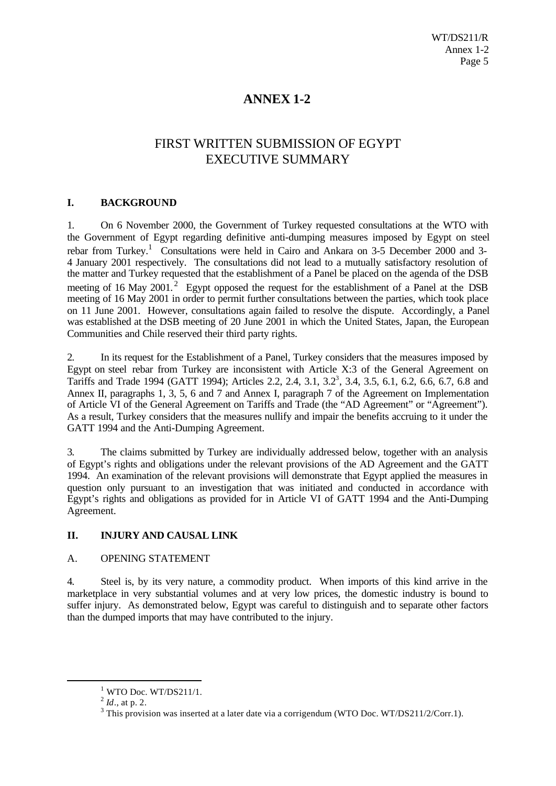# **ANNEX 1-2**

# FIRST WRITTEN SUBMISSION OF EGYPT EXECUTIVE SUMMARY

# **I. BACKGROUND**

1. On 6 November 2000, the Government of Turkey requested consultations at the WTO with the Government of Egypt regarding definitive anti-dumping measures imposed by Egypt on steel rebar from Turkey.<sup>1</sup> Consultations were held in Cairo and Ankara on 3-5 December 2000 and 3-4 January 2001 respectively. The consultations did not lead to a mutually satisfactory resolution of the matter and Turkey requested that the establishment of a Panel be placed on the agenda of the DSB meeting of 16 May 2001.<sup>2</sup> Egypt opposed the request for the establishment of a Panel at the DSB meeting of 16 May 2001 in order to permit further consultations between the parties, which took place on 11 June 2001. However, consultations again failed to resolve the dispute. Accordingly, a Panel was established at the DSB meeting of 20 June 2001 in which the United States, Japan, the European Communities and Chile reserved their third party rights.

2. In its request for the Establishment of a Panel, Turkey considers that the measures imposed by Egypt on steel rebar from Turkey are inconsistent with Article X:3 of the General Agreement on Tariffs and Trade 1994 (GATT 1994); Articles 2.2, 2.4, 3.1, 3.2<sup>3</sup>, 3.4, 3.5, 6.1, 6.2, 6.6, 6.7, 6.8 and Annex II, paragraphs 1, 3, 5, 6 and 7 and Annex I, paragraph 7 of the Agreement on Implementation of Article VI of the General Agreement on Tariffs and Trade (the "AD Agreement" or "Agreement"). As a result, Turkey considers that the measures nullify and impair the benefits accruing to it under the GATT 1994 and the Anti-Dumping Agreement.

3. The claims submitted by Turkey are individually addressed below, together with an analysis of Egypt's rights and obligations under the relevant provisions of the AD Agreement and the GATT 1994. An examination of the relevant provisions will demonstrate that Egypt applied the measures in question only pursuant to an investigation that was initiated and conducted in accordance with Egypt's rights and obligations as provided for in Article VI of GATT 1994 and the Anti-Dumping Agreement.

#### **II. INJURY AND CAUSAL LINK**

#### A. OPENING STATEMENT

4. Steel is, by its very nature, a commodity product. When imports of this kind arrive in the marketplace in very substantial volumes and at very low prices, the domestic industry is bound to suffer injury. As demonstrated below, Egypt was careful to distinguish and to separate other factors than the dumped imports that may have contributed to the injury.

l

 $1$  WTO Doc. WT/DS211/1.

 $^{2}$  *Id.*, at p. 2.

 $3$  This provision was inserted at a later date via a corrigendum (WTO Doc. WT/DS211/2/Corr.1).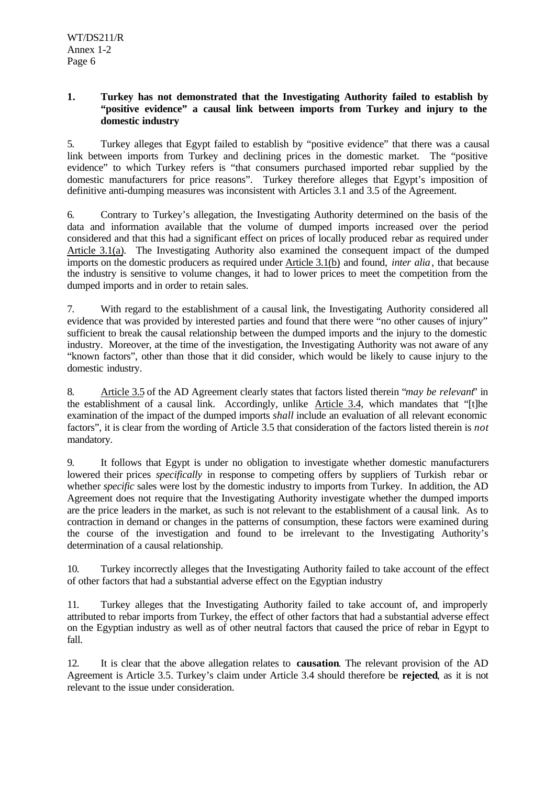#### **1. Turkey has not demonstrated that the Investigating Authority failed to establish by "positive evidence" a causal link between imports from Turkey and injury to the domestic industry**

5. Turkey alleges that Egypt failed to establish by "positive evidence" that there was a causal link between imports from Turkey and declining prices in the domestic market. The "positive evidence" to which Turkey refers is "that consumers purchased imported rebar supplied by the domestic manufacturers for price reasons". Turkey therefore alleges that Egypt's imposition of definitive anti-dumping measures was inconsistent with Articles 3.1 and 3.5 of the Agreement.

6. Contrary to Turkey's allegation, the Investigating Authority determined on the basis of the data and information available that the volume of dumped imports increased over the period considered and that this had a significant effect on prices of locally produced rebar as required under Article 3.1(a). The Investigating Authority also examined the consequent impact of the dumped imports on the domestic producers as required under Article 3.1(b) and found, *inter alia*, that because the industry is sensitive to volume changes, it had to lower prices to meet the competition from the dumped imports and in order to retain sales.

7. With regard to the establishment of a causal link, the Investigating Authority considered all evidence that was provided by interested parties and found that there were "no other causes of injury" sufficient to break the causal relationship between the dumped imports and the injury to the domestic industry. Moreover, at the time of the investigation, the Investigating Authority was not aware of any "known factors", other than those that it did consider, which would be likely to cause injury to the domestic industry.

8. Article 3.5 of the AD Agreement clearly states that factors listed therein "*may be relevant*" in the establishment of a causal link. Accordingly, unlike Article 3.4, which mandates that "[t]he examination of the impact of the dumped imports *shall* include an evaluation of all relevant economic factors", it is clear from the wording of Article 3.5 that consideration of the factors listed therein is *not* mandatory.

9. It follows that Egypt is under no obligation to investigate whether domestic manufacturers lowered their prices *specifically* in response to competing offers by suppliers of Turkish rebar or whether *specific* sales were lost by the domestic industry to imports from Turkey. In addition, the AD Agreement does not require that the Investigating Authority investigate whether the dumped imports are the price leaders in the market, as such is not relevant to the establishment of a causal link. As to contraction in demand or changes in the patterns of consumption, these factors were examined during the course of the investigation and found to be irrelevant to the Investigating Authority's determination of a causal relationship.

10. Turkey incorrectly alleges that the Investigating Authority failed to take account of the effect of other factors that had a substantial adverse effect on the Egyptian industry

11. Turkey alleges that the Investigating Authority failed to take account of, and improperly attributed to rebar imports from Turkey, the effect of other factors that had a substantial adverse effect on the Egyptian industry as well as of other neutral factors that caused the price of rebar in Egypt to fall.

12. It is clear that the above allegation relates to **causation**. The relevant provision of the AD Agreement is Article 3.5. Turkey's claim under Article 3.4 should therefore be **rejected**, as it is not relevant to the issue under consideration.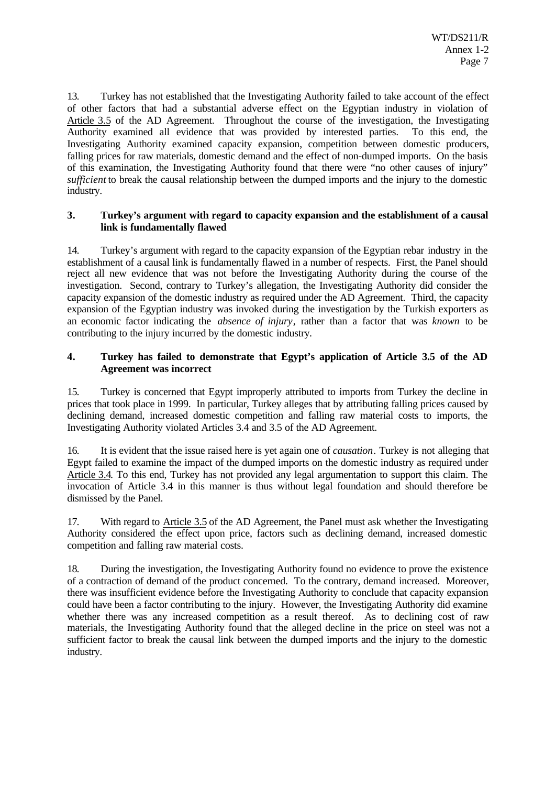13. Turkey has not established that the Investigating Authority failed to take account of the effect of other factors that had a substantial adverse effect on the Egyptian industry in violation of Article 3.5 of the AD Agreement. Throughout the course of the investigation, the Investigating Authority examined all evidence that was provided by interested parties. To this end, the Investigating Authority examined capacity expansion, competition between domestic producers, falling prices for raw materials, domestic demand and the effect of non-dumped imports. On the basis of this examination, the Investigating Authority found that there were "no other causes of injury" *sufficient* to break the causal relationship between the dumped imports and the injury to the domestic industry.

#### **3. Turkey's argument with regard to capacity expansion and the establishment of a causal link is fundamentally flawed**

14. Turkey's argument with regard to the capacity expansion of the Egyptian rebar industry in the establishment of a causal link is fundamentally flawed in a number of respects. First, the Panel should reject all new evidence that was not before the Investigating Authority during the course of the investigation. Second, contrary to Turkey's allegation, the Investigating Authority did consider the capacity expansion of the domestic industry as required under the AD Agreement. Third, the capacity expansion of the Egyptian industry was invoked during the investigation by the Turkish exporters as an economic factor indicating the *absence of injury*, rather than a factor that was *known* to be contributing to the injury incurred by the domestic industry.

#### **4. Turkey has failed to demonstrate that Egypt's application of Article 3.5 of the AD Agreement was incorrect**

15. Turkey is concerned that Egypt improperly attributed to imports from Turkey the decline in prices that took place in 1999. In particular, Turkey alleges that by attributing falling prices caused by declining demand, increased domestic competition and falling raw material costs to imports, the Investigating Authority violated Articles 3.4 and 3.5 of the AD Agreement.

16. It is evident that the issue raised here is yet again one of *causation*. Turkey is not alleging that Egypt failed to examine the impact of the dumped imports on the domestic industry as required under Article 3.4. To this end, Turkey has not provided any legal argumentation to support this claim. The invocation of Article 3.4 in this manner is thus without legal foundation and should therefore be dismissed by the Panel.

17. With regard to Article 3.5 of the AD Agreement, the Panel must ask whether the Investigating Authority considered the effect upon price, factors such as declining demand, increased domestic competition and falling raw material costs.

18. During the investigation, the Investigating Authority found no evidence to prove the existence of a contraction of demand of the product concerned. To the contrary, demand increased. Moreover, there was insufficient evidence before the Investigating Authority to conclude that capacity expansion could have been a factor contributing to the injury. However, the Investigating Authority did examine whether there was any increased competition as a result thereof. As to declining cost of raw materials, the Investigating Authority found that the alleged decline in the price on steel was not a sufficient factor to break the causal link between the dumped imports and the injury to the domestic industry.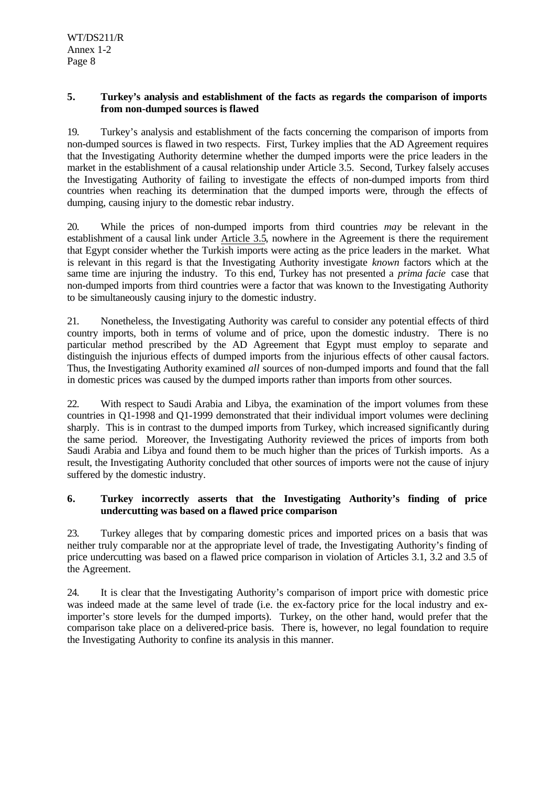# **5. Turkey's analysis and establishment of the facts as regards the comparison of imports from non-dumped sources is flawed**

19. Turkey's analysis and establishment of the facts concerning the comparison of imports from non-dumped sources is flawed in two respects. First, Turkey implies that the AD Agreement requires that the Investigating Authority determine whether the dumped imports were the price leaders in the market in the establishment of a causal relationship under Article 3.5. Second, Turkey falsely accuses the Investigating Authority of failing to investigate the effects of non-dumped imports from third countries when reaching its determination that the dumped imports were, through the effects of dumping, causing injury to the domestic rebar industry.

20. While the prices of non-dumped imports from third countries *may* be relevant in the establishment of a causal link under Article 3.5, nowhere in the Agreement is there the requirement that Egypt consider whether the Turkish imports were acting as the price leaders in the market. What is relevant in this regard is that the Investigating Authority investigate *known* factors which at the same time are injuring the industry. To this end, Turkey has not presented a *prima facie* case that non-dumped imports from third countries were a factor that was known to the Investigating Authority to be simultaneously causing injury to the domestic industry.

21. Nonetheless, the Investigating Authority was careful to consider any potential effects of third country imports, both in terms of volume and of price, upon the domestic industry. There is no particular method prescribed by the AD Agreement that Egypt must employ to separate and distinguish the injurious effects of dumped imports from the injurious effects of other causal factors. Thus, the Investigating Authority examined *all* sources of non-dumped imports and found that the fall in domestic prices was caused by the dumped imports rather than imports from other sources.

22. With respect to Saudi Arabia and Libya, the examination of the import volumes from these countries in Q1-1998 and Q1-1999 demonstrated that their individual import volumes were declining sharply. This is in contrast to the dumped imports from Turkey, which increased significantly during the same period. Moreover, the Investigating Authority reviewed the prices of imports from both Saudi Arabia and Libya and found them to be much higher than the prices of Turkish imports. As a result, the Investigating Authority concluded that other sources of imports were not the cause of injury suffered by the domestic industry.

# **6. Turkey incorrectly asserts that the Investigating Authority's finding of price undercutting was based on a flawed price comparison**

23. Turkey alleges that by comparing domestic prices and imported prices on a basis that was neither truly comparable nor at the appropriate level of trade, the Investigating Authority's finding of price undercutting was based on a flawed price comparison in violation of Articles 3.1, 3.2 and 3.5 of the Agreement.

24. It is clear that the Investigating Authority's comparison of import price with domestic price was indeed made at the same level of trade (i.e. the ex-factory price for the local industry and eximporter's store levels for the dumped imports). Turkey, on the other hand, would prefer that the comparison take place on a delivered-price basis. There is, however, no legal foundation to require the Investigating Authority to confine its analysis in this manner.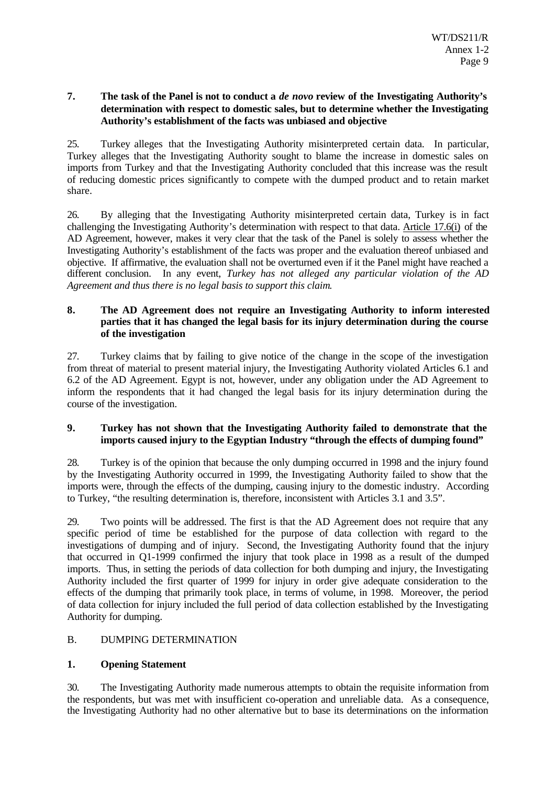# **7. The task of the Panel is not to conduct a** *de novo* **review of the Investigating Authority's determination with respect to domestic sales, but to determine whether the Investigating Authority's establishment of the facts was unbiased and objective**

25. Turkey alleges that the Investigating Authority misinterpreted certain data. In particular, Turkey alleges that the Investigating Authority sought to blame the increase in domestic sales on imports from Turkey and that the Investigating Authority concluded that this increase was the result of reducing domestic prices significantly to compete with the dumped product and to retain market share.

26. By alleging that the Investigating Authority misinterpreted certain data, Turkey is in fact challenging the Investigating Authority's determination with respect to that data. Article 17.6(i) of the AD Agreement, however, makes it very clear that the task of the Panel is solely to assess whether the Investigating Authority's establishment of the facts was proper and the evaluation thereof unbiased and objective. If affirmative, the evaluation shall not be overturned even if it the Panel might have reached a different conclusion. In any event, *Turkey has not alleged any particular violation of the AD Agreement and thus there is no legal basis to support this claim*.

#### **8. The AD Agreement does not require an Investigating Authority to inform interested parties that it has changed the legal basis for its injury determination during the course of the investigation**

27. Turkey claims that by failing to give notice of the change in the scope of the investigation from threat of material to present material injury, the Investigating Authority violated Articles 6.1 and 6.2 of the AD Agreement. Egypt is not, however, under any obligation under the AD Agreement to inform the respondents that it had changed the legal basis for its injury determination during the course of the investigation.

# **9. Turkey has not shown that the Investigating Authority failed to demonstrate that the imports caused injury to the Egyptian Industry "through the effects of dumping found"**

28. Turkey is of the opinion that because the only dumping occurred in 1998 and the injury found by the Investigating Authority occurred in 1999, the Investigating Authority failed to show that the imports were, through the effects of the dumping, causing injury to the domestic industry. According to Turkey, "the resulting determination is, therefore, inconsistent with Articles 3.1 and 3.5".

29. Two points will be addressed. The first is that the AD Agreement does not require that any specific period of time be established for the purpose of data collection with regard to the investigations of dumping and of injury. Second, the Investigating Authority found that the injury that occurred in Q1-1999 confirmed the injury that took place in 1998 as a result of the dumped imports. Thus, in setting the periods of data collection for both dumping and injury, the Investigating Authority included the first quarter of 1999 for injury in order give adequate consideration to the effects of the dumping that primarily took place, in terms of volume, in 1998. Moreover, the period of data collection for injury included the full period of data collection established by the Investigating Authority for dumping.

# B. DUMPING DETERMINATION

# **1. Opening Statement**

30. The Investigating Authority made numerous attempts to obtain the requisite information from the respondents, but was met with insufficient co-operation and unreliable data. As a consequence, the Investigating Authority had no other alternative but to base its determinations on the information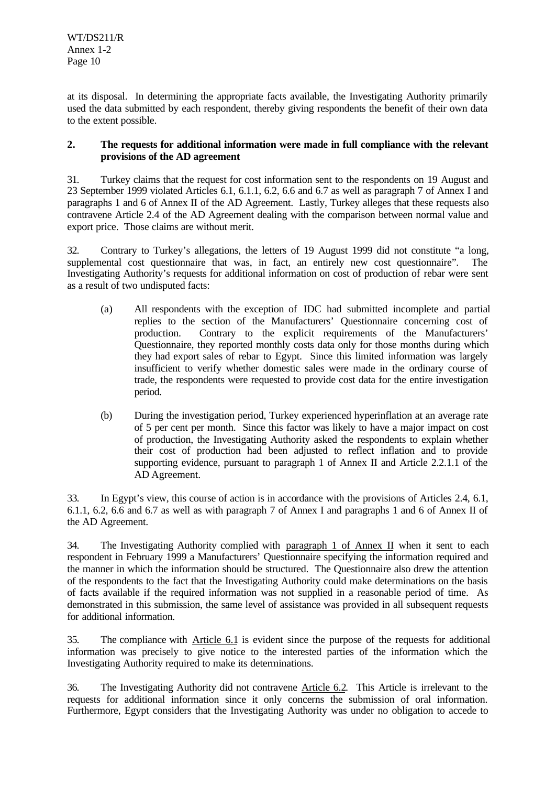at its disposal. In determining the appropriate facts available, the Investigating Authority primarily used the data submitted by each respondent, thereby giving respondents the benefit of their own data to the extent possible.

### **2. The requests for additional information were made in full compliance with the relevant provisions of the AD agreement**

31. Turkey claims that the request for cost information sent to the respondents on 19 August and 23 September 1999 violated Articles 6.1, 6.1.1, 6.2, 6.6 and 6.7 as well as paragraph 7 of Annex I and paragraphs 1 and 6 of Annex II of the AD Agreement. Lastly, Turkey alleges that these requests also contravene Article 2.4 of the AD Agreement dealing with the comparison between normal value and export price. Those claims are without merit.

32. Contrary to Turkey's allegations, the letters of 19 August 1999 did not constitute "a long, supplemental cost questionnaire that was, in fact, an entirely new cost questionnaire". The Investigating Authority's requests for additional information on cost of production of rebar were sent as a result of two undisputed facts:

- (a) All respondents with the exception of IDC had submitted incomplete and partial replies to the section of the Manufacturers' Questionnaire concerning cost of production. Contrary to the explicit requirements of the Manufacturers' Questionnaire, they reported monthly costs data only for those months during which they had export sales of rebar to Egypt. Since this limited information was largely insufficient to verify whether domestic sales were made in the ordinary course of trade, the respondents were requested to provide cost data for the entire investigation period.
- (b) During the investigation period, Turkey experienced hyperinflation at an average rate of 5 per cent per month. Since this factor was likely to have a major impact on cost of production, the Investigating Authority asked the respondents to explain whether their cost of production had been adjusted to reflect inflation and to provide supporting evidence, pursuant to paragraph 1 of Annex II and Article 2.2.1.1 of the AD Agreement.

33. In Egypt's view, this course of action is in accordance with the provisions of Articles 2.4, 6.1, 6.1.1, 6.2, 6.6 and 6.7 as well as with paragraph 7 of Annex I and paragraphs 1 and 6 of Annex II of the AD Agreement.

34. The Investigating Authority complied with paragraph 1 of Annex II when it sent to each respondent in February 1999 a Manufacturers' Questionnaire specifying the information required and the manner in which the information should be structured. The Questionnaire also drew the attention of the respondents to the fact that the Investigating Authority could make determinations on the basis of facts available if the required information was not supplied in a reasonable period of time. As demonstrated in this submission, the same level of assistance was provided in all subsequent requests for additional information.

35. The compliance with Article 6.1 is evident since the purpose of the requests for additional information was precisely to give notice to the interested parties of the information which the Investigating Authority required to make its determinations.

36. The Investigating Authority did not contravene Article 6.2. This Article is irrelevant to the requests for additional information since it only concerns the submission of oral information. Furthermore, Egypt considers that the Investigating Authority was under no obligation to accede to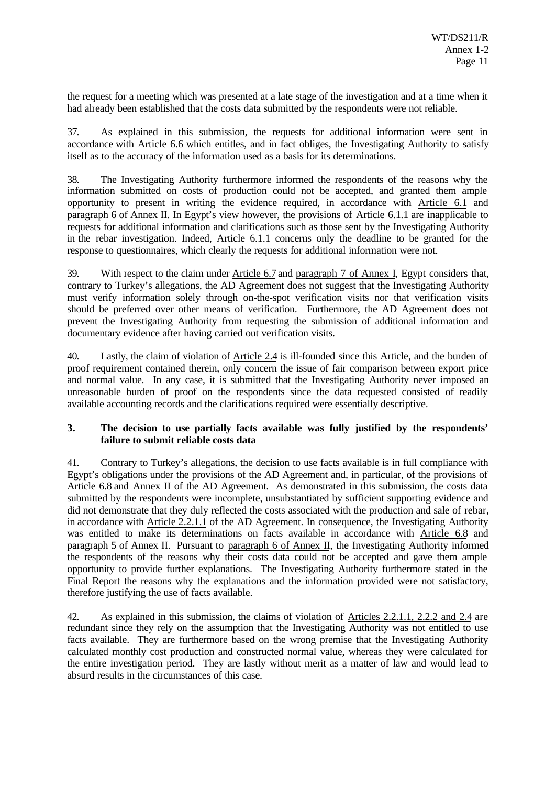the request for a meeting which was presented at a late stage of the investigation and at a time when it had already been established that the costs data submitted by the respondents were not reliable.

37. As explained in this submission, the requests for additional information were sent in accordance with Article 6.6 which entitles, and in fact obliges, the Investigating Authority to satisfy itself as to the accuracy of the information used as a basis for its determinations.

38. The Investigating Authority furthermore informed the respondents of the reasons why the information submitted on costs of production could not be accepted, and granted them ample opportunity to present in writing the evidence required, in accordance with Article 6.1 and paragraph 6 of Annex II. In Egypt's view however, the provisions of Article 6.1.1 are inapplicable to requests for additional information and clarifications such as those sent by the Investigating Authority in the rebar investigation. Indeed, Article 6.1.1 concerns only the deadline to be granted for the response to questionnaires, which clearly the requests for additional information were not.

39. With respect to the claim under Article 6.7 and paragraph 7 of Annex I, Egypt considers that, contrary to Turkey's allegations, the AD Agreement does not suggest that the Investigating Authority must verify information solely through on-the-spot verification visits nor that verification visits should be preferred over other means of verification. Furthermore, the AD Agreement does not prevent the Investigating Authority from requesting the submission of additional information and documentary evidence after having carried out verification visits.

40. Lastly, the claim of violation of Article 2.4 is ill-founded since this Article, and the burden of proof requirement contained therein, only concern the issue of fair comparison between export price and normal value. In any case, it is submitted that the Investigating Authority never imposed an unreasonable burden of proof on the respondents since the data requested consisted of readily available accounting records and the clarifications required were essentially descriptive.

# **3. The decision to use partially facts available was fully justified by the respondents' failure to submit reliable costs data**

41. Contrary to Turkey's allegations, the decision to use facts available is in full compliance with Egypt's obligations under the provisions of the AD Agreement and, in particular, of the provisions of Article 6.8 and Annex II of the AD Agreement. As demonstrated in this submission, the costs data submitted by the respondents were incomplete, unsubstantiated by sufficient supporting evidence and did not demonstrate that they duly reflected the costs associated with the production and sale of rebar, in accordance with Article 2.2.1.1 of the AD Agreement. In consequence, the Investigating Authority was entitled to make its determinations on facts available in accordance with Article 6.8 and paragraph 5 of Annex II. Pursuant to paragraph 6 of Annex II, the Investigating Authority informed the respondents of the reasons why their costs data could not be accepted and gave them ample opportunity to provide further explanations. The Investigating Authority furthermore stated in the Final Report the reasons why the explanations and the information provided were not satisfactory, therefore justifying the use of facts available.

42. As explained in this submission, the claims of violation of Articles 2.2.1.1, 2.2.2 and 2.4 are redundant since they rely on the assumption that the Investigating Authority was not entitled to use facts available. They are furthermore based on the wrong premise that the Investigating Authority calculated monthly cost production and constructed normal value, whereas they were calculated for the entire investigation period. They are lastly without merit as a matter of law and would lead to absurd results in the circumstances of this case.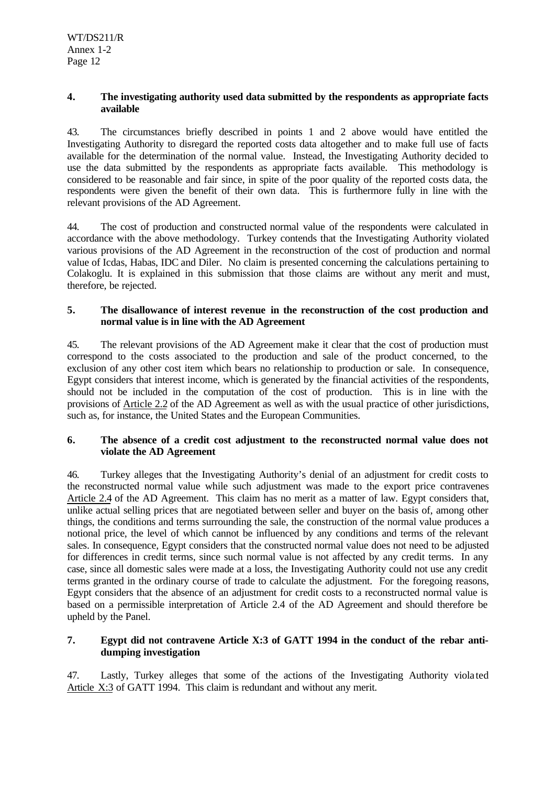#### **4. The investigating authority used data submitted by the respondents as appropriate facts available**

43. The circumstances briefly described in points 1 and 2 above would have entitled the Investigating Authority to disregard the reported costs data altogether and to make full use of facts available for the determination of the normal value. Instead, the Investigating Authority decided to use the data submitted by the respondents as appropriate facts available. This methodology is considered to be reasonable and fair since, in spite of the poor quality of the reported costs data, the respondents were given the benefit of their own data. This is furthermore fully in line with the relevant provisions of the AD Agreement.

44. The cost of production and constructed normal value of the respondents were calculated in accordance with the above methodology. Turkey contends that the Investigating Authority violated various provisions of the AD Agreement in the reconstruction of the cost of production and normal value of Icdas, Habas, IDC and Diler. No claim is presented concerning the calculations pertaining to Colakoglu. It is explained in this submission that those claims are without any merit and must, therefore, be rejected.

#### **5. The disallowance of interest revenue in the reconstruction of the cost production and normal value is in line with the AD Agreement**

45. The relevant provisions of the AD Agreement make it clear that the cost of production must correspond to the costs associated to the production and sale of the product concerned, to the exclusion of any other cost item which bears no relationship to production or sale. In consequence, Egypt considers that interest income, which is generated by the financial activities of the respondents, should not be included in the computation of the cost of production. This is in line with the provisions of Article 2.2 of the AD Agreement as well as with the usual practice of other jurisdictions, such as, for instance, the United States and the European Communities.

#### **6. The absence of a credit cost adjustment to the reconstructed normal value does not violate the AD Agreement**

46. Turkey alleges that the Investigating Authority's denial of an adjustment for credit costs to the reconstructed normal value while such adjustment was made to the export price contravenes Article 2.4 of the AD Agreement. This claim has no merit as a matter of law. Egypt considers that, unlike actual selling prices that are negotiated between seller and buyer on the basis of, among other things, the conditions and terms surrounding the sale, the construction of the normal value produces a notional price, the level of which cannot be influenced by any conditions and terms of the relevant sales. In consequence, Egypt considers that the constructed normal value does not need to be adjusted for differences in credit terms, since such normal value is not affected by any credit terms. In any case, since all domestic sales were made at a loss, the Investigating Authority could not use any credit terms granted in the ordinary course of trade to calculate the adjustment. For the foregoing reasons, Egypt considers that the absence of an adjustment for credit costs to a reconstructed normal value is based on a permissible interpretation of Article 2.4 of the AD Agreement and should therefore be upheld by the Panel.

#### **7. Egypt did not contravene Article X:3 of GATT 1994 in the conduct of the rebar antidumping investigation**

47. Lastly, Turkey alleges that some of the actions of the Investigating Authority viola ted Article X:3 of GATT 1994. This claim is redundant and without any merit.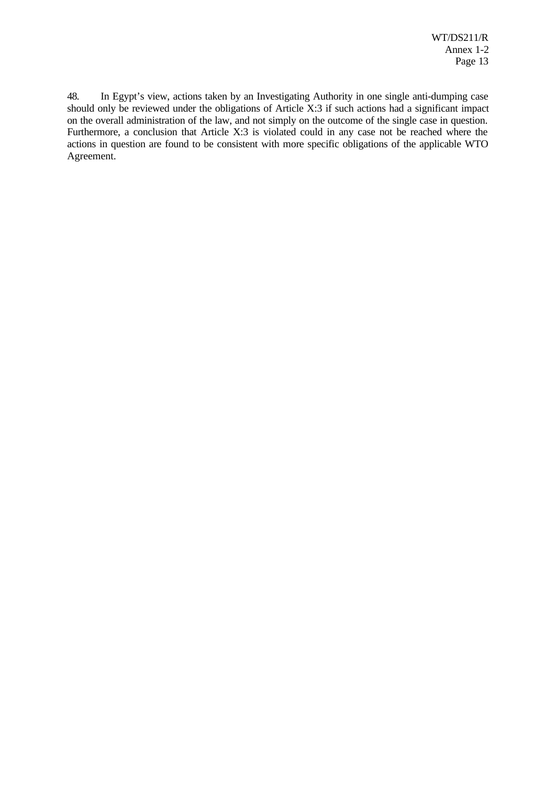48. In Egypt's view, actions taken by an Investigating Authority in one single anti-dumping case should only be reviewed under the obligations of Article X:3 if such actions had a significant impact on the overall administration of the law, and not simply on the outcome of the single case in question. Furthermore, a conclusion that Article X:3 is violated could in any case not be reached where the actions in question are found to be consistent with more specific obligations of the applicable WTO Agreement.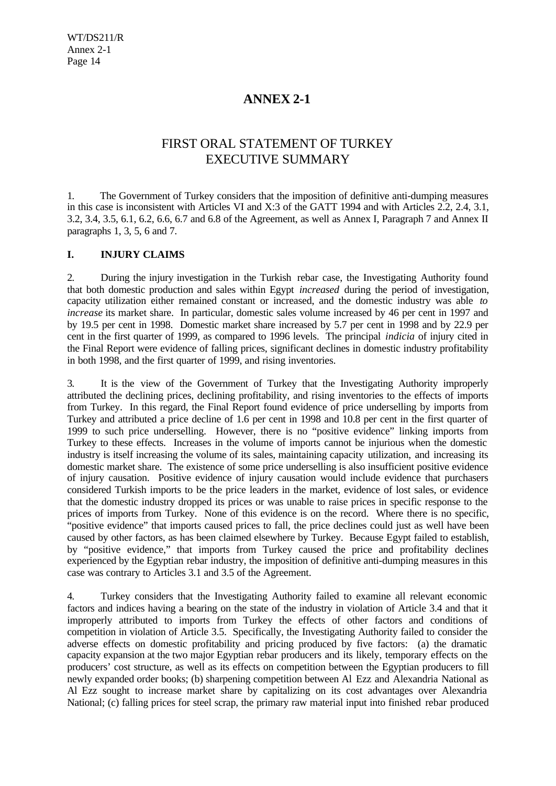# **ANNEX 2-1**

# FIRST ORAL STATEMENT OF TURKEY EXECUTIVE SUMMARY

1. The Government of Turkey considers that the imposition of definitive anti-dumping measures in this case is inconsistent with Articles VI and X:3 of the GATT 1994 and with Articles 2.2, 2.4, 3.1, 3.2, 3.4, 3.5, 6.1, 6.2, 6.6, 6.7 and 6.8 of the Agreement, as well as Annex I, Paragraph 7 and Annex II paragraphs 1, 3, 5, 6 and 7.

# **I. INJURY CLAIMS**

2. During the injury investigation in the Turkish rebar case, the Investigating Authority found that both domestic production and sales within Egypt *increased* during the period of investigation, capacity utilization either remained constant or increased, and the domestic industry was able *to increase* its market share. In particular, domestic sales volume increased by 46 per cent in 1997 and by 19.5 per cent in 1998. Domestic market share increased by 5.7 per cent in 1998 and by 22.9 per cent in the first quarter of 1999, as compared to 1996 levels. The principal *indicia* of injury cited in the Final Report were evidence of falling prices, significant declines in domestic industry profitability in both 1998, and the first quarter of 1999, and rising inventories.

3. It is the view of the Government of Turkey that the Investigating Authority improperly attributed the declining prices, declining profitability, and rising inventories to the effects of imports from Turkey. In this regard, the Final Report found evidence of price underselling by imports from Turkey and attributed a price decline of 1.6 per cent in 1998 and 10.8 per cent in the first quarter of 1999 to such price underselling. However, there is no "positive evidence" linking imports from Turkey to these effects. Increases in the volume of imports cannot be injurious when the domestic industry is itself increasing the volume of its sales, maintaining capacity utilization, and increasing its domestic market share. The existence of some price underselling is also insufficient positive evidence of injury causation. Positive evidence of injury causation would include evidence that purchasers considered Turkish imports to be the price leaders in the market, evidence of lost sales, or evidence that the domestic industry dropped its prices or was unable to raise prices in specific response to the prices of imports from Turkey. None of this evidence is on the record. Where there is no specific, "positive evidence" that imports caused prices to fall, the price declines could just as well have been caused by other factors, as has been claimed elsewhere by Turkey. Because Egypt failed to establish, by "positive evidence," that imports from Turkey caused the price and profitability declines experienced by the Egyptian rebar industry, the imposition of definitive anti-dumping measures in this case was contrary to Articles 3.1 and 3.5 of the Agreement.

4. Turkey considers that the Investigating Authority failed to examine all relevant economic factors and indices having a bearing on the state of the industry in violation of Article 3.4 and that it improperly attributed to imports from Turkey the effects of other factors and conditions of competition in violation of Article 3.5. Specifically, the Investigating Authority failed to consider the adverse effects on domestic profitability and pricing produced by five factors: (a) the dramatic capacity expansion at the two major Egyptian rebar producers and its likely, temporary effects on the producers' cost structure, as well as its effects on competition between the Egyptian producers to fill newly expanded order books; (b) sharpening competition between Al Ezz and Alexandria National as Al Ezz sought to increase market share by capitalizing on its cost advantages over Alexandria National; (c) falling prices for steel scrap, the primary raw material input into finished rebar produced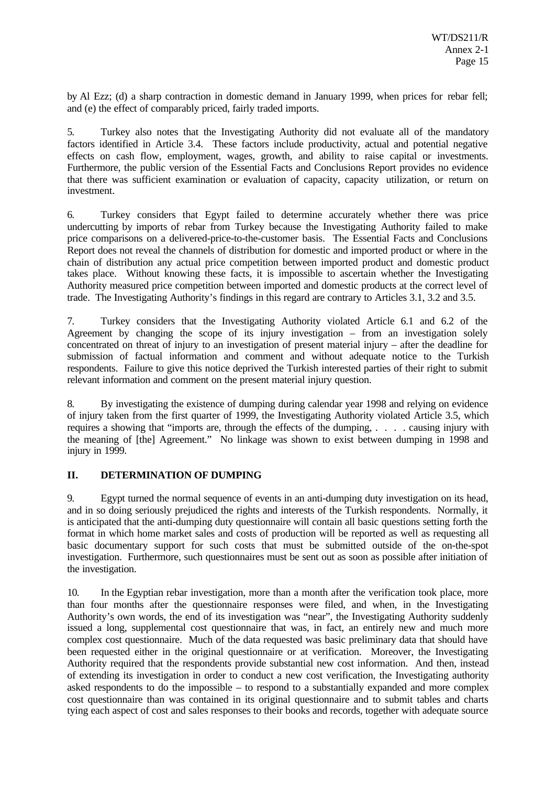by Al Ezz; (d) a sharp contraction in domestic demand in January 1999, when prices for rebar fell; and (e) the effect of comparably priced, fairly traded imports.

5. Turkey also notes that the Investigating Authority did not evaluate all of the mandatory factors identified in Article 3.4. These factors include productivity, actual and potential negative effects on cash flow, employment, wages, growth, and ability to raise capital or investments. Furthermore, the public version of the Essential Facts and Conclusions Report provides no evidence that there was sufficient examination or evaluation of capacity, capacity utilization, or return on investment.

6. Turkey considers that Egypt failed to determine accurately whether there was price undercutting by imports of rebar from Turkey because the Investigating Authority failed to make price comparisons on a delivered-price-to-the-customer basis. The Essential Facts and Conclusions Report does not reveal the channels of distribution for domestic and imported product or where in the chain of distribution any actual price competition between imported product and domestic product takes place. Without knowing these facts, it is impossible to ascertain whether the Investigating Authority measured price competition between imported and domestic products at the correct level of trade. The Investigating Authority's findings in this regard are contrary to Articles 3.1, 3.2 and 3.5.

7. Turkey considers that the Investigating Authority violated Article 6.1 and 6.2 of the Agreement by changing the scope of its injury investigation – from an investigation solely concentrated on threat of injury to an investigation of present material injury – after the deadline for submission of factual information and comment and without adequate notice to the Turkish respondents. Failure to give this notice deprived the Turkish interested parties of their right to submit relevant information and comment on the present material injury question.

8. By investigating the existence of dumping during calendar year 1998 and relying on evidence of injury taken from the first quarter of 1999, the Investigating Authority violated Article 3.5, which requires a showing that "imports are, through the effects of the dumping, . . . . causing injury with the meaning of [the] Agreement." No linkage was shown to exist between dumping in 1998 and injury in 1999.

# **II. DETERMINATION OF DUMPING**

9. Egypt turned the normal sequence of events in an anti-dumping duty investigation on its head, and in so doing seriously prejudiced the rights and interests of the Turkish respondents. Normally, it is anticipated that the anti-dumping duty questionnaire will contain all basic questions setting forth the format in which home market sales and costs of production will be reported as well as requesting all basic documentary support for such costs that must be submitted outside of the on-the-spot investigation. Furthermore, such questionnaires must be sent out as soon as possible after initiation of the investigation.

10. In the Egyptian rebar investigation, more than a month after the verification took place, more than four months after the questionnaire responses were filed, and when, in the Investigating Authority's own words, the end of its investigation was "near", the Investigating Authority suddenly issued a long, supplemental cost questionnaire that was, in fact, an entirely new and much more complex cost questionnaire. Much of the data requested was basic preliminary data that should have been requested either in the original questionnaire or at verification. Moreover, the Investigating Authority required that the respondents provide substantial new cost information. And then, instead of extending its investigation in order to conduct a new cost verification, the Investigating authority asked respondents to do the impossible – to respond to a substantially expanded and more complex cost questionnaire than was contained in its original questionnaire and to submit tables and charts tying each aspect of cost and sales responses to their books and records, together with adequate source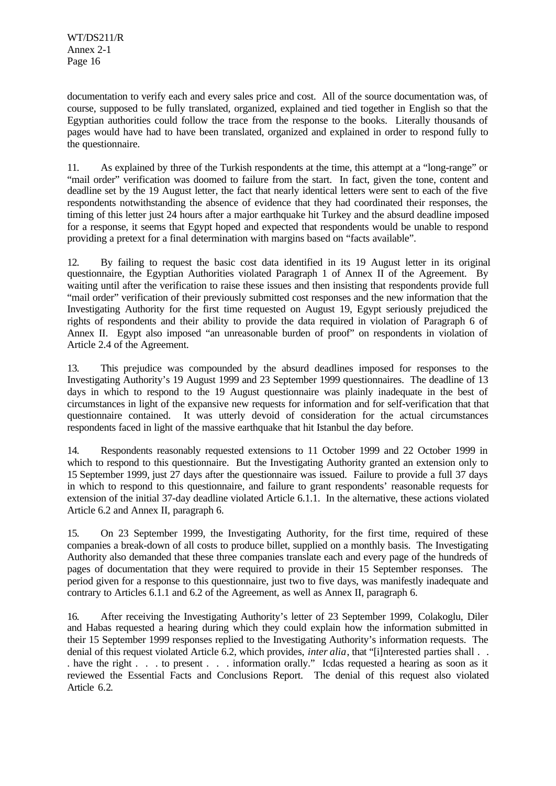documentation to verify each and every sales price and cost. All of the source documentation was, of course, supposed to be fully translated, organized, explained and tied together in English so that the Egyptian authorities could follow the trace from the response to the books. Literally thousands of pages would have had to have been translated, organized and explained in order to respond fully to the questionnaire.

11. As explained by three of the Turkish respondents at the time, this attempt at a "long-range" or "mail order" verification was doomed to failure from the start. In fact, given the tone, content and deadline set by the 19 August letter, the fact that nearly identical letters were sent to each of the five respondents notwithstanding the absence of evidence that they had coordinated their responses, the timing of this letter just 24 hours after a major earthquake hit Turkey and the absurd deadline imposed for a response, it seems that Egypt hoped and expected that respondents would be unable to respond providing a pretext for a final determination with margins based on "facts available".

12. By failing to request the basic cost data identified in its 19 August letter in its original questionnaire, the Egyptian Authorities violated Paragraph 1 of Annex II of the Agreement. By waiting until after the verification to raise these issues and then insisting that respondents provide full "mail order" verification of their previously submitted cost responses and the new information that the Investigating Authority for the first time requested on August 19, Egypt seriously prejudiced the rights of respondents and their ability to provide the data required in violation of Paragraph 6 of Annex II. Egypt also imposed "an unreasonable burden of proof" on respondents in violation of Article 2.4 of the Agreement.

13. This prejudice was compounded by the absurd deadlines imposed for responses to the Investigating Authority's 19 August 1999 and 23 September 1999 questionnaires. The deadline of 13 days in which to respond to the 19 August questionnaire was plainly inadequate in the best of circumstances in light of the expansive new requests for information and for self-verification that that questionnaire contained. It was utterly devoid of consideration for the actual circumstances respondents faced in light of the massive earthquake that hit Istanbul the day before.

14. Respondents reasonably requested extensions to 11 October 1999 and 22 October 1999 in which to respond to this questionnaire. But the Investigating Authority granted an extension only to 15 September 1999, just 27 days after the questionnaire was issued. Failure to provide a full 37 days in which to respond to this questionnaire, and failure to grant respondents' reasonable requests for extension of the initial 37-day deadline violated Article 6.1.1. In the alternative, these actions violated Article 6.2 and Annex II, paragraph 6.

15. On 23 September 1999, the Investigating Authority, for the first time, required of these companies a break-down of all costs to produce billet, supplied on a monthly basis. The Investigating Authority also demanded that these three companies translate each and every page of the hundreds of pages of documentation that they were required to provide in their 15 September responses. The period given for a response to this questionnaire, just two to five days, was manifestly inadequate and contrary to Articles 6.1.1 and 6.2 of the Agreement, as well as Annex II, paragraph 6.

16. After receiving the Investigating Authority's letter of 23 September 1999, Colakoglu, Diler and Habas requested a hearing during which they could explain how the information submitted in their 15 September 1999 responses replied to the Investigating Authority's information requests. The denial of this request violated Article 6.2, which provides, *inter alia*, that "[i]nterested parties shall . . . have the right . . . to present . . . information orally." Icdas requested a hearing as soon as it reviewed the Essential Facts and Conclusions Report. The denial of this request also violated Article 6.2.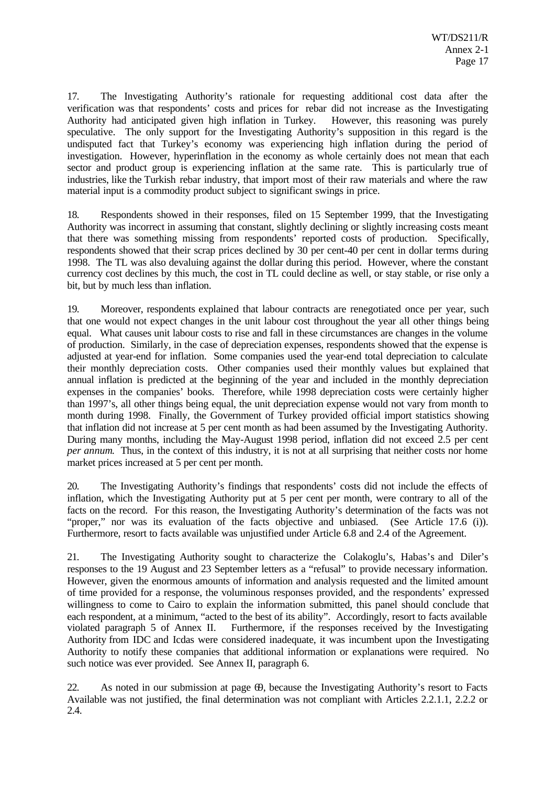17. The Investigating Authority's rationale for requesting additional cost data after the verification was that respondents' costs and prices for rebar did not increase as the Investigating Authority had anticipated given high inflation in Turkey. However, this reasoning was purely speculative. The only support for the Investigating Authority's supposition in this regard is the undisputed fact that Turkey's economy was experiencing high inflation during the period of investigation. However, hyperinflation in the economy as whole certainly does not mean that each sector and product group is experiencing inflation at the same rate. This is particularly true of industries, like the Turkish rebar industry, that import most of their raw materials and where the raw material input is a commodity product subject to significant swings in price.

18. Respondents showed in their responses, filed on 15 September 1999, that the Investigating Authority was incorrect in assuming that constant, slightly declining or slightly increasing costs meant that there was something missing from respondents' reported costs of production. Specifically, respondents showed that their scrap prices declined by 30 per cent-40 per cent in dollar terms during 1998. The TL was also devaluing against the dollar during this period. However, where the constant currency cost declines by this much, the cost in TL could decline as well, or stay stable, or rise only a bit, but by much less than inflation.

19. Moreover, respondents explained that labour contracts are renegotiated once per year, such that one would not expect changes in the unit labour cost throughout the year all other things being equal. What causes unit labour costs to rise and fall in these circumstances are changes in the volume of production. Similarly, in the case of depreciation expenses, respondents showed that the expense is adjusted at year-end for inflation. Some companies used the year-end total depreciation to calculate their monthly depreciation costs. Other companies used their monthly values but explained that annual inflation is predicted at the beginning of the year and included in the monthly depreciation expenses in the companies' books. Therefore, while 1998 depreciation costs were certainly higher than 1997's, all other things being equal, the unit depreciation expense would not vary from month to month during 1998. Finally, the Government of Turkey provided official import statistics showing that inflation did not increase at 5 per cent month as had been assumed by the Investigating Authority. During many months, including the May-August 1998 period, inflation did not exceed 2.5 per cent *per annum*. Thus, in the context of this industry, it is not at all surprising that neither costs nor home market prices increased at 5 per cent per month.

20. The Investigating Authority's findings that respondents' costs did not include the effects of inflation, which the Investigating Authority put at 5 per cent per month, were contrary to all of the facts on the record. For this reason, the Investigating Authority's determination of the facts was not "proper," nor was its evaluation of the facts objective and unbiased. (See Article 17.6 (i)). Furthermore, resort to facts available was unjustified under Article 6.8 and 2.4 of the Agreement.

21. The Investigating Authority sought to characterize the Colakoglu's, Habas's and Diler's responses to the 19 August and 23 September letters as a "refusal" to provide necessary information. However, given the enormous amounts of information and analysis requested and the limited amount of time provided for a response, the voluminous responses provided, and the respondents' expressed willingness to come to Cairo to explain the information submitted, this panel should conclude that each respondent, at a minimum, "acted to the best of its ability". Accordingly, resort to facts available violated paragraph 5 of Annex II. Furthermore, if the responses received by the Investigating Authority from IDC and Icdas were considered inadequate, it was incumbent upon the Investigating Authority to notify these companies that additional information or explanations were required. No such notice was ever provided. See Annex II, paragraph 6.

22. As noted in our submission at page  $\Theta$ , because the Investigating Authority's resort to Facts Available was not justified, the final determination was not compliant with Articles 2.2.1.1, 2.2.2 or 2.4.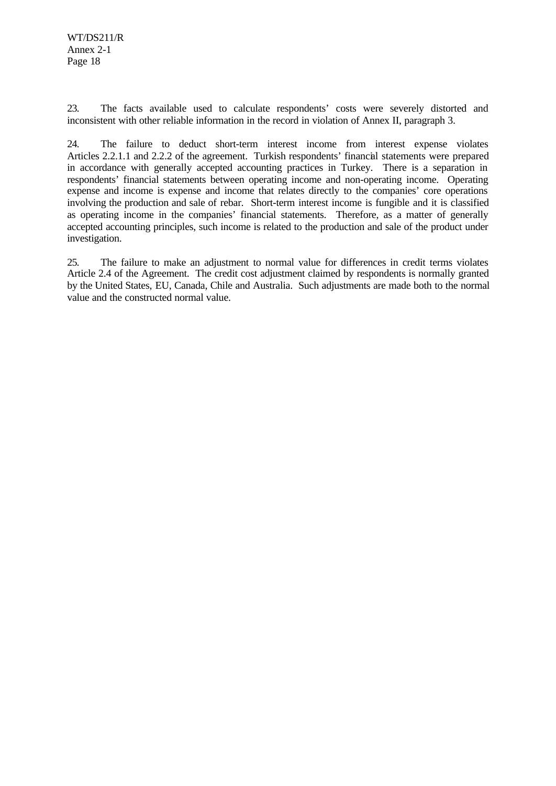23. The facts available used to calculate respondents' costs were severely distorted and inconsistent with other reliable information in the record in violation of Annex II, paragraph 3.

24. The failure to deduct short-term interest income from interest expense violates Articles 2.2.1.1 and 2.2.2 of the agreement. Turkish respondents' financial statements were prepared in accordance with generally accepted accounting practices in Turkey. There is a separation in respondents' financial statements between operating income and non-operating income. Operating expense and income is expense and income that relates directly to the companies' core operations involving the production and sale of rebar. Short-term interest income is fungible and it is classified as operating income in the companies' financial statements. Therefore, as a matter of generally accepted accounting principles, such income is related to the production and sale of the product under investigation.

25. The failure to make an adjustment to normal value for differences in credit terms violates Article 2.4 of the Agreement. The credit cost adjustment claimed by respondents is normally granted by the United States, EU, Canada, Chile and Australia. Such adjustments are made both to the normal value and the constructed normal value.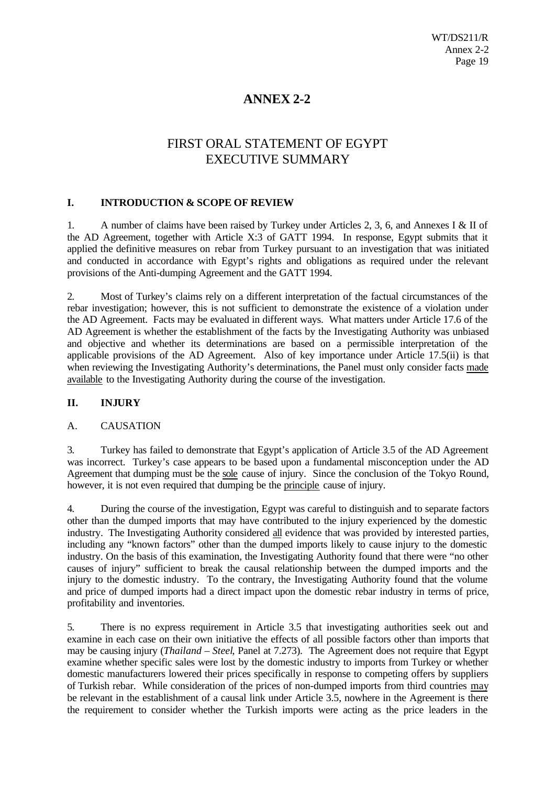# **ANNEX 2-2**

# FIRST ORAL STATEMENT OF EGYPT EXECUTIVE SUMMARY

#### **I. INTRODUCTION & SCOPE OF REVIEW**

1. A number of claims have been raised by Turkey under Articles 2, 3, 6, and Annexes I & II of the AD Agreement, together with Article X:3 of GATT 1994. In response, Egypt submits that it applied the definitive measures on rebar from Turkey pursuant to an investigation that was initiated and conducted in accordance with Egypt's rights and obligations as required under the relevant provisions of the Anti-dumping Agreement and the GATT 1994.

2. Most of Turkey's claims rely on a different interpretation of the factual circumstances of the rebar investigation; however, this is not sufficient to demonstrate the existence of a violation under the AD Agreement. Facts may be evaluated in different ways. What matters under Article 17.6 of the AD Agreement is whether the establishment of the facts by the Investigating Authority was unbiased and objective and whether its determinations are based on a permissible interpretation of the applicable provisions of the AD Agreement. Also of key importance under Article 17.5(ii) is that when reviewing the Investigating Authority's determinations, the Panel must only consider facts made available to the Investigating Authority during the course of the investigation.

#### **II. INJURY**

#### A. CAUSATION

3. Turkey has failed to demonstrate that Egypt's application of Article 3.5 of the AD Agreement was incorrect. Turkey's case appears to be based upon a fundamental misconception under the AD Agreement that dumping must be the sole cause of injury. Since the conclusion of the Tokyo Round, however, it is not even required that dumping be the principle cause of injury.

4. During the course of the investigation, Egypt was careful to distinguish and to separate factors other than the dumped imports that may have contributed to the injury experienced by the domestic industry. The Investigating Authority considered all evidence that was provided by interested parties, including any "known factors" other than the dumped imports likely to cause injury to the domestic industry. On the basis of this examination, the Investigating Authority found that there were "no other causes of injury" sufficient to break the causal relationship between the dumped imports and the injury to the domestic industry. To the contrary, the Investigating Authority found that the volume and price of dumped imports had a direct impact upon the domestic rebar industry in terms of price, profitability and inventories.

5. There is no express requirement in Article 3.5 that investigating authorities seek out and examine in each case on their own initiative the effects of all possible factors other than imports that may be causing injury (*Thailand – Steel*, Panel at 7.273). The Agreement does not require that Egypt examine whether specific sales were lost by the domestic industry to imports from Turkey or whether domestic manufacturers lowered their prices specifically in response to competing offers by suppliers of Turkish rebar. While consideration of the prices of non-dumped imports from third countries may be relevant in the establishment of a causal link under Article 3.5, nowhere in the Agreement is there the requirement to consider whether the Turkish imports were acting as the price leaders in the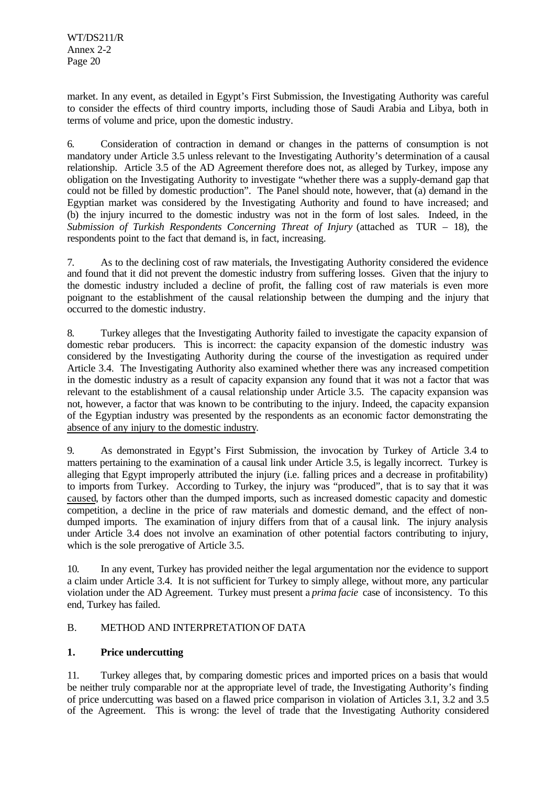market. In any event, as detailed in Egypt's First Submission, the Investigating Authority was careful to consider the effects of third country imports, including those of Saudi Arabia and Libya, both in terms of volume and price, upon the domestic industry.

6. Consideration of contraction in demand or changes in the patterns of consumption is not mandatory under Article 3.5 unless relevant to the Investigating Authority's determination of a causal relationship. Article 3.5 of the AD Agreement therefore does not, as alleged by Turkey, impose any obligation on the Investigating Authority to investigate "whether there was a supply-demand gap that could not be filled by domestic production". The Panel should note, however, that (a) demand in the Egyptian market was considered by the Investigating Authority and found to have increased; and (b) the injury incurred to the domestic industry was not in the form of lost sales. Indeed, in the *Submission of Turkish Respondents Concerning Threat of Injury* (attached as TUR – 18), the respondents point to the fact that demand is, in fact, increasing.

7. As to the declining cost of raw materials, the Investigating Authority considered the evidence and found that it did not prevent the domestic industry from suffering losses. Given that the injury to the domestic industry included a decline of profit, the falling cost of raw materials is even more poignant to the establishment of the causal relationship between the dumping and the injury that occurred to the domestic industry.

8. Turkey alleges that the Investigating Authority failed to investigate the capacity expansion of domestic rebar producers. This is incorrect: the capacity expansion of the domestic industry was considered by the Investigating Authority during the course of the investigation as required under Article 3.4. The Investigating Authority also examined whether there was any increased competition in the domestic industry as a result of capacity expansion any found that it was not a factor that was relevant to the establishment of a causal relationship under Article 3.5. The capacity expansion was not, however, a factor that was known to be contributing to the injury. Indeed, the capacity expansion of the Egyptian industry was presented by the respondents as an economic factor demonstrating the absence of any injury to the domestic industry.

9. As demonstrated in Egypt's First Submission, the invocation by Turkey of Article 3.4 to matters pertaining to the examination of a causal link under Article 3.5, is legally incorrect. Turkey is alleging that Egypt improperly attributed the injury (i.e. falling prices and a decrease in profitability) to imports from Turkey. According to Turkey, the injury was "produced", that is to say that it was caused, by factors other than the dumped imports, such as increased domestic capacity and domestic competition, a decline in the price of raw materials and domestic demand, and the effect of nondumped imports. The examination of injury differs from that of a causal link. The injury analysis under Article 3.4 does not involve an examination of other potential factors contributing to injury, which is the sole prerogative of Article 3.5.

10. In any event, Turkey has provided neither the legal argumentation nor the evidence to support a claim under Article 3.4. It is not sufficient for Turkey to simply allege, without more, any particular violation under the AD Agreement. Turkey must present a *prima facie* case of inconsistency. To this end, Turkey has failed.

# B. METHOD AND INTERPRETATION OF DATA

# **1. Price undercutting**

11. Turkey alleges that, by comparing domestic prices and imported prices on a basis that would be neither truly comparable nor at the appropriate level of trade, the Investigating Authority's finding of price undercutting was based on a flawed price comparison in violation of Articles 3.1, 3.2 and 3.5 of the Agreement. This is wrong: the level of trade that the Investigating Authority considered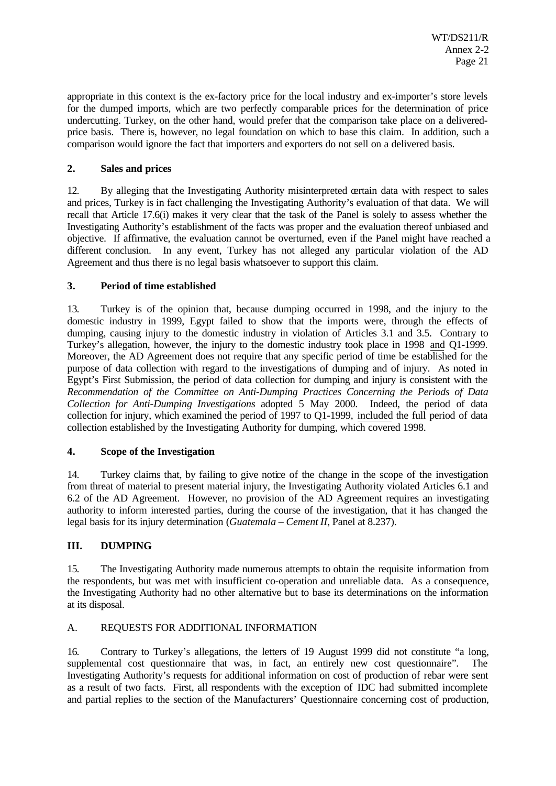appropriate in this context is the ex-factory price for the local industry and ex-importer's store levels for the dumped imports, which are two perfectly comparable prices for the determination of price undercutting. Turkey, on the other hand, would prefer that the comparison take place on a deliveredprice basis. There is, however, no legal foundation on which to base this claim. In addition, such a comparison would ignore the fact that importers and exporters do not sell on a delivered basis.

### **2. Sales and prices**

12. By alleging that the Investigating Authority misinterpreted certain data with respect to sales and prices, Turkey is in fact challenging the Investigating Authority's evaluation of that data. We will recall that Article 17.6(i) makes it very clear that the task of the Panel is solely to assess whether the Investigating Authority's establishment of the facts was proper and the evaluation thereof unbiased and objective. If affirmative, the evaluation cannot be overturned, even if the Panel might have reached a different conclusion. In any event, Turkey has not alleged any particular violation of the AD Agreement and thus there is no legal basis whatsoever to support this claim.

#### **3. Period of time established**

13. Turkey is of the opinion that, because dumping occurred in 1998, and the injury to the domestic industry in 1999, Egypt failed to show that the imports were, through the effects of dumping, causing injury to the domestic industry in violation of Articles 3.1 and 3.5. Contrary to Turkey's allegation, however, the injury to the domestic industry took place in 1998 and Q1-1999. Moreover, the AD Agreement does not require that any specific period of time be established for the purpose of data collection with regard to the investigations of dumping and of injury. As noted in Egypt's First Submission, the period of data collection for dumping and injury is consistent with the *Recommendation of the Committee on Anti-Dumping Practices Concerning the Periods of Data Collection for Anti-Dumping Investigations* adopted 5 May 2000. Indeed, the period of data collection for injury, which examined the period of 1997 to Q1-1999, included the full period of data collection established by the Investigating Authority for dumping, which covered 1998.

#### **4. Scope of the Investigation**

14. Turkey claims that, by failing to give notice of the change in the scope of the investigation from threat of material to present material injury, the Investigating Authority violated Articles 6.1 and 6.2 of the AD Agreement. However, no provision of the AD Agreement requires an investigating authority to inform interested parties, during the course of the investigation, that it has changed the legal basis for its injury determination (*Guatemala – Cement II*, Panel at 8.237).

# **III. DUMPING**

15. The Investigating Authority made numerous attempts to obtain the requisite information from the respondents, but was met with insufficient co-operation and unreliable data. As a consequence, the Investigating Authority had no other alternative but to base its determinations on the information at its disposal.

### A. REQUESTS FOR ADDITIONAL INFORMATION

16. Contrary to Turkey's allegations, the letters of 19 August 1999 did not constitute "a long, supplemental cost questionnaire that was, in fact, an entirely new cost questionnaire". The Investigating Authority's requests for additional information on cost of production of rebar were sent as a result of two facts. First, all respondents with the exception of IDC had submitted incomplete and partial replies to the section of the Manufacturers' Questionnaire concerning cost of production,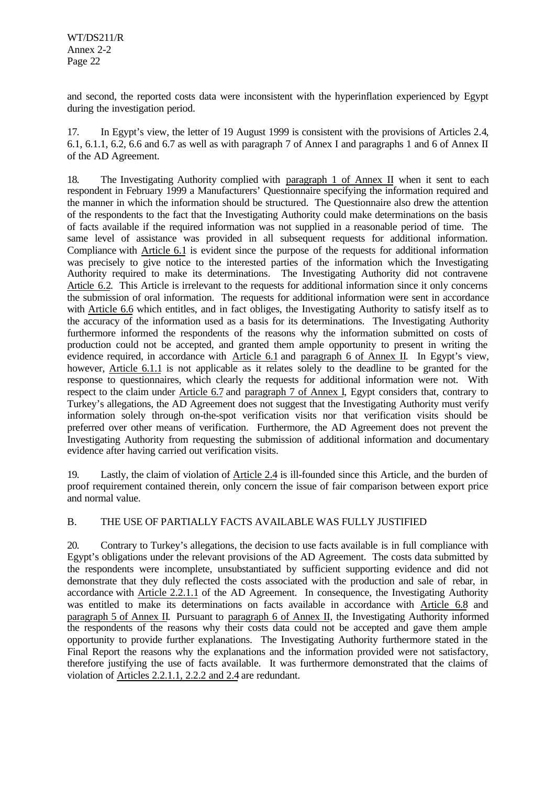and second, the reported costs data were inconsistent with the hyperinflation experienced by Egypt during the investigation period.

17. In Egypt's view, the letter of 19 August 1999 is consistent with the provisions of Articles 2.4, 6.1, 6.1.1, 6.2, 6.6 and 6.7 as well as with paragraph 7 of Annex I and paragraphs 1 and 6 of Annex II of the AD Agreement.

18. The Investigating Authority complied with paragraph 1 of Annex II when it sent to each respondent in February 1999 a Manufacturers' Questionnaire specifying the information required and the manner in which the information should be structured. The Questionnaire also drew the attention of the respondents to the fact that the Investigating Authority could make determinations on the basis of facts available if the required information was not supplied in a reasonable period of time. The same level of assistance was provided in all subsequent requests for additional information. Compliance with Article 6.1 is evident since the purpose of the requests for additional information was precisely to give notice to the interested parties of the information which the Investigating Authority required to make its determinations. The Investigating Authority did not contravene Article 6.2. This Article is irrelevant to the requests for additional information since it only concerns the submission of oral information. The requests for additional information were sent in accordance with Article 6.6 which entitles, and in fact obliges, the Investigating Authority to satisfy itself as to the accuracy of the information used as a basis for its determinations. The Investigating Authority furthermore informed the respondents of the reasons why the information submitted on costs of production could not be accepted, and granted them ample opportunity to present in writing the evidence required, in accordance with Article 6.1 and paragraph 6 of Annex II. In Egypt's view, however, Article 6.1.1 is not applicable as it relates solely to the deadline to be granted for the response to questionnaires, which clearly the requests for additional information were not. With respect to the claim under Article 6.7 and paragraph 7 of Annex I, Egypt considers that, contrary to Turkey's allegations, the AD Agreement does not suggest that the Investigating Authority must verify information solely through on-the-spot verification visits nor that verification visits should be preferred over other means of verification. Furthermore, the AD Agreement does not prevent the Investigating Authority from requesting the submission of additional information and documentary evidence after having carried out verification visits.

19. Lastly, the claim of violation of Article 2.4 is ill-founded since this Article, and the burden of proof requirement contained therein, only concern the issue of fair comparison between export price and normal value.

# B. THE USE OF PARTIALLY FACTS AVAILABLE WAS FULLY JUSTIFIED

20. Contrary to Turkey's allegations, the decision to use facts available is in full compliance with Egypt's obligations under the relevant provisions of the AD Agreement. The costs data submitted by the respondents were incomplete, unsubstantiated by sufficient supporting evidence and did not demonstrate that they duly reflected the costs associated with the production and sale of rebar, in accordance with Article 2.2.1.1 of the AD Agreement. In consequence, the Investigating Authority was entitled to make its determinations on facts available in accordance with Article 6.8 and paragraph 5 of Annex II. Pursuant to paragraph 6 of Annex II, the Investigating Authority informed the respondents of the reasons why their costs data could not be accepted and gave them ample opportunity to provide further explanations. The Investigating Authority furthermore stated in the Final Report the reasons why the explanations and the information provided were not satisfactory, therefore justifying the use of facts available. It was furthermore demonstrated that the claims of violation of Articles 2.2.1.1, 2.2.2 and 2.4 are redundant.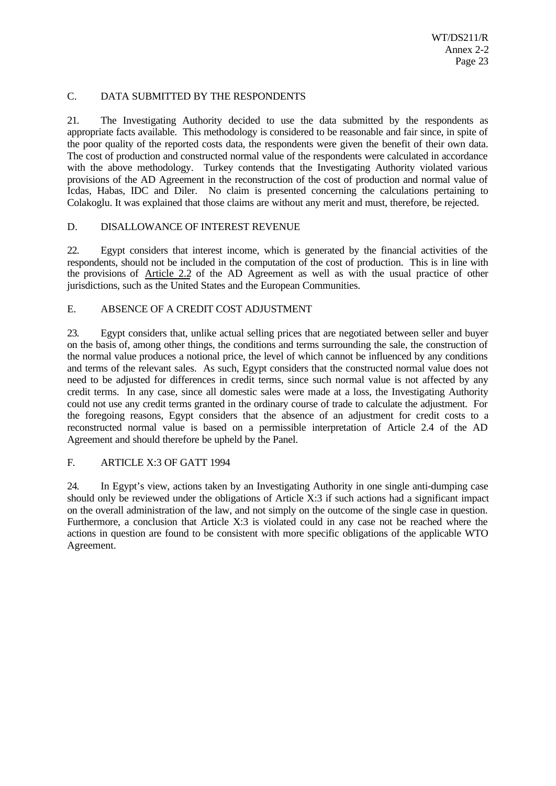### C. DATA SUBMITTED BY THE RESPONDENTS

21. The Investigating Authority decided to use the data submitted by the respondents as appropriate facts available. This methodology is considered to be reasonable and fair since, in spite of the poor quality of the reported costs data, the respondents were given the benefit of their own data. The cost of production and constructed normal value of the respondents were calculated in accordance with the above methodology. Turkey contends that the Investigating Authority violated various provisions of the AD Agreement in the reconstruction of the cost of production and normal value of Icdas, Habas, IDC and Diler. No claim is presented concerning the calculations pertaining to Colakoglu. It was explained that those claims are without any merit and must, therefore, be rejected.

#### D. DISALLOWANCE OF INTEREST REVENUE

22. Egypt considers that interest income, which is generated by the financial activities of the respondents, should not be included in the computation of the cost of production. This is in line with the provisions of Article 2.2 of the AD Agreement as well as with the usual practice of other jurisdictions, such as the United States and the European Communities.

#### E. ABSENCE OF A CREDIT COST ADJUSTMENT

23. Egypt considers that, unlike actual selling prices that are negotiated between seller and buyer on the basis of, among other things, the conditions and terms surrounding the sale, the construction of the normal value produces a notional price, the level of which cannot be influenced by any conditions and terms of the relevant sales. As such, Egypt considers that the constructed normal value does not need to be adjusted for differences in credit terms, since such normal value is not affected by any credit terms. In any case, since all domestic sales were made at a loss, the Investigating Authority could not use any credit terms granted in the ordinary course of trade to calculate the adjustment. For the foregoing reasons, Egypt considers that the absence of an adjustment for credit costs to a reconstructed normal value is based on a permissible interpretation of Article 2.4 of the AD Agreement and should therefore be upheld by the Panel.

#### F. ARTICLE X:3 OF GATT 1994

24. In Egypt's view, actions taken by an Investigating Authority in one single anti-dumping case should only be reviewed under the obligations of Article X:3 if such actions had a significant impact on the overall administration of the law, and not simply on the outcome of the single case in question. Furthermore, a conclusion that Article X:3 is violated could in any case not be reached where the actions in question are found to be consistent with more specific obligations of the applicable WTO Agreement.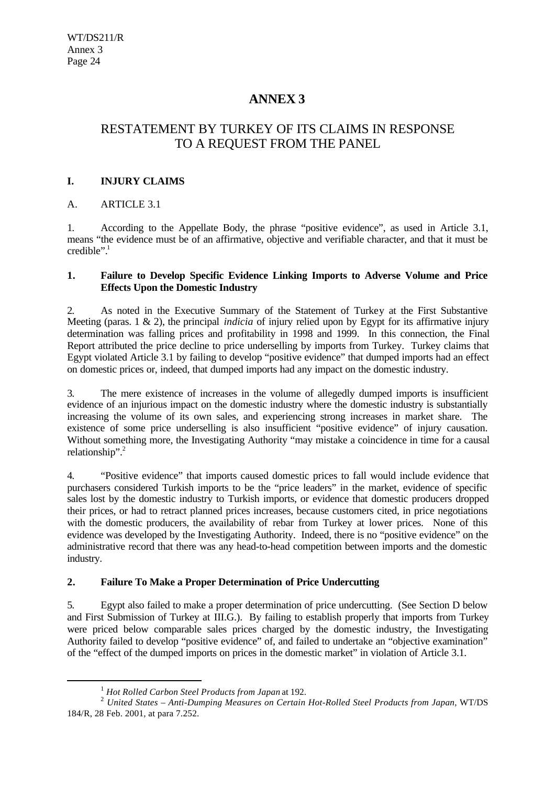# **ANNEX 3**

# RESTATEMENT BY TURKEY OF ITS CLAIMS IN RESPONSE TO A REQUEST FROM THE PANEL

# **I. INJURY CLAIMS**

# A. ARTICLE 3.1

1. According to the Appellate Body, the phrase "positive evidence", as used in Article 3.1, means "the evidence must be of an affirmative, objective and verifiable character, and that it must be credible". $1$ 

#### **1. Failure to Develop Specific Evidence Linking Imports to Adverse Volume and Price Effects Upon the Domestic Industry**

2. As noted in the Executive Summary of the Statement of Turkey at the First Substantive Meeting (paras. 1 & 2), the principal *indicia* of injury relied upon by Egypt for its affirmative injury determination was falling prices and profitability in 1998 and 1999. In this connection, the Final Report attributed the price decline to price underselling by imports from Turkey. Turkey claims that Egypt violated Article 3.1 by failing to develop "positive evidence" that dumped imports had an effect on domestic prices or, indeed, that dumped imports had any impact on the domestic industry.

3. The mere existence of increases in the volume of allegedly dumped imports is insufficient evidence of an injurious impact on the domestic industry where the domestic industry is substantially increasing the volume of its own sales, and experiencing strong increases in market share. The existence of some price underselling is also insufficient "positive evidence" of injury causation. Without something more, the Investigating Authority "may mistake a coincidence in time for a causal relationship".<sup>2</sup>

4. "Positive evidence" that imports caused domestic prices to fall would include evidence that purchasers considered Turkish imports to be the "price leaders" in the market, evidence of specific sales lost by the domestic industry to Turkish imports, or evidence that domestic producers dropped their prices, or had to retract planned prices increases, because customers cited, in price negotiations with the domestic producers, the availability of rebar from Turkey at lower prices. None of this evidence was developed by the Investigating Authority. Indeed, there is no "positive evidence" on the administrative record that there was any head-to-head competition between imports and the domestic industry.

# **2. Failure To Make a Proper Determination of Price Undercutting**

5. Egypt also failed to make a proper determination of price undercutting. (See Section D below and First Submission of Turkey at III.G.). By failing to establish properly that imports from Turkey were priced below comparable sales prices charged by the domestic industry, the Investigating Authority failed to develop "positive evidence" of, and failed to undertake an "objective examination" of the "effect of the dumped imports on prices in the domestic market" in violation of Article 3.1.

l

<sup>1</sup> *Hot Rolled Carbon Steel Products from Japan* at 192.

<sup>2</sup> *United States – Anti-Dumping Measures on Certain Hot-Rolled Steel Products from Japan*, WT/DS 184/R, 28 Feb. 2001, at para 7.252.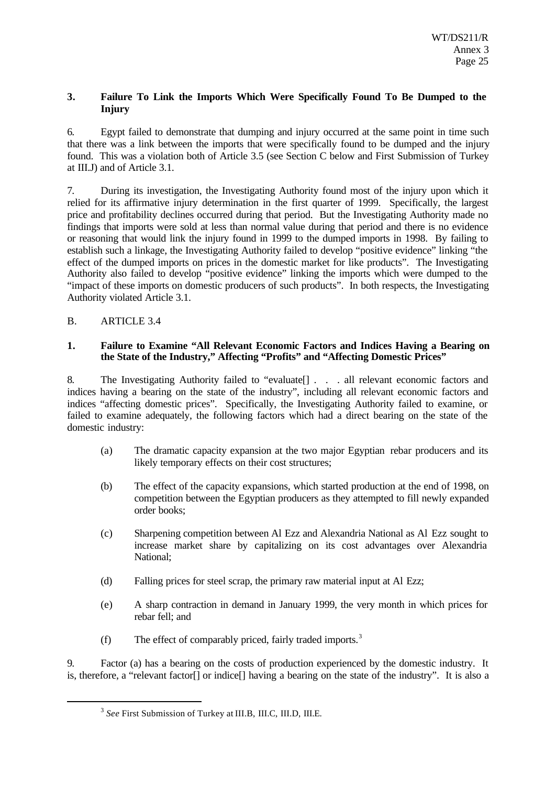# **3. Failure To Link the Imports Which Were Specifically Found To Be Dumped to the Injury**

6. Egypt failed to demonstrate that dumping and injury occurred at the same point in time such that there was a link between the imports that were specifically found to be dumped and the injury found. This was a violation both of Article 3.5 (see Section C below and First Submission of Turkey at III.J) and of Article 3.1.

7. During its investigation, the Investigating Authority found most of the injury upon which it relied for its affirmative injury determination in the first quarter of 1999. Specifically, the largest price and profitability declines occurred during that period. But the Investigating Authority made no findings that imports were sold at less than normal value during that period and there is no evidence or reasoning that would link the injury found in 1999 to the dumped imports in 1998. By failing to establish such a linkage, the Investigating Authority failed to develop "positive evidence" linking "the effect of the dumped imports on prices in the domestic market for like products". The Investigating Authority also failed to develop "positive evidence" linking the imports which were dumped to the "impact of these imports on domestic producers of such products". In both respects, the Investigating Authority violated Article 3.1.

# B. ARTICLE 3.4

l

#### **1. Failure to Examine "All Relevant Economic Factors and Indices Having a Bearing on the State of the Industry," Affecting "Profits" and "Affecting Domestic Prices"**

8. The Investigating Authority failed to "evaluate[] . . . all relevant economic factors and indices having a bearing on the state of the industry", including all relevant economic factors and indices "affecting domestic prices". Specifically, the Investigating Authority failed to examine, or failed to examine adequately, the following factors which had a direct bearing on the state of the domestic industry:

- (a) The dramatic capacity expansion at the two major Egyptian rebar producers and its likely temporary effects on their cost structures;
- (b) The effect of the capacity expansions, which started production at the end of 1998, on competition between the Egyptian producers as they attempted to fill newly expanded order books;
- (c) Sharpening competition between Al Ezz and Alexandria National as Al Ezz sought to increase market share by capitalizing on its cost advantages over Alexandria National;
- (d) Falling prices for steel scrap, the primary raw material input at Al Ezz;
- (e) A sharp contraction in demand in January 1999, the very month in which prices for rebar fell; and
- (f) The effect of comparably priced, fairly traded imports.<sup>3</sup>

9. Factor (a) has a bearing on the costs of production experienced by the domestic industry. It is, therefore, a "relevant factor[] or indice[] having a bearing on the state of the industry". It is also a

<sup>3</sup> *See* First Submission of Turkey at III.B, III.C, III.D, III.E.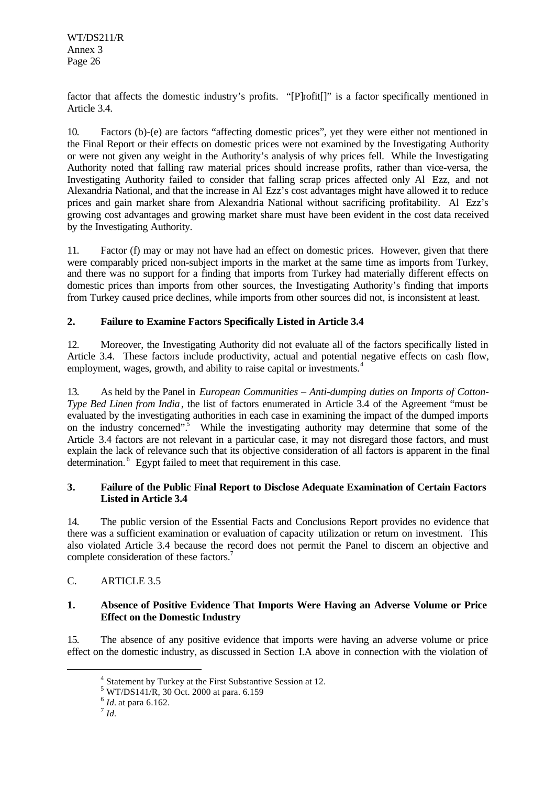WT/DS211/R Annex 3 Page 26

factor that affects the domestic industry's profits. "[P]rofit[]" is a factor specifically mentioned in Article 3.4.

10. Factors (b)-(e) are factors "affecting domestic prices", yet they were either not mentioned in the Final Report or their effects on domestic prices were not examined by the Investigating Authority or were not given any weight in the Authority's analysis of why prices fell. While the Investigating Authority noted that falling raw material prices should increase profits, rather than vice-versa, the Investigating Authority failed to consider that falling scrap prices affected only Al Ezz, and not Alexandria National, and that the increase in Al Ezz's cost advantages might have allowed it to reduce prices and gain market share from Alexandria National without sacrificing profitability. Al Ezz's growing cost advantages and growing market share must have been evident in the cost data received by the Investigating Authority.

11. Factor (f) may or may not have had an effect on domestic prices. However, given that there were comparably priced non-subject imports in the market at the same time as imports from Turkey, and there was no support for a finding that imports from Turkey had materially different effects on domestic prices than imports from other sources, the Investigating Authority's finding that imports from Turkey caused price declines, while imports from other sources did not, is inconsistent at least.

# **2. Failure to Examine Factors Specifically Listed in Article 3.4**

12. Moreover, the Investigating Authority did not evaluate all of the factors specifically listed in Article 3.4. These factors include productivity, actual and potential negative effects on cash flow, employment, wages, growth, and ability to raise capital or investments.<sup>4</sup>

13. As held by the Panel in *European Communities – Anti-dumping duties on Imports of Cotton-Type Bed Linen from India*, the list of factors enumerated in Article 3.4 of the Agreement "must be evaluated by the investigating authorities in each case in examining the impact of the dumped imports on the industry concerned".<sup>5</sup> While the investigating authority may determine that some of the Article 3.4 factors are not relevant in a particular case, it may not disregard those factors, and must explain the lack of relevance such that its objective consideration of all factors is apparent in the final determination.<sup>6</sup> Egypt failed to meet that requirement in this case.

#### **3. Failure of the Public Final Report to Disclose Adequate Examination of Certain Factors Listed in Article 3.4**

14. The public version of the Essential Facts and Conclusions Report provides no evidence that there was a sufficient examination or evaluation of capacity utilization or return on investment. This also violated Article 3.4 because the record does not permit the Panel to discern an objective and complete consideration of these factors.<sup>7</sup>

# C. ARTICLE 3.5

#### **1. Absence of Positive Evidence That Imports Were Having an Adverse Volume or Price Effect on the Domestic Industry**

15. The absence of any positive evidence that imports were having an adverse volume or price effect on the domestic industry, as discussed in Section I.A above in connection with the violation of

l

<sup>&</sup>lt;sup>4</sup> Statement by Turkey at the First Substantive Session at 12.

<sup>5</sup> WT/DS141/R, 30 Oct. 2000 at para. 6.159

<sup>6</sup> *Id.* at para 6.162.

<sup>7</sup> *Id.*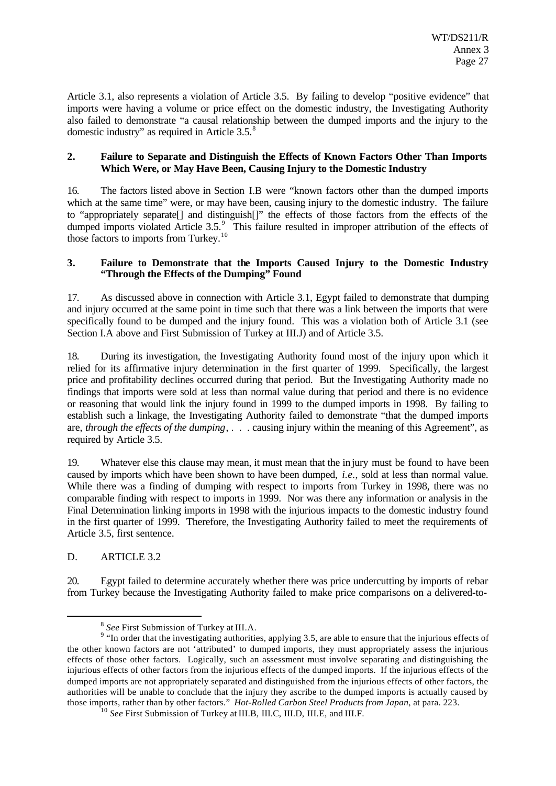Article 3.1, also represents a violation of Article 3.5. By failing to develop "positive evidence" that imports were having a volume or price effect on the domestic industry, the Investigating Authority also failed to demonstrate "a causal relationship between the dumped imports and the injury to the domestic industry" as required in Article 3.5.<sup>8</sup>

#### **2. Failure to Separate and Distinguish the Effects of Known Factors Other Than Imports Which Were, or May Have Been, Causing Injury to the Domestic Industry**

16. The factors listed above in Section I.B were "known factors other than the dumped imports which at the same time" were, or may have been, causing injury to the domestic industry. The failure to "appropriately separate[] and distinguish[]" the effects of those factors from the effects of the dumped imports violated Article 3.5.<sup>9</sup> This failure resulted in improper attribution of the effects of those factors to imports from Turkey.<sup>10</sup>

#### **3. Failure to Demonstrate that the Imports Caused Injury to the Domestic Industry "Through the Effects of the Dumping" Found**

17. As discussed above in connection with Article 3.1, Egypt failed to demonstrate that dumping and injury occurred at the same point in time such that there was a link between the imports that were specifically found to be dumped and the injury found. This was a violation both of Article 3.1 (see Section I.A above and First Submission of Turkey at III.J) and of Article 3.5.

18. During its investigation, the Investigating Authority found most of the injury upon which it relied for its affirmative injury determination in the first quarter of 1999. Specifically, the largest price and profitability declines occurred during that period. But the Investigating Authority made no findings that imports were sold at less than normal value during that period and there is no evidence or reasoning that would link the injury found in 1999 to the dumped imports in 1998. By failing to establish such a linkage, the Investigating Authority failed to demonstrate "that the dumped imports are, *through the effects of the dumping*, . . . causing injury within the meaning of this Agreement", as required by Article 3.5.

19. Whatever else this clause may mean, it must mean that the injury must be found to have been caused by imports which have been shown to have been dumped, *i.e.*, sold at less than normal value. While there was a finding of dumping with respect to imports from Turkey in 1998, there was no comparable finding with respect to imports in 1999. Nor was there any information or analysis in the Final Determination linking imports in 1998 with the injurious impacts to the domestic industry found in the first quarter of 1999. Therefore, the Investigating Authority failed to meet the requirements of Article 3.5, first sentence.

D. ARTICLE 3.2

l

20. Egypt failed to determine accurately whether there was price undercutting by imports of rebar from Turkey because the Investigating Authority failed to make price comparisons on a delivered-to-

<sup>8</sup> *See* First Submission of Turkey at III.A.

<sup>&</sup>lt;sup>9</sup> "In order that the investigating authorities, applying 3.5, are able to ensure that the injurious effects of the other known factors are not 'attributed' to dumped imports, they must appropriately assess the injurious effects of those other factors. Logically, such an assessment must involve separating and distinguishing the injurious effects of other factors from the injurious effects of the dumped imports. If the injurious effects of the dumped imports are not appropriately separated and distinguished from the injurious effects of other factors, the authorities will be unable to conclude that the injury they ascribe to the dumped imports is actually caused by those imports, rather than by other factors." *Hot-Rolled Carbon Steel Products from Japan*, at para. 223.

<sup>10</sup> *See* First Submission of Turkey at III.B, III.C, III.D, III.E, and III.F.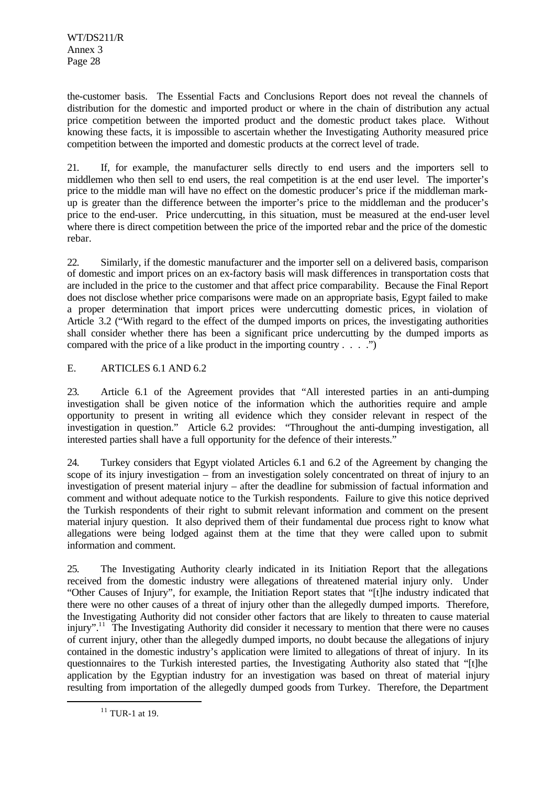the-customer basis. The Essential Facts and Conclusions Report does not reveal the channels of distribution for the domestic and imported product or where in the chain of distribution any actual price competition between the imported product and the domestic product takes place. Without knowing these facts, it is impossible to ascertain whether the Investigating Authority measured price competition between the imported and domestic products at the correct level of trade.

21. If, for example, the manufacturer sells directly to end users and the importers sell to middlemen who then sell to end users, the real competition is at the end user level. The importer's price to the middle man will have no effect on the domestic producer's price if the middleman markup is greater than the difference between the importer's price to the middleman and the producer's price to the end-user. Price undercutting, in this situation, must be measured at the end-user level where there is direct competition between the price of the imported rebar and the price of the domestic rebar.

22. Similarly, if the domestic manufacturer and the importer sell on a delivered basis, comparison of domestic and import prices on an ex-factory basis will mask differences in transportation costs that are included in the price to the customer and that affect price comparability. Because the Final Report does not disclose whether price comparisons were made on an appropriate basis, Egypt failed to make a proper determination that import prices were undercutting domestic prices, in violation of Article 3.2 ("With regard to the effect of the dumped imports on prices, the investigating authorities shall consider whether there has been a significant price undercutting by the dumped imports as compared with the price of a like product in the importing country  $\ldots$ .

# E. ARTICLES 6.1 AND 6.2

23. Article 6.1 of the Agreement provides that "All interested parties in an anti-dumping investigation shall be given notice of the information which the authorities require and ample opportunity to present in writing all evidence which they consider relevant in respect of the investigation in question." Article 6.2 provides: "Throughout the anti-dumping investigation, all interested parties shall have a full opportunity for the defence of their interests."

24. Turkey considers that Egypt violated Articles 6.1 and 6.2 of the Agreement by changing the scope of its injury investigation – from an investigation solely concentrated on threat of injury to an investigation of present material injury – after the deadline for submission of factual information and comment and without adequate notice to the Turkish respondents. Failure to give this notice deprived the Turkish respondents of their right to submit relevant information and comment on the present material injury question. It also deprived them of their fundamental due process right to know what allegations were being lodged against them at the time that they were called upon to submit information and comment.

25. The Investigating Authority clearly indicated in its Initiation Report that the allegations received from the domestic industry were allegations of threatened material injury only. Under "Other Causes of Injury", for example, the Initiation Report states that "[t]he industry indicated that there were no other causes of a threat of injury other than the allegedly dumped imports. Therefore, the Investigating Authority did not consider other factors that are likely to threaten to cause material injury".<sup>11</sup> The Investigating Authority did consider it necessary to mention that there were no causes of current injury, other than the allegedly dumped imports, no doubt because the allegations of injury contained in the domestic industry's application were limited to allegations of threat of injury. In its questionnaires to the Turkish interested parties, the Investigating Authority also stated that "[t]he application by the Egyptian industry for an investigation was based on threat of material injury resulting from importation of the allegedly dumped goods from Turkey. Therefore, the Department

l

 $11$  TUR-1 at 19.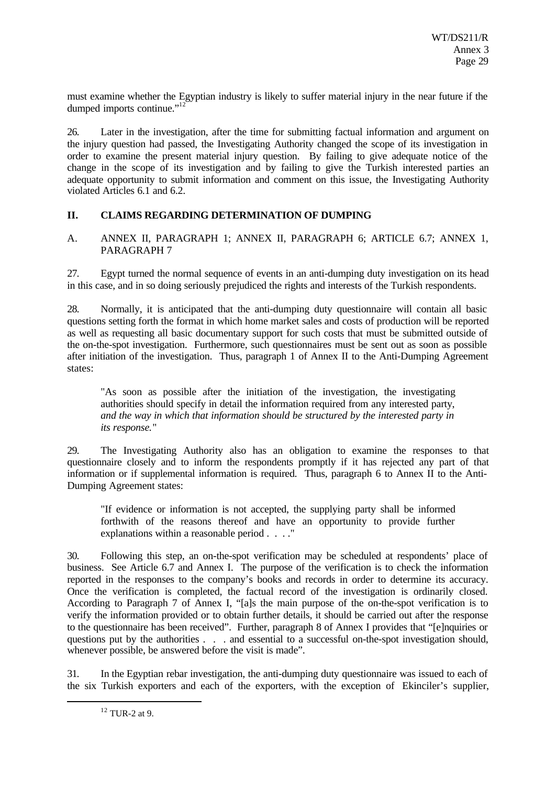must examine whether the Egyptian industry is likely to suffer material injury in the near future if the dumped imports continue."<sup>12</sup>

26. Later in the investigation, after the time for submitting factual information and argument on the injury question had passed, the Investigating Authority changed the scope of its investigation in order to examine the present material injury question. By failing to give adequate notice of the change in the scope of its investigation and by failing to give the Turkish interested parties an adequate opportunity to submit information and comment on this issue, the Investigating Authority violated Articles 6.1 and 6.2.

# **II. CLAIMS REGARDING DETERMINATION OF DUMPING**

A. ANNEX II, PARAGRAPH 1; ANNEX II, PARAGRAPH 6; ARTICLE 6.7; ANNEX 1, PARAGRAPH 7

27. Egypt turned the normal sequence of events in an anti-dumping duty investigation on its head in this case, and in so doing seriously prejudiced the rights and interests of the Turkish respondents.

28. Normally, it is anticipated that the anti-dumping duty questionnaire will contain all basic questions setting forth the format in which home market sales and costs of production will be reported as well as requesting all basic documentary support for such costs that must be submitted outside of the on-the-spot investigation. Furthermore, such questionnaires must be sent out as soon as possible after initiation of the investigation. Thus, paragraph 1 of Annex II to the Anti-Dumping Agreement states:

"As soon as possible after the initiation of the investigation, the investigating authorities should specify in detail the information required from any interested party, *and the way in which that information should be structured by the interested party in its response.*"

29. The Investigating Authority also has an obligation to examine the responses to that questionnaire closely and to inform the respondents promptly if it has rejected any part of that information or if supplemental information is required. Thus, paragraph 6 to Annex II to the Anti-Dumping Agreement states:

"If evidence or information is not accepted, the supplying party shall be informed forthwith of the reasons thereof and have an opportunity to provide further explanations within a reasonable period . . . ."

30. Following this step, an on-the-spot verification may be scheduled at respondents' place of business. See Article 6.7 and Annex I. The purpose of the verification is to check the information reported in the responses to the company's books and records in order to determine its accuracy. Once the verification is completed, the factual record of the investigation is ordinarily closed. According to Paragraph 7 of Annex I, "[a]s the main purpose of the on-the-spot verification is to verify the information provided or to obtain further details, it should be carried out after the response to the questionnaire has been received". Further, paragraph 8 of Annex I provides that "[e]nquiries or questions put by the authorities . . . . and essential to a successful on-the-spot investigation should, whenever possible, be answered before the visit is made".

31. In the Egyptian rebar investigation, the anti-dumping duty questionnaire was issued to each of the six Turkish exporters and each of the exporters, with the exception of Ekinciler's supplier,

l

 $12$  TUR-2 at 9.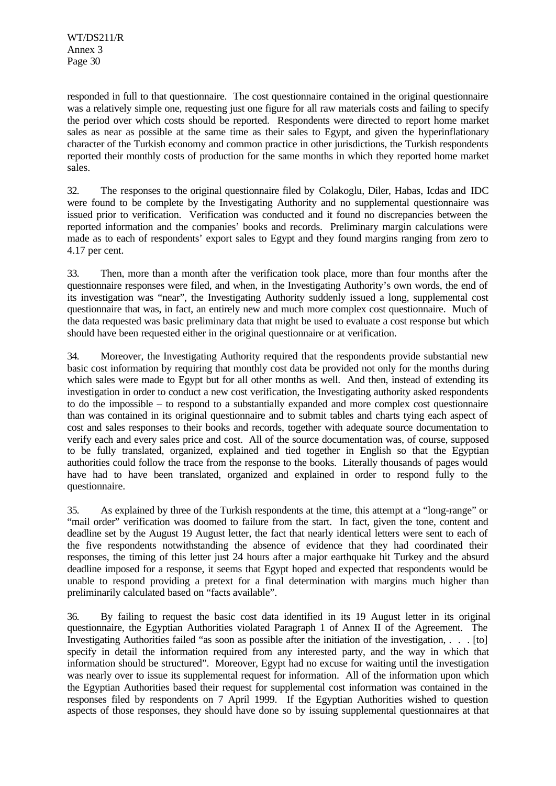responded in full to that questionnaire. The cost questionnaire contained in the original questionnaire was a relatively simple one, requesting just one figure for all raw materials costs and failing to specify the period over which costs should be reported. Respondents were directed to report home market sales as near as possible at the same time as their sales to Egypt, and given the hyperinflationary character of the Turkish economy and common practice in other jurisdictions, the Turkish respondents reported their monthly costs of production for the same months in which they reported home market sales.

32. The responses to the original questionnaire filed by Colakoglu, Diler, Habas, Icdas and IDC were found to be complete by the Investigating Authority and no supplemental questionnaire was issued prior to verification. Verification was conducted and it found no discrepancies between the reported information and the companies' books and records. Preliminary margin calculations were made as to each of respondents' export sales to Egypt and they found margins ranging from zero to 4.17 per cent.

33. Then, more than a month after the verification took place, more than four months after the questionnaire responses were filed, and when, in the Investigating Authority's own words, the end of its investigation was "near", the Investigating Authority suddenly issued a long, supplemental cost questionnaire that was, in fact, an entirely new and much more complex cost questionnaire. Much of the data requested was basic preliminary data that might be used to evaluate a cost response but which should have been requested either in the original questionnaire or at verification.

34. Moreover, the Investigating Authority required that the respondents provide substantial new basic cost information by requiring that monthly cost data be provided not only for the months during which sales were made to Egypt but for all other months as well. And then, instead of extending its investigation in order to conduct a new cost verification, the Investigating authority asked respondents to do the impossible – to respond to a substantially expanded and more complex cost questionnaire than was contained in its original questionnaire and to submit tables and charts tying each aspect of cost and sales responses to their books and records, together with adequate source documentation to verify each and every sales price and cost. All of the source documentation was, of course, supposed to be fully translated, organized, explained and tied together in English so that the Egyptian authorities could follow the trace from the response to the books. Literally thousands of pages would have had to have been translated, organized and explained in order to respond fully to the questionnaire.

35. As explained by three of the Turkish respondents at the time, this attempt at a "long-range" or "mail order" verification was doomed to failure from the start. In fact, given the tone, content and deadline set by the August 19 August letter, the fact that nearly identical letters were sent to each of the five respondents notwithstanding the absence of evidence that they had coordinated their responses, the timing of this letter just 24 hours after a major earthquake hit Turkey and the absurd deadline imposed for a response, it seems that Egypt hoped and expected that respondents would be unable to respond providing a pretext for a final determination with margins much higher than preliminarily calculated based on "facts available".

36. By failing to request the basic cost data identified in its 19 August letter in its original questionnaire, the Egyptian Authorities violated Paragraph 1 of Annex II of the Agreement. The Investigating Authorities failed "as soon as possible after the initiation of the investigation, . . . [to] specify in detail the information required from any interested party, and the way in which that information should be structured". Moreover, Egypt had no excuse for waiting until the investigation was nearly over to issue its supplemental request for information. All of the information upon which the Egyptian Authorities based their request for supplemental cost information was contained in the responses filed by respondents on 7 April 1999. If the Egyptian Authorities wished to question aspects of those responses, they should have done so by issuing supplemental questionnaires at that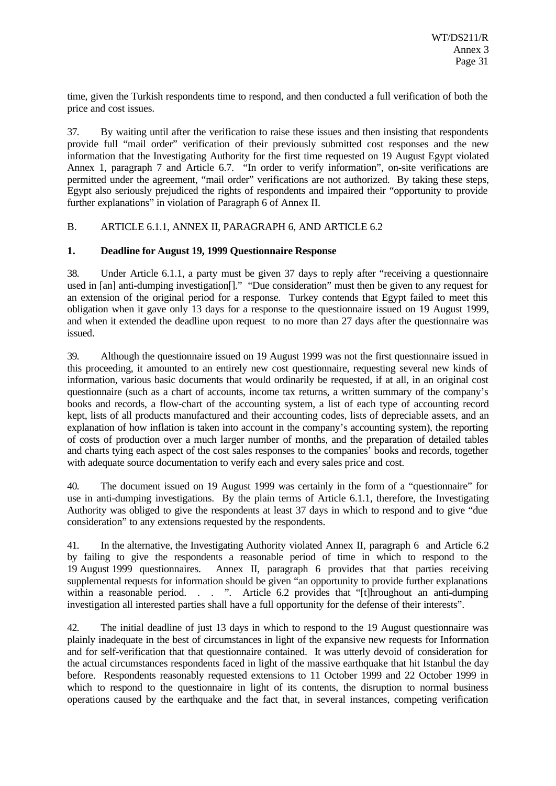time, given the Turkish respondents time to respond, and then conducted a full verification of both the price and cost issues.

37. By waiting until after the verification to raise these issues and then insisting that respondents provide full "mail order" verification of their previously submitted cost responses and the new information that the Investigating Authority for the first time requested on 19 August Egypt violated Annex 1, paragraph 7 and Article 6.7. "In order to verify information", on-site verifications are permitted under the agreement, "mail order" verifications are not authorized. By taking these steps, Egypt also seriously prejudiced the rights of respondents and impaired their "opportunity to provide further explanations" in violation of Paragraph 6 of Annex II.

# B. ARTICLE 6.1.1, ANNEX II, PARAGRAPH 6, AND ARTICLE 6.2

#### **1. Deadline for August 19, 1999 Questionnaire Response**

38. Under Article 6.1.1, a party must be given 37 days to reply after "receiving a questionnaire used in [an] anti-dumping investigation[]." "Due consideration" must then be given to any request for an extension of the original period for a response. Turkey contends that Egypt failed to meet this obligation when it gave only 13 days for a response to the questionnaire issued on 19 August 1999, and when it extended the deadline upon request to no more than 27 days after the questionnaire was issued.

39. Although the questionnaire issued on 19 August 1999 was not the first questionnaire issued in this proceeding, it amounted to an entirely new cost questionnaire, requesting several new kinds of information, various basic documents that would ordinarily be requested, if at all, in an original cost questionnaire (such as a chart of accounts, income tax returns, a written summary of the company's books and records, a flow-chart of the accounting system, a list of each type of accounting record kept, lists of all products manufactured and their accounting codes, lists of depreciable assets, and an explanation of how inflation is taken into account in the company's accounting system), the reporting of costs of production over a much larger number of months, and the preparation of detailed tables and charts tying each aspect of the cost sales responses to the companies' books and records, together with adequate source documentation to verify each and every sales price and cost.

40. The document issued on 19 August 1999 was certainly in the form of a "questionnaire" for use in anti-dumping investigations. By the plain terms of Article 6.1.1, therefore, the Investigating Authority was obliged to give the respondents at least 37 days in which to respond and to give "due consideration" to any extensions requested by the respondents.

41. In the alternative, the Investigating Authority violated Annex II, paragraph 6 and Article 6.2 by failing to give the respondents a reasonable period of time in which to respond to the 19 August 1999 questionnaires. Annex II, paragraph 6 provides that that parties receiving supplemental requests for information should be given "an opportunity to provide further explanations within a reasonable period. . . ". Article 6.2 provides that "[t]hroughout an anti-dumping investigation all interested parties shall have a full opportunity for the defense of their interests".

42. The initial deadline of just 13 days in which to respond to the 19 August questionnaire was plainly inadequate in the best of circumstances in light of the expansive new requests for Information and for self-verification that that questionnaire contained. It was utterly devoid of consideration for the actual circumstances respondents faced in light of the massive earthquake that hit Istanbul the day before. Respondents reasonably requested extensions to 11 October 1999 and 22 October 1999 in which to respond to the questionnaire in light of its contents, the disruption to normal business operations caused by the earthquake and the fact that, in several instances, competing verification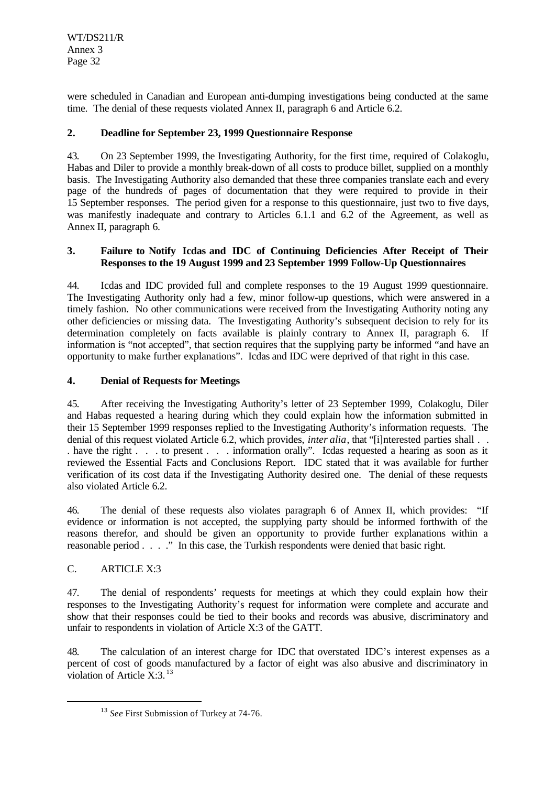WT/DS211/R Annex 3 Page 32

were scheduled in Canadian and European anti-dumping investigations being conducted at the same time. The denial of these requests violated Annex II, paragraph 6 and Article 6.2.

# **2. Deadline for September 23, 1999 Questionnaire Response**

43. On 23 September 1999, the Investigating Authority, for the first time, required of Colakoglu, Habas and Diler to provide a monthly break-down of all costs to produce billet, supplied on a monthly basis. The Investigating Authority also demanded that these three companies translate each and every page of the hundreds of pages of documentation that they were required to provide in their 15 September responses. The period given for a response to this questionnaire, just two to five days, was manifestly inadequate and contrary to Articles 6.1.1 and 6.2 of the Agreement, as well as Annex II, paragraph 6.

#### **3. Failure to Notify Icdas and IDC of Continuing Deficiencies After Receipt of Their Responses to the 19 August 1999 and 23 September 1999 Follow-Up Questionnaires**

44. Icdas and IDC provided full and complete responses to the 19 August 1999 questionnaire. The Investigating Authority only had a few, minor follow-up questions, which were answered in a timely fashion. No other communications were received from the Investigating Authority noting any other deficiencies or missing data. The Investigating Authority's subsequent decision to rely for its determination completely on facts available is plainly contrary to Annex II, paragraph  $6$ . information is "not accepted", that section requires that the supplying party be informed "and have an opportunity to make further explanations". Icdas and IDC were deprived of that right in this case.

# **4. Denial of Requests for Meetings**

45. After receiving the Investigating Authority's letter of 23 September 1999, Colakoglu, Diler and Habas requested a hearing during which they could explain how the information submitted in their 15 September 1999 responses replied to the Investigating Authority's information requests. The denial of this request violated Article 6.2, which provides, *inter alia*, that "[i]nterested parties shall. . have the right . . . to present . . . information orally". Icdas requested a hearing as soon as it reviewed the Essential Facts and Conclusions Report. IDC stated that it was available for further verification of its cost data if the Investigating Authority desired one. The denial of these requests also violated Article 6.2.

46. The denial of these requests also violates paragraph 6 of Annex II, which provides: "If evidence or information is not accepted, the supplying party should be informed forthwith of the reasons therefor, and should be given an opportunity to provide further explanations within a reasonable period . . . ." In this case, the Turkish respondents were denied that basic right.

# C. ARTICLE X:3

l

47. The denial of respondents' requests for meetings at which they could explain how their responses to the Investigating Authority's request for information were complete and accurate and show that their responses could be tied to their books and records was abusive, discriminatory and unfair to respondents in violation of Article X:3 of the GATT.

48. The calculation of an interest charge for IDC that overstated IDC's interest expenses as a percent of cost of goods manufactured by a factor of eight was also abusive and discriminatory in violation of Article  $X:3$ .<sup>13</sup>

<sup>13</sup> *See* First Submission of Turkey at 74-76.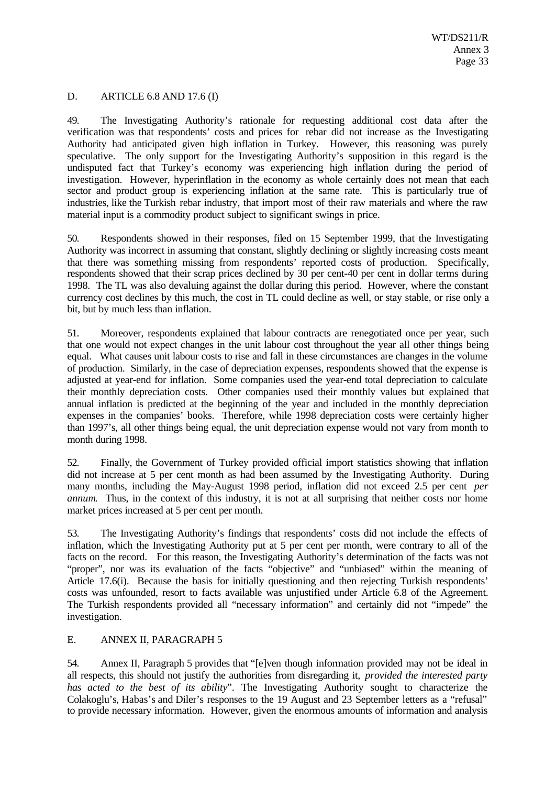# D. ARTICLE 6.8 AND 17.6 (I)

49. The Investigating Authority's rationale for requesting additional cost data after the verification was that respondents' costs and prices for rebar did not increase as the Investigating Authority had anticipated given high inflation in Turkey. However, this reasoning was purely speculative. The only support for the Investigating Authority's supposition in this regard is the undisputed fact that Turkey's economy was experiencing high inflation during the period of investigation. However, hyperinflation in the economy as whole certainly does not mean that each sector and product group is experiencing inflation at the same rate. This is particularly true of industries, like the Turkish rebar industry, that import most of their raw materials and where the raw material input is a commodity product subject to significant swings in price.

50. Respondents showed in their responses, filed on 15 September 1999, that the Investigating Authority was incorrect in assuming that constant, slightly declining or slightly increasing costs meant that there was something missing from respondents' reported costs of production. Specifically, respondents showed that their scrap prices declined by 30 per cent-40 per cent in dollar terms during 1998. The TL was also devaluing against the dollar during this period. However, where the constant currency cost declines by this much, the cost in TL could decline as well, or stay stable, or rise only a bit, but by much less than inflation.

51. Moreover, respondents explained that labour contracts are renegotiated once per year, such that one would not expect changes in the unit labour cost throughout the year all other things being equal. What causes unit labour costs to rise and fall in these circumstances are changes in the volume of production. Similarly, in the case of depreciation expenses, respondents showed that the expense is adjusted at year-end for inflation. Some companies used the year-end total depreciation to calculate their monthly depreciation costs. Other companies used their monthly values but explained that annual inflation is predicted at the beginning of the year and included in the monthly depreciation expenses in the companies' books. Therefore, while 1998 depreciation costs were certainly higher than 1997's, all other things being equal, the unit depreciation expense would not vary from month to month during 1998.

52. Finally, the Government of Turkey provided official import statistics showing that inflation did not increase at 5 per cent month as had been assumed by the Investigating Authority. During many months, including the May-August 1998 period, inflation did not exceed 2.5 per cent *per annum*. Thus, in the context of this industry, it is not at all surprising that neither costs nor home market prices increased at 5 per cent per month.

53. The Investigating Authority's findings that respondents' costs did not include the effects of inflation, which the Investigating Authority put at 5 per cent per month, were contrary to all of the facts on the record. For this reason, the Investigating Authority's determination of the facts was not "proper", nor was its evaluation of the facts "objective" and "unbiased" within the meaning of Article 17.6(i). Because the basis for initially questioning and then rejecting Turkish respondents' costs was unfounded, resort to facts available was unjustified under Article 6.8 of the Agreement. The Turkish respondents provided all "necessary information" and certainly did not "impede" the investigation.

# E. ANNEX II, PARAGRAPH 5

54. Annex II, Paragraph 5 provides that "[e]ven though information provided may not be ideal in all respects, this should not justify the authorities from disregarding it, *provided the interested party has acted to the best of its ability*". The Investigating Authority sought to characterize the Colakoglu's, Habas's and Diler's responses to the 19 August and 23 September letters as a "refusal" to provide necessary information. However, given the enormous amounts of information and analysis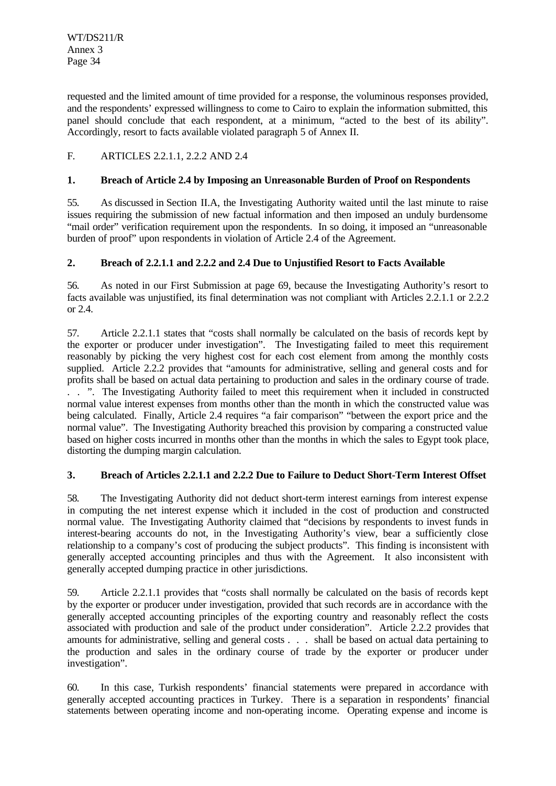WT/DS211/R Annex 3 Page 34

requested and the limited amount of time provided for a response, the voluminous responses provided, and the respondents' expressed willingness to come to Cairo to explain the information submitted, this panel should conclude that each respondent, at a minimum, "acted to the best of its ability". Accordingly, resort to facts available violated paragraph 5 of Annex II.

F. ARTICLES 2.2.1.1, 2.2.2 AND 2.4

# **1. Breach of Article 2.4 by Imposing an Unreasonable Burden of Proof on Respondents**

55. As discussed in Section II.A, the Investigating Authority waited until the last minute to raise issues requiring the submission of new factual information and then imposed an unduly burdensome "mail order" verification requirement upon the respondents. In so doing, it imposed an "unreasonable" burden of proof" upon respondents in violation of Article 2.4 of the Agreement.

# **2. Breach of 2.2.1.1 and 2.2.2 and 2.4 Due to Unjustified Resort to Facts Available**

56. As noted in our First Submission at page 69, because the Investigating Authority's resort to facts available was unjustified, its final determination was not compliant with Articles 2.2.1.1 or 2.2.2 or 2.4.

57. Article 2.2.1.1 states that "costs shall normally be calculated on the basis of records kept by the exporter or producer under investigation". The Investigating failed to meet this requirement reasonably by picking the very highest cost for each cost element from among the monthly costs supplied. Article 2.2.2 provides that "amounts for administrative, selling and general costs and for profits shall be based on actual data pertaining to production and sales in the ordinary course of trade. . . ". The Investigating Authority failed to meet this requirement when it included in constructed normal value interest expenses from months other than the month in which the constructed value was being calculated. Finally, Article 2.4 requires "a fair comparison" "between the export price and the normal value". The Investigating Authority breached this provision by comparing a constructed value based on higher costs incurred in months other than the months in which the sales to Egypt took place, distorting the dumping margin calculation.

# **3. Breach of Articles 2.2.1.1 and 2.2.2 Due to Failure to Deduct Short-Term Interest Offset**

58. The Investigating Authority did not deduct short-term interest earnings from interest expense in computing the net interest expense which it included in the cost of production and constructed normal value. The Investigating Authority claimed that "decisions by respondents to invest funds in interest-bearing accounts do not, in the Investigating Authority's view, bear a sufficiently close relationship to a company's cost of producing the subject products". This finding is inconsistent with generally accepted accounting principles and thus with the Agreement. It also inconsistent with generally accepted dumping practice in other jurisdictions.

59. Article 2.2.1.1 provides that "costs shall normally be calculated on the basis of records kept by the exporter or producer under investigation, provided that such records are in accordance with the generally accepted accounting principles of the exporting country and reasonably reflect the costs associated with production and sale of the product under consideration". Article 2.2.2 provides that amounts for administrative, selling and general costs . . . shall be based on actual data pertaining to the production and sales in the ordinary course of trade by the exporter or producer under investigation".

60. In this case, Turkish respondents' financial statements were prepared in accordance with generally accepted accounting practices in Turkey. There is a separation in respondents' financial statements between operating income and non-operating income. Operating expense and income is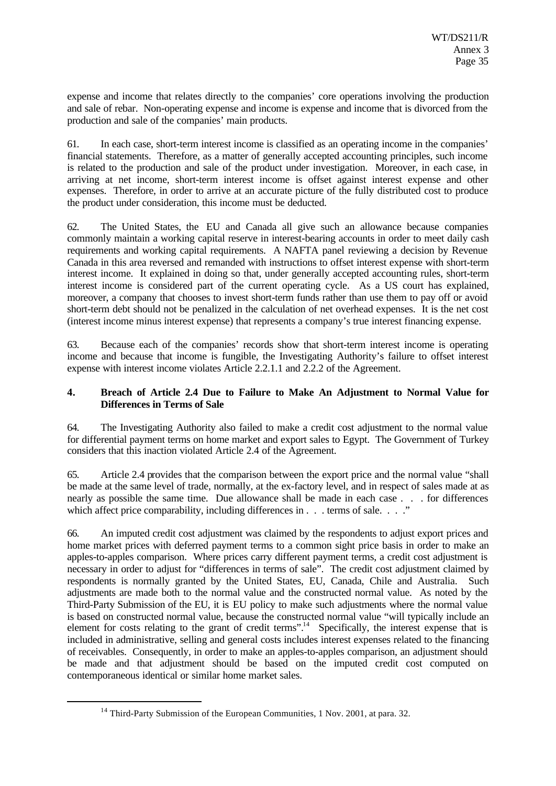expense and income that relates directly to the companies' core operations involving the production and sale of rebar. Non-operating expense and income is expense and income that is divorced from the production and sale of the companies' main products.

61. In each case, short-term interest income is classified as an operating income in the companies' financial statements. Therefore, as a matter of generally accepted accounting principles, such income is related to the production and sale of the product under investigation. Moreover, in each case, in arriving at net income, short-term interest income is offset against interest expense and other expenses. Therefore, in order to arrive at an accurate picture of the fully distributed cost to produce the product under consideration, this income must be deducted.

62. The United States, the EU and Canada all give such an allowance because companies commonly maintain a working capital reserve in interest-bearing accounts in order to meet daily cash requirements and working capital requirements. A NAFTA panel reviewing a decision by Revenue Canada in this area reversed and remanded with instructions to offset interest expense with short-term interest income. It explained in doing so that, under generally accepted accounting rules, short-term interest income is considered part of the current operating cycle. As a US court has explained, moreover, a company that chooses to invest short-term funds rather than use them to pay off or avoid short-term debt should not be penalized in the calculation of net overhead expenses. It is the net cost (interest income minus interest expense) that represents a company's true interest financing expense.

63. Because each of the companies' records show that short-term interest income is operating income and because that income is fungible, the Investigating Authority's failure to offset interest expense with interest income violates Article 2.2.1.1 and 2.2.2 of the Agreement.

### **4. Breach of Article 2.4 Due to Failure to Make An Adjustment to Normal Value for Differences in Terms of Sale**

64. The Investigating Authority also failed to make a credit cost adjustment to the normal value for differential payment terms on home market and export sales to Egypt. The Government of Turkey considers that this inaction violated Article 2.4 of the Agreement.

65. Article 2.4 provides that the comparison between the export price and the normal value "shall be made at the same level of trade, normally, at the ex-factory level, and in respect of sales made at as nearly as possible the same time. Due allowance shall be made in each case . . . for differences which affect price comparability, including differences in  $\dots$  terms of sale.  $\dots$ 

66. An imputed credit cost adjustment was claimed by the respondents to adjust export prices and home market prices with deferred payment terms to a common sight price basis in order to make an apples-to-apples comparison. Where prices carry different payment terms, a credit cost adjustment is necessary in order to adjust for "differences in terms of sale". The credit cost adjustment claimed by respondents is normally granted by the United States, EU, Canada, Chile and Australia. Such adjustments are made both to the normal value and the constructed normal value. As noted by the Third-Party Submission of the EU, it is EU policy to make such adjustments where the normal value is based on constructed normal value, because the constructed normal value "will typically include an element for costs relating to the grant of credit terms".<sup>14</sup> Specifically, the interest expense that is included in administrative, selling and general costs includes interest expenses related to the financing of receivables. Consequently, in order to make an apples-to-apples comparison, an adjustment should be made and that adjustment should be based on the imputed credit cost computed on contemporaneous identical or similar home market sales.

l

<sup>&</sup>lt;sup>14</sup> Third-Party Submission of the European Communities, 1 Nov. 2001, at para. 32.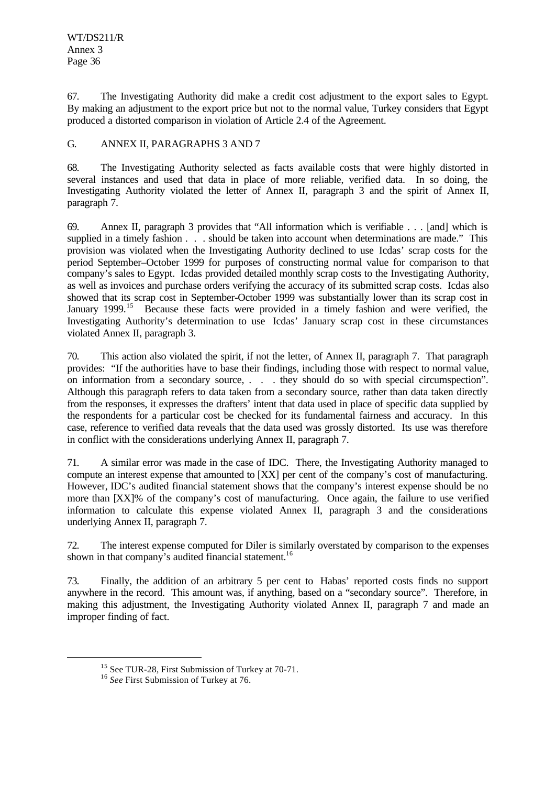WT/DS211/R Annex 3 Page 36

67. The Investigating Authority did make a credit cost adjustment to the export sales to Egypt. By making an adjustment to the export price but not to the normal value, Turkey considers that Egypt produced a distorted comparison in violation of Article 2.4 of the Agreement.

# G. ANNEX II, PARAGRAPHS 3 AND 7

68. The Investigating Authority selected as facts available costs that were highly distorted in several instances and used that data in place of more reliable, verified data. In so doing, the Investigating Authority violated the letter of Annex II, paragraph 3 and the spirit of Annex II, paragraph 7.

69. Annex II, paragraph 3 provides that "All information which is verifiable . . . [and] which is supplied in a timely fashion . . . should be taken into account when determinations are made." This provision was violated when the Investigating Authority declined to use Icdas' scrap costs for the period September–October 1999 for purposes of constructing normal value for comparison to that company's sales to Egypt. Icdas provided detailed monthly scrap costs to the Investigating Authority, as well as invoices and purchase orders verifying the accuracy of its submitted scrap costs. Icdas also showed that its scrap cost in September-October 1999 was substantially lower than its scrap cost in January 1999.<sup>15</sup> Because these facts were provided in a timely fashion and were verified, the Investigating Authority's determination to use Icdas' January scrap cost in these circumstances violated Annex II, paragraph 3.

70. This action also violated the spirit, if not the letter, of Annex II, paragraph 7. That paragraph provides: "If the authorities have to base their findings, including those with respect to normal value, on information from a secondary source, . . . they should do so with special circumspection". Although this paragraph refers to data taken from a secondary source, rather than data taken directly from the responses, it expresses the drafters' intent that data used in place of specific data supplied by the respondents for a particular cost be checked for its fundamental fairness and accuracy. In this case, reference to verified data reveals that the data used was grossly distorted. Its use was therefore in conflict with the considerations underlying Annex II, paragraph 7.

71. A similar error was made in the case of IDC. There, the Investigating Authority managed to compute an interest expense that amounted to [XX] per cent of the company's cost of manufacturing. However, IDC's audited financial statement shows that the company's interest expense should be no more than [XX]% of the company's cost of manufacturing. Once again, the failure to use verified information to calculate this expense violated Annex II, paragraph 3 and the considerations underlying Annex II, paragraph 7.

72. The interest expense computed for Diler is similarly overstated by comparison to the expenses shown in that company's audited financial statement.<sup>16</sup>

73. Finally, the addition of an arbitrary 5 per cent to Habas' reported costs finds no support anywhere in the record. This amount was, if anything, based on a "secondary source". Therefore, in making this adjustment, the Investigating Authority violated Annex II, paragraph 7 and made an improper finding of fact.

l

<sup>&</sup>lt;sup>15</sup> See TUR-28, First Submission of Turkey at 70-71.

<sup>16</sup> *See* First Submission of Turkey at 76.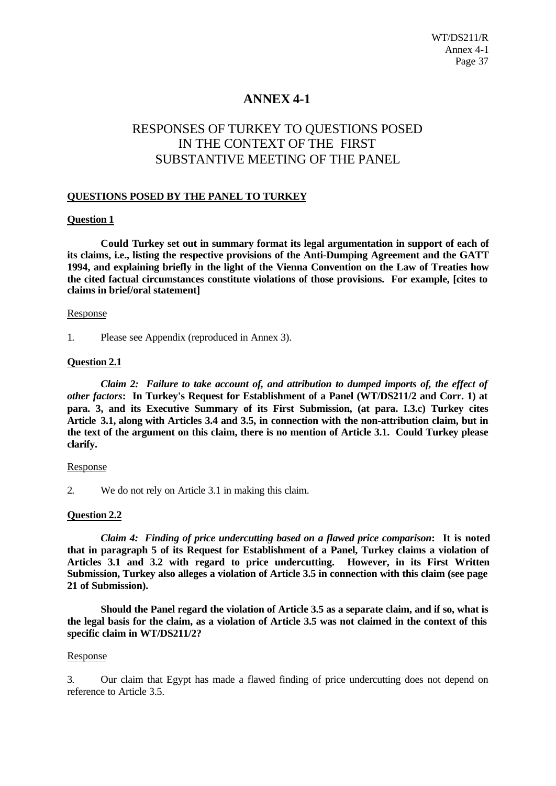# **ANNEX 4-1**

# RESPONSES OF TURKEY TO QUESTIONS POSED IN THE CONTEXT OF THE FIRST SUBSTANTIVE MEETING OF THE PANEL

#### **QUESTIONS POSED BY THE PANEL TO TURKEY**

#### **Question 1**

**Could Turkey set out in summary format its legal argumentation in support of each of its claims, i.e., listing the respective provisions of the Anti-Dumping Agreement and the GATT 1994, and explaining briefly in the light of the Vienna Convention on the Law of Treaties how the cited factual circumstances constitute violations of those provisions. For example, [cites to claims in brief/oral statement]**

#### Response

1. Please see Appendix (reproduced in Annex 3).

#### **Question 2.1**

*Claim 2: Failure to take account of, and attribution to dumped imports of, the effect of other factors***: In Turkey's Request for Establishment of a Panel (WT/DS211/2 and Corr. 1) at para. 3, and its Executive Summary of its First Submission, (at para. I.3.c) Turkey cites Article 3.1, along with Articles 3.4 and 3.5, in connection with the non-attribution claim, but in the text of the argument on this claim, there is no mention of Article 3.1. Could Turkey please clarify.**

#### Response

2. We do not rely on Article 3.1 in making this claim.

## **Question 2.2**

*Claim 4: Finding of price undercutting based on a flawed price comparison***: It is noted that in paragraph 5 of its Request for Establishment of a Panel, Turkey claims a violation of Articles 3.1 and 3.2 with regard to price undercutting. However, in its First Written Submission, Turkey also alleges a violation of Article 3.5 in connection with this claim (see page 21 of Submission).**

**Should the Panel regard the violation of Article 3.5 as a separate claim, and if so, what is the legal basis for the claim, as a violation of Article 3.5 was not claimed in the context of this specific claim in WT/DS211/2?**

#### Response

3. Our claim that Egypt has made a flawed finding of price undercutting does not depend on reference to Article 3.5.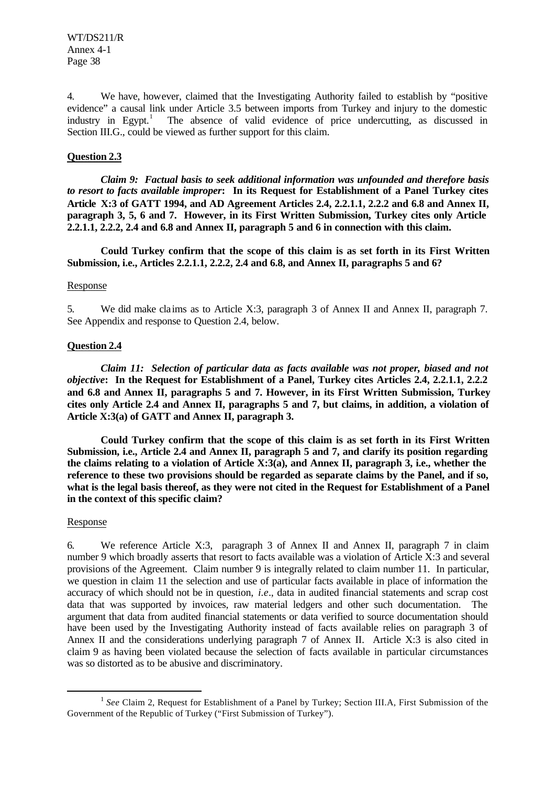WT/DS211/R Annex 4-1 Page 38

4. We have, however, claimed that the Investigating Authority failed to establish by "positive evidence" a causal link under Article 3.5 between imports from Turkey and injury to the domestic industry in Egypt.<sup>1</sup> The absence of valid evidence of price undercutting, as discussed in Section III.G., could be viewed as further support for this claim.

## **Question 2.3**

*Claim 9: Factual basis to seek additional information was unfounded and therefore basis to resort to facts available improper***: In its Request for Establishment of a Panel Turkey cites Article X:3 of GATT 1994, and AD Agreement Articles 2.4, 2.2.1.1, 2.2.2 and 6.8 and Annex II, paragraph 3, 5, 6 and 7. However, in its First Written Submission, Turkey cites only Article 2.2.1.1, 2.2.2, 2.4 and 6.8 and Annex II, paragraph 5 and 6 in connection with this claim.**

**Could Turkey confirm that the scope of this claim is as set forth in its First Written Submission, i.e., Articles 2.2.1.1, 2.2.2, 2.4 and 6.8, and Annex II, paragraphs 5 and 6?**

#### Response

5. We did make claims as to Article X:3, paragraph 3 of Annex II and Annex II, paragraph 7. See Appendix and response to Question 2.4, below.

## **Question 2.4**

*Claim 11: Selection of particular data as facts available was not proper, biased and not objective***: In the Request for Establishment of a Panel, Turkey cites Articles 2.4, 2.2.1.1, 2.2.2 and 6.8 and Annex II, paragraphs 5 and 7. However, in its First Written Submission, Turkey cites only Article 2.4 and Annex II, paragraphs 5 and 7, but claims, in addition, a violation of Article X:3(a) of GATT and Annex II, paragraph 3.**

**Could Turkey confirm that the scope of this claim is as set forth in its First Written Submission, i.e., Article 2.4 and Annex II, paragraph 5 and 7, and clarify its position regarding the claims relating to a violation of Article X:3(a), and Annex II, paragraph 3, i.e., whether the reference to these two provisions should be regarded as separate claims by the Panel, and if so, what is the legal basis thereof, as they were not cited in the Request for Establishment of a Panel in the context of this specific claim?**

#### Response

l

6. We reference Article X:3, paragraph 3 of Annex II and Annex II, paragraph 7 in claim number 9 which broadly asserts that resort to facts available was a violation of Article X:3 and several provisions of the Agreement. Claim number 9 is integrally related to claim number 11. In particular, we question in claim 11 the selection and use of particular facts available in place of information the accuracy of which should not be in question, *i.e*., data in audited financial statements and scrap cost data that was supported by invoices, raw material ledgers and other such documentation. The argument that data from audited financial statements or data verified to source documentation should have been used by the Investigating Authority instead of facts available relies on paragraph 3 of Annex II and the considerations underlying paragraph 7 of Annex II. Article X:3 is also cited in claim 9 as having been violated because the selection of facts available in particular circumstances was so distorted as to be abusive and discriminatory.

<sup>&</sup>lt;sup>1</sup> See Claim 2, Request for Establishment of a Panel by Turkey; Section III.A, First Submission of the Government of the Republic of Turkey ("First Submission of Turkey").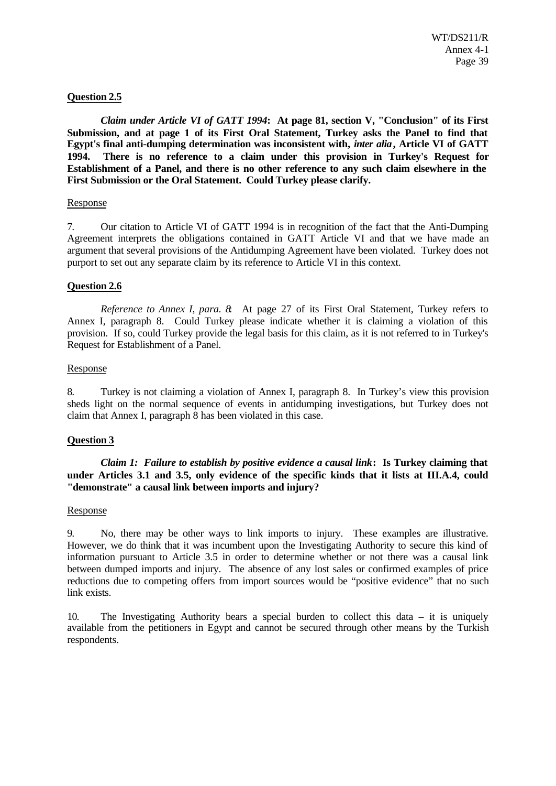## **Question 2.5**

*Claim under Article VI of GATT 1994***: At page 81, section V, "Conclusion" of its First Submission, and at page 1 of its First Oral Statement, Turkey asks the Panel to find that Egypt's final anti-dumping determination was inconsistent with,** *inter alia***, Article VI of GATT 1994. There is no reference to a claim under this provision in Turkey's Request for Establishment of a Panel, and there is no other reference to any such claim elsewhere in the First Submission or the Oral Statement. Could Turkey please clarify.**

## Response

7. Our citation to Article VI of GATT 1994 is in recognition of the fact that the Anti-Dumping Agreement interprets the obligations contained in GATT Article VI and that we have made an argument that several provisions of the Antidumping Agreement have been violated. Turkey does not purport to set out any separate claim by its reference to Article VI in this context.

## **Question 2.6**

*Reference to Annex I, para. 8*: At page 27 of its First Oral Statement, Turkey refers to Annex I, paragraph 8. Could Turkey please indicate whether it is claiming a violation of this provision. If so, could Turkey provide the legal basis for this claim, as it is not referred to in Turkey's Request for Establishment of a Panel.

## Response

8. Turkey is not claiming a violation of Annex I, paragraph 8. In Turkey's view this provision sheds light on the normal sequence of events in antidumping investigations, but Turkey does not claim that Annex I, paragraph 8 has been violated in this case.

## **Question 3**

*Claim 1: Failure to establish by positive evidence a causal link***: Is Turkey claiming that under Articles 3.1 and 3.5, only evidence of the specific kinds that it lists at III.A.4, could "demonstrate" a causal link between imports and injury?**

## Response

9. No, there may be other ways to link imports to injury. These examples are illustrative. However, we do think that it was incumbent upon the Investigating Authority to secure this kind of information pursuant to Article 3.5 in order to determine whether or not there was a causal link between dumped imports and injury. The absence of any lost sales or confirmed examples of price reductions due to competing offers from import sources would be "positive evidence" that no such link exists.

10. The Investigating Authority bears a special burden to collect this data – it is uniquely available from the petitioners in Egypt and cannot be secured through other means by the Turkish respondents.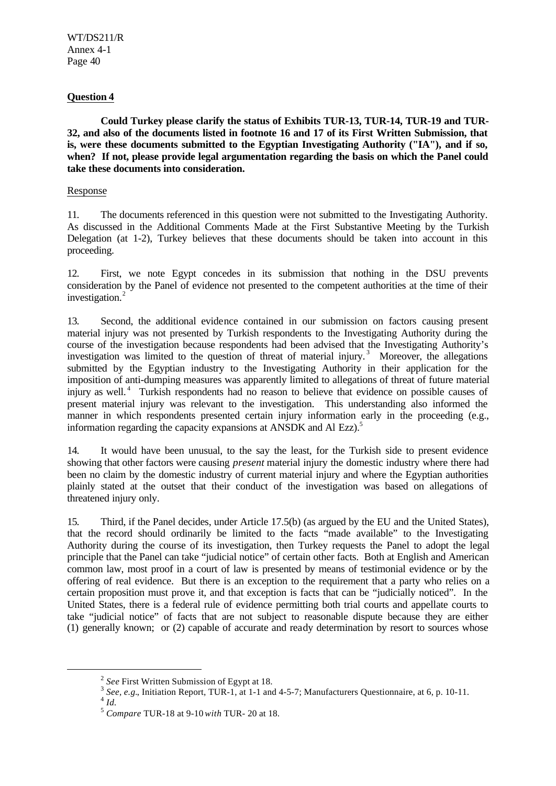WT/DS211/R Annex 4-1 Page 40

## **Question 4**

**Could Turkey please clarify the status of Exhibits TUR-13, TUR-14, TUR-19 and TUR-32, and also of the documents listed in footnote 16 and 17 of its First Written Submission, that is, were these documents submitted to the Egyptian Investigating Authority ("IA"), and if so, when? If not, please provide legal argumentation regarding the basis on which the Panel could take these documents into consideration.**

## Response

l

11. The documents referenced in this question were not submitted to the Investigating Authority. As discussed in the Additional Comments Made at the First Substantive Meeting by the Turkish Delegation (at 1-2), Turkey believes that these documents should be taken into account in this proceeding.

12. First, we note Egypt concedes in its submission that nothing in the DSU prevents consideration by the Panel of evidence not presented to the competent authorities at the time of their investigation.<sup>2</sup>

13. Second, the additional evidence contained in our submission on factors causing present material injury was not presented by Turkish respondents to the Investigating Authority during the course of the investigation because respondents had been advised that the Investigating Authority's investigation was limited to the question of threat of material injury.<sup>3</sup> Moreover, the allegations submitted by the Egyptian industry to the Investigating Authority in their application for the imposition of anti-dumping measures was apparently limited to allegations of threat of future material injury as well.<sup>4</sup> Turkish respondents had no reason to believe that evidence on possible causes of present material injury was relevant to the investigation. This understanding also informed the manner in which respondents presented certain injury information early in the proceeding (e.g., information regarding the capacity expansions at ANSDK and Al Ezz).<sup>5</sup>

14. It would have been unusual, to the say the least, for the Turkish side to present evidence showing that other factors were causing *present* material injury the domestic industry where there had been no claim by the domestic industry of current material injury and where the Egyptian authorities plainly stated at the outset that their conduct of the investigation was based on allegations of threatened injury only.

15. Third, if the Panel decides, under Article 17.5(b) (as argued by the EU and the United States), that the record should ordinarily be limited to the facts "made available" to the Investigating Authority during the course of its investigation, then Turkey requests the Panel to adopt the legal principle that the Panel can take "judicial notice" of certain other facts. Both at English and American common law, most proof in a court of law is presented by means of testimonial evidence or by the offering of real evidence. But there is an exception to the requirement that a party who relies on a certain proposition must prove it, and that exception is facts that can be "judicially noticed". In the United States, there is a federal rule of evidence permitting both trial courts and appellate courts to take "judicial notice" of facts that are not subject to reasonable dispute because they are either (1) generally known; or (2) capable of accurate and ready determination by resort to sources whose

<sup>2</sup> *See* First Written Submission of Egypt at 18.

<sup>&</sup>lt;sup>3</sup> See, e.g., Initiation Report, TUR-1, at 1-1 and 4-5-7; Manufacturers Questionnaire, at 6, p. 10-11. 4 *Id.*

<sup>5</sup> *Compare* TUR-18 at 9-10 *with* TUR- 20 at 18.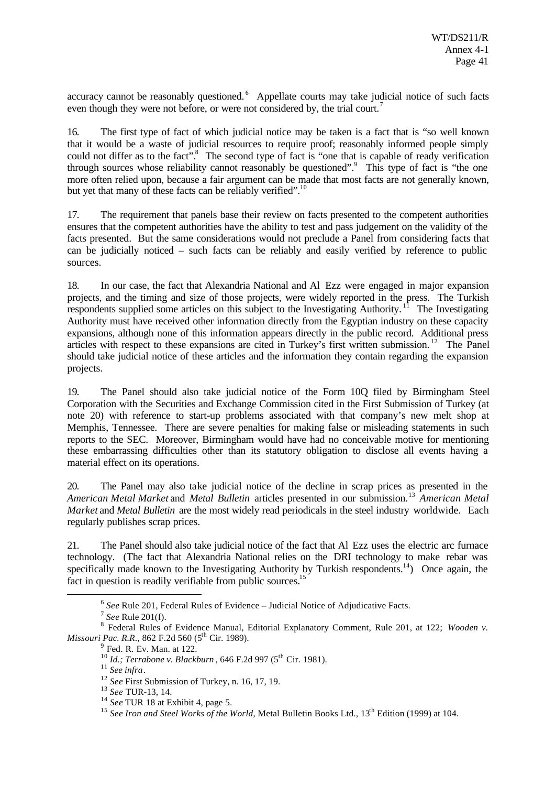accuracy cannot be reasonably questioned. <sup>6</sup> Appellate courts may take judicial notice of such facts even though they were not before, or were not considered by, the trial court.<sup>7</sup>

16. The first type of fact of which judicial notice may be taken is a fact that is "so well known that it would be a waste of judicial resources to require proof; reasonably informed people simply could not differ as to the fact".<sup>8</sup> The second type of fact is "one that is capable of ready verification through sources whose reliability cannot reasonably be questioned".<sup>9</sup> This type of fact is "the one more often relied upon, because a fair argument can be made that most facts are not generally known, but yet that many of these facts can be reliably verified".<sup>10</sup>

17. The requirement that panels base their review on facts presented to the competent authorities ensures that the competent authorities have the ability to test and pass judgement on the validity of the facts presented. But the same considerations would not preclude a Panel from considering facts that can be judicially noticed – such facts can be reliably and easily verified by reference to public sources.

18. In our case, the fact that Alexandria National and Al Ezz were engaged in major expansion projects, and the timing and size of those projects, were widely reported in the press. The Turkish respondents supplied some articles on this subject to the Investigating Authority.<sup>11</sup> The Investigating respondents Authority must have received other information directly from the Egyptian industry on these capacity expansions, although none of this information appears directly in the public record. Additional press articles with respect to these expansions are cited in Turkey's first written submission. <sup>12</sup> The Panel should take judicial notice of these articles and the information they contain regarding the expansion projects.

19. The Panel should also take judicial notice of the Form 10Q filed by Birmingham Steel Corporation with the Securities and Exchange Commission cited in the First Submission of Turkey (at note 20) with reference to start-up problems associated with that company's new melt shop at Memphis, Tennessee. There are severe penalties for making false or misleading statements in such reports to the SEC. Moreover, Birmingham would have had no conceivable motive for mentioning these embarrassing difficulties other than its statutory obligation to disclose all events having a material effect on its operations.

20. The Panel may also take judicial notice of the decline in scrap prices as presented in the *American Metal Market* and *Metal Bulletin* articles presented in our submission.<sup>13</sup> *American Metal Market* and *Metal Bulletin* are the most widely read periodicals in the steel industry worldwide. Each regularly publishes scrap prices.

21. The Panel should also take judicial notice of the fact that Al Ezz uses the electric arc furnace technology. (The fact that Alexandria National relies on the DRI technology to make rebar was specifically made known to the Investigating Authority by Turkish respondents.<sup>14</sup>) Once again, the fact in question is readily verifiable from public sources.<sup>15</sup>

l

<sup>&</sup>lt;sup>6</sup> See Rule 201, Federal Rules of Evidence – Judicial Notice of Adjudicative Facts.

<sup>7</sup> *See* Rule 201(f).

<sup>8</sup> Federal Rules of Evidence Manual, Editorial Explanatory Comment, Rule 201, at 122; *Wooden v. Missouri Pac. R.R.*, 862 F.2d 560 (5<sup>th</sup> Cir. 1989).

 $<sup>9</sup>$  Fed. R. Ev. Man. at 122.</sup>

<sup>10</sup> *Id.; Terrabone v. Blackburn*, 646 F.2d 997 (5<sup>th</sup> Cir. 1981).

<sup>11</sup> *See infra*.

<sup>&</sup>lt;sup>12</sup> *See* First Submission of Turkey, n. 16, 17, 19.

<sup>13</sup> *See* TUR-13, 14.

<sup>&</sup>lt;sup>14</sup> See TUR 18 at Exhibit 4, page 5.

<sup>15</sup> *See Iron and Steel Works of the World*, Metal Bulletin Books Ltd., 13th Edition (1999) at 104.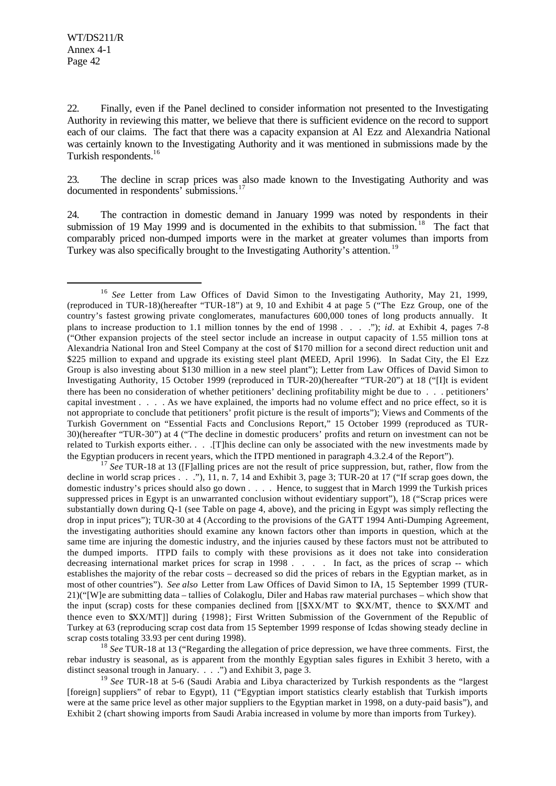l

22. Finally, even if the Panel declined to consider information not presented to the Investigating Authority in reviewing this matter, we believe that there is sufficient evidence on the record to support each of our claims. The fact that there was a capacity expansion at Al Ezz and Alexandria National was certainly known to the Investigating Authority and it was mentioned in submissions made by the Turkish respondents.<sup>16</sup>

23. The decline in scrap prices was also made known to the Investigating Authority and was documented in respondents' submissions.<sup>17</sup>

24. The contraction in domestic demand in January 1999 was noted by respondents in their submission of 19 May 1999 and is documented in the exhibits to that submission.<sup>18</sup> The fact that comparably priced non-dumped imports were in the market at greater volumes than imports from Turkey was also specifically brought to the Investigating Authority's attention. <sup>19</sup>

<sup>18</sup> *See* TUR-18 at 13 ("Regarding the allegation of price depression, we have three comments. First, the rebar industry is seasonal, as is apparent from the monthly Egyptian sales figures in Exhibit 3 hereto, with a distinct seasonal trough in January. . . .") and Exhibit 3, page 3.

<sup>19</sup> See TUR-18 at 5-6 (Saudi Arabia and Libya characterized by Turkish respondents as the "largest" [foreign] suppliers" of rebar to Egypt), 11 ("Egyptian import statistics clearly establish that Turkish imports were at the same price level as other major suppliers to the Egyptian market in 1998, on a duty-paid basis"), and Exhibit 2 (chart showing imports from Saudi Arabia increased in volume by more than imports from Turkey).

<sup>&</sup>lt;sup>16</sup> See Letter from Law Offices of David Simon to the Investigating Authority, May 21, 1999, (reproduced in TUR-18)(hereafter "TUR-18") at 9, 10 and Exhibit 4 at page 5 ("The Ezz Group, one of the country's fastest growing private conglomerates, manufactures 600,000 tones of long products annually. It plans to increase production to 1.1 million tonnes by the end of 1998 . . . ."); *id.* at Exhibit 4, pages 7-8 ("Other expansion projects of the steel sector include an increase in output capacity of 1.55 million tons at Alexandria National Iron and Steel Company at the cost of \$170 million for a second direct reduction unit and \$225 million to expand and upgrade its existing steel plant (MEED, April 1996). In Sadat City, the El Ezz Group is also investing about \$130 million in a new steel plant"); Letter from Law Offices of David Simon to Investigating Authority, 15 October 1999 (reproduced in TUR-20)(hereafter "TUR-20") at 18 ("[I]t is evident there has been no consideration of whether petitioners' declining profitability might be due to . . . petitioners' capital investment . . . . As we have explained, the imports had no volume effect and no price effect, so it is not appropriate to conclude that petitioners' profit picture is the result of imports"); Views and Comments of the Turkish Government on "Essential Facts and Conclusions Report," 15 October 1999 (reproduced as TUR-30)(hereafter "TUR-30") at 4 ("The decline in domestic producers' profits and return on investment can not be related to Turkish exports either. . . .[T]his decline can only be associated with the new investments made by the Egyptian producers in recent years, which the ITPD mentioned in paragraph 4.3.2.4 of the Report").

<sup>&</sup>lt;sup>17</sup> See TUR-18 at 13 ([F]alling prices are not the result of price suppression, but, rather, flow from the decline in world scrap prices . . ."), 11, n. 7, 14 and Exhibit 3, page 3; TUR-20 at 17 ("If scrap goes down, the domestic industry's prices should also go down . . . . Hence, to suggest that in March 1999 the Turkish prices suppressed prices in Egypt is an unwarranted conclusion without evidentiary support"), 18 ("Scrap prices were substantially down during Q-1 (see Table on page 4, above), and the pricing in Egypt was simply reflecting the drop in input prices"); TUR-30 at 4 (According to the provisions of the GATT 1994 Anti-Dumping Agreement, the investigating authorities should examine any known factors other than imports in question, which at the same time are injuring the domestic industry, and the injuries caused by these factors must not be attributed to the dumped imports. ITPD fails to comply with these provisions as it does not take into consideration decreasing international market prices for scrap in 1998 . . . . In fact, as the prices of scrap -- which establishes the majority of the rebar costs – decreased so did the prices of rebars in the Egyptian market, as in most of other countries"). *See also* Letter from Law Offices of David Simon to IA, 15 September 1999 (TUR-21)("[W]e are submitting data – tallies of Colakoglu, Diler and Habas raw material purchases – which show that the input (scrap) costs for these companies declined from [[\$XX/MT to \$XX/MT, thence to \$XX/MT and thence even to \$XX/MT]] during {1998}; First Written Submission of the Government of the Republic of Turkey at 63 (reproducing scrap cost data from 15 September 1999 response of Icdas showing steady decline in scrap costs totaling 33.93 per cent during 1998).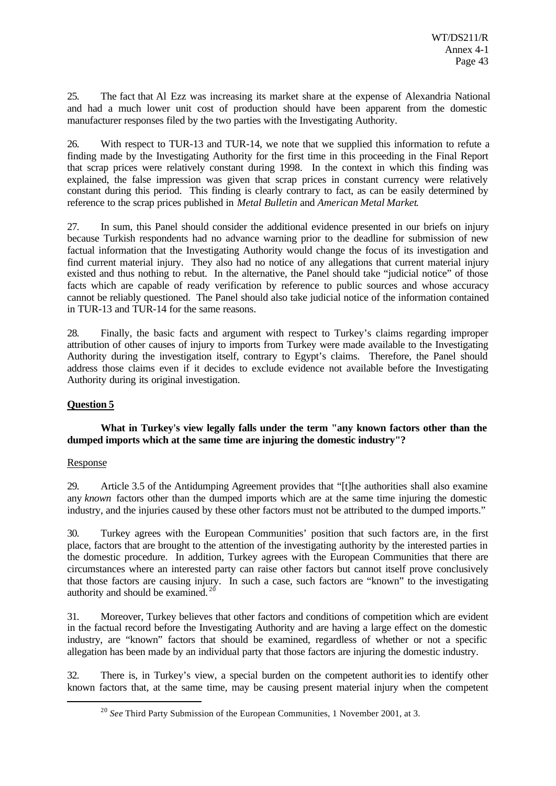25. The fact that Al Ezz was increasing its market share at the expense of Alexandria National and had a much lower unit cost of production should have been apparent from the domestic manufacturer responses filed by the two parties with the Investigating Authority.

26. With respect to TUR-13 and TUR-14, we note that we supplied this information to refute a finding made by the Investigating Authority for the first time in this proceeding in the Final Report that scrap prices were relatively constant during 1998. In the context in which this finding was explained, the false impression was given that scrap prices in constant currency were relatively constant during this period. This finding is clearly contrary to fact, as can be easily determined by reference to the scrap prices published in *Metal Bulletin* and *American Metal Market*.

27. In sum, this Panel should consider the additional evidence presented in our briefs on injury because Turkish respondents had no advance warning prior to the deadline for submission of new factual information that the Investigating Authority would change the focus of its investigation and find current material injury. They also had no notice of any allegations that current material injury existed and thus nothing to rebut. In the alternative, the Panel should take "judicial notice" of those facts which are capable of ready verification by reference to public sources and whose accuracy cannot be reliably questioned. The Panel should also take judicial notice of the information contained in TUR-13 and TUR-14 for the same reasons.

28. Finally, the basic facts and argument with respect to Turkey's claims regarding improper attribution of other causes of injury to imports from Turkey were made available to the Investigating Authority during the investigation itself, contrary to Egypt's claims. Therefore, the Panel should address those claims even if it decides to exclude evidence not available before the Investigating Authority during its original investigation.

# **Question 5**

# **What in Turkey's view legally falls under the term "any known factors other than the dumped imports which at the same time are injuring the domestic industry"?**

## Response

l

29. Article 3.5 of the Antidumping Agreement provides that "[t]he authorities shall also examine any *known* factors other than the dumped imports which are at the same time injuring the domestic industry, and the injuries caused by these other factors must not be attributed to the dumped imports."

30. Turkey agrees with the European Communities' position that such factors are, in the first place, factors that are brought to the attention of the investigating authority by the interested parties in the domestic procedure. In addition, Turkey agrees with the European Communities that there are circumstances where an interested party can raise other factors but cannot itself prove conclusively that those factors are causing injury. In such a case, such factors are "known" to the investigating authority and should be examined.  $20^{\circ}$ 

31. Moreover, Turkey believes that other factors and conditions of competition which are evident in the factual record before the Investigating Authority and are having a large effect on the domestic industry, are "known" factors that should be examined, regardless of whether or not a specific allegation has been made by an individual party that those factors are injuring the domestic industry.

32. There is, in Turkey's view, a special burden on the competent authorities to identify other known factors that, at the same time, may be causing present material injury when the competent

<sup>20</sup> *See* Third Party Submission of the European Communities, 1 November 2001, at 3.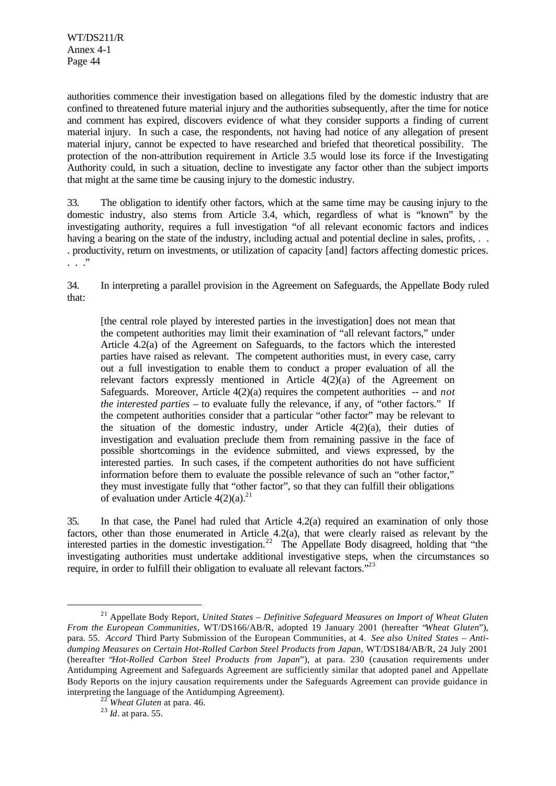authorities commence their investigation based on allegations filed by the domestic industry that are confined to threatened future material injury and the authorities subsequently, after the time for notice and comment has expired, discovers evidence of what they consider supports a finding of current material injury. In such a case, the respondents, not having had notice of any allegation of present material injury, cannot be expected to have researched and briefed that theoretical possibility. The protection of the non-attribution requirement in Article 3.5 would lose its force if the Investigating Authority could, in such a situation, decline to investigate any factor other than the subject imports that might at the same time be causing injury to the domestic industry.

33. The obligation to identify other factors, which at the same time may be causing injury to the domestic industry, also stems from Article 3.4, which, regardless of what is "known" by the investigating authority, requires a full investigation "of all relevant economic factors and indices having a bearing on the state of the industry, including actual and potential decline in sales, profits, ... . productivity, return on investments, or utilization of capacity [and] factors affecting domestic prices. . . ."

34. In interpreting a parallel provision in the Agreement on Safeguards, the Appellate Body ruled that:

[the central role played by interested parties in the investigation] does not mean that the competent authorities may limit their examination of "all relevant factors," under Article 4.2(a) of the Agreement on Safeguards, to the factors which the interested parties have raised as relevant. The competent authorities must, in every case, carry out a full investigation to enable them to conduct a proper evaluation of all the relevant factors expressly mentioned in Article  $4(2)(a)$  of the Agreement on Safeguards. Moreover, Article 4(2)(a) requires the competent authorities -- and *not the interested parties* – to evaluate fully the relevance, if any, of "other factors." If the competent authorities consider that a particular "other factor" may be relevant to the situation of the domestic industry, under Article  $4(2)(a)$ , their duties of investigation and evaluation preclude them from remaining passive in the face of possible shortcomings in the evidence submitted, and views expressed, by the interested parties. In such cases, if the competent authorities do not have sufficient information before them to evaluate the possible relevance of such an "other factor," they must investigate fully that "other factor", so that they can fulfill their obligations of evaluation under Article  $4(2)(a)^{21}$ 

35. In that case, the Panel had ruled that Article 4.2(a) required an examination of only those factors, other than those enumerated in Article 4.2(a), that were clearly raised as relevant by the interested parties in the domestic investigation.<sup>22</sup> The Appellate Body disagreed, holding that "the investigating authorities must undertake additional investigative steps, when the circumstances so require, in order to fulfill their obligation to evaluate all relevant factors."<sup>23</sup>

l

<sup>21</sup> Appellate Body Report, *United States – Definitive Safeguard Measures on Import of Wheat Gluten From the European Communities*, WT/DS166/AB/R, adopted 19 January 2001 (hereafter "*Wheat Gluten*"), para. 55. *Accord* Third Party Submission of the European Communities, at 4. *See also United States – Antidumping Measures on Certain Hot-Rolled Carbon Steel Products from Japan*, WT/DS184/AB/R, 24 July 2001 (hereafter "*Hot-Rolled Carbon Steel Products from Japan*"), at para. 230 (causation requirements under Antidumping Agreement and Safeguards Agreement are sufficiently similar that adopted panel and Appellate Body Reports on the injury causation requirements under the Safeguards Agreement can provide guidance in interpreting the language of the Antidumping Agreement).

<sup>22</sup> *Wheat Gluten* at para. 46.

<sup>23</sup> *Id*. at para. 55.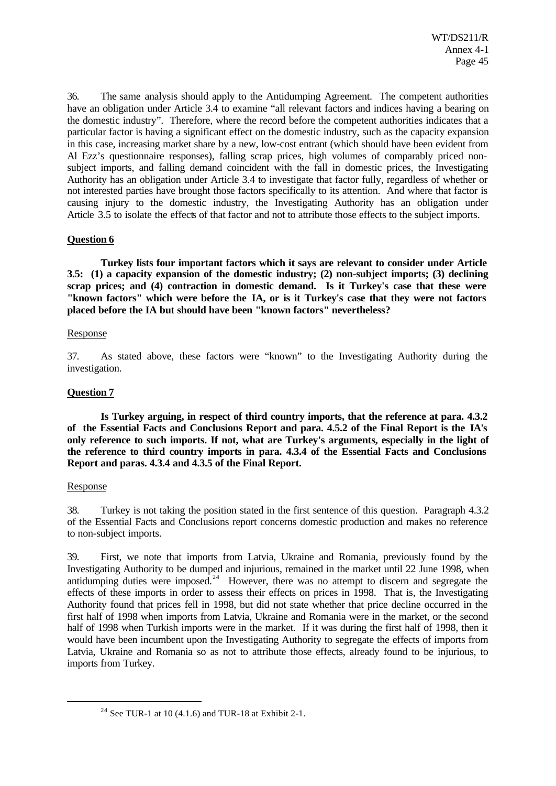36. The same analysis should apply to the Antidumping Agreement. The competent authorities have an obligation under Article 3.4 to examine "all relevant factors and indices having a bearing on the domestic industry". Therefore, where the record before the competent authorities indicates that a particular factor is having a significant effect on the domestic industry, such as the capacity expansion in this case, increasing market share by a new, low-cost entrant (which should have been evident from Al Ezz's questionnaire responses), falling scrap prices, high volumes of comparably priced nonsubject imports, and falling demand coincident with the fall in domestic prices, the Investigating Authority has an obligation under Article 3.4 to investigate that factor fully, regardless of whether or not interested parties have brought those factors specifically to its attention. And where that factor is causing injury to the domestic industry, the Investigating Authority has an obligation under Article 3.5 to isolate the effects of that factor and not to attribute those effects to the subject imports.

## **Question 6**

**Turkey lists four important factors which it says are relevant to consider under Article 3.5: (1) a capacity expansion of the domestic industry; (2) non-subject imports; (3) declining scrap prices; and (4) contraction in domestic demand. Is it Turkey's case that these were "known factors" which were before the IA, or is it Turkey's case that they were not factors placed before the IA but should have been "known factors" nevertheless?**

## Response

37. As stated above, these factors were "known" to the Investigating Authority during the investigation.

## **Question 7**

**Is Turkey arguing, in respect of third country imports, that the reference at para. 4.3.2 of the Essential Facts and Conclusions Report and para. 4.5.2 of the Final Report is the IA's only reference to such imports. If not, what are Turkey's arguments, especially in the light of the reference to third country imports in para. 4.3.4 of the Essential Facts and Conclusions Report and paras. 4.3.4 and 4.3.5 of the Final Report.**

## Response

l

38. Turkey is not taking the position stated in the first sentence of this question. Paragraph 4.3.2 of the Essential Facts and Conclusions report concerns domestic production and makes no reference to non-subject imports.

39. First, we note that imports from Latvia, Ukraine and Romania, previously found by the Investigating Authority to be dumped and injurious, remained in the market until 22 June 1998, when antidumping duties were imposed.<sup>24</sup> However, there was no attempt to discern and segregate the effects of these imports in order to assess their effects on prices in 1998. That is, the Investigating Authority found that prices fell in 1998, but did not state whether that price decline occurred in the first half of 1998 when imports from Latvia, Ukraine and Romania were in the market, or the second half of 1998 when Turkish imports were in the market. If it was during the first half of 1998, then it would have been incumbent upon the Investigating Authority to segregate the effects of imports from Latvia, Ukraine and Romania so as not to attribute those effects, already found to be injurious, to imports from Turkey.

<sup>&</sup>lt;sup>24</sup> See TUR-1 at 10 (4.1.6) and TUR-18 at Exhibit 2-1.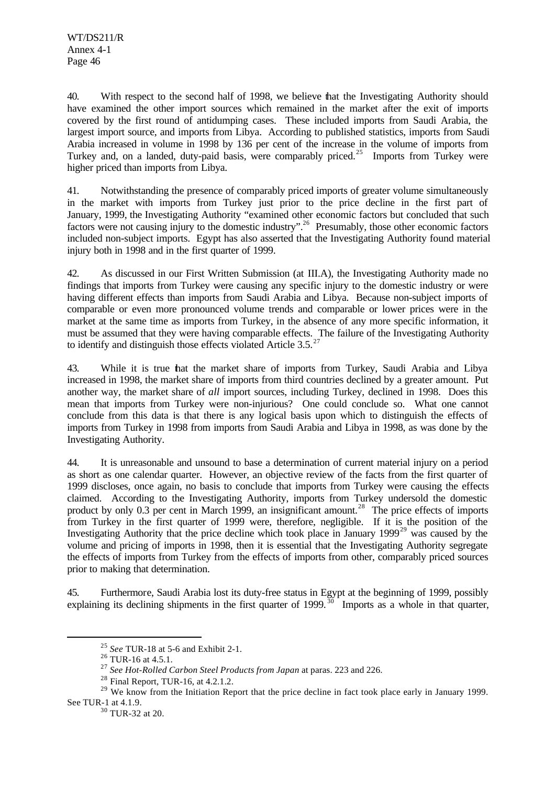40. With respect to the second half of 1998, we believe that the Investigating Authority should have examined the other import sources which remained in the market after the exit of imports covered by the first round of antidumping cases. These included imports from Saudi Arabia, the largest import source, and imports from Libya. According to published statistics, imports from Saudi Arabia increased in volume in 1998 by 136 per cent of the increase in the volume of imports from Turkey and, on a landed, duty-paid basis, were comparably priced.<sup>25</sup> Imports from Turkey were higher priced than imports from Libya.

41. Notwithstanding the presence of comparably priced imports of greater volume simultaneously in the market with imports from Turkey just prior to the price decline in the first part of January, 1999, the Investigating Authority "examined other economic factors but concluded that such factors were not causing injury to the domestic industry".<sup>26</sup> Presumably, those other economic factors included non-subject imports. Egypt has also asserted that the Investigating Authority found material injury both in 1998 and in the first quarter of 1999.

42. As discussed in our First Written Submission (at III.A), the Investigating Authority made no findings that imports from Turkey were causing any specific injury to the domestic industry or were having different effects than imports from Saudi Arabia and Libya. Because non-subject imports of comparable or even more pronounced volume trends and comparable or lower prices were in the market at the same time as imports from Turkey, in the absence of any more specific information, it must be assumed that they were having comparable effects. The failure of the Investigating Authority to identify and distinguish those effects violated Article  $3.5<sup>27</sup>$ 

43. While it is true that the market share of imports from Turkey, Saudi Arabia and Libya increased in 1998, the market share of imports from third countries declined by a greater amount. Put another way, the market share of *all* import sources, including Turkey, declined in 1998. Does this mean that imports from Turkey were non-injurious? One could conclude so. What one cannot conclude from this data is that there is any logical basis upon which to distinguish the effects of imports from Turkey in 1998 from imports from Saudi Arabia and Libya in 1998, as was done by the Investigating Authority.

44. It is unreasonable and unsound to base a determination of current material injury on a period as short as one calendar quarter. However, an objective review of the facts from the first quarter of 1999 discloses, once again, no basis to conclude that imports from Turkey were causing the effects claimed. According to the Investigating Authority, imports from Turkey undersold the domestic product by only  $0.3$  per cent in March 1999, an insignificant amount.<sup>28</sup> The price effects of imports from Turkey in the first quarter of 1999 were, therefore, negligible. If it is the position of the Investigating Authority that the price decline which took place in January 1999<sup>29</sup> was caused by the volume and pricing of imports in 1998, then it is essential that the Investigating Authority segregate the effects of imports from Turkey from the effects of imports from other, comparably priced sources prior to making that determination.

45. Furthermore, Saudi Arabia lost its duty-free status in Egypt at the beginning of 1999, possibly explaining its declining shipments in the first quarter of 1999.<sup>30</sup> Imports as a whole in that quarter,

l

<sup>25</sup> *See* TUR-18 at 5-6 and Exhibit 2-1.

 $^{26}$  TUR-16 at 4.5.1.

<sup>27</sup> *See Hot-Rolled Carbon Steel Products from Japan* at paras. 223 and 226.

 $28$  Final Report, TUR-16, at 4.2.1.2.

<sup>&</sup>lt;sup>29</sup> We know from the Initiation Report that the price decline in fact took place early in January 1999. See TUR-1 at 4.1.9.

 $30$  TUR-32 at 20.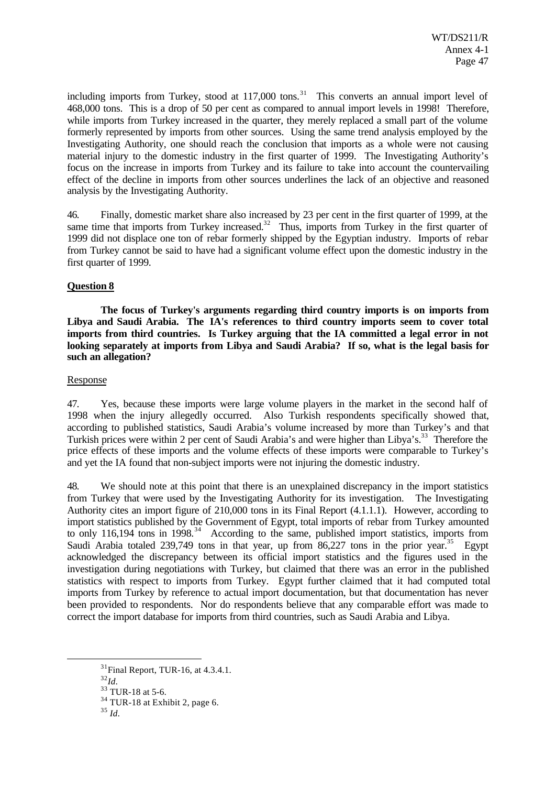including imports from Turkey, stood at  $117,000$  tons.<sup>31</sup> This converts an annual import level of 468,000 tons. This is a drop of 50 per cent as compared to annual import levels in 1998! Therefore, while imports from Turkey increased in the quarter, they merely replaced a small part of the volume formerly represented by imports from other sources. Using the same trend analysis employed by the Investigating Authority, one should reach the conclusion that imports as a whole were not causing material injury to the domestic industry in the first quarter of 1999. The Investigating Authority's focus on the increase in imports from Turkey and its failure to take into account the countervailing effect of the decline in imports from other sources underlines the lack of an objective and reasoned analysis by the Investigating Authority.

46. Finally, domestic market share also increased by 23 per cent in the first quarter of 1999, at the same time that imports from Turkey increased.<sup>32</sup> Thus, imports from Turkey in the first quarter of 1999 did not displace one ton of rebar formerly shipped by the Egyptian industry. Imports of rebar from Turkey cannot be said to have had a significant volume effect upon the domestic industry in the first quarter of 1999.

# **Question 8**

**The focus of Turkey's arguments regarding third country imports is on imports from Libya and Saudi Arabia. The IA's references to third country imports seem to cover total imports from third countries. Is Turkey arguing that the IA committed a legal error in not looking separately at imports from Libya and Saudi Arabia? If so, what is the legal basis for such an allegation?**

## Response

47. Yes, because these imports were large volume players in the market in the second half of 1998 when the injury allegedly occurred. Also Turkish respondents specifically showed that, according to published statistics, Saudi Arabia's volume increased by more than Turkey's and that Turkish prices were within 2 per cent of Saudi Arabia's and were higher than Libya's.<sup>33</sup> Therefore the price effects of these imports and the volume effects of these imports were comparable to Turkey's and yet the IA found that non-subject imports were not injuring the domestic industry.

48. We should note at this point that there is an unexplained discrepancy in the import statistics from Turkey that were used by the Investigating Authority for its investigation. The Investigating Authority cites an import figure of 210,000 tons in its Final Report (4.1.1.1). However, according to import statistics published by the Government of Egypt, total imports of rebar from Turkey amounted to only 116,194 tons in 1998.<sup>34</sup> According to the same, published import statistics, imports from Saudi Arabia totaled 239,749 tons in that year, up from  $86,227$  tons in the prior year.<sup>35</sup> Egypt acknowledged the discrepancy between its official import statistics and the figures used in the investigation during negotiations with Turkey, but claimed that there was an error in the published statistics with respect to imports from Turkey. Egypt further claimed that it had computed total imports from Turkey by reference to actual import documentation, but that documentation has never been provided to respondents. Nor do respondents believe that any comparable effort was made to correct the import database for imports from third countries, such as Saudi Arabia and Libya.

l

 $31$ Final Report, TUR-16, at 4.3.4.1.

<sup>32</sup>*Id.*

<sup>&</sup>lt;sup>33</sup> TUR-18 at 5-6.

<sup>&</sup>lt;sup>34</sup> TUR-18 at Exhibit 2, page 6.

<sup>35</sup> *Id.*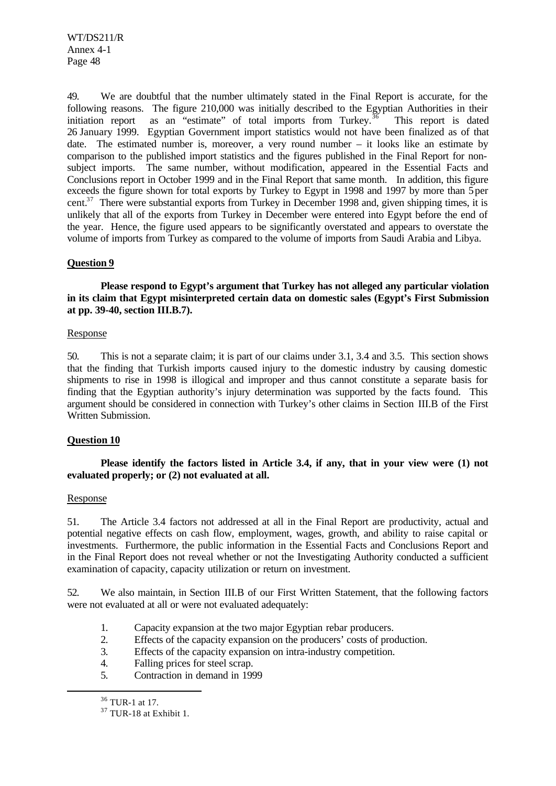WT/DS211/R Annex 4-1 Page 48

49. We are doubtful that the number ultimately stated in the Final Report is accurate, for the following reasons. The figure 210,000 was initially described to the Egyptian Authorities in their initiation report as an "estimate" of total imports from Turkey.<sup>36</sup> This report is dated 26 January 1999. Egyptian Government import statistics would not have been finalized as of that date. The estimated number is, moreover, a very round number – it looks like an estimate by comparison to the published import statistics and the figures published in the Final Report for nonsubject imports. The same number, without modification, appeared in the Essential Facts and Conclusions report in October 1999 and in the Final Report that same month. In addition, this figure exceeds the figure shown for total exports by Turkey to Egypt in 1998 and 1997 by more than 5 per cent.<sup>37</sup> There were substantial exports from Turkey in December 1998 and, given shipping times, it is unlikely that all of the exports from Turkey in December were entered into Egypt before the end of the year. Hence, the figure used appears to be significantly overstated and appears to overstate the volume of imports from Turkey as compared to the volume of imports from Saudi Arabia and Libya.

## **Question 9**

**Please respond to Egypt's argument that Turkey has not alleged any particular violation in its claim that Egypt misinterpreted certain data on domestic sales (Egypt's First Submission at pp. 39-40, section III.B.7).**

## Response

50. This is not a separate claim; it is part of our claims under 3.1, 3.4 and 3.5. This section shows that the finding that Turkish imports caused injury to the domestic industry by causing domestic shipments to rise in 1998 is illogical and improper and thus cannot constitute a separate basis for finding that the Egyptian authority's injury determination was supported by the facts found. This argument should be considered in connection with Turkey's other claims in Section III.B of the First Written Submission.

## **Question 10**

**Please identify the factors listed in Article 3.4, if any, that in your view were (1) not evaluated properly; or (2) not evaluated at all.**

## Response

l

51. The Article 3.4 factors not addressed at all in the Final Report are productivity, actual and potential negative effects on cash flow, employment, wages, growth, and ability to raise capital or investments. Furthermore, the public information in the Essential Facts and Conclusions Report and in the Final Report does not reveal whether or not the Investigating Authority conducted a sufficient examination of capacity, capacity utilization or return on investment.

52. We also maintain, in Section III.B of our First Written Statement, that the following factors were not evaluated at all or were not evaluated adequately:

- 1. Capacity expansion at the two major Egyptian rebar producers.
- 2. Effects of the capacity expansion on the producers' costs of production.
- 3. Effects of the capacity expansion on intra-industry competition.
- 4. Falling prices for steel scrap.
- 5. Contraction in demand in 1999

<sup>36</sup> TUR-1 at 17.

 $37$  TUR-18 at Exhibit 1.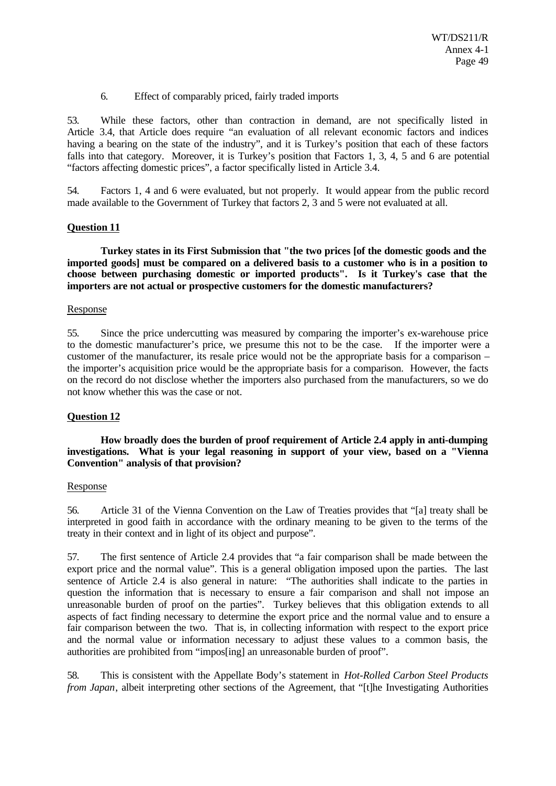6. Effect of comparably priced, fairly traded imports

53. While these factors, other than contraction in demand, are not specifically listed in Article 3.4, that Article does require "an evaluation of all relevant economic factors and indices having a bearing on the state of the industry", and it is Turkey's position that each of these factors falls into that category. Moreover, it is Turkey's position that Factors 1, 3, 4, 5 and 6 are potential "factors affecting domestic prices", a factor specifically listed in Article 3.4.

54. Factors 1, 4 and 6 were evaluated, but not properly. It would appear from the public record made available to the Government of Turkey that factors 2, 3 and 5 were not evaluated at all.

## **Question 11**

**Turkey states in its First Submission that "the two prices [of the domestic goods and the imported goods] must be compared on a delivered basis to a customer who is in a position to choose between purchasing domestic or imported products". Is it Turkey's case that the importers are not actual or prospective customers for the domestic manufacturers?**

## Response

55. Since the price undercutting was measured by comparing the importer's ex-warehouse price to the domestic manufacturer's price, we presume this not to be the case. If the importer were a customer of the manufacturer, its resale price would not be the appropriate basis for a comparison – the importer's acquisition price would be the appropriate basis for a comparison. However, the facts on the record do not disclose whether the importers also purchased from the manufacturers, so we do not know whether this was the case or not.

## **Question 12**

**How broadly does the burden of proof requirement of Article 2.4 apply in anti-dumping investigations. What is your legal reasoning in support of your view, based on a "Vienna Convention" analysis of that provision?**

## Response

56. Article 31 of the Vienna Convention on the Law of Treaties provides that "[a] treaty shall be interpreted in good faith in accordance with the ordinary meaning to be given to the terms of the treaty in their context and in light of its object and purpose".

57. The first sentence of Article 2.4 provides that "a fair comparison shall be made between the export price and the normal value". This is a general obligation imposed upon the parties. The last sentence of Article 2.4 is also general in nature: "The authorities shall indicate to the parties in question the information that is necessary to ensure a fair comparison and shall not impose an unreasonable burden of proof on the parties". Turkey believes that this obligation extends to all aspects of fact finding necessary to determine the export price and the normal value and to ensure a fair comparison between the two. That is, in collecting information with respect to the export price and the normal value or information necessary to adjust these values to a common basis, the authorities are prohibited from "impos[ing] an unreasonable burden of proof".

58. This is consistent with the Appellate Body's statement in *Hot-Rolled Carbon Steel Products from Japan*, albeit interpreting other sections of the Agreement, that "[t]he Investigating Authorities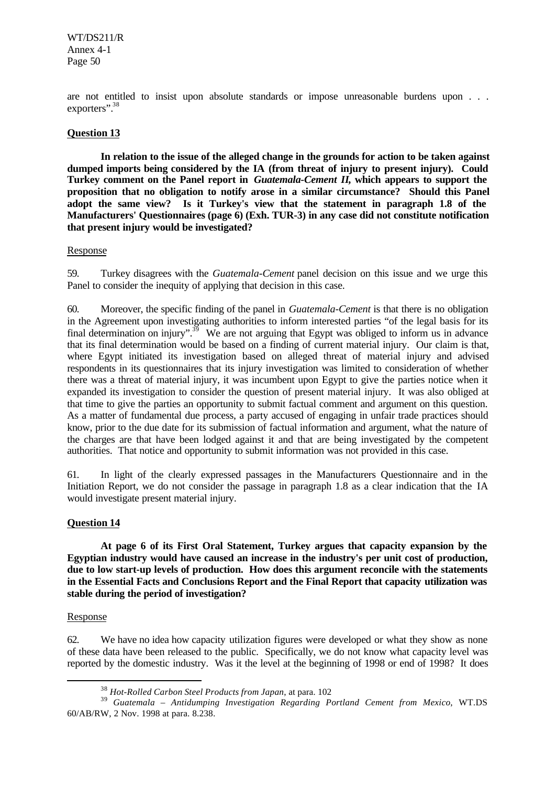WT/DS211/R Annex 4-1 Page 50

are not entitled to insist upon absolute standards or impose unreasonable burdens upon . . . exporters".<sup>38</sup>

#### **Question 13**

**In relation to the issue of the alleged change in the grounds for action to be taken against dumped imports being considered by the IA (from threat of injury to present injury). Could Turkey comment on the Panel report in** *Guatemala-Cement II***, which appears to support the proposition that no obligation to notify arose in a similar circumstance? Should this Panel adopt the same view? Is it Turkey's view that the statement in paragraph 1.8 of the Manufacturers' Questionnaires (page 6) (Exh. TUR-3) in any case did not constitute notification that present injury would be investigated?**

#### Response

59. Turkey disagrees with the *Guatemala-Cement* panel decision on this issue and we urge this Panel to consider the inequity of applying that decision in this case.

60. Moreover, the specific finding of the panel in *Guatemala-Cement* is that there is no obligation in the Agreement upon investigating authorities to inform interested parties "of the legal basis for its final determination on injury".<sup>39</sup> We are not arguing that Egypt was obliged to inform us in advance that its final determination would be based on a finding of current material injury. Our claim is that, where Egypt initiated its investigation based on alleged threat of material injury and advised respondents in its questionnaires that its injury investigation was limited to consideration of whether there was a threat of material injury, it was incumbent upon Egypt to give the parties notice when it expanded its investigation to consider the question of present material injury. It was also obliged at that time to give the parties an opportunity to submit factual comment and argument on this question. As a matter of fundamental due process, a party accused of engaging in unfair trade practices should know, prior to the due date for its submission of factual information and argument, what the nature of the charges are that have been lodged against it and that are being investigated by the competent authorities. That notice and opportunity to submit information was not provided in this case.

61. In light of the clearly expressed passages in the Manufacturers Questionnaire and in the Initiation Report, we do not consider the passage in paragraph 1.8 as a clear indication that the IA would investigate present material injury.

## **Question 14**

**At page 6 of its First Oral Statement, Turkey argues that capacity expansion by the Egyptian industry would have caused an increase in the industry's per unit cost of production, due to low start-up levels of production. How does this argument reconcile with the statements in the Essential Facts and Conclusions Report and the Final Report that capacity utilization was stable during the period of investigation?**

#### Response

l

62. We have no idea how capacity utilization figures were developed or what they show as none of these data have been released to the public. Specifically, we do not know what capacity level was reported by the domestic industry. Was it the level at the beginning of 1998 or end of 1998? It does

<sup>38</sup> *Hot-Rolled Carbon Steel Products from Japan*, at para. 102

<sup>39</sup> *Guatemala – Antidumping Investigation Regarding Portland Cement from Mexico*, WT.DS 60/AB/RW, 2 Nov. 1998 at para. 8.238.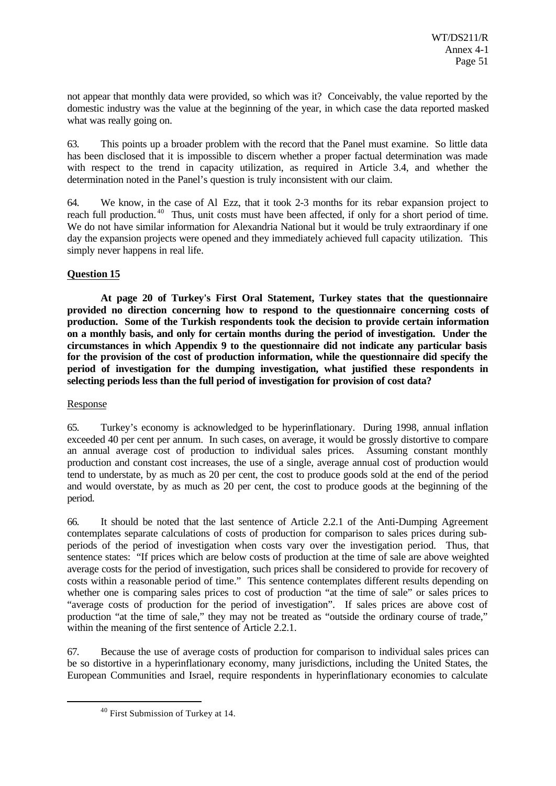not appear that monthly data were provided, so which was it? Conceivably, the value reported by the domestic industry was the value at the beginning of the year, in which case the data reported masked what was really going on.

63. This points up a broader problem with the record that the Panel must examine. So little data has been disclosed that it is impossible to discern whether a proper factual determination was made with respect to the trend in capacity utilization, as required in Article 3.4, and whether the determination noted in the Panel's question is truly inconsistent with our claim.

64. We know, in the case of Al Ezz, that it took 2-3 months for its rebar expansion project to reach full production.<sup>40</sup> Thus, unit costs must have been affected, if only for a short period of time. We do not have similar information for Alexandria National but it would be truly extraordinary if one day the expansion projects were opened and they immediately achieved full capacity utilization. This simply never happens in real life.

## **Question 15**

**At page 20 of Turkey's First Oral Statement, Turkey states that the questionnaire provided no direction concerning how to respond to the questionnaire concerning costs of production. Some of the Turkish respondents took the decision to provide certain information on a monthly basis, and only for certain months during the period of investigation. Under the circumstances in which Appendix 9 to the questionnaire did not indicate any particular basis for the provision of the cost of production information, while the questionnaire did specify the period of investigation for the dumping investigation, what justified these respondents in selecting periods less than the full period of investigation for provision of cost data?**

## Response

l

65. Turkey's economy is acknowledged to be hyperinflationary. During 1998, annual inflation exceeded 40 per cent per annum. In such cases, on average, it would be grossly distortive to compare an annual average cost of production to individual sales prices. Assuming constant monthly production and constant cost increases, the use of a single, average annual cost of production would tend to understate, by as much as 20 per cent, the cost to produce goods sold at the end of the period and would overstate, by as much as 20 per cent, the cost to produce goods at the beginning of the period.

66. It should be noted that the last sentence of Article 2.2.1 of the Anti-Dumping Agreement contemplates separate calculations of costs of production for comparison to sales prices during subperiods of the period of investigation when costs vary over the investigation period. Thus, that sentence states: "If prices which are below costs of production at the time of sale are above weighted average costs for the period of investigation, such prices shall be considered to provide for recovery of costs within a reasonable period of time." This sentence contemplates different results depending on whether one is comparing sales prices to cost of production "at the time of sale" or sales prices to "average costs of production for the period of investigation". If sales prices are above cost of production "at the time of sale," they may not be treated as "outside the ordinary course of trade," within the meaning of the first sentence of Article 2.2.1.

67. Because the use of average costs of production for comparison to individual sales prices can be so distortive in a hyperinflationary economy, many jurisdictions, including the United States, the European Communities and Israel, require respondents in hyperinflationary economies to calculate

<sup>40</sup> First Submission of Turkey at 14.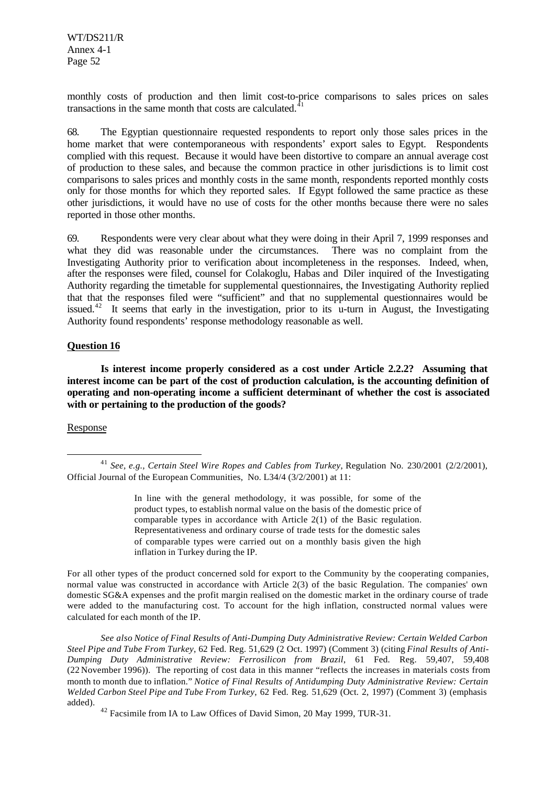WT/DS211/R Annex 4-1 Page 52

monthly costs of production and then limit cost-to-price comparisons to sales prices on sales transactions in the same month that costs are calculated. $41$ 

68. The Egyptian questionnaire requested respondents to report only those sales prices in the home market that were contemporaneous with respondents' export sales to Egypt. Respondents complied with this request. Because it would have been distortive to compare an annual average cost of production to these sales, and because the common practice in other jurisdictions is to limit cost comparisons to sales prices and monthly costs in the same month, respondents reported monthly costs only for those months for which they reported sales. If Egypt followed the same practice as these other jurisdictions, it would have no use of costs for the other months because there were no sales reported in those other months.

69. Respondents were very clear about what they were doing in their April 7, 1999 responses and what they did was reasonable under the circumstances. There was no complaint from the Investigating Authority prior to verification about incompleteness in the responses. Indeed, when, after the responses were filed, counsel for Colakoglu, Habas and Diler inquired of the Investigating Authority regarding the timetable for supplemental questionnaires, the Investigating Authority replied that that the responses filed were "sufficient" and that no supplemental questionnaires would be issued.<sup>42</sup> It seems that early in the investigation, prior to its u-turn in August, the Investigating Authority found respondents' response methodology reasonable as well.

#### **Question 16**

**Is interest income properly considered as a cost under Article 2.2.2? Assuming that interest income can be part of the cost of production calculation, is the accounting definition of operating and non-operating income a sufficient determinant of whether the cost is associated with or pertaining to the production of the goods?**

#### Response

l

For all other types of the product concerned sold for export to the Community by the cooperating companies, normal value was constructed in accordance with Article 2(3) of the basic Regulation. The companies' own domestic SG&A expenses and the profit margin realised on the domestic market in the ordinary course of trade were added to the manufacturing cost. To account for the high inflation, constructed normal values were calculated for each month of the IP.

*See also Notice of Final Results of Anti-Dumping Duty Administrative Review: Certain Welded Carbon Steel Pipe and Tube From Turkey*, 62 Fed. Reg. 51,629 (2 Oct. 1997) (Comment 3) (citing *Final Results of Anti-Dumping Duty Administrative Review: Ferrosilicon from Brazil*, 61 Fed. Reg. 59,407, 59,408 (22 November 1996)). The reporting of cost data in this manner "reflects the increases in materials costs from month to month due to inflation." *Notice of Final Results of Antidumping Duty Administrative Review: Certain Welded Carbon Steel Pipe and Tube From Turkey*, 62 Fed. Reg. 51,629 (Oct. 2, 1997) (Comment 3) (emphasis added).

<sup>42</sup> Facsimile from IA to Law Offices of David Simon, 20 May 1999, TUR-31.

<sup>41</sup> *See, e.g., Certain Steel Wire Ropes and Cables from Turkey*, Regulation No. 230/2001 (2/2/2001), Official Journal of the European Communities, No. L34/4 (3/2/2001) at 11:

In line with the general methodology, it was possible, for some of the product types, to establish normal value on the basis of the domestic price of comparable types in accordance with Article 2(1) of the Basic regulation. Representativeness and ordinary course of trade tests for the domestic sales of comparable types were carried out on a monthly basis given the high inflation in Turkey during the IP.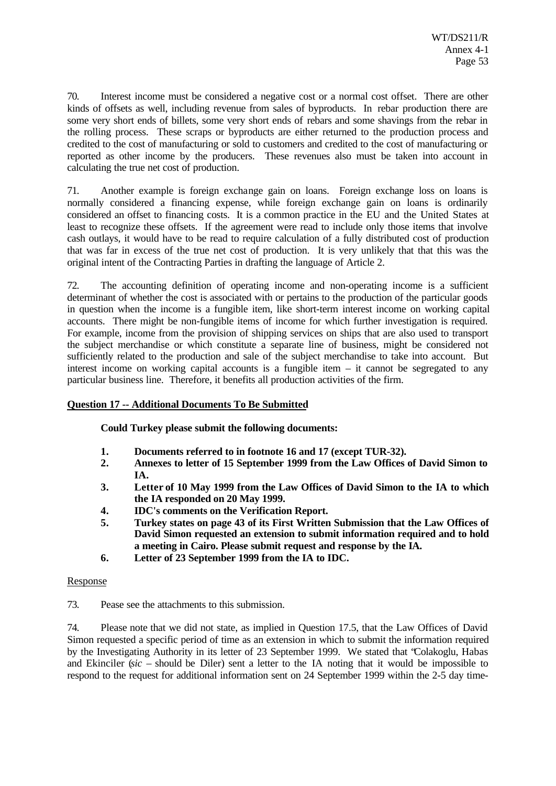70. Interest income must be considered a negative cost or a normal cost offset. There are other kinds of offsets as well, including revenue from sales of byproducts. In rebar production there are some very short ends of billets, some very short ends of rebars and some shavings from the rebar in the rolling process. These scraps or byproducts are either returned to the production process and credited to the cost of manufacturing or sold to customers and credited to the cost of manufacturing or reported as other income by the producers. These revenues also must be taken into account in calculating the true net cost of production.

71. Another example is foreign exchange gain on loans. Foreign exchange loss on loans is normally considered a financing expense, while foreign exchange gain on loans is ordinarily considered an offset to financing costs. It is a common practice in the EU and the United States at least to recognize these offsets. If the agreement were read to include only those items that involve cash outlays, it would have to be read to require calculation of a fully distributed cost of production that was far in excess of the true net cost of production. It is very unlikely that that this was the original intent of the Contracting Parties in drafting the language of Article 2.

72. The accounting definition of operating income and non-operating income is a sufficient determinant of whether the cost is associated with or pertains to the production of the particular goods in question when the income is a fungible item, like short-term interest income on working capital accounts. There might be non-fungible items of income for which further investigation is required. For example, income from the provision of shipping services on ships that are also used to transport the subject merchandise or which constitute a separate line of business, might be considered not sufficiently related to the production and sale of the subject merchandise to take into account. But interest income on working capital accounts is a fungible item – it cannot be segregated to any particular business line. Therefore, it benefits all production activities of the firm.

# **Question 17 -- Additional Documents To Be Submitted**

**Could Turkey please submit the following documents:**

- **1. Documents referred to in footnote 16 and 17 (except TUR-32).**
- **2. Annexes to letter of 15 September 1999 from the Law Offices of David Simon to IA.**
- **3. Letter of 10 May 1999 from the Law Offices of David Simon to the IA to which the IA responded on 20 May 1999.**
- **4. IDC's comments on the Verification Report.**
- **5. Turkey states on page 43 of its First Written Submission that the Law Offices of David Simon requested an extension to submit information required and to hold a meeting in Cairo. Please submit request and response by the IA.**
- **6. Letter of 23 September 1999 from the IA to IDC.**

## Response

73. Pease see the attachments to this submission.

74. Please note that we did not state, as implied in Question 17.5, that the Law Offices of David Simon requested a specific period of time as an extension in which to submit the information required by the Investigating Authority in its letter of 23 September 1999. We stated that "Colakoglu, Habas and Ekinciler (*sic* – should be Diler) sent a letter to the IA noting that it would be impossible to respond to the request for additional information sent on 24 September 1999 within the 2-5 day time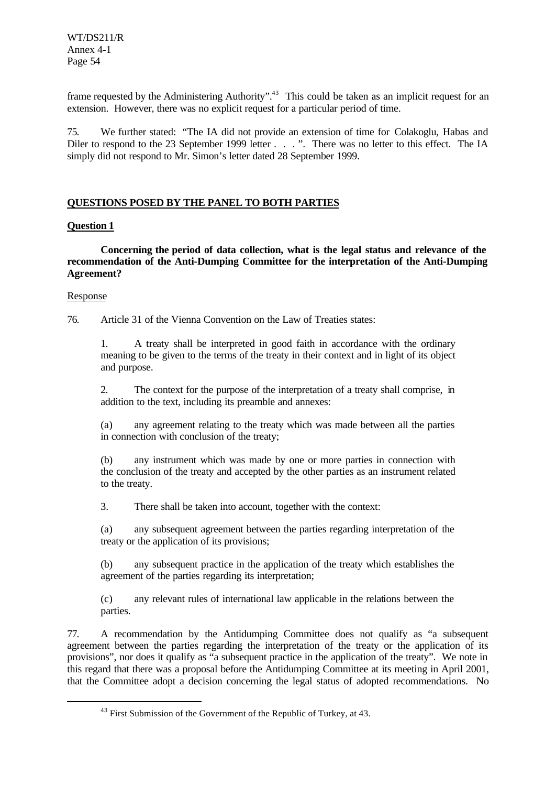frame requested by the Administering Authority".<sup>43</sup> This could be taken as an implicit request for an extension. However, there was no explicit request for a particular period of time.

75. We further stated: "The IA did not provide an extension of time for Colakoglu, Habas and Diler to respond to the 23 September 1999 letter . . . ". There was no letter to this effect. The IA simply did not respond to Mr. Simon's letter dated 28 September 1999.

## **QUESTIONS POSED BY THE PANEL TO BOTH PARTIES**

## **Question 1**

**Concerning the period of data collection, what is the legal status and relevance of the recommendation of the Anti-Dumping Committee for the interpretation of the Anti-Dumping Agreement?**

## Response

l

76. Article 31 of the Vienna Convention on the Law of Treaties states:

1. A treaty shall be interpreted in good faith in accordance with the ordinary meaning to be given to the terms of the treaty in their context and in light of its object and purpose.

2. The context for the purpose of the interpretation of a treaty shall comprise, in addition to the text, including its preamble and annexes:

(a) any agreement relating to the treaty which was made between all the parties in connection with conclusion of the treaty;

(b) any instrument which was made by one or more parties in connection with the conclusion of the treaty and accepted by the other parties as an instrument related to the treaty.

3. There shall be taken into account, together with the context:

(a) any subsequent agreement between the parties regarding interpretation of the treaty or the application of its provisions;

(b) any subsequent practice in the application of the treaty which establishes the agreement of the parties regarding its interpretation;

(c) any relevant rules of international law applicable in the relations between the parties.

77. A recommendation by the Antidumping Committee does not qualify as "a subsequent agreement between the parties regarding the interpretation of the treaty or the application of its provisions", nor does it qualify as "a subsequent practice in the application of the treaty". We note in this regard that there was a proposal before the Antidumping Committee at its meeting in April 2001, that the Committee adopt a decision concerning the legal status of adopted recommendations. No

<sup>&</sup>lt;sup>43</sup> First Submission of the Government of the Republic of Turkey, at 43.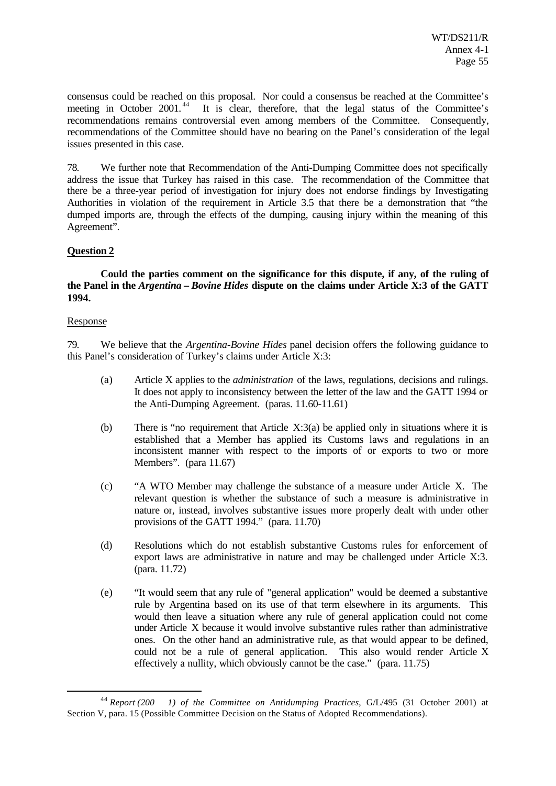consensus could be reached on this proposal. Nor could a consensus be reached at the Committee's meeting in October 2001.<sup>44</sup> It is clear, therefore, that the legal status of the Committee's recommendations remains controversial even among members of the Committee. Consequently, recommendations of the Committee should have no bearing on the Panel's consideration of the legal issues presented in this case.

78. We further note that Recommendation of the Anti-Dumping Committee does not specifically address the issue that Turkey has raised in this case. The recommendation of the Committee that there be a three-year period of investigation for injury does not endorse findings by Investigating Authorities in violation of the requirement in Article 3.5 that there be a demonstration that "the dumped imports are, through the effects of the dumping, causing injury within the meaning of this Agreement".

## **Question 2**

**Could the parties comment on the significance for this dispute, if any, of the ruling of the Panel in the** *Argentina – Bovine Hides* **dispute on the claims under Article X:3 of the GATT 1994.**

#### Response

l

79. We believe that the *Argentina-Bovine Hides* panel decision offers the following guidance to this Panel's consideration of Turkey's claims under Article X:3:

- (a) Article X applies to the *administration* of the laws, regulations, decisions and rulings. It does not apply to inconsistency between the letter of the law and the GATT 1994 or the Anti-Dumping Agreement. (paras. 11.60-11.61)
- (b) There is "no requirement that Article  $X:3(a)$  be applied only in situations where it is established that a Member has applied its Customs laws and regulations in an inconsistent manner with respect to the imports of or exports to two or more Members". (para 11.67)
- (c) "A WTO Member may challenge the substance of a measure under Article X. The relevant question is whether the substance of such a measure is administrative in nature or, instead, involves substantive issues more properly dealt with under other provisions of the GATT 1994." (para. 11.70)
- (d) Resolutions which do not establish substantive Customs rules for enforcement of export laws are administrative in nature and may be challenged under Article X:3. (para. 11.72)
- (e) "It would seem that any rule of "general application" would be deemed a substantive rule by Argentina based on its use of that term elsewhere in its arguments. This would then leave a situation where any rule of general application could not come under Article X because it would involve substantive rules rather than administrative ones. On the other hand an administrative rule, as that would appear to be defined, could not be a rule of general application. This also would render Article X effectively a nullity, which obviously cannot be the case." (para. 11.75)

<sup>44</sup> *Report (200 1) of the Committee on Antidumping Practices*, G/L/495 (31 October 2001) at Section V, para. 15 (Possible Committee Decision on the Status of Adopted Recommendations).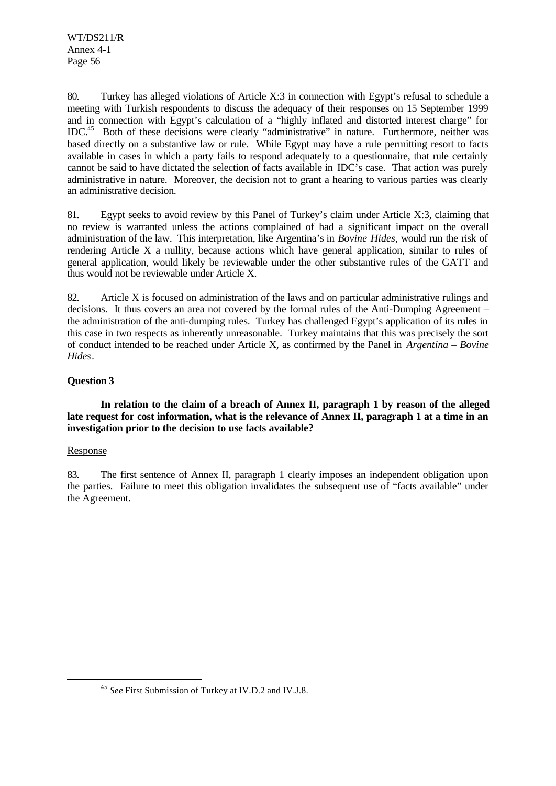80. Turkey has alleged violations of Article X:3 in connection with Egypt's refusal to schedule a meeting with Turkish respondents to discuss the adequacy of their responses on 15 September 1999 and in connection with Egypt's calculation of a "highly inflated and distorted interest charge" for IDC.<sup>45</sup> Both of these decisions were clearly "administrative" in nature. Furthermore, neither was based directly on a substantive law or rule. While Egypt may have a rule permitting resort to facts available in cases in which a party fails to respond adequately to a questionnaire, that rule certainly cannot be said to have dictated the selection of facts available in IDC's case. That action was purely administrative in nature. Moreover, the decision not to grant a hearing to various parties was clearly an administrative decision.

81. Egypt seeks to avoid review by this Panel of Turkey's claim under Article X:3, claiming that no review is warranted unless the actions complained of had a significant impact on the overall administration of the law. This interpretation, like Argentina's in *Bovine Hides*, would run the risk of rendering Article X a nullity, because actions which have general application, similar to rules of general application, would likely be reviewable under the other substantive rules of the GATT and thus would not be reviewable under Article X.

82. Article X is focused on administration of the laws and on particular administrative rulings and decisions. It thus covers an area not covered by the formal rules of the Anti-Dumping Agreement – the administration of the anti-dumping rules. Turkey has challenged Egypt's application of its rules in this case in two respects as inherently unreasonable. Turkey maintains that this was precisely the sort of conduct intended to be reached under Article X, as confirmed by the Panel in *Argentina – Bovine Hides*.

# **Question 3**

**In relation to the claim of a breach of Annex II, paragraph 1 by reason of the alleged late request for cost information, what is the relevance of Annex II, paragraph 1 at a time in an investigation prior to the decision to use facts available?**

# Response

l

83. The first sentence of Annex II, paragraph 1 clearly imposes an independent obligation upon the parties. Failure to meet this obligation invalidates the subsequent use of "facts available" under the Agreement.

<sup>45</sup> *See* First Submission of Turkey at IV.D.2 and IV.J.8.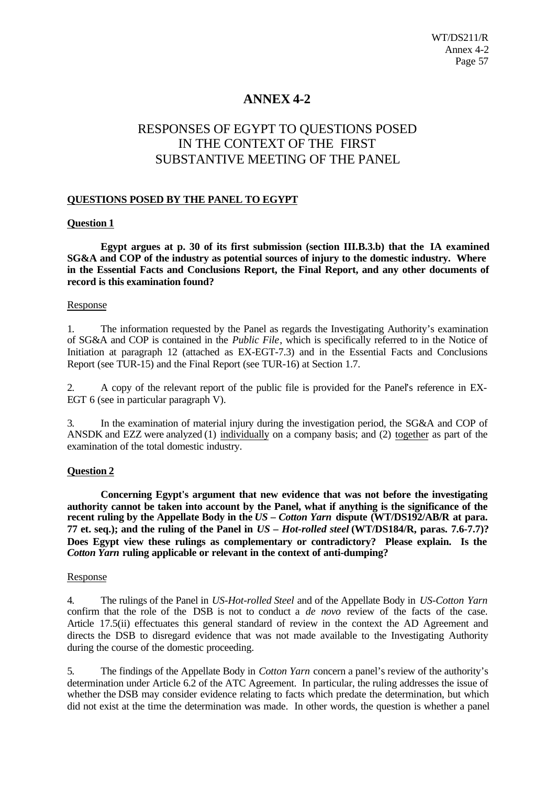# **ANNEX 4-2**

# RESPONSES OF EGYPT TO QUESTIONS POSED IN THE CONTEXT OF THE FIRST SUBSTANTIVE MEETING OF THE PANEL

## **QUESTIONS POSED BY THE PANEL TO EGYPT**

#### **Question 1**

**Egypt argues at p. 30 of its first submission (section III.B.3.b) that the IA examined SG&A and COP of the industry as potential sources of injury to the domestic industry. Where in the Essential Facts and Conclusions Report, the Final Report, and any other documents of record is this examination found?**

#### Response

1. The information requested by the Panel as regards the Investigating Authority's examination of SG&A and COP is contained in the *Public File*, which is specifically referred to in the Notice of Initiation at paragraph 12 (attached as EX-EGT-7.3) and in the Essential Facts and Conclusions Report (see TUR-15) and the Final Report (see TUR-16) at Section 1.7.

2. A copy of the relevant report of the public file is provided for the Panel's reference in EX-EGT 6 (see in particular paragraph V).

3. In the examination of material injury during the investigation period, the SG&A and COP of ANSDK and EZZ were analyzed (1) individually on a company basis; and (2) together as part of the examination of the total domestic industry.

## **Question 2**

**Concerning Egypt's argument that new evidence that was not before the investigating authority cannot be taken into account by the Panel, what if anything is the significance of the recent ruling by the Appellate Body in the** *US – Cotton Yarn* **dispute (WT/DS192/AB/R at para. 77 et. seq.); and the ruling of the Panel in** *US – Hot-rolled steel* **(WT/DS184/R, paras. 7.6-7.7)? Does Egypt view these rulings as complementary or contradictory? Please explain. Is the** *Cotton Yarn* **ruling applicable or relevant in the context of anti-dumping?**

#### Response

4. The rulings of the Panel in *US-Hot-rolled Steel* and of the Appellate Body in *US-Cotton Yarn* confirm that the role of the DSB is not to conduct a *de novo* review of the facts of the case. Article 17.5(ii) effectuates this general standard of review in the context the AD Agreement and directs the DSB to disregard evidence that was not made available to the Investigating Authority during the course of the domestic proceeding.

5. The findings of the Appellate Body in *Cotton Yarn* concern a panel's review of the authority's determination under Article 6.2 of the ATC Agreement. In particular, the ruling addresses the issue of whether the DSB may consider evidence relating to facts which predate the determination, but which did not exist at the time the determination was made. In other words, the question is whether a panel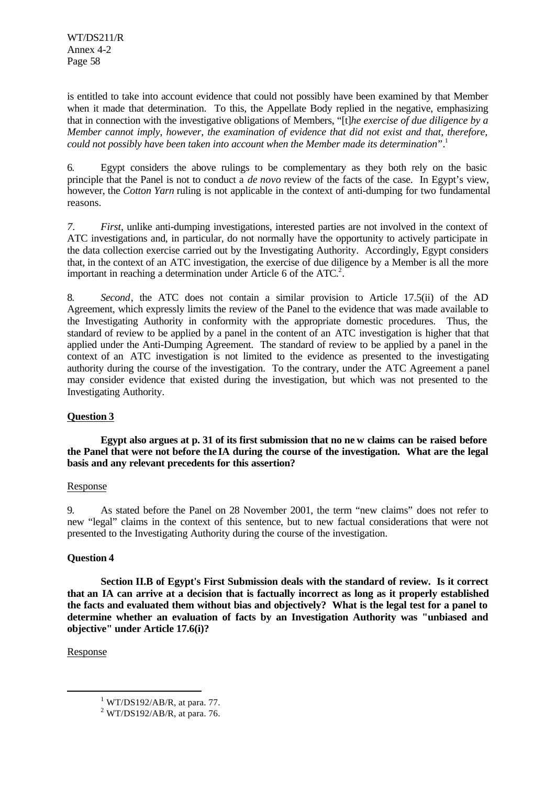is entitled to take into account evidence that could not possibly have been examined by that Member when it made that determination. To this, the Appellate Body replied in the negative, emphasizing that in connection with the investigative obligations of Members, "[t]*he exercise of due diligence by a Member cannot imply, however, the examination of evidence that did not exist and that, therefore, could not possibly have been taken into account when the Member made its determination*".<sup>1</sup>

6. Egypt considers the above rulings to be complementary as they both rely on the basic principle that the Panel is not to conduct a *de novo* review of the facts of the case. In Egypt's view, however, the *Cotton Yarn* ruling is not applicable in the context of anti-dumping for two fundamental reasons.

*7. First*, unlike anti-dumping investigations, interested parties are not involved in the context of ATC investigations and, in particular, do not normally have the opportunity to actively participate in the data collection exercise carried out by the Investigating Authority. Accordingly, Egypt considers that, in the context of an ATC investigation, the exercise of due diligence by a Member is all the more important in reaching a determination under Article 6 of the ATC.<sup>2</sup>.

8. *Second*, the ATC does not contain a similar provision to Article 17.5(ii) of the AD Agreement, which expressly limits the review of the Panel to the evidence that was made available to the Investigating Authority in conformity with the appropriate domestic procedures. Thus, the standard of review to be applied by a panel in the content of an ATC investigation is higher that that applied under the Anti-Dumping Agreement. The standard of review to be applied by a panel in the context of an ATC investigation is not limited to the evidence as presented to the investigating authority during the course of the investigation. To the contrary, under the ATC Agreement a panel may consider evidence that existed during the investigation, but which was not presented to the Investigating Authority.

# **Question 3**

**Egypt also argues at p. 31 of its first submission that no ne w claims can be raised before the Panel that were not before the IA during the course of the investigation. What are the legal basis and any relevant precedents for this assertion?**

# Response

9. As stated before the Panel on 28 November 2001, the term "new claims" does not refer to new "legal" claims in the context of this sentence, but to new factual considerations that were not presented to the Investigating Authority during the course of the investigation.

# **Question 4**

**Section II.B of Egypt's First Submission deals with the standard of review. Is it correct that an IA can arrive at a decision that is factually incorrect as long as it properly established the facts and evaluated them without bias and objectively? What is the legal test for a panel to determine whether an evaluation of facts by an Investigation Authority was "unbiased and objective" under Article 17.6(i)?**

Response

l

 $1$  WT/DS192/AB/R, at para. 77.

 $2$  WT/DS192/AB/R, at para. 76.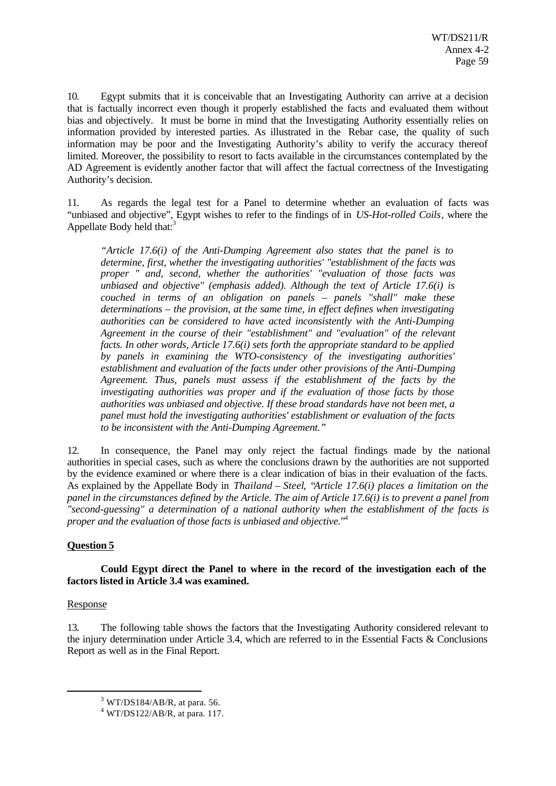10. Egypt submits that it is conceivable that an Investigating Authority can arrive at a decision that is factually incorrect even though it properly established the facts and evaluated them without bias and objectively. It must be borne in mind that the Investigating Authority essentially relies on information provided by interested parties. As illustrated in the Rebar case, the quality of such information may be poor and the Investigating Authority's ability to verify the accuracy thereof limited. Moreover, the possibility to resort to facts available in the circumstances contemplated by the AD Agreement is evidently another factor that will affect the factual correctness of the Investigating Authority's decision.

11. As regards the legal test for a Panel to determine whether an evaluation of facts was "unbiased and objective", Egypt wishes to refer to the findings of in *US-Hot-rolled Coils*, where the Appellate Body held that: $3$ 

*"Article 17.6(i) of the Anti-Dumping Agreement also states that the panel is to determine, first, whether the investigating authorities' "establishment of the facts was proper " and, second, whether the authorities' "evaluation of those facts was unbiased and objective" (emphasis added). Although the text of Article 17.6(i) is couched in terms of an obligation on panels – panels "shall" make these determinations – the provision, at the same time, in effect defines when investigating authorities can be considered to have acted inconsistently with the Anti-Dumping Agreement in the course of their "establishment" and "evaluation" of the relevant facts. In other words, Article 17.6(i) sets forth the appropriate standard to be applied by panels in examining the WTO-consistency of the investigating authorities' establishment and evaluation of the facts under other provisions of the Anti-Dumping Agreement. Thus, panels must assess if the establishment of the facts by the investigating authorities was proper and if the evaluation of those facts by those authorities was unbiased and objective. If these broad standards have not been met, a panel must hold the investigating authorities' establishment or evaluation of the facts to be inconsistent with the Anti-Dumping Agreement."*

12. In consequence, the Panel may only reject the factual findings made by the national authorities in special cases, such as where the conclusions drawn by the authorities are not supported by the evidence examined or where there is a clear indication of bias in their evaluation of the facts. As explained by the Appellate Body in *Thailand – Steel*, "*Article 17.6(i) places a limitation on the panel in the circumstances defined by the Article. The aim of Article 17.6(i) is to prevent a panel from "second-guessing" a determination of a national authority when the establishment of the facts is proper and the evaluation of those facts is unbiased and objective.*" 4

# **Question 5**

**Could Egypt direct the Panel to where in the record of the investigation each of the factors listed in Article 3.4 was examined.**

## Response

l

13. The following table shows the factors that the Investigating Authority considered relevant to the injury determination under Article 3.4, which are referred to in the Essential Facts & Conclusions Report as well as in the Final Report.

 $3$  WT/DS184/AB/R, at para. 56.

<sup>4</sup> WT/DS122/AB/R, at para. 117.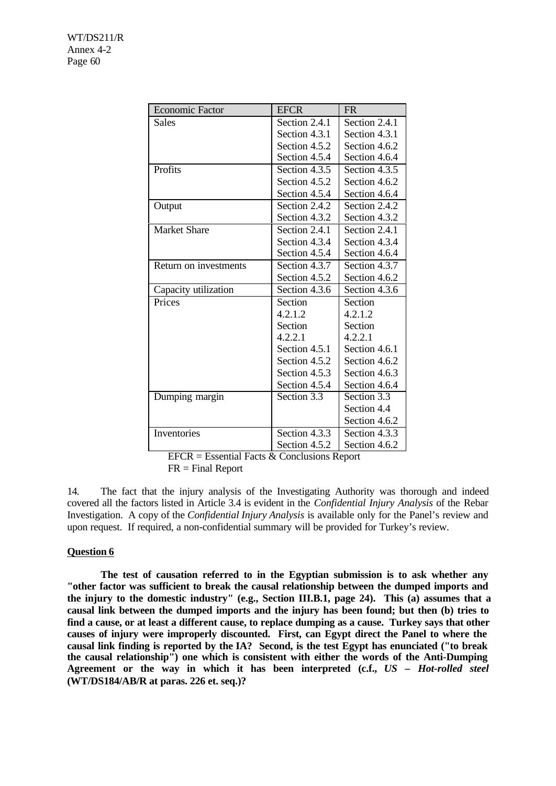| <b>Economic Factor</b> | <b>EFCR</b>   | <b>FR</b>     |
|------------------------|---------------|---------------|
| <b>Sales</b>           | Section 2.4.1 | Section 2.4.1 |
|                        | Section 4.3.1 | Section 4.3.1 |
|                        | Section 4.5.2 | Section 4.6.2 |
|                        | Section 4.5.4 | Section 4.6.4 |
| Profits                | Section 4.3.5 | Section 4.3.5 |
|                        | Section 4.5.2 | Section 4.6.2 |
|                        | Section 4.5.4 | Section 4.6.4 |
| Output                 | Section 2.4.2 | Section 2.4.2 |
|                        | Section 4.3.2 | Section 4.3.2 |
| <b>Market Share</b>    | Section 2.4.1 | Section 2.4.1 |
|                        | Section 4.3.4 | Section 4.3.4 |
|                        | Section 4.5.4 | Section 4.6.4 |
| Return on investments  | Section 4.3.7 | Section 4.3.7 |
|                        | Section 4.5.2 | Section 4.6.2 |
| Capacity utilization   | Section 4.3.6 | Section 4.3.6 |
| Prices                 | Section       | Section       |
|                        | 4.2.1.2       | 4.2.1.2       |
|                        | Section       | Section       |
|                        | 4.2.2.1       | 4.2.2.1       |
|                        | Section 4.5.1 | Section 4.6.1 |
|                        | Section 4.5.2 | Section 4.6.2 |
|                        | Section 4.5.3 | Section 4.6.3 |
|                        | Section 4.5.4 | Section 4.6.4 |
| Dumping margin         | Section 3.3   | Section 3.3   |
|                        |               | Section 4.4   |
|                        |               | Section 4.6.2 |
| Inventories            | Section 4.3.3 | Section 4.3.3 |
|                        | Section 4.5.2 | Section 4.6.2 |

EFCR = Essential Facts & Conclusions Report FR = Final Report

14. The fact that the injury analysis of the Investigating Authority was thorough and indeed covered all the factors listed in Article 3.4 is evident in the *Confidential Injury Analysis* of the Rebar Investigation. A copy of the *Confidential Injury Analysis* is available only for the Panel's review and upon request. If required, a non-confidential summary will be provided for Turkey's review.

## **Question 6**

**The test of causation referred to in the Egyptian submission is to ask whether any "other factor was sufficient to break the causal relationship between the dumped imports and the injury to the domestic industry" (e.g., Section III.B.1, page 24). This (a) assumes that a causal link between the dumped imports and the injury has been found; but then (b) tries to find a cause, or at least a different cause, to replace dumping as a cause. Turkey says that other causes of injury were improperly discounted. First, can Egypt direct the Panel to where the causal link finding is reported by the IA? Second, is the test Egypt has enunciated ("to break the causal relationship") one which is consistent with either the words of the Anti-Dumping Agreement or the way in which it has been interpreted (c.f.,** *US – Hot-rolled steel* **(WT/DS184/AB/R at paras. 226 et. seq.)?**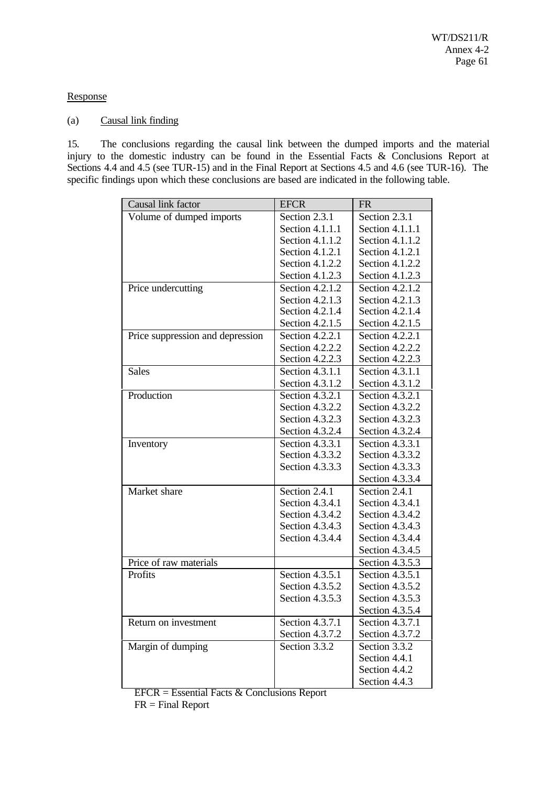# Response

# (a) Causal link finding

15. The conclusions regarding the causal link between the dumped imports and the material injury to the domestic industry can be found in the Essential Facts & Conclusions Report at Sections 4.4 and 4.5 (see TUR-15) and in the Final Report at Sections 4.5 and 4.6 (see TUR-16). The specific findings upon which these conclusions are based are indicated in the following table.

| Causal link factor               | <b>EFCR</b>       | <b>FR</b>       |
|----------------------------------|-------------------|-----------------|
| Volume of dumped imports         | Section 2.3.1     | Section 2.3.1   |
|                                  | Section 4.1.1.1   | Section 4.1.1.1 |
|                                  | Section 4.1.1.2   | Section 4.1.1.2 |
|                                  | Section 4.1.2.1   | Section 4.1.2.1 |
|                                  | Section 4.1.2.2   | Section 4.1.2.2 |
|                                  | Section 4.1.2.3   | Section 4.1.2.3 |
| Price undercutting               | Section 4.2.1.2   | Section 4.2.1.2 |
|                                  | Section 4.2.1.3   | Section 4.2.1.3 |
|                                  | Section 4.2.1.4   | Section 4.2.1.4 |
|                                  | Section 4.2.1.5   | Section 4.2.1.5 |
| Price suppression and depression | Section 4.2.2.1   | Section 4.2.2.1 |
|                                  | Section 4.2.2.2   | Section 4.2.2.2 |
|                                  | Section 4.2.2.3   | Section 4.2.2.3 |
| <b>Sales</b>                     | Section 4.3.1.1   | Section 4.3.1.1 |
|                                  | Section 4.3.1.2   | Section 4.3.1.2 |
| Production                       | Section $4.3.2.1$ | Section 4.3.2.1 |
|                                  | Section 4.3.2.2   | Section 4.3.2.2 |
|                                  | Section 4.3.2.3   | Section 4.3.2.3 |
|                                  | Section 4.3.2.4   | Section 4.3.2.4 |
| Inventory                        | Section 4.3.3.1   | Section 4.3.3.1 |
|                                  | Section 4.3.3.2   | Section 4.3.3.2 |
|                                  | Section 4.3.3.3   | Section 4.3.3.3 |
|                                  |                   | Section 4.3.3.4 |
| Market share                     | Section 2.4.1     | Section 2.4.1   |
|                                  | Section 4.3.4.1   | Section 4.3.4.1 |
|                                  | Section 4.3.4.2   | Section 4.3.4.2 |
|                                  | Section 4.3.4.3   | Section 4.3.4.3 |
|                                  | Section 4.3.4.4   | Section 4.3.4.4 |
|                                  |                   | Section 4.3.4.5 |
| Price of raw materials           |                   | Section 4.3.5.3 |
| Profits                          | Section 4.3.5.1   | Section 4.3.5.1 |
|                                  | Section 4.3.5.2   | Section 4.3.5.2 |
|                                  | Section 4.3.5.3   | Section 4.3.5.3 |
|                                  |                   | Section 4.3.5.4 |
| Return on investment             | Section 4.3.7.1   | Section 4.3.7.1 |
|                                  | Section 4.3.7.2   | Section 4.3.7.2 |
| Margin of dumping                | Section 3.3.2     | Section 3.3.2   |
|                                  |                   | Section 4.4.1   |
|                                  |                   | Section 4.4.2   |
|                                  |                   | Section 4.4.3   |

EFCR = Essential Facts & Conclusions Report FR = Final Report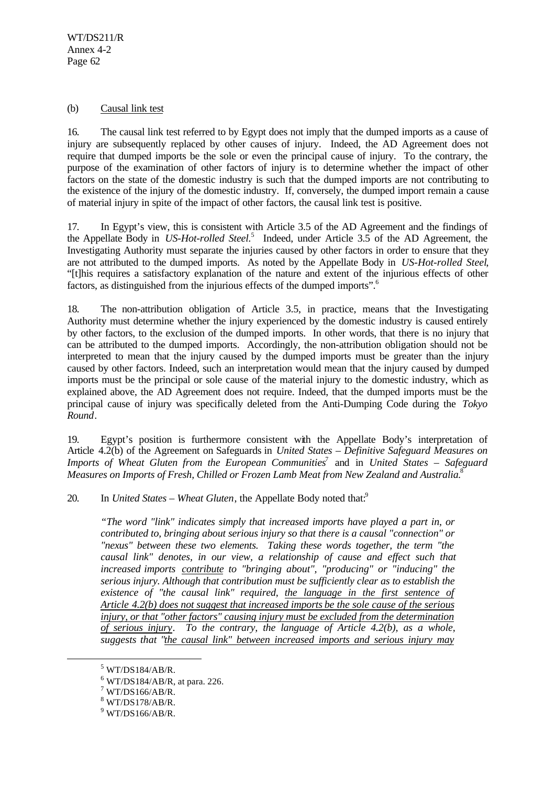## (b) Causal link test

16. The causal link test referred to by Egypt does not imply that the dumped imports as a cause of injury are subsequently replaced by other causes of injury. Indeed, the AD Agreement does not require that dumped imports be the sole or even the principal cause of injury. To the contrary, the purpose of the examination of other factors of injury is to determine whether the impact of other factors on the state of the domestic industry is such that the dumped imports are not contributing to the existence of the injury of the domestic industry. If, conversely, the dumped import remain a cause of material injury in spite of the impact of other factors, the causal link test is positive.

17. In Egypt's view, this is consistent with Article 3.5 of the AD Agreement and the findings of the Appellate Body in *US-Hot-rolled Steel.*<sup>5</sup> Indeed, under Article 3.5 of the AD Agreement, the Investigating Authority must separate the injuries caused by other factors in order to ensure that they are not attributed to the dumped imports. As noted by the Appellate Body in *US-Hot-rolled Steel*, "[t]his requires a satisfactory explanation of the nature and extent of the injurious effects of other factors, as distinguished from the injurious effects of the dumped imports".<sup>6</sup>

18. The non-attribution obligation of Article 3.5, in practice, means that the Investigating Authority must determine whether the injury experienced by the domestic industry is caused entirely by other factors, to the exclusion of the dumped imports. In other words, that there is no injury that can be attributed to the dumped imports. Accordingly, the non-attribution obligation should not be interpreted to mean that the injury caused by the dumped imports must be greater than the injury caused by other factors. Indeed, such an interpretation would mean that the injury caused by dumped imports must be the principal or sole cause of the material injury to the domestic industry, which as explained above, the AD Agreement does not require. Indeed, that the dumped imports must be the principal cause of injury was specifically deleted from the Anti-Dumping Code during the *Tokyo Round*.

19. Egypt's position is furthermore consistent with the Appellate Body's interpretation of Article 4.2(b) of the Agreement on Safeguards in *United States – Definitive Safeguard Measures on Imports of Wheat Gluten from the European Communities*<sup>7</sup> and in *United States – Safeguard Measures on Imports of Fresh, Chilled or Frozen Lamb Meat from New Zealand and Australia.*<sup>8</sup>

20. In *United States – Wheat Gluten*, the Appellate Body noted that:<sup>9</sup>

*"The word "link" indicates simply that increased imports have played a part in, or contributed to, bringing about serious injury so that there is a causal "connection" or "nexus" between these two elements. Taking these words together, the term "the causal link" denotes, in our view, a relationship of cause and effect such that increased imports contribute to "bringing about", "producing" or "inducing" the serious injury. Although that contribution must be sufficiently clear as to establish the existence of "the causal link" required, the language in the first sentence of Article 4.2(b) does not suggest that increased imports be the sole cause of the serious injury, or that "other factors" causing injury must be excluded from the determination of serious injury. To the contrary, the language of Article 4.2(b), as a whole, suggests that "the causal link" between increased imports and serious injury may*

l

 $5$  WT/DS184/AB/R.

 $6$  WT/DS184/AB/R, at para. 226.

 $7$  WT/DS166/AB/R.

 $8$  WT/DS178/AB/R.

 $9$  WT/DS166/AB/R.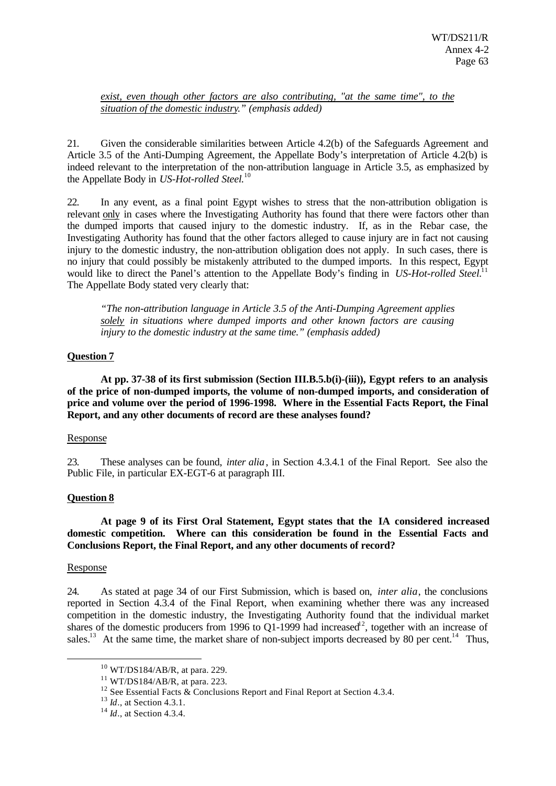*exist, even though other factors are also contributing, "at the same time", to the situation of the domestic industry." (emphasis added)*

21. Given the considerable similarities between Article 4.2(b) of the Safeguards Agreement and Article 3.5 of the Anti-Dumping Agreement, the Appellate Body's interpretation of Article 4.2(b) is indeed relevant to the interpretation of the non-attribution language in Article 3.5, as emphasized by the Appellate Body in *US-Hot-rolled Steel.*<sup>10</sup>

22. In any event, as a final point Egypt wishes to stress that the non-attribution obligation is relevant only in cases where the Investigating Authority has found that there were factors other than the dumped imports that caused injury to the domestic industry. If, as in the Rebar case, the Investigating Authority has found that the other factors alleged to cause injury are in fact not causing injury to the domestic industry, the non-attribution obligation does not apply. In such cases, there is no injury that could possibly be mistakenly attributed to the dumped imports. In this respect, Egypt would like to direct the Panel's attention to the Appellate Body's finding in *US-Hot-rolled Steel*.<sup>1</sup> The Appellate Body stated very clearly that:

*"The non-attribution language in Article 3.5 of the Anti-Dumping Agreement applies solely in situations where dumped imports and other known factors are causing injury to the domestic industry at the same time." (emphasis added)*

## **Question 7**

**At pp. 37-38 of its first submission (Section III.B.5.b(i)-(iii)), Egypt refers to an analysis of the price of non-dumped imports, the volume of non-dumped imports, and consideration of price and volume over the period of 1996-1998. Where in the Essential Facts Report, the Final Report, and any other documents of record are these analyses found?**

#### Response

23. These analyses can be found, *inter alia*, in Section 4.3.4.1 of the Final Report. See also the Public File, in particular EX-EGT-6 at paragraph III.

## **Question 8**

## **At page 9 of its First Oral Statement, Egypt states that the IA considered increased domestic competition. Where can this consideration be found in the Essential Facts and Conclusions Report, the Final Report, and any other documents of record?**

#### Response

l

24. As stated at page 34 of our First Submission, which is based on, *inter alia*, the conclusions reported in Section 4.3.4 of the Final Report, when examining whether there was any increased competition in the domestic industry, the Investigating Authority found that the individual market shares of the domestic producers from 1996 to Q1-1999 had increased<sup>12</sup>, together with an increase of sales.<sup>13</sup> At the same time, the market share of non-subject imports decreased by 80 per cent.<sup>14</sup> Thus,

<sup>10</sup> WT/DS184/AB/R, at para. 229.

<sup>11</sup> WT/DS184/AB/R, at para. 223.

<sup>&</sup>lt;sup>12</sup> See Essential Facts  $\&$  Conclusions Report and Final Report at Section 4.3.4.

<sup>13</sup> *Id*., at Section 4.3.1.

<sup>14</sup> *Id*., at Section 4.3.4.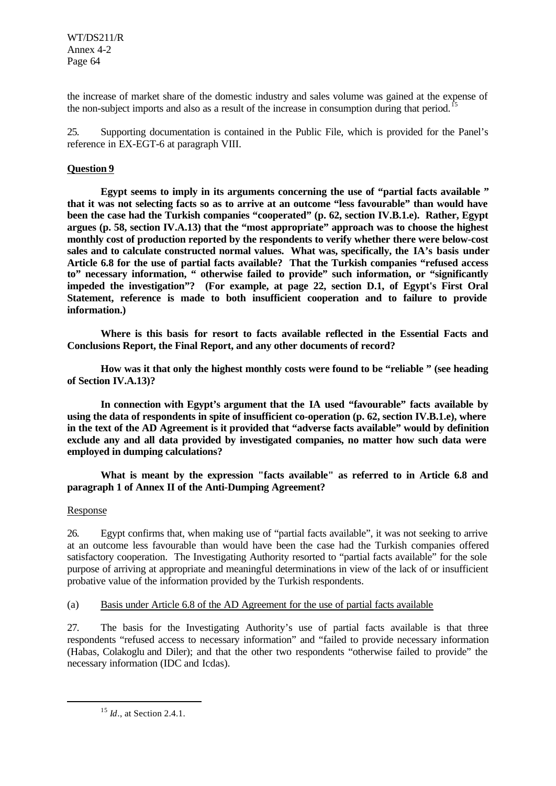WT/DS211/R Annex 4-2 Page 64

the increase of market share of the domestic industry and sales volume was gained at the expense of the non-subject imports and also as a result of the increase in consumption during that period.<sup>15</sup>

25. Supporting documentation is contained in the Public File, which is provided for the Panel's reference in EX-EGT-6 at paragraph VIII.

## **Question 9**

**Egypt seems to imply in its arguments concerning the use of "partial facts available " that it was not selecting facts so as to arrive at an outcome "less favourable" than would have been the case had the Turkish companies "cooperated" (p. 62, section IV.B.1.e). Rather, Egypt argues (p. 58, section IV.A.13) that the "most appropriate" approach was to choose the highest monthly cost of production reported by the respondents to verify whether there were below-cost sales and to calculate constructed normal values. What was, specifically, the IA's basis under Article 6.8 for the use of partial facts available? That the Turkish companies "refused access to" necessary information, " otherwise failed to provide" such information, or "significantly impeded the investigation"? (For example, at page 22, section D.1, of Egypt's First Oral Statement, reference is made to both insufficient cooperation and to failure to provide information.)**

**Where is this basis for resort to facts available reflected in the Essential Facts and Conclusions Report, the Final Report, and any other documents of record?**

**How was it that only the highest monthly costs were found to be "reliable " (see heading of Section IV.A.13)?**

**In connection with Egypt's argument that the IA used "favourable" facts available by using the data of respondents in spite of insufficient co-operation (p. 62, section IV.B.1.e), where in the text of the AD Agreement is it provided that "adverse facts available" would by definition exclude any and all data provided by investigated companies, no matter how such data were employed in dumping calculations?**

**What is meant by the expression "facts available" as referred to in Article 6.8 and paragraph 1 of Annex II of the Anti-Dumping Agreement?**

## Response

l

26. Egypt confirms that, when making use of "partial facts available", it was not seeking to arrive at an outcome less favourable than would have been the case had the Turkish companies offered satisfactory cooperation. The Investigating Authority resorted to "partial facts available" for the sole purpose of arriving at appropriate and meaningful determinations in view of the lack of or insufficient probative value of the information provided by the Turkish respondents.

(a) Basis under Article 6.8 of the AD Agreement for the use of partial facts available

27. The basis for the Investigating Authority's use of partial facts available is that three respondents "refused access to necessary information" and "failed to provide necessary information (Habas, Colakoglu and Diler); and that the other two respondents "otherwise failed to provide" the necessary information (IDC and Icdas).

<sup>15</sup> *Id*., at Section 2.4.1.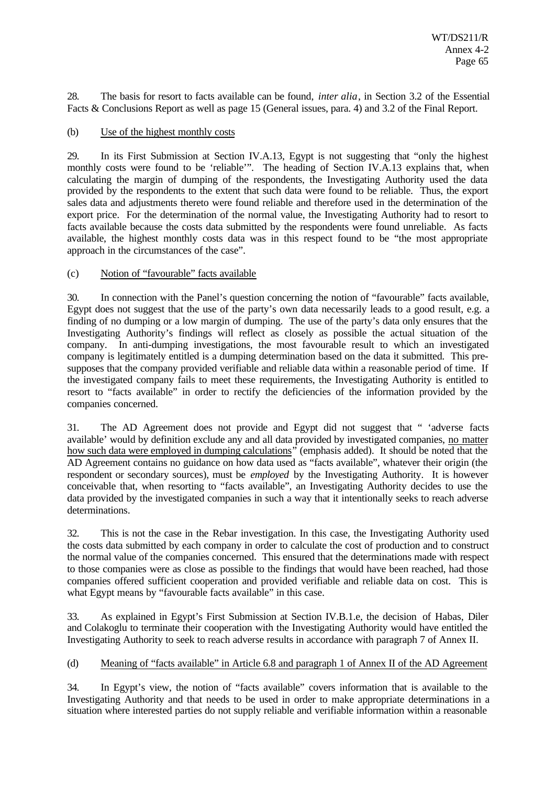28. The basis for resort to facts available can be found, *inter alia*, in Section 3.2 of the Essential Facts & Conclusions Report as well as page 15 (General issues, para. 4) and 3.2 of the Final Report.

## (b) Use of the highest monthly costs

29. In its First Submission at Section IV.A.13, Egypt is not suggesting that "only the highest monthly costs were found to be 'reliable'". The heading of Section IV.A.13 explains that, when calculating the margin of dumping of the respondents, the Investigating Authority used the data provided by the respondents to the extent that such data were found to be reliable. Thus, the export sales data and adjustments thereto were found reliable and therefore used in the determination of the export price. For the determination of the normal value, the Investigating Authority had to resort to facts available because the costs data submitted by the respondents were found unreliable. As facts available, the highest monthly costs data was in this respect found to be "the most appropriate approach in the circumstances of the case".

## (c) Notion of "favourable" facts available

30. In connection with the Panel's question concerning the notion of "favourable" facts available, Egypt does not suggest that the use of the party's own data necessarily leads to a good result, e.g. a finding of no dumping or a low margin of dumping. The use of the party's data only ensures that the Investigating Authority's findings will reflect as closely as possible the actual situation of the company. In anti-dumping investigations, the most favourable result to which an investigated company is legitimately entitled is a dumping determination based on the data it submitted. This presupposes that the company provided verifiable and reliable data within a reasonable period of time. If the investigated company fails to meet these requirements, the Investigating Authority is entitled to resort to "facts available" in order to rectify the deficiencies of the information provided by the companies concerned.

31. The AD Agreement does not provide and Egypt did not suggest that " 'adverse facts available' would by definition exclude any and all data provided by investigated companies, no matter how such data were employed in dumping calculations" (emphasis added). It should be noted that the AD Agreement contains no guidance on how data used as "facts available", whatever their origin (the respondent or secondary sources), must be *employed* by the Investigating Authority. It is however conceivable that, when resorting to "facts available", an Investigating Authority decides to use the data provided by the investigated companies in such a way that it intentionally seeks to reach adverse determinations.

32. This is not the case in the Rebar investigation. In this case, the Investigating Authority used the costs data submitted by each company in order to calculate the cost of production and to construct the normal value of the companies concerned. This ensured that the determinations made with respect to those companies were as close as possible to the findings that would have been reached, had those companies offered sufficient cooperation and provided verifiable and reliable data on cost. This is what Egypt means by "favourable facts available" in this case.

33. As explained in Egypt's First Submission at Section IV.B.1.e, the decision of Habas, Diler and Colakoglu to terminate their cooperation with the Investigating Authority would have entitled the Investigating Authority to seek to reach adverse results in accordance with paragraph 7 of Annex II.

# (d) Meaning of "facts available" in Article 6.8 and paragraph 1 of Annex II of the AD Agreement

34. In Egypt's view, the notion of "facts available" covers information that is available to the Investigating Authority and that needs to be used in order to make appropriate determinations in a situation where interested parties do not supply reliable and verifiable information within a reasonable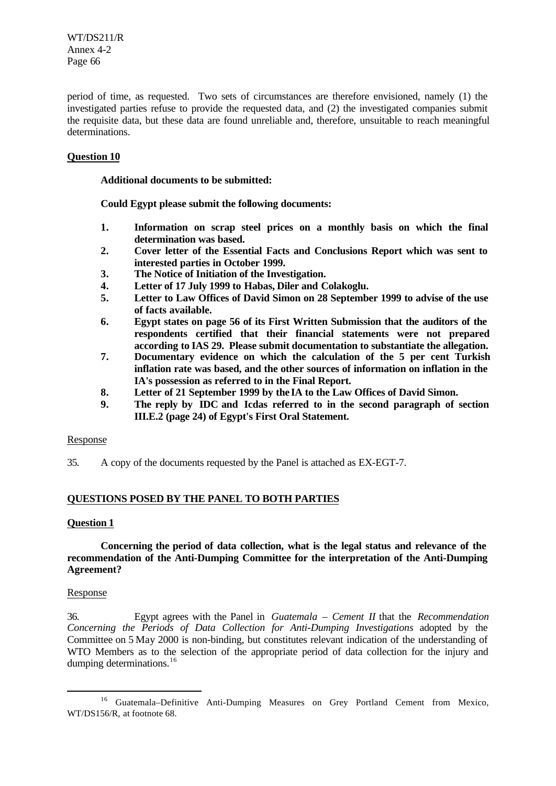WT/DS211/R Annex 4-2 Page 66

period of time, as requested. Two sets of circumstances are therefore envisioned, namely (1) the investigated parties refuse to provide the requested data, and (2) the investigated companies submit the requisite data, but these data are found unreliable and, therefore, unsuitable to reach meaningful determinations.

## **Question 10**

**Additional documents to be submitted:**

**Could Egypt please submit the following documents:**

- **1. Information on scrap steel prices on a monthly basis on which the final determination was based.**
- **2. Cover letter of the Essential Facts and Conclusions Report which was sent to interested parties in October 1999.**
- **3. The Notice of Initiation of the Investigation.**
- **4. Letter of 17 July 1999 to Habas, Diler and Colakoglu.**
- **5. Letter to Law Offices of David Simon on 28 September 1999 to advise of the use of facts available.**
- **6. Egypt states on page 56 of its First Written Submission that the auditors of the respondents certified that their financial statements were not prepared according to IAS 29. Please submit documentation to substantiate the allegation.**
- **7. Documentary evidence on which the calculation of the 5 per cent Turkish inflation rate was based, and the other sources of information on inflation in the IA's possession as referred to in the Final Report.**
- **8. Letter of 21 September 1999 by the IA to the Law Offices of David Simon.**
- **9. The reply by IDC and Icdas referred to in the second paragraph of section III.E.2 (page 24) of Egypt's First Oral Statement.**

## Response

35. A copy of the documents requested by the Panel is attached as EX-EGT-7.

## **QUESTIONS POSED BY THE PANEL TO BOTH PARTIES**

## **Question 1**

**Concerning the period of data collection, what is the legal status and relevance of the recommendation of the Anti-Dumping Committee for the interpretation of the Anti-Dumping Agreement?**

#### Response

l

36. Egypt agrees with the Panel in *Guatemala – Cement II* that the *Recommendation Concerning the Periods of Data Collection for Anti-Dumping Investigations* adopted by the Committee on 5 May 2000 is non-binding, but constitutes relevant indication of the understanding of WTO Members as to the selection of the appropriate period of data collection for the injury and dumping determinations.<sup>16</sup>

<sup>16</sup> Guatemala–Definitive Anti-Dumping Measures on Grey Portland Cement from Mexico, WT/DS156/R, at footnote 68.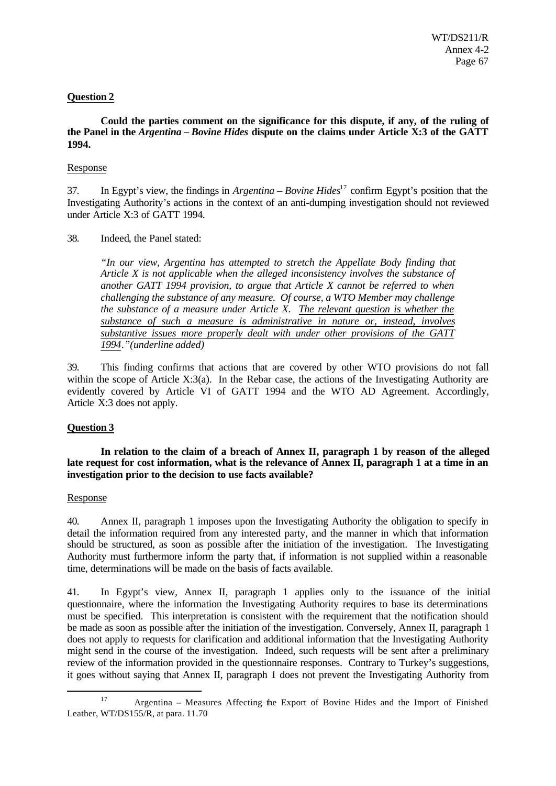## **Question 2**

**Could the parties comment on the significance for this dispute, if any, of the ruling of the Panel in the** *Argentina – Bovine Hides* **dispute on the claims under Article X:3 of the GATT 1994.**

## Response

37. In Egypt's view, the findings in *Argentina – Bovine Hides*<sup>17</sup> confirm Egypt's position that the Investigating Authority's actions in the context of an anti-dumping investigation should not reviewed under Article X:3 of GATT 1994.

## 38. Indeed, the Panel stated:

*"In our view, Argentina has attempted to stretch the Appellate Body finding that Article X is not applicable when the alleged inconsistency involves the substance of another GATT 1994 provision, to argue that Article X cannot be referred to when challenging the substance of any measure. Of course, a WTO Member may challenge the substance of a measure under Article X. The relevant question is whether the substance of such a measure is administrative in nature or, instead, involves substantive issues more properly dealt with under other provisions of the GATT 1994."(underline added)*

39. This finding confirms that actions that are covered by other WTO provisions do not fall within the scope of Article X:3(a). In the Rebar case, the actions of the Investigating Authority are evidently covered by Article VI of GATT 1994 and the WTO AD Agreement. Accordingly, Article X:3 does not apply.

# **Question 3**

**In relation to the claim of a breach of Annex II, paragraph 1 by reason of the alleged late request for cost information, what is the relevance of Annex II, paragraph 1 at a time in an investigation prior to the decision to use facts available?**

## Response

l

40. Annex II, paragraph 1 imposes upon the Investigating Authority the obligation to specify in detail the information required from any interested party, and the manner in which that information should be structured, as soon as possible after the initiation of the investigation. The Investigating Authority must furthermore inform the party that, if information is not supplied within a reasonable time, determinations will be made on the basis of facts available.

41. In Egypt's view, Annex II, paragraph 1 applies only to the issuance of the initial questionnaire, where the information the Investigating Authority requires to base its determinations must be specified. This interpretation is consistent with the requirement that the notification should be made as soon as possible after the initiation of the investigation. Conversely, Annex II, paragraph 1 does not apply to requests for clarification and additional information that the Investigating Authority might send in the course of the investigation. Indeed, such requests will be sent after a preliminary review of the information provided in the questionnaire responses. Contrary to Turkey's suggestions, it goes without saying that Annex II, paragraph 1 does not prevent the Investigating Authority from

<sup>17</sup> Argentina – Measures Affecting the Export of Bovine Hides and the Import of Finished Leather, WT/DS155/R, at para. 11.70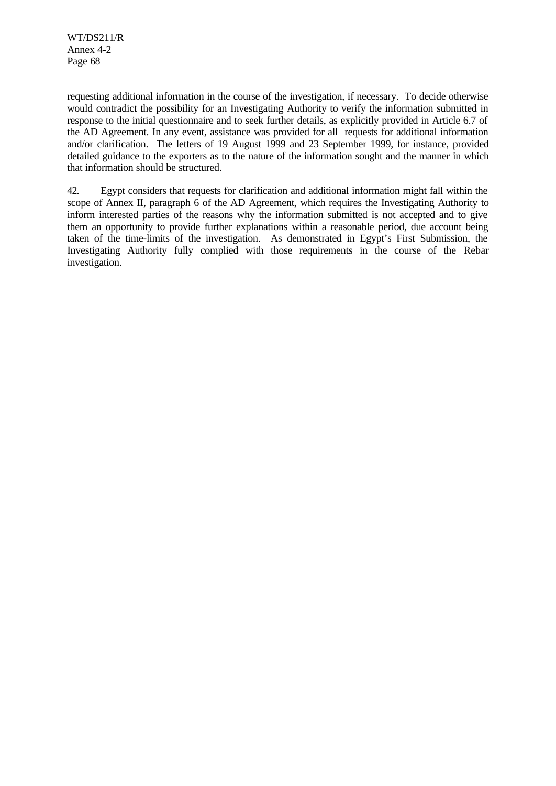WT/DS211/R Annex 4-2 Page 68

requesting additional information in the course of the investigation, if necessary. To decide otherwise would contradict the possibility for an Investigating Authority to verify the information submitted in response to the initial questionnaire and to seek further details, as explicitly provided in Article 6.7 of the AD Agreement. In any event, assistance was provided for all requests for additional information and/or clarification. The letters of 19 August 1999 and 23 September 1999, for instance, provided detailed guidance to the exporters as to the nature of the information sought and the manner in which that information should be structured.

42. Egypt considers that requests for clarification and additional information might fall within the scope of Annex II, paragraph 6 of the AD Agreement, which requires the Investigating Authority to inform interested parties of the reasons why the information submitted is not accepted and to give them an opportunity to provide further explanations within a reasonable period, due account being taken of the time-limits of the investigation. As demonstrated in Egypt's First Submission, the Investigating Authority fully complied with those requirements in the course of the Rebar investigation.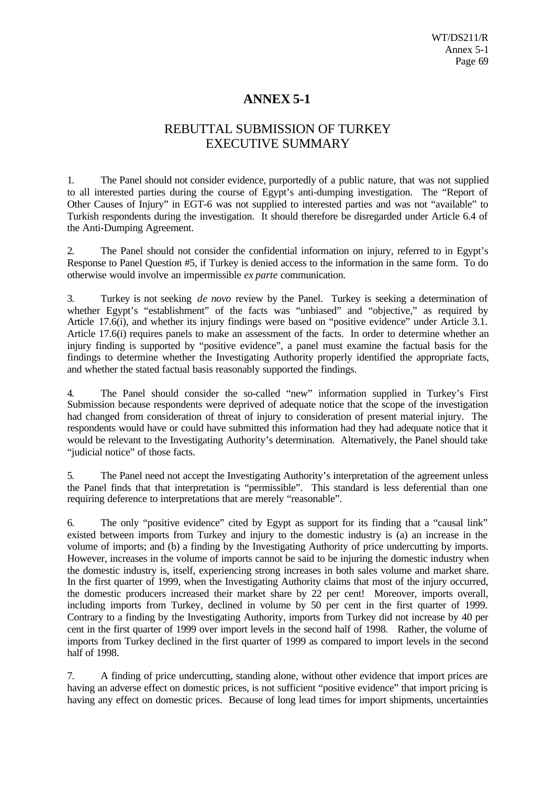# **ANNEX 5-1**

# REBUTTAL SUBMISSION OF TURKEY EXECUTIVE SUMMARY

1. The Panel should not consider evidence, purportedly of a public nature, that was not supplied to all interested parties during the course of Egypt's anti-dumping investigation. The "Report of Other Causes of Injury" in EGT-6 was not supplied to interested parties and was not "available" to Turkish respondents during the investigation. It should therefore be disregarded under Article 6.4 of the Anti-Dumping Agreement.

2. The Panel should not consider the confidential information on injury, referred to in Egypt's Response to Panel Question #5, if Turkey is denied access to the information in the same form. To do otherwise would involve an impermissible *ex parte* communication.

3. Turkey is not seeking *de novo* review by the Panel. Turkey is seeking a determination of whether Egypt's "establishment" of the facts was "unbiased" and "objective," as required by Article 17.6(i), and whether its injury findings were based on "positive evidence" under Article 3.1. Article 17.6(i) requires panels to make an assessment of the facts. In order to determine whether an injury finding is supported by "positive evidence", a panel must examine the factual basis for the findings to determine whether the Investigating Authority properly identified the appropriate facts, and whether the stated factual basis reasonably supported the findings.

4. The Panel should consider the so-called "new" information supplied in Turkey's First Submission because respondents were deprived of adequate notice that the scope of the investigation had changed from consideration of threat of injury to consideration of present material injury. The respondents would have or could have submitted this information had they had adequate notice that it would be relevant to the Investigating Authority's determination. Alternatively, the Panel should take "judicial notice" of those facts.

5. The Panel need not accept the Investigating Authority's interpretation of the agreement unless the Panel finds that that interpretation is "permissible". This standard is less deferential than one requiring deference to interpretations that are merely "reasonable".

6. The only "positive evidence" cited by Egypt as support for its finding that a "causal link" existed between imports from Turkey and injury to the domestic industry is (a) an increase in the volume of imports; and (b) a finding by the Investigating Authority of price undercutting by imports. However, increases in the volume of imports cannot be said to be injuring the domestic industry when the domestic industry is, itself, experiencing strong increases in both sales volume and market share. In the first quarter of 1999, when the Investigating Authority claims that most of the injury occurred, the domestic producers increased their market share by 22 per cent! Moreover, imports overall, including imports from Turkey, declined in volume by 50 per cent in the first quarter of 1999. Contrary to a finding by the Investigating Authority, imports from Turkey did not increase by 40 per cent in the first quarter of 1999 over import levels in the second half of 1998. Rather, the volume of imports from Turkey declined in the first quarter of 1999 as compared to import levels in the second half of 1998.

7. A finding of price undercutting, standing alone, without other evidence that import prices are having an adverse effect on domestic prices, is not sufficient "positive evidence" that import pricing is having any effect on domestic prices. Because of long lead times for import shipments, uncertainties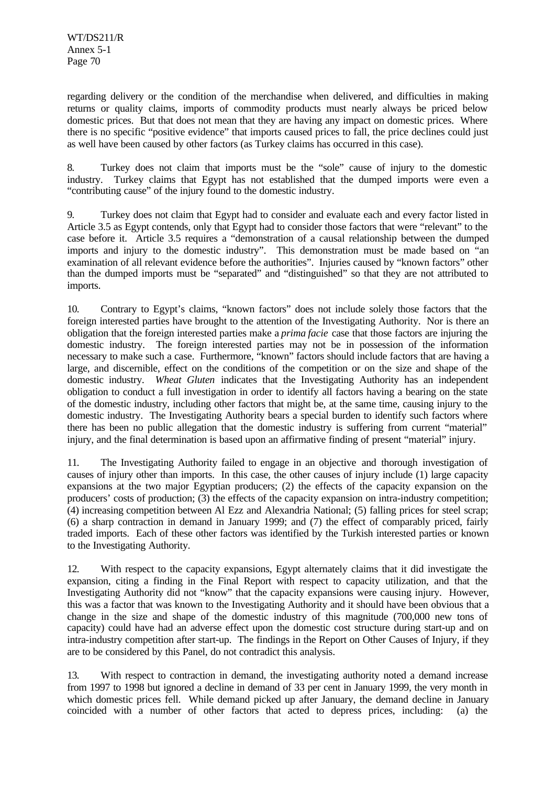regarding delivery or the condition of the merchandise when delivered, and difficulties in making returns or quality claims, imports of commodity products must nearly always be priced below domestic prices. But that does not mean that they are having any impact on domestic prices. Where there is no specific "positive evidence" that imports caused prices to fall, the price declines could just as well have been caused by other factors (as Turkey claims has occurred in this case).

8. Turkey does not claim that imports must be the "sole" cause of injury to the domestic industry. Turkey claims that Egypt has not established that the dumped imports were even a "contributing cause" of the injury found to the domestic industry.

9. Turkey does not claim that Egypt had to consider and evaluate each and every factor listed in Article 3.5 as Egypt contends, only that Egypt had to consider those factors that were "relevant" to the case before it. Article 3.5 requires a "demonstration of a causal relationship between the dumped imports and injury to the domestic industry". This demonstration must be made based on "an examination of all relevant evidence before the authorities". Injuries caused by "known factors" other than the dumped imports must be "separated" and "distinguished" so that they are not attributed to imports.

10. Contrary to Egypt's claims, "known factors" does not include solely those factors that the foreign interested parties have brought to the attention of the Investigating Authority. Nor is there an obligation that the foreign interested parties make a *prima facie* case that those factors are injuring the domestic industry. The foreign interested parties may not be in possession of the information necessary to make such a case. Furthermore, "known" factors should include factors that are having a large, and discernible, effect on the conditions of the competition or on the size and shape of the domestic industry. *Wheat Gluten* indicates that the Investigating Authority has an independent obligation to conduct a full investigation in order to identify all factors having a bearing on the state of the domestic industry, including other factors that might be, at the same time, causing injury to the domestic industry. The Investigating Authority bears a special burden to identify such factors where there has been no public allegation that the domestic industry is suffering from current "material" injury, and the final determination is based upon an affirmative finding of present "material" injury.

11. The Investigating Authority failed to engage in an objective and thorough investigation of causes of injury other than imports. In this case, the other causes of injury include (1) large capacity expansions at the two major Egyptian producers; (2) the effects of the capacity expansion on the producers' costs of production; (3) the effects of the capacity expansion on intra-industry competition; (4) increasing competition between Al Ezz and Alexandria National; (5) falling prices for steel scrap; (6) a sharp contraction in demand in January 1999; and (7) the effect of comparably priced, fairly traded imports. Each of these other factors was identified by the Turkish interested parties or known to the Investigating Authority.

12. With respect to the capacity expansions, Egypt alternately claims that it did investigate the expansion, citing a finding in the Final Report with respect to capacity utilization, and that the Investigating Authority did not "know" that the capacity expansions were causing injury. However, this was a factor that was known to the Investigating Authority and it should have been obvious that a change in the size and shape of the domestic industry of this magnitude (700,000 new tons of capacity) could have had an adverse effect upon the domestic cost structure during start-up and on intra-industry competition after start-up. The findings in the Report on Other Causes of Injury, if they are to be considered by this Panel, do not contradict this analysis.

13. With respect to contraction in demand, the investigating authority noted a demand increase from 1997 to 1998 but ignored a decline in demand of 33 per cent in January 1999, the very month in which domestic prices fell. While demand picked up after January, the demand decline in January coincided with a number of other factors that acted to depress prices, including: (a) the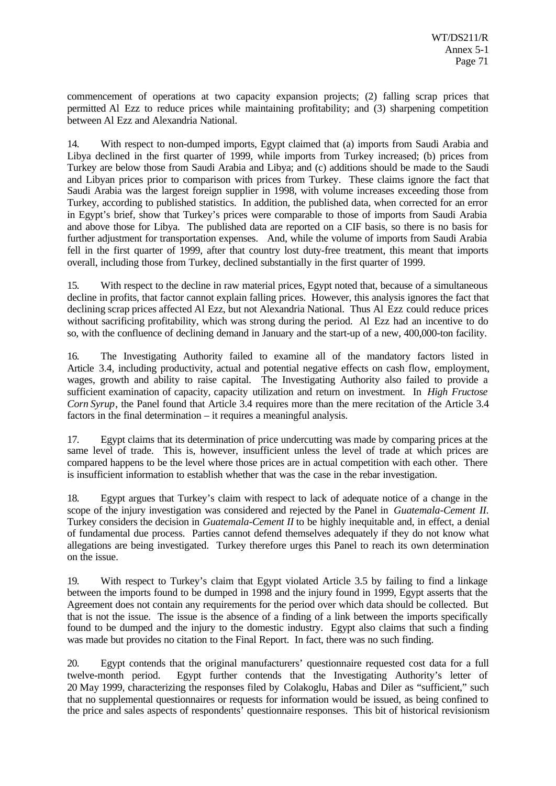commencement of operations at two capacity expansion projects; (2) falling scrap prices that permitted Al Ezz to reduce prices while maintaining profitability; and (3) sharpening competition between Al Ezz and Alexandria National.

14. With respect to non-dumped imports, Egypt claimed that (a) imports from Saudi Arabia and Libya declined in the first quarter of 1999, while imports from Turkey increased; (b) prices from Turkey are below those from Saudi Arabia and Libya; and (c) additions should be made to the Saudi and Libyan prices prior to comparison with prices from Turkey. These claims ignore the fact that Saudi Arabia was the largest foreign supplier in 1998, with volume increases exceeding those from Turkey, according to published statistics. In addition, the published data, when corrected for an error in Egypt's brief, show that Turkey's prices were comparable to those of imports from Saudi Arabia and above those for Libya. The published data are reported on a CIF basis, so there is no basis for further adjustment for transportation expenses. And, while the volume of imports from Saudi Arabia fell in the first quarter of 1999, after that country lost duty-free treatment, this meant that imports overall, including those from Turkey, declined substantially in the first quarter of 1999.

15. With respect to the decline in raw material prices, Egypt noted that, because of a simultaneous decline in profits, that factor cannot explain falling prices. However, this analysis ignores the fact that declining scrap prices affected Al Ezz, but not Alexandria National. Thus Al Ezz could reduce prices without sacrificing profitability, which was strong during the period. Al Ezz had an incentive to do so, with the confluence of declining demand in January and the start-up of a new, 400,000-ton facility.

16. The Investigating Authority failed to examine all of the mandatory factors listed in Article 3.4, including productivity, actual and potential negative effects on cash flow, employment, wages, growth and ability to raise capital. The Investigating Authority also failed to provide a sufficient examination of capacity, capacity utilization and return on investment. In *High Fructose Corn Syrup*, the Panel found that Article 3.4 requires more than the mere recitation of the Article 3.4 factors in the final determination – it requires a meaningful analysis.

17. Egypt claims that its determination of price undercutting was made by comparing prices at the same level of trade. This is, however, insufficient unless the level of trade at which prices are compared happens to be the level where those prices are in actual competition with each other. There is insufficient information to establish whether that was the case in the rebar investigation.

18. Egypt argues that Turkey's claim with respect to lack of adequate notice of a change in the scope of the injury investigation was considered and rejected by the Panel in *Guatemala-Cement II.* Turkey considers the decision in *Guatemala-Cement II* to be highly inequitable and, in effect, a denial of fundamental due process. Parties cannot defend themselves adequately if they do not know what allegations are being investigated. Turkey therefore urges this Panel to reach its own determination on the issue.

19. With respect to Turkey's claim that Egypt violated Article 3.5 by failing to find a linkage between the imports found to be dumped in 1998 and the injury found in 1999, Egypt asserts that the Agreement does not contain any requirements for the period over which data should be collected. But that is not the issue. The issue is the absence of a finding of a link between the imports specifically found to be dumped and the injury to the domestic industry. Egypt also claims that such a finding was made but provides no citation to the Final Report. In fact, there was no such finding.

20. Egypt contends that the original manufacturers' questionnaire requested cost data for a full twelve-month period. Egypt further contends that the Investigating Authority's letter of 20 May 1999, characterizing the responses filed by Colakoglu, Habas and Diler as "sufficient," such that no supplemental questionnaires or requests for information would be issued, as being confined to the price and sales aspects of respondents' questionnaire responses. This bit of historical revisionism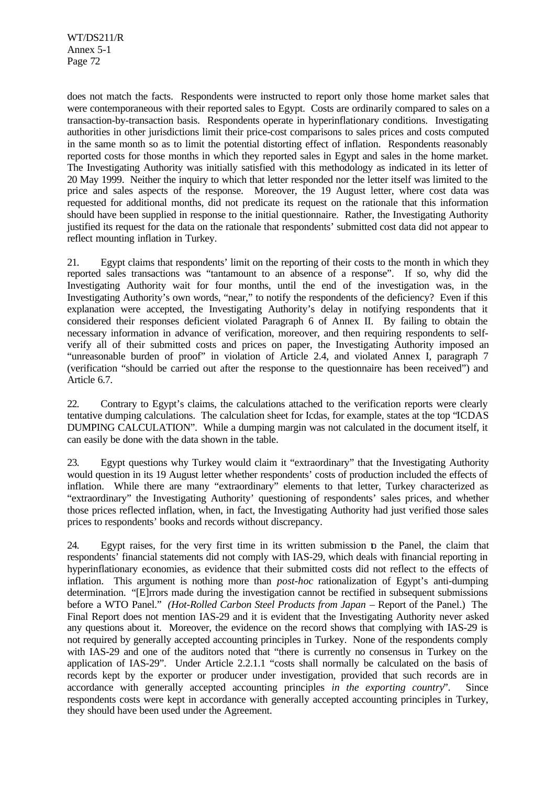WT/DS211/R Annex 5-1 Page 72

does not match the facts. Respondents were instructed to report only those home market sales that were contemporaneous with their reported sales to Egypt. Costs are ordinarily compared to sales on a transaction-by-transaction basis. Respondents operate in hyperinflationary conditions. Investigating authorities in other jurisdictions limit their price-cost comparisons to sales prices and costs computed in the same month so as to limit the potential distorting effect of inflation. Respondents reasonably reported costs for those months in which they reported sales in Egypt and sales in the home market. The Investigating Authority was initially satisfied with this methodology as indicated in its letter of 20 May 1999. Neither the inquiry to which that letter responded nor the letter itself was limited to the price and sales aspects of the response. Moreover, the 19 August letter, where cost data was requested for additional months, did not predicate its request on the rationale that this information should have been supplied in response to the initial questionnaire. Rather, the Investigating Authority justified its request for the data on the rationale that respondents' submitted cost data did not appear to reflect mounting inflation in Turkey.

21. Egypt claims that respondents' limit on the reporting of their costs to the month in which they reported sales transactions was "tantamount to an absence of a response". If so, why did the Investigating Authority wait for four months, until the end of the investigation was, in the Investigating Authority's own words, "near," to notify the respondents of the deficiency? Even if this explanation were accepted, the Investigating Authority's delay in notifying respondents that it considered their responses deficient violated Paragraph 6 of Annex II. By failing to obtain the necessary information in advance of verification, moreover, and then requiring respondents to selfverify all of their submitted costs and prices on paper, the Investigating Authority imposed an "unreasonable burden of proof" in violation of Article 2.4, and violated Annex I, paragraph 7 (verification "should be carried out after the response to the questionnaire has been received") and Article 6.7.

22. Contrary to Egypt's claims, the calculations attached to the verification reports were clearly tentative dumping calculations. The calculation sheet for Icdas, for example, states at the top "ICDAS DUMPING CALCULATION". While a dumping margin was not calculated in the document itself, it can easily be done with the data shown in the table.

23. Egypt questions why Turkey would claim it "extraordinary" that the Investigating Authority would question in its 19 August letter whether respondents' costs of production included the effects of inflation. While there are many "extraordinary" elements to that letter, Turkey characterized as "extraordinary" the Investigating Authority' questioning of respondents' sales prices, and whether those prices reflected inflation, when, in fact, the Investigating Authority had just verified those sales prices to respondents' books and records without discrepancy.

24. Egypt raises, for the very first time in its written submission to the Panel, the claim that respondents' financial statements did not comply with IAS-29, which deals with financial reporting in hyperinflationary economies, as evidence that their submitted costs did not reflect to the effects of inflation. This argument is nothing more than *post-hoc* rationalization of Egypt's anti-dumping determination. "[E]rrors made during the investigation cannot be rectified in subsequent submissions before a WTO Panel." *(Hot-Rolled Carbon Steel Products from Japan* – Report of the Panel.) The Final Report does not mention IAS-29 and it is evident that the Investigating Authority never asked any questions about it. Moreover, the evidence on the record shows that complying with IAS-29 is not required by generally accepted accounting principles in Turkey. None of the respondents comply with IAS-29 and one of the auditors noted that "there is currently no consensus in Turkey on the application of IAS-29". Under Article 2.2.1.1 "costs shall normally be calculated on the basis of records kept by the exporter or producer under investigation, provided that such records are in accordance with generally accepted accounting principles *in the exporting country*". Since respondents costs were kept in accordance with generally accepted accounting principles in Turkey, they should have been used under the Agreement.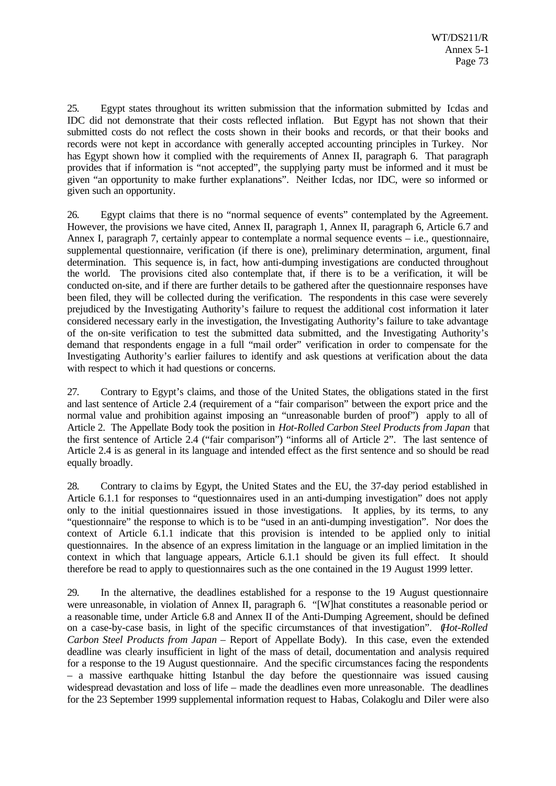25. Egypt states throughout its written submission that the information submitted by Icdas and IDC did not demonstrate that their costs reflected inflation. But Egypt has not shown that their submitted costs do not reflect the costs shown in their books and records, or that their books and records were not kept in accordance with generally accepted accounting principles in Turkey. Nor has Egypt shown how it complied with the requirements of Annex II, paragraph 6. That paragraph provides that if information is "not accepted", the supplying party must be informed and it must be given "an opportunity to make further explanations". Neither Icdas, nor IDC, were so informed or given such an opportunity.

26. Egypt claims that there is no "normal sequence of events" contemplated by the Agreement. However, the provisions we have cited, Annex II, paragraph 1, Annex II, paragraph 6, Article 6.7 and Annex I, paragraph 7, certainly appear to contemplate a normal sequence events – i.e., questionnaire, supplemental questionnaire, verification (if there is one), preliminary determination, argument, final determination. This sequence is, in fact, how anti-dumping investigations are conducted throughout the world. The provisions cited also contemplate that, if there is to be a verification, it will be conducted on-site, and if there are further details to be gathered after the questionnaire responses have been filed, they will be collected during the verification. The respondents in this case were severely prejudiced by the Investigating Authority's failure to request the additional cost information it later considered necessary early in the investigation, the Investigating Authority's failure to take advantage of the on-site verification to test the submitted data submitted, and the Investigating Authority's demand that respondents engage in a full "mail order" verification in order to compensate for the Investigating Authority's earlier failures to identify and ask questions at verification about the data with respect to which it had questions or concerns.

27. Contrary to Egypt's claims, and those of the United States, the obligations stated in the first and last sentence of Article 2.4 (requirement of a "fair comparison" between the export price and the normal value and prohibition against imposing an "unreasonable burden of proof") apply to all of Article 2. The Appellate Body took the position in *Hot-Rolled Carbon Steel Products from Japan* that the first sentence of Article 2.4 ("fair comparison") "informs all of Article 2". The last sentence of Article 2.4 is as general in its language and intended effect as the first sentence and so should be read equally broadly.

28. Contrary to claims by Egypt, the United States and the EU, the 37-day period established in Article 6.1.1 for responses to "questionnaires used in an anti-dumping investigation" does not apply only to the initial questionnaires issued in those investigations. It applies, by its terms, to any "questionnaire" the response to which is to be "used in an anti-dumping investigation". Nor does the context of Article 6.1.1 indicate that this provision is intended to be applied only to initial questionnaires. In the absence of an express limitation in the language or an implied limitation in the context in which that language appears, Article 6.1.1 should be given its full effect. It should therefore be read to apply to questionnaires such as the one contained in the 19 August 1999 letter.

29. In the alternative, the deadlines established for a response to the 19 August questionnaire were unreasonable, in violation of Annex II, paragraph 6. "[W]hat constitutes a reasonable period or a reasonable time, under Article 6.8 and Annex II of the Anti-Dumping Agreement, should be defined on a case-by-case basis, in light of the specific circumstances of that investigation". (*Hot-Rolled Carbon Steel Products from Japan* – Report of Appellate Body). In this case, even the extended deadline was clearly insufficient in light of the mass of detail, documentation and analysis required for a response to the 19 August questionnaire. And the specific circumstances facing the respondents – a massive earthquake hitting Istanbul the day before the questionnaire was issued causing widespread devastation and loss of life – made the deadlines even more unreasonable. The deadlines for the 23 September 1999 supplemental information request to Habas, Colakoglu and Diler were also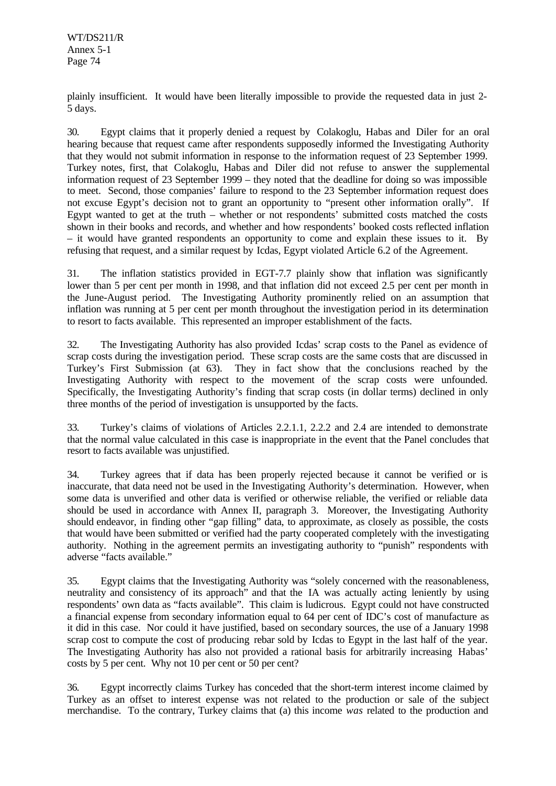WT/DS211/R Annex 5-1 Page 74

plainly insufficient. It would have been literally impossible to provide the requested data in just 2- 5 days.

30. Egypt claims that it properly denied a request by Colakoglu, Habas and Diler for an oral hearing because that request came after respondents supposedly informed the Investigating Authority that they would not submit information in response to the information request of 23 September 1999. Turkey notes, first, that Colakoglu, Habas and Diler did not refuse to answer the supplemental information request of 23 September 1999 – they noted that the deadline for doing so was impossible to meet. Second, those companies' failure to respond to the 23 September information request does not excuse Egypt's decision not to grant an opportunity to "present other information orally". If Egypt wanted to get at the truth – whether or not respondents' submitted costs matched the costs shown in their books and records, and whether and how respondents' booked costs reflected inflation – it would have granted respondents an opportunity to come and explain these issues to it. By refusing that request, and a similar request by Icdas, Egypt violated Article 6.2 of the Agreement.

31. The inflation statistics provided in EGT-7.7 plainly show that inflation was significantly lower than 5 per cent per month in 1998, and that inflation did not exceed 2.5 per cent per month in the June-August period. The Investigating Authority prominently relied on an assumption that inflation was running at 5 per cent per month throughout the investigation period in its determination to resort to facts available. This represented an improper establishment of the facts.

32. The Investigating Authority has also provided Icdas' scrap costs to the Panel as evidence of scrap costs during the investigation period. These scrap costs are the same costs that are discussed in Turkey's First Submission (at 63). They in fact show that the conclusions reached by the Investigating Authority with respect to the movement of the scrap costs were unfounded. Specifically, the Investigating Authority's finding that scrap costs (in dollar terms) declined in only three months of the period of investigation is unsupported by the facts.

33. Turkey's claims of violations of Articles 2.2.1.1, 2.2.2 and 2.4 are intended to demonstrate that the normal value calculated in this case is inappropriate in the event that the Panel concludes that resort to facts available was unjustified.

34. Turkey agrees that if data has been properly rejected because it cannot be verified or is inaccurate, that data need not be used in the Investigating Authority's determination. However, when some data is unverified and other data is verified or otherwise reliable, the verified or reliable data should be used in accordance with Annex II, paragraph 3. Moreover, the Investigating Authority should endeavor, in finding other "gap filling" data, to approximate, as closely as possible, the costs that would have been submitted or verified had the party cooperated completely with the investigating authority. Nothing in the agreement permits an investigating authority to "punish" respondents with adverse "facts available."

35. Egypt claims that the Investigating Authority was "solely concerned with the reasonableness, neutrality and consistency of its approach" and that the IA was actually acting leniently by using respondents' own data as "facts available". This claim is ludicrous. Egypt could not have constructed a financial expense from secondary information equal to 64 per cent of IDC's cost of manufacture as it did in this case. Nor could it have justified, based on secondary sources, the use of a January 1998 scrap cost to compute the cost of producing rebar sold by Icdas to Egypt in the last half of the year. The Investigating Authority has also not provided a rational basis for arbitrarily increasing Habas' costs by 5 per cent. Why not 10 per cent or 50 per cent?

36. Egypt incorrectly claims Turkey has conceded that the short-term interest income claimed by Turkey as an offset to interest expense was not related to the production or sale of the subject merchandise. To the contrary, Turkey claims that (a) this income *was* related to the production and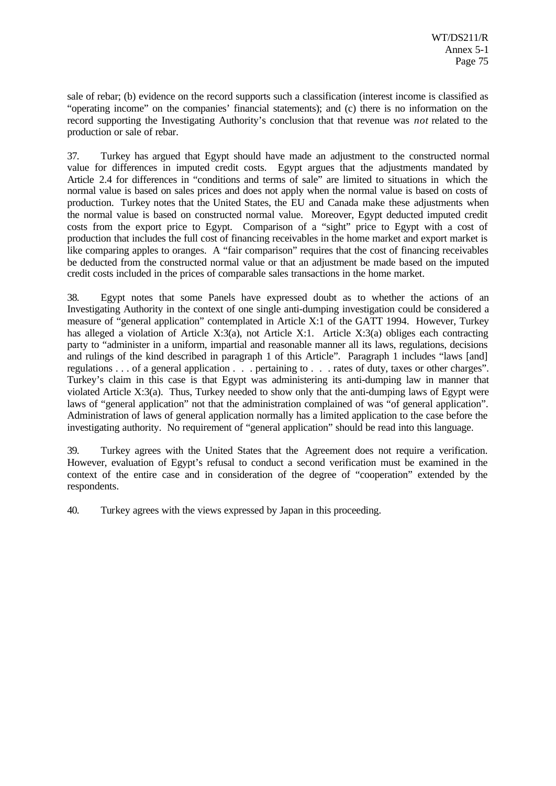sale of rebar; (b) evidence on the record supports such a classification (interest income is classified as "operating income" on the companies' financial statements); and (c) there is no information on the record supporting the Investigating Authority's conclusion that that revenue was *not* related to the production or sale of rebar.

37. Turkey has argued that Egypt should have made an adjustment to the constructed normal value for differences in imputed credit costs. Egypt argues that the adjustments mandated by Article 2.4 for differences in "conditions and terms of sale" are limited to situations in which the normal value is based on sales prices and does not apply when the normal value is based on costs of production. Turkey notes that the United States, the EU and Canada make these adjustments when the normal value is based on constructed normal value. Moreover, Egypt deducted imputed credit costs from the export price to Egypt. Comparison of a "sight" price to Egypt with a cost of production that includes the full cost of financing receivables in the home market and export market is like comparing apples to oranges. A "fair comparison" requires that the cost of financing receivables be deducted from the constructed normal value or that an adjustment be made based on the imputed credit costs included in the prices of comparable sales transactions in the home market.

38. Egypt notes that some Panels have expressed doubt as to whether the actions of an Investigating Authority in the context of one single anti-dumping investigation could be considered a measure of "general application" contemplated in Article X:1 of the GATT 1994. However, Turkey has alleged a violation of Article X:3(a), not Article X:1. Article X:3(a) obliges each contracting party to "administer in a uniform, impartial and reasonable manner all its laws, regulations, decisions and rulings of the kind described in paragraph 1 of this Article". Paragraph 1 includes "laws [and] regulations . . . of a general application . . . pertaining to . . . rates of duty, taxes or other charges". Turkey's claim in this case is that Egypt was administering its anti-dumping law in manner that violated Article X:3(a). Thus, Turkey needed to show only that the anti-dumping laws of Egypt were laws of "general application" not that the administration complained of was "of general application". Administration of laws of general application normally has a limited application to the case before the investigating authority. No requirement of "general application" should be read into this language.

39. Turkey agrees with the United States that the Agreement does not require a verification. However, evaluation of Egypt's refusal to conduct a second verification must be examined in the context of the entire case and in consideration of the degree of "cooperation" extended by the respondents.

40. Turkey agrees with the views expressed by Japan in this proceeding.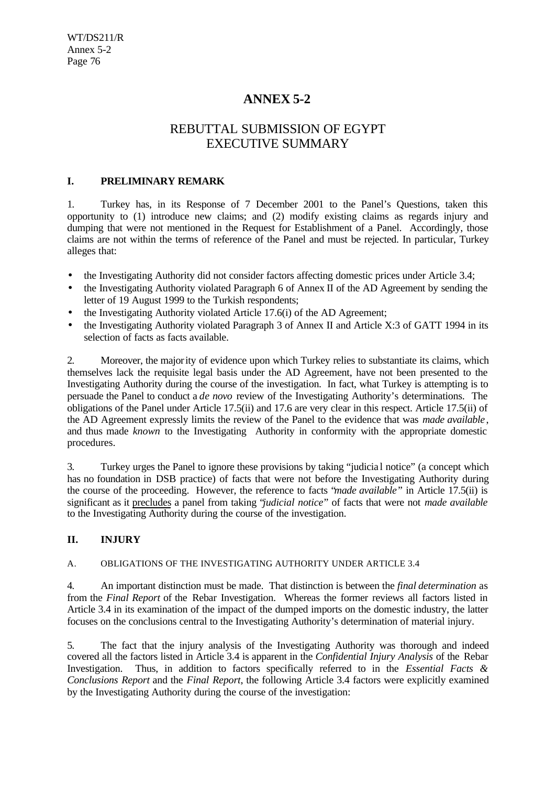# **ANNEX 5-2**

## REBUTTAL SUBMISSION OF EGYPT EXECUTIVE SUMMARY

## **I. PRELIMINARY REMARK**

1. Turkey has, in its Response of 7 December 2001 to the Panel's Questions, taken this opportunity to (1) introduce new claims; and (2) modify existing claims as regards injury and dumping that were not mentioned in the Request for Establishment of a Panel. Accordingly, those claims are not within the terms of reference of the Panel and must be rejected. In particular, Turkey alleges that:

- the Investigating Authority did not consider factors affecting domestic prices under Article 3.4;
- the Investigating Authority violated Paragraph 6 of Annex II of the AD Agreement by sending the letter of 19 August 1999 to the Turkish respondents;
- the Investigating Authority violated Article 17.6(i) of the AD Agreement;
- the Investigating Authority violated Paragraph 3 of Annex II and Article X:3 of GATT 1994 in its selection of facts as facts available.

2. Moreover, the majority of evidence upon which Turkey relies to substantiate its claims, which themselves lack the requisite legal basis under the AD Agreement, have not been presented to the Investigating Authority during the course of the investigation. In fact, what Turkey is attempting is to persuade the Panel to conduct a *de novo* review of the Investigating Authority's determinations. The obligations of the Panel under Article 17.5(ii) and 17.6 are very clear in this respect. Article 17.5(ii) of the AD Agreement expressly limits the review of the Panel to the evidence that was *made available* , and thus made *known* to the Investigating Authority in conformity with the appropriate domestic procedures.

3. Turkey urges the Panel to ignore these provisions by taking "judicia l notice" (a concept which has no foundation in DSB practice) of facts that were not before the Investigating Authority during the course of the proceeding. However, the reference to facts "*made available* " in Article 17.5(ii) is significant as it precludes a panel from taking "*judicial notice*" of facts that were not *made available* to the Investigating Authority during the course of the investigation.

## **II. INJURY**

## A. OBLIGATIONS OF THE INVESTIGATING AUTHORITY UNDER ARTICLE 3.4

4. An important distinction must be made. That distinction is between the *final determination* as from the *Final Report* of the Rebar Investigation. Whereas the former reviews all factors listed in Article 3.4 in its examination of the impact of the dumped imports on the domestic industry, the latter focuses on the conclusions central to the Investigating Authority's determination of material injury.

5. The fact that the injury analysis of the Investigating Authority was thorough and indeed covered all the factors listed in Article 3.4 is apparent in the *Confidential Injury Analysis* of the Rebar Investigation. Thus, in addition to factors specifically referred to in the *Essential Facts & Conclusions Report* and the *Final Report*, the following Article 3.4 factors were explicitly examined by the Investigating Authority during the course of the investigation: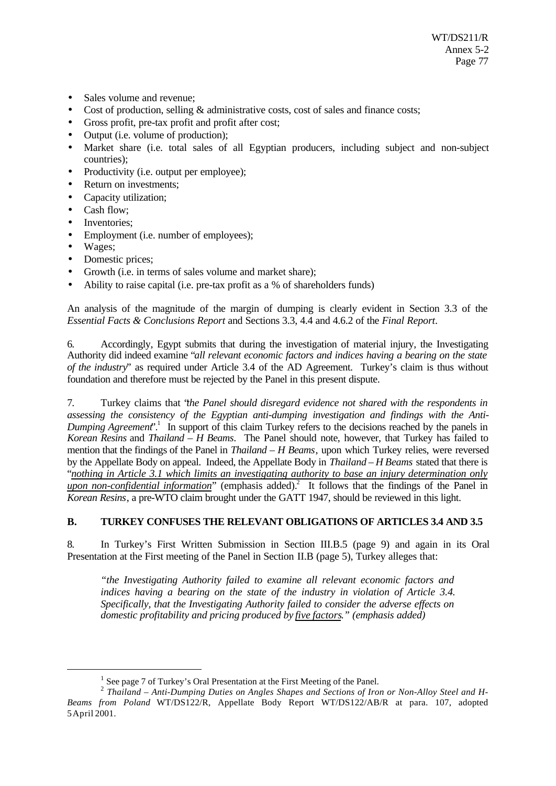- Sales volume and revenue;
- Cost of production, selling  $\&$  administrative costs, cost of sales and finance costs;
- Gross profit, pre-tax profit and profit after cost;
- Output (i.e. volume of production);
- Market share (i.e. total sales of all Egyptian producers, including subject and non-subject countries);
- Productivity (i.e. output per employee);
- Return on investments;
- Capacity utilization;
- Cash flow:
- Inventories:
- Employment (i.e. number of employees);
- Wages;

l

- Domestic prices;
- Growth (i.e. in terms of sales volume and market share);
- Ability to raise capital (i.e. pre-tax profit as a % of shareholders funds)

An analysis of the magnitude of the margin of dumping is clearly evident in Section 3.3 of the *Essential Facts & Conclusions Report* and Sections 3.3, 4.4 and 4.6.2 of the *Final Report*.

6. Accordingly, Egypt submits that during the investigation of material injury, the Investigating Authority did indeed examine "*all relevant economic factors and indices having a bearing on the state of the industry*" as required under Article 3.4 of the AD Agreement. Turkey's claim is thus without foundation and therefore must be rejected by the Panel in this present dispute.

7. Turkey claims that "*the Panel should disregard evidence not shared with the respondents in assessing the consistency of the Egyptian anti-dumping investigation and findings with the Anti-*Dumping Agreement'.<sup>1</sup> In support of this claim Turkey refers to the decisions reached by the panels in *Korean Resins* and *Thailand – H Beams*. The Panel should note, however, that Turkey has failed to mention that the findings of the Panel in *Thailand – H Beams*, upon which Turkey relies, were reversed by the Appellate Body on appeal. Indeed, the Appellate Body in *Thailand – H Beams* stated that there is "*nothing in Article 3.1 which limits an investigating authority to base an injury determination only* upon non-confidential information<sup>"</sup> (emphasis added).<sup>2</sup> It follows that the findings of the Panel in *Korean Resins*, a pre-WTO claim brought under the GATT 1947, should be reviewed in this light.

## **B. TURKEY CONFUSES THE RELEVANT OBLIGATIONS OF ARTICLES 3.4 AND 3.5**

8. In Turkey's First Written Submission in Section III.B.5 (page 9) and again in its Oral Presentation at the First meeting of the Panel in Section II.B (page 5), Turkey alleges that:

*"the Investigating Authority failed to examine all relevant economic factors and indices having a bearing on the state of the industry in violation of Article 3.4. Specifically, that the Investigating Authority failed to consider the adverse effects on domestic profitability and pricing produced by five factors." (emphasis added)*

<sup>&</sup>lt;sup>1</sup> See page 7 of Turkey's Oral Presentation at the First Meeting of the Panel.

<sup>&</sup>lt;sup>2</sup> Thailand – Anti-Dumping Duties on Angles Shapes and Sections of Iron or Non-Alloy Steel and H-*Beams from Poland* WT/DS122/R, Appellate Body Report WT/DS122/AB/R at para. 107, adopted 5 April 2001.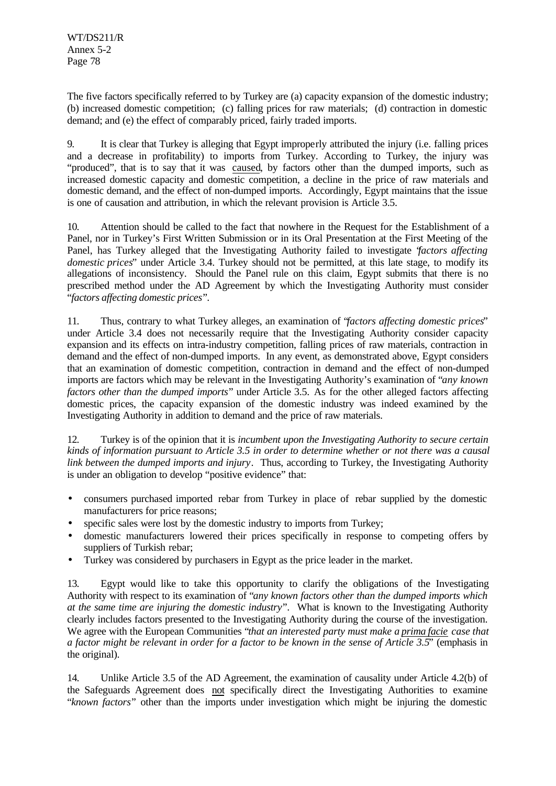The five factors specifically referred to by Turkey are (a) capacity expansion of the domestic industry; (b) increased domestic competition; (c) falling prices for raw materials; (d) contraction in domestic demand; and (e) the effect of comparably priced, fairly traded imports.

9. It is clear that Turkey is alleging that Egypt improperly attributed the injury (i.e. falling prices and a decrease in profitability) to imports from Turkey. According to Turkey, the injury was "produced", that is to say that it was caused, by factors other than the dumped imports, such as increased domestic capacity and domestic competition, a decline in the price of raw materials and domestic demand, and the effect of non-dumped imports. Accordingly, Egypt maintains that the issue is one of causation and attribution, in which the relevant provision is Article 3.5.

10. Attention should be called to the fact that nowhere in the Request for the Establishment of a Panel, nor in Turkey's First Written Submission or in its Oral Presentation at the First Meeting of the Panel, has Turkey alleged that the Investigating Authority failed to investigate "*factors affecting domestic prices*" under Article 3.4. Turkey should not be permitted, at this late stage, to modify its allegations of inconsistency. Should the Panel rule on this claim, Egypt submits that there is no prescribed method under the AD Agreement by which the Investigating Authority must consider "*factors affecting domestic prices*".

11. Thus, contrary to what Turkey alleges, an examination of "*factors affecting domestic prices*" under Article 3.4 does not necessarily require that the Investigating Authority consider capacity expansion and its effects on intra-industry competition, falling prices of raw materials, contraction in demand and the effect of non-dumped imports. In any event, as demonstrated above, Egypt considers that an examination of domestic competition, contraction in demand and the effect of non-dumped imports are factors which may be relevant in the Investigating Authority's examination of "*any known factors other than the dumped imports*" under Article 3.5. As for the other alleged factors affecting domestic prices, the capacity expansion of the domestic industry was indeed examined by the Investigating Authority in addition to demand and the price of raw materials.

12. Turkey is of the opinion that it is *incumbent upon the Investigating Authority to secure certain kinds of information pursuant to Article 3.5 in order to determine whether or not there was a causal link between the dumped imports and injury*. Thus, according to Turkey, the Investigating Authority is under an obligation to develop "positive evidence" that:

- consumers purchased imported rebar from Turkey in place of rebar supplied by the domestic manufacturers for price reasons;
- specific sales were lost by the domestic industry to imports from Turkey;
- domestic manufacturers lowered their prices specifically in response to competing offers by suppliers of Turkish rebar;
- Turkey was considered by purchasers in Egypt as the price leader in the market.

13. Egypt would like to take this opportunity to clarify the obligations of the Investigating Authority with respect to its examination of "*any known factors other than the dumped imports which at the same time are injuring the domestic industry*". What is known to the Investigating Authority clearly includes factors presented to the Investigating Authority during the course of the investigation. We agree with the European Communities "*that an interested party must make a prima facie case that a factor might be relevant in order for a factor to be known in the sense of Article 3.5*" (emphasis in the original).

14. Unlike Article 3.5 of the AD Agreement, the examination of causality under Article 4.2(b) of the Safeguards Agreement does not specifically direct the Investigating Authorities to examine "*known factors*" other than the imports under investigation which might be injuring the domestic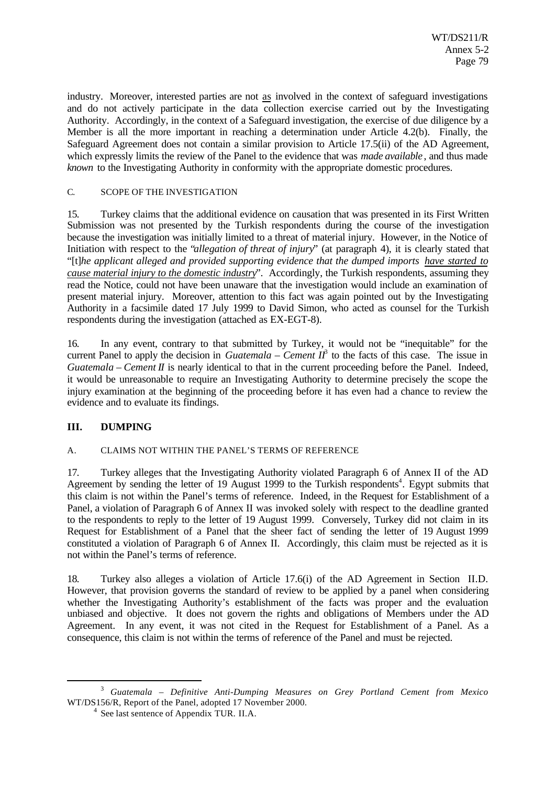industry. Moreover, interested parties are not as involved in the context of safeguard investigations and do not actively participate in the data collection exercise carried out by the Investigating Authority. Accordingly, in the context of a Safeguard investigation, the exercise of due diligence by a Member is all the more important in reaching a determination under Article 4.2(b). Finally, the Safeguard Agreement does not contain a similar provision to Article 17.5(ii) of the AD Agreement, which expressly limits the review of the Panel to the evidence that was *made available* , and thus made *known* to the Investigating Authority in conformity with the appropriate domestic procedures.

#### C. SCOPE OF THE INVESTIGATION

15. Turkey claims that the additional evidence on causation that was presented in its First Written Submission was not presented by the Turkish respondents during the course of the investigation because the investigation was initially limited to a threat of material injury. However, in the Notice of Initiation with respect to the "*allegation of threat of injury*" (at paragraph 4), it is clearly stated that "[t]*he applicant alleged and provided supporting evidence that the dumped imports have started to cause material injury to the domestic industry*". Accordingly, the Turkish respondents, assuming they read the Notice, could not have been unaware that the investigation would include an examination of present material injury. Moreover, attention to this fact was again pointed out by the Investigating Authority in a facsimile dated 17 July 1999 to David Simon, who acted as counsel for the Turkish respondents during the investigation (attached as EX-EGT-8).

16. In any event, contrary to that submitted by Turkey, it would not be "inequitable" for the current Panel to apply the decision in *Guatemala – Cement II*<sup>3</sup> to the facts of this case. The issue in *Guatemala – Cement II* is nearly identical to that in the current proceeding before the Panel. Indeed, it would be unreasonable to require an Investigating Authority to determine precisely the scope the injury examination at the beginning of the proceeding before it has even had a chance to review the evidence and to evaluate its findings.

## **III. DUMPING**

l

## A. CLAIMS NOT WITHIN THE PANEL'S TERMS OF REFERENCE

17. Turkey alleges that the Investigating Authority violated Paragraph 6 of Annex II of the AD Agreement by sending the letter of 19 August 1999 to the Turkish respondents<sup>4</sup>. Egypt submits that this claim is not within the Panel's terms of reference. Indeed, in the Request for Establishment of a Panel, a violation of Paragraph 6 of Annex II was invoked solely with respect to the deadline granted to the respondents to reply to the letter of 19 August 1999. Conversely, Turkey did not claim in its Request for Establishment of a Panel that the sheer fact of sending the letter of 19 August 1999 constituted a violation of Paragraph 6 of Annex II. Accordingly, this claim must be rejected as it is not within the Panel's terms of reference.

18. Turkey also alleges a violation of Article 17.6(i) of the AD Agreement in Section II.D. However, that provision governs the standard of review to be applied by a panel when considering whether the Investigating Authority's establishment of the facts was proper and the evaluation unbiased and objective. It does not govern the rights and obligations of Members under the AD Agreement. In any event, it was not cited in the Request for Establishment of a Panel. As a consequence, this claim is not within the terms of reference of the Panel and must be rejected.

<sup>3</sup> *Guatemala – Definitive Anti-Dumping Measures on Grey Portland Cement from Mexico* WT/DS156/R, Report of the Panel, adopted 17 November 2000.

<sup>4</sup> See last sentence of Appendix TUR. II.A.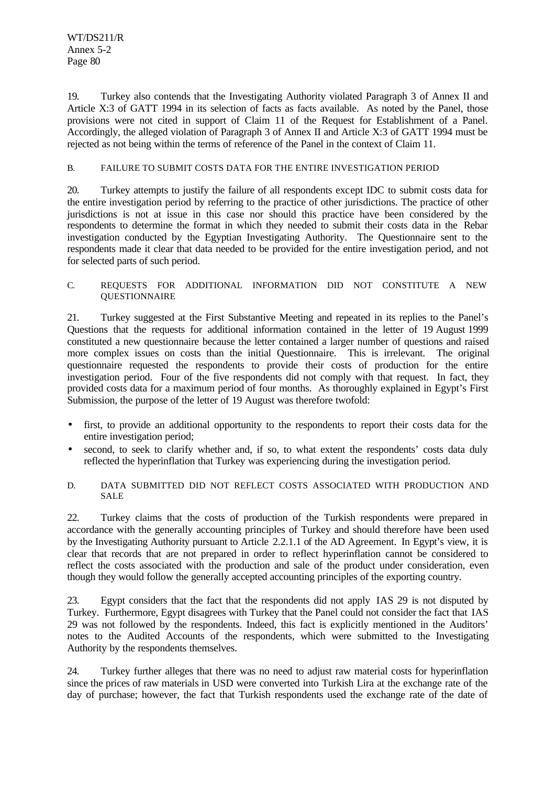WT/DS211/R Annex 5-2 Page 80

19. Turkey also contends that the Investigating Authority violated Paragraph 3 of Annex II and Article X:3 of GATT 1994 in its selection of facts as facts available. As noted by the Panel, those provisions were not cited in support of Claim 11 of the Request for Establishment of a Panel. Accordingly, the alleged violation of Paragraph 3 of Annex II and Article X:3 of GATT 1994 must be rejected as not being within the terms of reference of the Panel in the context of Claim 11.

#### B. FAILURE TO SUBMIT COSTS DATA FOR THE ENTIRE INVESTIGATION PERIOD

20. Turkey attempts to justify the failure of all respondents except IDC to submit costs data for the entire investigation period by referring to the practice of other jurisdictions. The practice of other jurisdictions is not at issue in this case nor should this practice have been considered by the respondents to determine the format in which they needed to submit their costs data in the Rebar investigation conducted by the Egyptian Investigating Authority. The Questionnaire sent to the respondents made it clear that data needed to be provided for the entire investigation period, and not for selected parts of such period.

#### C. REQUESTS FOR ADDITIONAL INFORMATION DID NOT CONSTITUTE A NEW **QUESTIONNAIRE**

21. Turkey suggested at the First Substantive Meeting and repeated in its replies to the Panel's Questions that the requests for additional information contained in the letter of 19 August 1999 constituted a new questionnaire because the letter contained a larger number of questions and raised more complex issues on costs than the initial Questionnaire. This is irrelevant. The original questionnaire requested the respondents to provide their costs of production for the entire investigation period. Four of the five respondents did not comply with that request. In fact, they provided costs data for a maximum period of four months. As thoroughly explained in Egypt's First Submission, the purpose of the letter of 19 August was therefore twofold:

- first, to provide an additional opportunity to the respondents to report their costs data for the entire investigation period;
- second, to seek to clarify whether and, if so, to what extent the respondents' costs data duly reflected the hyperinflation that Turkey was experiencing during the investigation period.

#### D. DATA SUBMITTED DID NOT REFLECT COSTS ASSOCIATED WITH PRODUCTION AND SALE

22. Turkey claims that the costs of production of the Turkish respondents were prepared in accordance with the generally accounting principles of Turkey and should therefore have been used by the Investigating Authority pursuant to Article 2.2.1.1 of the AD Agreement. In Egypt's view, it is clear that records that are not prepared in order to reflect hyperinflation cannot be considered to reflect the costs associated with the production and sale of the product under consideration, even though they would follow the generally accepted accounting principles of the exporting country.

23. Egypt considers that the fact that the respondents did not apply IAS 29 is not disputed by Turkey. Furthermore, Egypt disagrees with Turkey that the Panel could not consider the fact that IAS 29 was not followed by the respondents. Indeed, this fact is explicitly mentioned in the Auditors' notes to the Audited Accounts of the respondents, which were submitted to the Investigating Authority by the respondents themselves.

24. Turkey further alleges that there was no need to adjust raw material costs for hyperinflation since the prices of raw materials in USD were converted into Turkish Lira at the exchange rate of the day of purchase; however, the fact that Turkish respondents used the exchange rate of the date of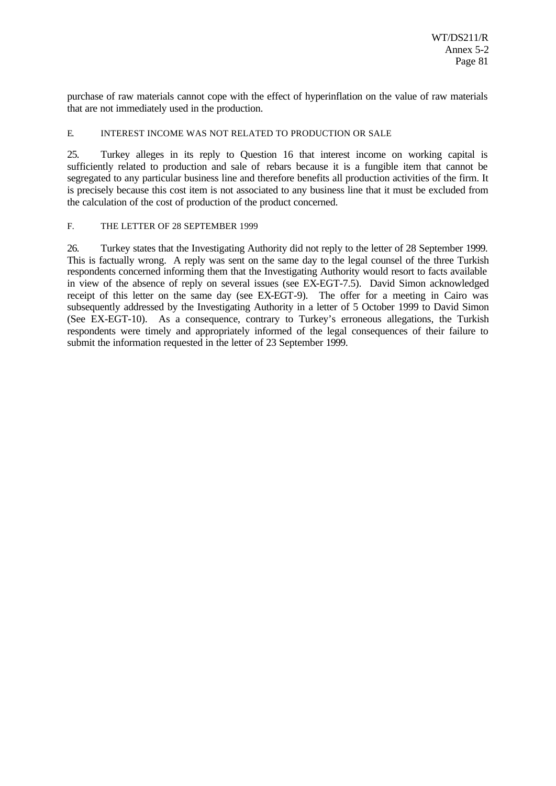purchase of raw materials cannot cope with the effect of hyperinflation on the value of raw materials that are not immediately used in the production.

#### E. INTEREST INCOME WAS NOT RELATED TO PRODUCTION OR SALE

25. Turkey alleges in its reply to Question 16 that interest income on working capital is sufficiently related to production and sale of rebars because it is a fungible item that cannot be segregated to any particular business line and therefore benefits all production activities of the firm. It is precisely because this cost item is not associated to any business line that it must be excluded from the calculation of the cost of production of the product concerned.

#### F. THE LETTER OF 28 SEPTEMBER 1999

26. Turkey states that the Investigating Authority did not reply to the letter of 28 September 1999. This is factually wrong. A reply was sent on the same day to the legal counsel of the three Turkish respondents concerned informing them that the Investigating Authority would resort to facts available in view of the absence of reply on several issues (see EX-EGT-7.5). David Simon acknowledged receipt of this letter on the same day (see EX-EGT-9). The offer for a meeting in Cairo was subsequently addressed by the Investigating Authority in a letter of 5 October 1999 to David Simon (See EX-EGT-10). As a consequence, contrary to Turkey's erroneous allegations, the Turkish respondents were timely and appropriately informed of the legal consequences of their failure to submit the information requested in the letter of 23 September 1999.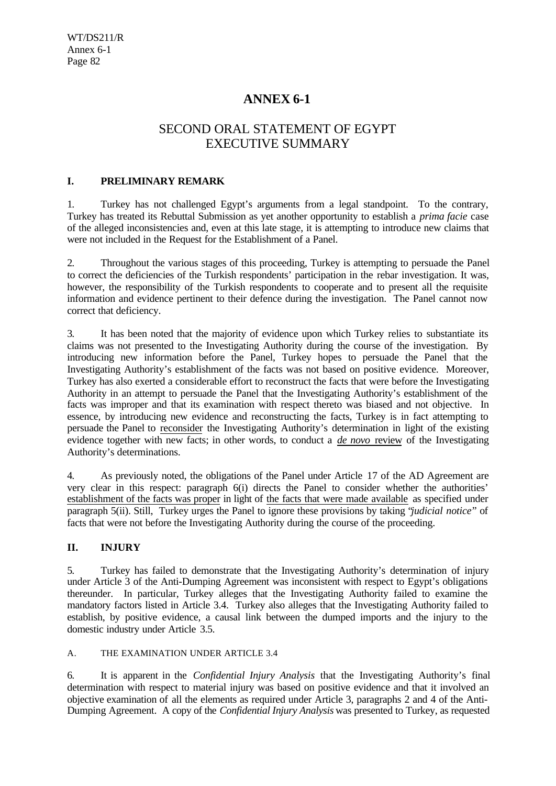# **ANNEX 6-1**

## SECOND ORAL STATEMENT OF EGYPT EXECUTIVE SUMMARY

## **I. PRELIMINARY REMARK**

1. Turkey has not challenged Egypt's arguments from a legal standpoint. To the contrary, Turkey has treated its Rebuttal Submission as yet another opportunity to establish a *prima facie* case of the alleged inconsistencies and, even at this late stage, it is attempting to introduce new claims that were not included in the Request for the Establishment of a Panel.

2. Throughout the various stages of this proceeding, Turkey is attempting to persuade the Panel to correct the deficiencies of the Turkish respondents' participation in the rebar investigation. It was, however, the responsibility of the Turkish respondents to cooperate and to present all the requisite information and evidence pertinent to their defence during the investigation. The Panel cannot now correct that deficiency.

3. It has been noted that the majority of evidence upon which Turkey relies to substantiate its claims was not presented to the Investigating Authority during the course of the investigation. By introducing new information before the Panel, Turkey hopes to persuade the Panel that the Investigating Authority's establishment of the facts was not based on positive evidence. Moreover, Turkey has also exerted a considerable effort to reconstruct the facts that were before the Investigating Authority in an attempt to persuade the Panel that the Investigating Authority's establishment of the facts was improper and that its examination with respect thereto was biased and not objective. In essence, by introducing new evidence and reconstructing the facts, Turkey is in fact attempting to persuade the Panel to reconsider the Investigating Authority's determination in light of the existing evidence together with new facts; in other words, to conduct a *de novo* review of the Investigating Authority's determinations.

4. As previously noted, the obligations of the Panel under Article 17 of the AD Agreement are very clear in this respect: paragraph 6(i) directs the Panel to consider whether the authorities' establishment of the facts was proper in light of the facts that were made available as specified under paragraph 5(ii). Still, Turkey urges the Panel to ignore these provisions by taking "*judicial notice*" of facts that were not before the Investigating Authority during the course of the proceeding.

## **II. INJURY**

5. Turkey has failed to demonstrate that the Investigating Authority's determination of injury under Article 3 of the Anti-Dumping Agreement was inconsistent with respect to Egypt's obligations thereunder. In particular, Turkey alleges that the Investigating Authority failed to examine the mandatory factors listed in Article 3.4. Turkey also alleges that the Investigating Authority failed to establish, by positive evidence, a causal link between the dumped imports and the injury to the domestic industry under Article 3.5.

## A. THE EXAMINATION UNDER ARTICLE 3.4

6. It is apparent in the *Confidential Injury Analysis* that the Investigating Authority's final determination with respect to material injury was based on positive evidence and that it involved an objective examination of all the elements as required under Article 3, paragraphs 2 and 4 of the Anti-Dumping Agreement. A copy of the *Confidential Injury Analysis* was presented to Turkey, as requested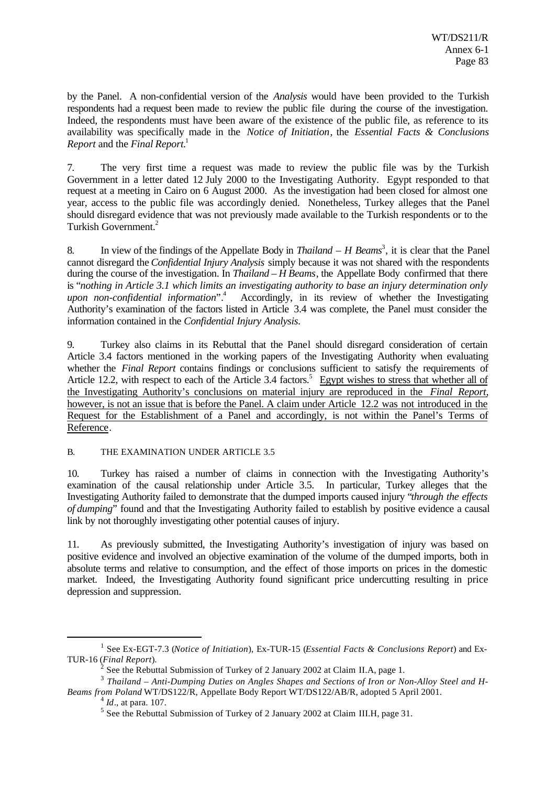by the Panel. A non-confidential version of the *Analysis* would have been provided to the Turkish respondents had a request been made to review the public file during the course of the investigation. Indeed, the respondents must have been aware of the existence of the public file, as reference to its availability was specifically made in the *Notice of Initiation*, the *Essential Facts & Conclusions Report* and the *Final Report.*<sup>1</sup>

7. The very first time a request was made to review the public file was by the Turkish Government in a letter dated 12 July 2000 to the Investigating Authority. Egypt responded to that request at a meeting in Cairo on 6 August 2000. As the investigation had been closed for almost one year, access to the public file was accordingly denied. Nonetheless, Turkey alleges that the Panel should disregard evidence that was not previously made available to the Turkish respondents or to the Turkish Government.<sup>2</sup>

8. In view of the findings of the Appellate Body in *Thailand – H Beams*<sup>3</sup>, it is clear that the Panel cannot disregard the *Confidential Injury Analysis* simply because it was not shared with the respondents during the course of the investigation. In *Thailand –*  $\hat{H}$  *Beams*, the Appellate Body confirmed that there is "*nothing in Article 3.1 which limits an investigating authority to base an injury determination only upon non-confidential information*".<sup>4</sup> Accordingly, in its review of whether the Investigating Authority's examination of the factors listed in Article 3.4 was complete, the Panel must consider the information contained in the *Confidential Injury Analysis*.

9. Turkey also claims in its Rebuttal that the Panel should disregard consideration of certain Article 3.4 factors mentioned in the working papers of the Investigating Authority when evaluating whether the *Final Report* contains findings or conclusions sufficient to satisfy the requirements of Article 12.2, with respect to each of the Article 3.4 factors.<sup>5</sup> Egypt wishes to stress that whether all of the Investigating Authority's conclusions on material injury are reproduced in the *Final Report*, however, is not an issue that is before the Panel. A claim under Article 12.2 was not introduced in the Request for the Establishment of a Panel and accordingly, is not within the Panel's Terms of Reference.

#### B. THE EXAMINATION UNDER ARTICLE 3.5

10. Turkey has raised a number of claims in connection with the Investigating Authority's examination of the causal relationship under Article 3.5. In particular, Turkey alleges that the Investigating Authority failed to demonstrate that the dumped imports caused injury "*through the effects of dumping*" found and that the Investigating Authority failed to establish by positive evidence a causal link by not thoroughly investigating other potential causes of injury.

11. As previously submitted, the Investigating Authority's investigation of injury was based on positive evidence and involved an objective examination of the volume of the dumped imports, both in absolute terms and relative to consumption, and the effect of those imports on prices in the domestic market. Indeed, the Investigating Authority found significant price undercutting resulting in price depression and suppression.

l

<sup>1</sup> See Ex-EGT-7.3 (*Notice of Initiation*), Ex-TUR-15 (*Essential Facts & Conclusions Report*) and Ex-TUR-16 (*Final Report*).

 $\dot{2}$ See the Rebuttal Submission of Turkey of 2 January 2002 at Claim II.A, page 1.

<sup>&</sup>lt;sup>3</sup> Thailand – Anti-Dumping Duties on Angles Shapes and Sections of Iron or Non-Alloy Steel and H-*Beams from Poland* WT/DS122/R, Appellate Body Report WT/DS122/AB/R, adopted 5 April 2001.

<sup>4</sup> *Id*., at para. 107.

<sup>&</sup>lt;sup>5</sup> See the Rebuttal Submission of Turkey of 2 January 2002 at Claim III.H, page 31.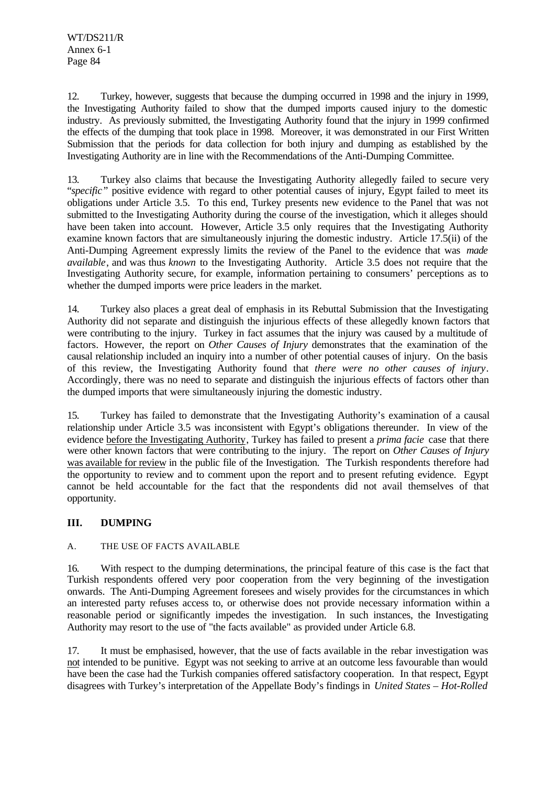12. Turkey, however, suggests that because the dumping occurred in 1998 and the injury in 1999, the Investigating Authority failed to show that the dumped imports caused injury to the domestic industry. As previously submitted, the Investigating Authority found that the injury in 1999 confirmed the effects of the dumping that took place in 1998. Moreover, it was demonstrated in our First Written Submission that the periods for data collection for both injury and dumping as established by the Investigating Authority are in line with the Recommendations of the Anti-Dumping Committee.

13. Turkey also claims that because the Investigating Authority allegedly failed to secure very "*specific* " positive evidence with regard to other potential causes of injury, Egypt failed to meet its obligations under Article 3.5. To this end, Turkey presents new evidence to the Panel that was not submitted to the Investigating Authority during the course of the investigation, which it alleges should have been taken into account. However, Article 3.5 only requires that the Investigating Authority examine known factors that are simultaneously injuring the domestic industry. Article 17.5(ii) of the Anti-Dumping Agreement expressly limits the review of the Panel to the evidence that was *made available*, and was thus *known* to the Investigating Authority. Article 3.5 does not require that the Investigating Authority secure, for example, information pertaining to consumers' perceptions as to whether the dumped imports were price leaders in the market.

14. Turkey also places a great deal of emphasis in its Rebuttal Submission that the Investigating Authority did not separate and distinguish the injurious effects of these allegedly known factors that were contributing to the injury. Turkey in fact assumes that the injury was caused by a multitude of factors. However, the report on *Other Causes of Injury* demonstrates that the examination of the causal relationship included an inquiry into a number of other potential causes of injury. On the basis of this review, the Investigating Authority found that *there were no other causes of injury*. Accordingly, there was no need to separate and distinguish the injurious effects of factors other than the dumped imports that were simultaneously injuring the domestic industry.

15. Turkey has failed to demonstrate that the Investigating Authority's examination of a causal relationship under Article 3.5 was inconsistent with Egypt's obligations thereunder. In view of the evidence before the Investigating Authority, Turkey has failed to present a *prima facie* case that there were other known factors that were contributing to the injury. The report on *Other Causes of Injury* was available for review in the public file of the Investigation. The Turkish respondents therefore had the opportunity to review and to comment upon the report and to present refuting evidence. Egypt cannot be held accountable for the fact that the respondents did not avail themselves of that opportunity.

## **III. DUMPING**

## A. THE USE OF FACTS AVAILABLE

16. With respect to the dumping determinations, the principal feature of this case is the fact that Turkish respondents offered very poor cooperation from the very beginning of the investigation onwards. The Anti-Dumping Agreement foresees and wisely provides for the circumstances in which an interested party refuses access to, or otherwise does not provide necessary information within a reasonable period or significantly impedes the investigation. In such instances, the Investigating Authority may resort to the use of "the facts available" as provided under Article 6.8.

17. It must be emphasised, however, that the use of facts available in the rebar investigation was not intended to be punitive. Egypt was not seeking to arrive at an outcome less favourable than would have been the case had the Turkish companies offered satisfactory cooperation. In that respect, Egypt disagrees with Turkey's interpretation of the Appellate Body's findings in *United States – Hot-Rolled*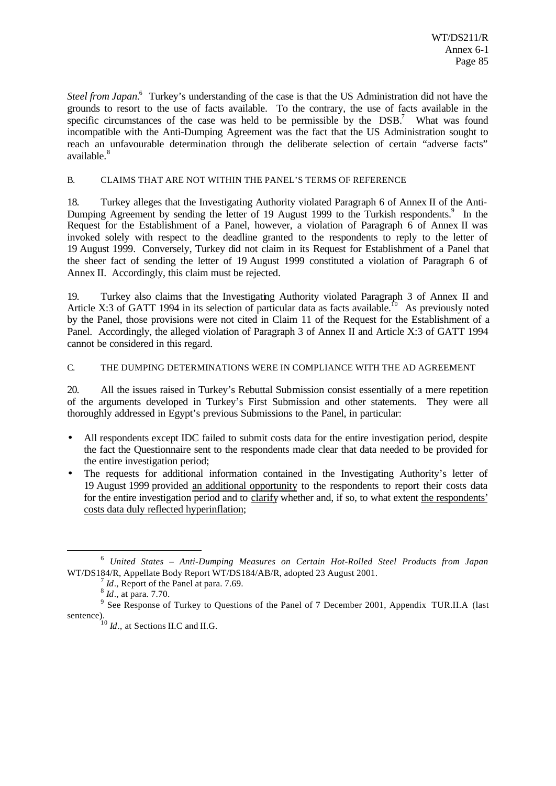Steel from Japan.<sup>6</sup> Turkey's understanding of the case is that the US Administration did not have the grounds to resort to the use of facts available. To the contrary, the use of facts available in the specific circumstances of the case was held to be permissible by the  $DSB$ .<sup>7</sup> What was found incompatible with the Anti-Dumping Agreement was the fact that the US Administration sought to reach an unfavourable determination through the deliberate selection of certain "adverse facts" available.<sup>8</sup>

### B. CLAIMS THAT ARE NOT WITHIN THE PANEL'S TERMS OF REFERENCE

18. Turkey alleges that the Investigating Authority violated Paragraph 6 of Annex II of the Anti-Dumping Agreement by sending the letter of 19 August 1999 to the Turkish respondents.<sup>9</sup> In the Request for the Establishment of a Panel, however, a violation of Paragraph 6 of Annex II was invoked solely with respect to the deadline granted to the respondents to reply to the letter of 19 August 1999. Conversely, Turkey did not claim in its Request for Establishment of a Panel that the sheer fact of sending the letter of 19 August 1999 constituted a violation of Paragraph 6 of Annex II. Accordingly, this claim must be rejected.

19. Turkey also claims that the Investigating Authority violated Paragraph 3 of Annex II and Article X:3 of GATT 1994 in its selection of particular data as facts available.<sup>10</sup> As previously noted by the Panel, those provisions were not cited in Claim 11 of the Request for the Establishment of a Panel. Accordingly, the alleged violation of Paragraph 3 of Annex II and Article X:3 of GATT 1994 cannot be considered in this regard.

### C. THE DUMPING DETERMINATIONS WERE IN COMPLIANCE WITH THE AD AGREEMENT

20. All the issues raised in Turkey's Rebuttal Submission consist essentially of a mere repetition of the arguments developed in Turkey's First Submission and other statements. They were all thoroughly addressed in Egypt's previous Submissions to the Panel, in particular:

- All respondents except IDC failed to submit costs data for the entire investigation period, despite the fact the Questionnaire sent to the respondents made clear that data needed to be provided for the entire investigation period;
- The requests for additional information contained in the Investigating Authority's letter of 19 August 1999 provided an additional opportunity to the respondents to report their costs data for the entire investigation period and to clarify whether and, if so, to what extent the respondents' costs data duly reflected hyperinflation;

l

<sup>6</sup> *United States – Anti-Dumping Measures on Certain Hot-Rolled Steel Products from Japan* WT/DS184/R, Appellate Body Report WT/DS184/AB/R, adopted 23 August 2001.

<sup>7</sup> *Id*., Report of the Panel at para. 7.69.

<sup>8</sup> *Id*., at para. 7.70.

<sup>&</sup>lt;sup>9</sup> See Response of Turkey to Questions of the Panel of 7 December 2001, Appendix TUR.II.A (last sentence).

<sup>10</sup> *Id*., at Sections II.C and II.G.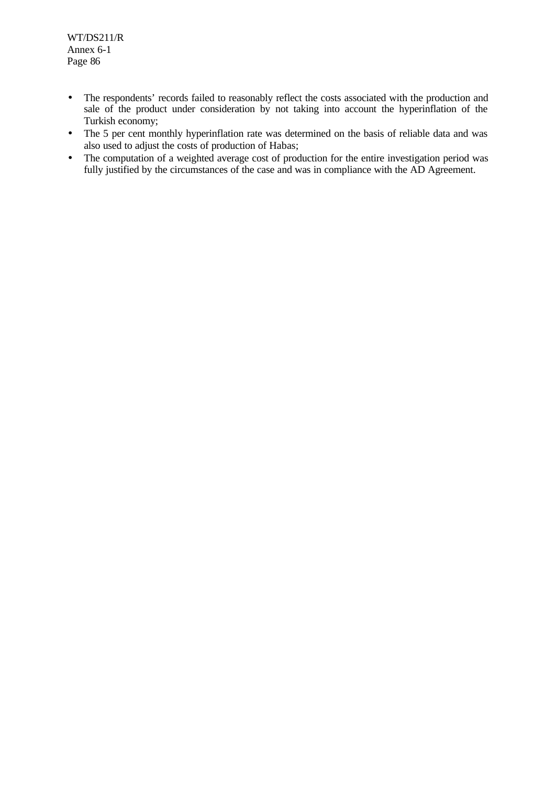- The respondents' records failed to reasonably reflect the costs associated with the production and sale of the product under consideration by not taking into account the hyperinflation of the Turkish economy;
- The 5 per cent monthly hyperinflation rate was determined on the basis of reliable data and was also used to adjust the costs of production of Habas;
- The computation of a weighted average cost of production for the entire investigation period was fully justified by the circumstances of the case and was in compliance with the AD Agreement.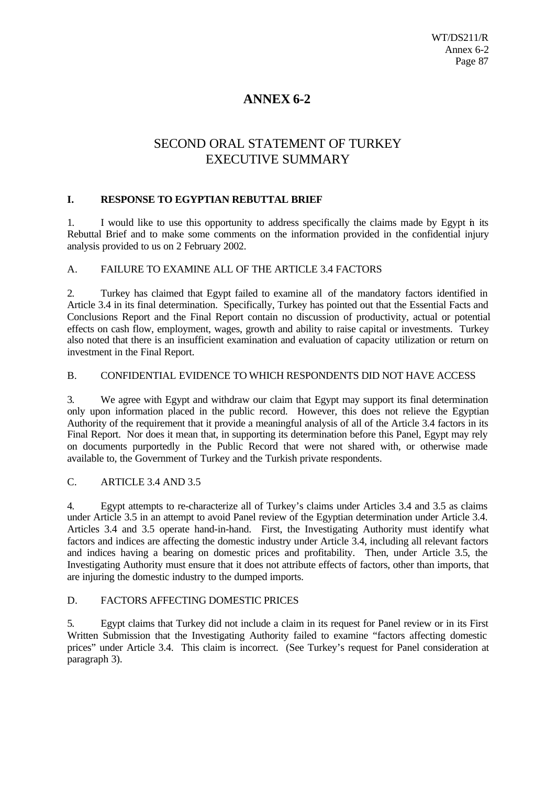# **ANNEX 6-2**

## SECOND ORAL STATEMENT OF TURKEY EXECUTIVE SUMMARY

## **I. RESPONSE TO EGYPTIAN REBUTTAL BRIEF**

1. I would like to use this opportunity to address specifically the claims made by Egypt in its Rebuttal Brief and to make some comments on the information provided in the confidential injury analysis provided to us on 2 February 2002.

### A. FAILURE TO EXAMINE ALL OF THE ARTICLE 3.4 FACTORS

2. Turkey has claimed that Egypt failed to examine all of the mandatory factors identified in Article 3.4 in its final determination. Specifically, Turkey has pointed out that the Essential Facts and Conclusions Report and the Final Report contain no discussion of productivity, actual or potential effects on cash flow, employment, wages, growth and ability to raise capital or investments. Turkey also noted that there is an insufficient examination and evaluation of capacity utilization or return on investment in the Final Report.

## B. CONFIDENTIAL EVIDENCE TO WHICH RESPONDENTS DID NOT HAVE ACCESS

3. We agree with Egypt and withdraw our claim that Egypt may support its final determination only upon information placed in the public record. However, this does not relieve the Egyptian Authority of the requirement that it provide a meaningful analysis of all of the Article 3.4 factors in its Final Report. Nor does it mean that, in supporting its determination before this Panel, Egypt may rely on documents purportedly in the Public Record that were not shared with, or otherwise made available to, the Government of Turkey and the Turkish private respondents.

C. ARTICLE 3.4 AND 3.5

4. Egypt attempts to re-characterize all of Turkey's claims under Articles 3.4 and 3.5 as claims under Article 3.5 in an attempt to avoid Panel review of the Egyptian determination under Article 3.4. Articles 3.4 and 3.5 operate hand-in-hand. First, the Investigating Authority must identify what factors and indices are affecting the domestic industry under Article 3.4, including all relevant factors and indices having a bearing on domestic prices and profitability. Then, under Article 3.5, the Investigating Authority must ensure that it does not attribute effects of factors, other than imports, that are injuring the domestic industry to the dumped imports.

## D. FACTORS AFFECTING DOMESTIC PRICES

5. Egypt claims that Turkey did not include a claim in its request for Panel review or in its First Written Submission that the Investigating Authority failed to examine "factors affecting domestic prices" under Article 3.4. This claim is incorrect. (See Turkey's request for Panel consideration at paragraph 3).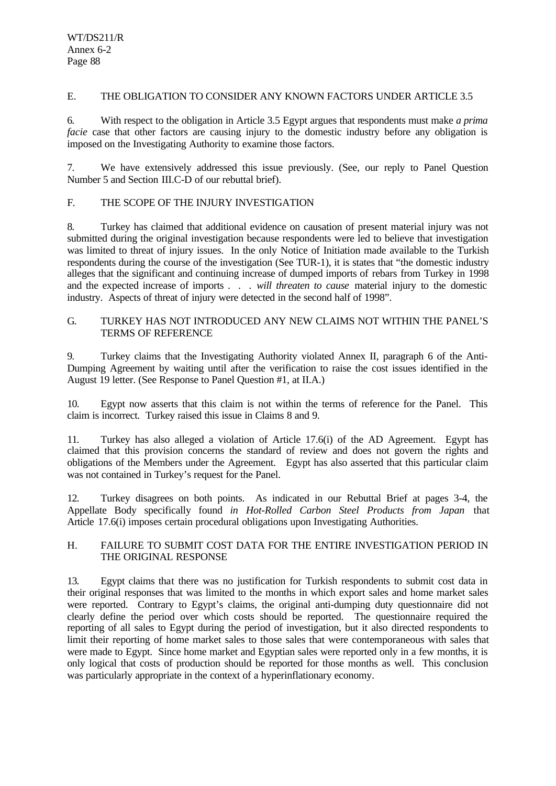### E. THE OBLIGATION TO CONSIDER ANY KNOWN FACTORS UNDER ARTICLE 3.5

6. With respect to the obligation in Article 3.5 Egypt argues that respondents must make *a prima facie* case that other factors are causing injury to the domestic industry before any obligation is imposed on the Investigating Authority to examine those factors.

7. We have extensively addressed this issue previously. (See, our reply to Panel Question Number 5 and Section III.C-D of our rebuttal brief).

## F. THE SCOPE OF THE INJURY INVESTIGATION

8. Turkey has claimed that additional evidence on causation of present material injury was not submitted during the original investigation because respondents were led to believe that investigation was limited to threat of injury issues. In the only Notice of Initiation made available to the Turkish respondents during the course of the investigation (See TUR-1), it is states that "the domestic industry alleges that the significant and continuing increase of dumped imports of rebars from Turkey in 1998 and the expected increase of imports . . . *will threaten to cause* material injury to the domestic industry. Aspects of threat of injury were detected in the second half of 1998".

### G. TURKEY HAS NOT INTRODUCED ANY NEW CLAIMS NOT WITHIN THE PANEL'S TERMS OF REFERENCE

9. Turkey claims that the Investigating Authority violated Annex II, paragraph 6 of the Anti-Dumping Agreement by waiting until after the verification to raise the cost issues identified in the August 19 letter. (See Response to Panel Question #1, at II.A.)

10. Egypt now asserts that this claim is not within the terms of reference for the Panel. This claim is incorrect. Turkey raised this issue in Claims 8 and 9.

11. Turkey has also alleged a violation of Article 17.6(i) of the AD Agreement. Egypt has claimed that this provision concerns the standard of review and does not govern the rights and obligations of the Members under the Agreement. Egypt has also asserted that this particular claim was not contained in Turkey's request for the Panel.

12. Turkey disagrees on both points. As indicated in our Rebuttal Brief at pages 3-4, the Appellate Body specifically found *in Hot-Rolled Carbon Steel Products from Japan* that Article 17.6(i) imposes certain procedural obligations upon Investigating Authorities.

## H. FAILURE TO SUBMIT COST DATA FOR THE ENTIRE INVESTIGATION PERIOD IN THE ORIGINAL RESPONSE

13. Egypt claims that there was no justification for Turkish respondents to submit cost data in their original responses that was limited to the months in which export sales and home market sales were reported. Contrary to Egypt's claims, the original anti-dumping duty questionnaire did not clearly define the period over which costs should be reported. The questionnaire required the reporting of all sales to Egypt during the period of investigation, but it also directed respondents to limit their reporting of home market sales to those sales that were contemporaneous with sales that were made to Egypt. Since home market and Egyptian sales were reported only in a few months, it is only logical that costs of production should be reported for those months as well. This conclusion was particularly appropriate in the context of a hyperinflationary economy.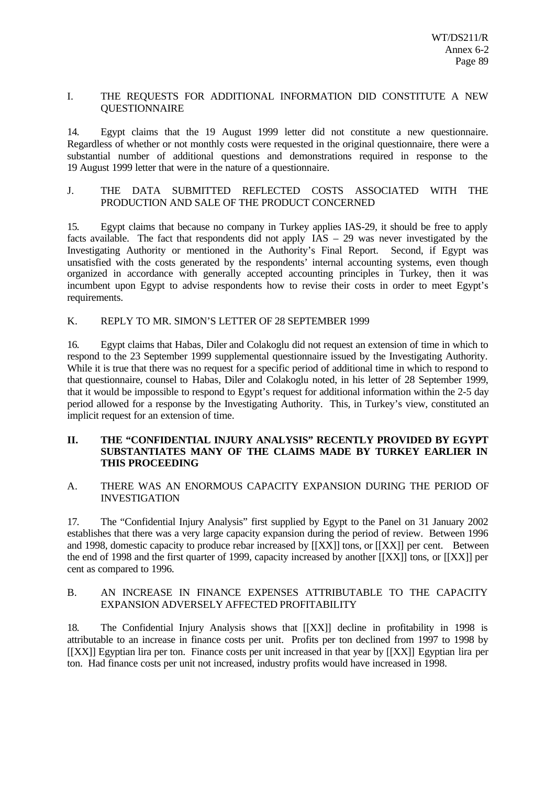### I. THE REQUESTS FOR ADDITIONAL INFORMATION DID CONSTITUTE A NEW QUESTIONNAIRE

14. Egypt claims that the 19 August 1999 letter did not constitute a new questionnaire. Regardless of whether or not monthly costs were requested in the original questionnaire, there were a substantial number of additional questions and demonstrations required in response to the 19 August 1999 letter that were in the nature of a questionnaire.

### J. THE DATA SUBMITTED REFLECTED COSTS ASSOCIATED WITH THE PRODUCTION AND SALE OF THE PRODUCT CONCERNED

15. Egypt claims that because no company in Turkey applies IAS-29, it should be free to apply facts available. The fact that respondents did not apply IAS – 29 was never investigated by the Investigating Authority or mentioned in the Authority's Final Report. Second, if Egypt was unsatisfied with the costs generated by the respondents' internal accounting systems, even though organized in accordance with generally accepted accounting principles in Turkey, then it was incumbent upon Egypt to advise respondents how to revise their costs in order to meet Egypt's requirements.

## K. REPLY TO MR. SIMON'S LETTER OF 28 SEPTEMBER 1999

16. Egypt claims that Habas, Diler and Colakoglu did not request an extension of time in which to respond to the 23 September 1999 supplemental questionnaire issued by the Investigating Authority. While it is true that there was no request for a specific period of additional time in which to respond to that questionnaire, counsel to Habas, Diler and Colakoglu noted, in his letter of 28 September 1999, that it would be impossible to respond to Egypt's request for additional information within the 2-5 day period allowed for a response by the Investigating Authority. This, in Turkey's view, constituted an implicit request for an extension of time.

#### **II. THE "CONFIDENTIAL INJURY ANALYSIS" RECENTLY PROVIDED BY EGYPT SUBSTANTIATES MANY OF THE CLAIMS MADE BY TURKEY EARLIER IN THIS PROCEEDING**

### A. THERE WAS AN ENORMOUS CAPACITY EXPANSION DURING THE PERIOD OF INVESTIGATION

17. The "Confidential Injury Analysis" first supplied by Egypt to the Panel on 31 January 2002 establishes that there was a very large capacity expansion during the period of review. Between 1996 and 1998, domestic capacity to produce rebar increased by [[XX]] tons, or [[XX]] per cent. Between the end of 1998 and the first quarter of 1999, capacity increased by another [[XX]] tons, or [[XX]] per cent as compared to 1996.

#### B. AN INCREASE IN FINANCE EXPENSES ATTRIBUTABLE TO THE CAPACITY EXPANSION ADVERSELY AFFECTED PROFITABILITY

18. The Confidential Injury Analysis shows that [[XX]] decline in profitability in 1998 is attributable to an increase in finance costs per unit. Profits per ton declined from 1997 to 1998 by [[XX]] Egyptian lira per ton. Finance costs per unit increased in that year by [[XX]] Egyptian lira per ton. Had finance costs per unit not increased, industry profits would have increased in 1998.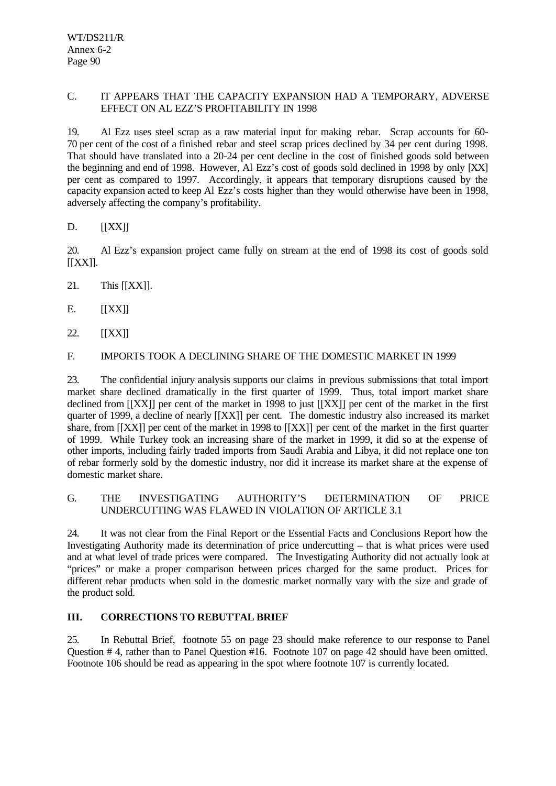#### C. IT APPEARS THAT THE CAPACITY EXPANSION HAD A TEMPORARY, ADVERSE EFFECT ON AL EZZ'S PROFITABILITY IN 1998

19. Al Ezz uses steel scrap as a raw material input for making rebar. Scrap accounts for 60- 70 per cent of the cost of a finished rebar and steel scrap prices declined by 34 per cent during 1998. That should have translated into a 20-24 per cent decline in the cost of finished goods sold between the beginning and end of 1998. However, Al Ezz's cost of goods sold declined in 1998 by only [XX] per cent as compared to 1997. Accordingly, it appears that temporary disruptions caused by the capacity expansion acted to keep Al Ezz's costs higher than they would otherwise have been in 1998, adversely affecting the company's profitability.

 $D.$   $[[XX]]$ 

20. Al Ezz's expansion project came fully on stream at the end of 1998 its cost of goods sold  $[[XX]]$ .

- 21. This [[XX]].
- $E.$   $[[XX]]$
- 22. [[XX]]

### F. IMPORTS TOOK A DECLINING SHARE OF THE DOMESTIC MARKET IN 1999

23. The confidential injury analysis supports our claims in previous submissions that total import market share declined dramatically in the first quarter of 1999. Thus, total import market share declined from [[XX]] per cent of the market in 1998 to just [[XX]] per cent of the market in the first quarter of 1999, a decline of nearly [[XX]] per cent. The domestic industry also increased its market share, from [[XX]] per cent of the market in 1998 to [[XX]] per cent of the market in the first quarter of 1999. While Turkey took an increasing share of the market in 1999, it did so at the expense of other imports, including fairly traded imports from Saudi Arabia and Libya, it did not replace one ton of rebar formerly sold by the domestic industry, nor did it increase its market share at the expense of domestic market share.

### G. THE INVESTIGATING AUTHORITY'S DETERMINATION OF PRICE UNDERCUTTING WAS FLAWED IN VIOLATION OF ARTICLE 3.1

24. It was not clear from the Final Report or the Essential Facts and Conclusions Report how the Investigating Authority made its determination of price undercutting – that is what prices were used and at what level of trade prices were compared. The Investigating Authority did not actually look at "prices" or make a proper comparison between prices charged for the same product. Prices for different rebar products when sold in the domestic market normally vary with the size and grade of the product sold.

## **III. CORRECTIONS TO REBUTTAL BRIEF**

25. In Rebuttal Brief, footnote 55 on page 23 should make reference to our response to Panel Question # 4, rather than to Panel Question #16. Footnote 107 on page 42 should have been omitted. Footnote 106 should be read as appearing in the spot where footnote 107 is currently located.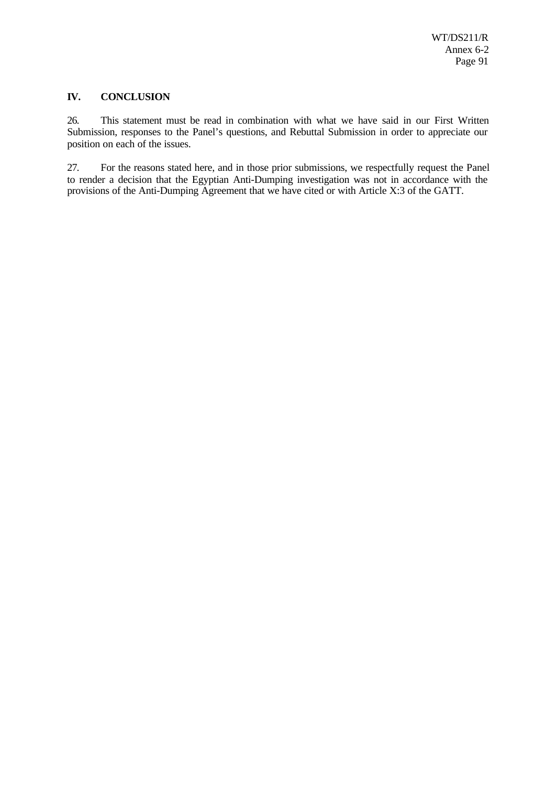### **IV. CONCLUSION**

26. This statement must be read in combination with what we have said in our First Written Submission, responses to the Panel's questions, and Rebuttal Submission in order to appreciate our position on each of the issues.

27. For the reasons stated here, and in those prior submissions, we respectfully request the Panel to render a decision that the Egyptian Anti-Dumping investigation was not in accordance with the provisions of the Anti-Dumping Agreement that we have cited or with Article X:3 of the GATT.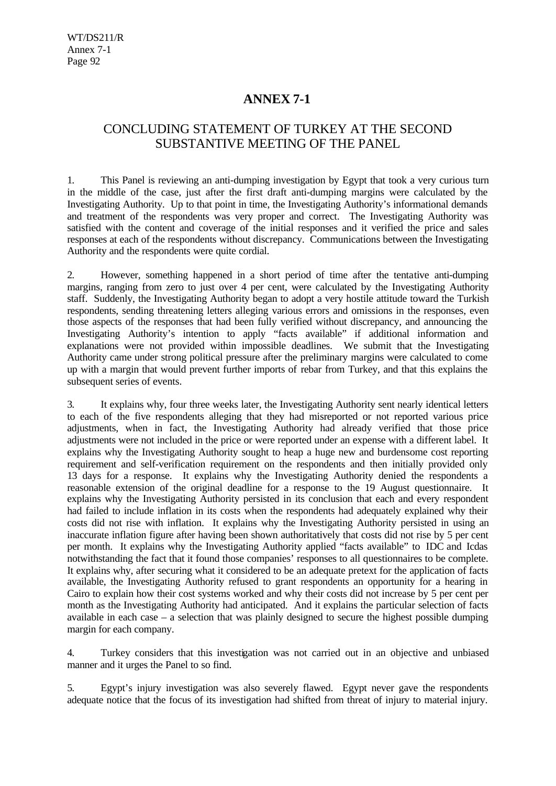## **ANNEX 7-1**

## CONCLUDING STATEMENT OF TURKEY AT THE SECOND SUBSTANTIVE MEETING OF THE PANEL

1. This Panel is reviewing an anti-dumping investigation by Egypt that took a very curious turn in the middle of the case, just after the first draft anti-dumping margins were calculated by the Investigating Authority. Up to that point in time, the Investigating Authority's informational demands and treatment of the respondents was very proper and correct. The Investigating Authority was satisfied with the content and coverage of the initial responses and it verified the price and sales responses at each of the respondents without discrepancy. Communications between the Investigating Authority and the respondents were quite cordial.

2. However, something happened in a short period of time after the tentative anti-dumping margins, ranging from zero to just over 4 per cent, were calculated by the Investigating Authority staff. Suddenly, the Investigating Authority began to adopt a very hostile attitude toward the Turkish respondents, sending threatening letters alleging various errors and omissions in the responses, even those aspects of the responses that had been fully verified without discrepancy, and announcing the Investigating Authority's intention to apply "facts available" if additional information and explanations were not provided within impossible deadlines. We submit that the Investigating Authority came under strong political pressure after the preliminary margins were calculated to come up with a margin that would prevent further imports of rebar from Turkey, and that this explains the subsequent series of events.

3. It explains why, four three weeks later, the Investigating Authority sent nearly identical letters to each of the five respondents alleging that they had misreported or not reported various price adjustments, when in fact, the Investigating Authority had already verified that those price adjustments were not included in the price or were reported under an expense with a different label. It explains why the Investigating Authority sought to heap a huge new and burdensome cost reporting requirement and self-verification requirement on the respondents and then initially provided only 13 days for a response. It explains why the Investigating Authority denied the respondents a reasonable extension of the original deadline for a response to the 19 August questionnaire. It explains why the Investigating Authority persisted in its conclusion that each and every respondent had failed to include inflation in its costs when the respondents had adequately explained why their costs did not rise with inflation. It explains why the Investigating Authority persisted in using an inaccurate inflation figure after having been shown authoritatively that costs did not rise by 5 per cent per month. It explains why the Investigating Authority applied "facts available" to IDC and Icdas notwithstanding the fact that it found those companies' responses to all questionnaires to be complete. It explains why, after securing what it considered to be an adequate pretext for the application of facts available, the Investigating Authority refused to grant respondents an opportunity for a hearing in Cairo to explain how their cost systems worked and why their costs did not increase by 5 per cent per month as the Investigating Authority had anticipated. And it explains the particular selection of facts available in each case – a selection that was plainly designed to secure the highest possible dumping margin for each company.

4. Turkey considers that this investigation was not carried out in an objective and unbiased manner and it urges the Panel to so find.

5. Egypt's injury investigation was also severely flawed. Egypt never gave the respondents adequate notice that the focus of its investigation had shifted from threat of injury to material injury.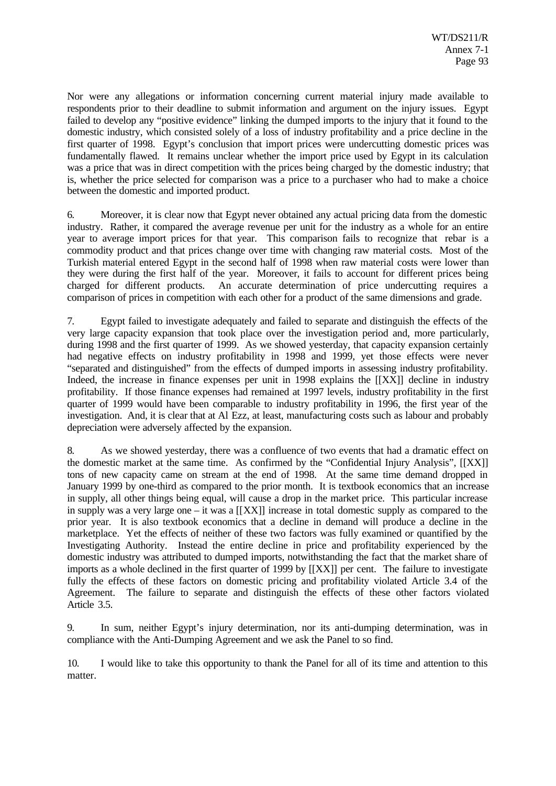Nor were any allegations or information concerning current material injury made available to respondents prior to their deadline to submit information and argument on the injury issues. Egypt failed to develop any "positive evidence" linking the dumped imports to the injury that it found to the domestic industry, which consisted solely of a loss of industry profitability and a price decline in the first quarter of 1998. Egypt's conclusion that import prices were undercutting domestic prices was fundamentally flawed. It remains unclear whether the import price used by Egypt in its calculation was a price that was in direct competition with the prices being charged by the domestic industry; that is, whether the price selected for comparison was a price to a purchaser who had to make a choice between the domestic and imported product.

6. Moreover, it is clear now that Egypt never obtained any actual pricing data from the domestic industry. Rather, it compared the average revenue per unit for the industry as a whole for an entire year to average import prices for that year. This comparison fails to recognize that rebar is a commodity product and that prices change over time with changing raw material costs. Most of the Turkish material entered Egypt in the second half of 1998 when raw material costs were lower than they were during the first half of the year. Moreover, it fails to account for different prices being charged for different products. An accurate determination of price undercutting requires a comparison of prices in competition with each other for a product of the same dimensions and grade.

7. Egypt failed to investigate adequately and failed to separate and distinguish the effects of the very large capacity expansion that took place over the investigation period and, more particularly, during 1998 and the first quarter of 1999. As we showed yesterday, that capacity expansion certainly had negative effects on industry profitability in 1998 and 1999, yet those effects were never "separated and distinguished" from the effects of dumped imports in assessing industry profitability. Indeed, the increase in finance expenses per unit in 1998 explains the [[XX]] decline in industry profitability. If those finance expenses had remained at 1997 levels, industry profitability in the first quarter of 1999 would have been comparable to industry profitability in 1996, the first year of the investigation. And, it is clear that at Al Ezz, at least, manufacturing costs such as labour and probably depreciation were adversely affected by the expansion.

8. As we showed yesterday, there was a confluence of two events that had a dramatic effect on the domestic market at the same time. As confirmed by the "Confidential Injury Analysis", [[XX]] tons of new capacity came on stream at the end of 1998. At the same time demand dropped in January 1999 by one-third as compared to the prior month. It is textbook economics that an increase in supply, all other things being equal, will cause a drop in the market price. This particular increase in supply was a very large one – it was a [[XX]] increase in total domestic supply as compared to the prior year. It is also textbook economics that a decline in demand will produce a decline in the marketplace. Yet the effects of neither of these two factors was fully examined or quantified by the Investigating Authority. Instead the entire decline in price and profitability experienced by the domestic industry was attributed to dumped imports, notwithstanding the fact that the market share of imports as a whole declined in the first quarter of 1999 by [[XX]] per cent. The failure to investigate fully the effects of these factors on domestic pricing and profitability violated Article 3.4 of the Agreement. The failure to separate and distinguish the effects of these other factors violated Article 3.5.

9. In sum, neither Egypt's injury determination, nor its anti-dumping determination, was in compliance with the Anti-Dumping Agreement and we ask the Panel to so find.

10. I would like to take this opportunity to thank the Panel for all of its time and attention to this matter.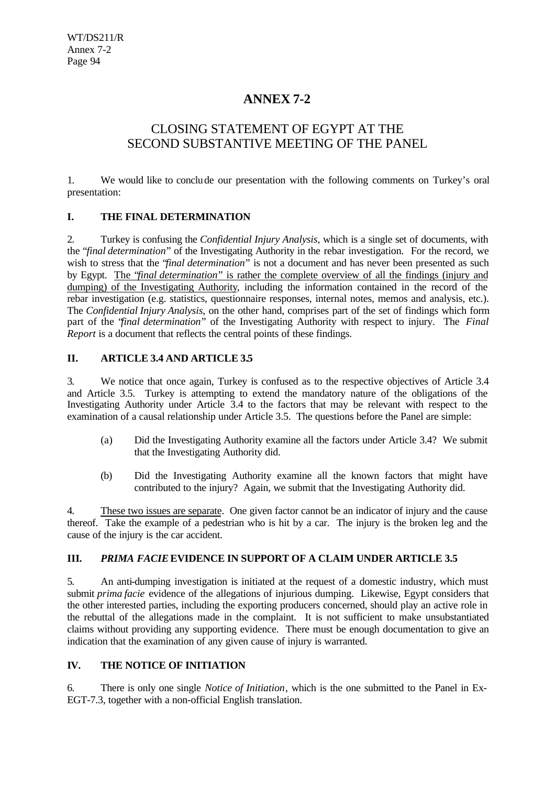# **ANNEX 7-2**

## CLOSING STATEMENT OF EGYPT AT THE SECOND SUBSTANTIVE MEETING OF THE PANEL

1. We would like to conclude our presentation with the following comments on Turkey's oral presentation:

## **I. THE FINAL DETERMINATION**

2. Turkey is confusing the *Confidential Injury Analysis*, which is a single set of documents, with the "*final determination*" of the Investigating Authority in the rebar investigation. For the record, we wish to stress that the "*final determination*" is not a document and has never been presented as such by Egypt. The "*final determination*" is rather the complete overview of all the findings (injury and dumping) of the Investigating Authority, including the information contained in the record of the rebar investigation (e.g. statistics, questionnaire responses, internal notes, memos and analysis, etc.). The *Confidential Injury Analysis*, on the other hand, comprises part of the set of findings which form part of the "*final determination*" of the Investigating Authority with respect to injury. The *Final Report* is a document that reflects the central points of these findings.

## **II. ARTICLE 3.4 AND ARTICLE 3.5**

3. We notice that once again, Turkey is confused as to the respective objectives of Article 3.4 and Article 3.5. Turkey is attempting to extend the mandatory nature of the obligations of the Investigating Authority under Article 3.4 to the factors that may be relevant with respect to the examination of a causal relationship under Article 3.5. The questions before the Panel are simple:

- (a) Did the Investigating Authority examine all the factors under Article 3.4? We submit that the Investigating Authority did.
- (b) Did the Investigating Authority examine all the known factors that might have contributed to the injury? Again, we submit that the Investigating Authority did.

4. These two issues are separate. One given factor cannot be an indicator of injury and the cause thereof. Take the example of a pedestrian who is hit by a car. The injury is the broken leg and the cause of the injury is the car accident.

## **III***. PRIMA FACIE* **EVIDENCE IN SUPPORT OF A CLAIM UNDER ARTICLE 3.5**

5. An anti-dumping investigation is initiated at the request of a domestic industry, which must submit *prima facie* evidence of the allegations of injurious dumping. Likewise, Egypt considers that the other interested parties, including the exporting producers concerned, should play an active role in the rebuttal of the allegations made in the complaint. It is not sufficient to make unsubstantiated claims without providing any supporting evidence. There must be enough documentation to give an indication that the examination of any given cause of injury is warranted.

## **IV. THE NOTICE OF INITIATION**

6. There is only one single *Notice of Initiation*, which is the one submitted to the Panel in Ex-EGT-7.3, together with a non-official English translation.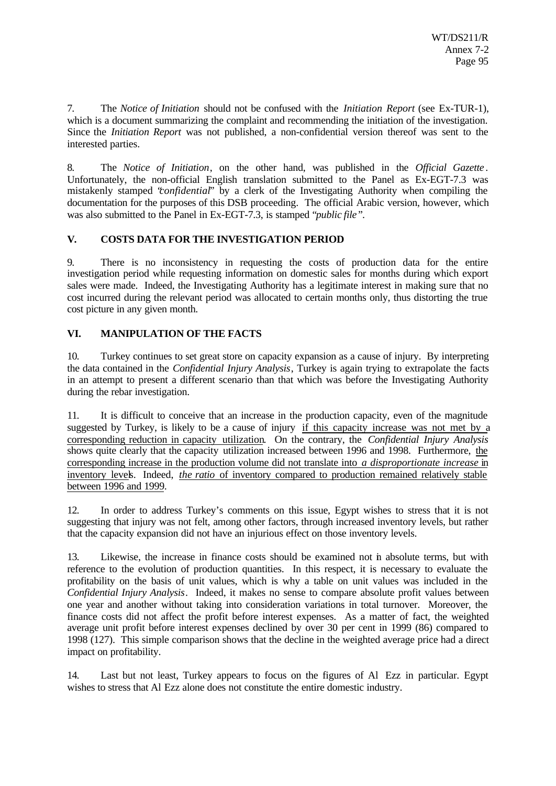7. The *Notice of Initiation* should not be confused with the *Initiation Report* (see Ex-TUR-1), which is a document summarizing the complaint and recommending the initiation of the investigation. Since the *Initiation Report* was not published, a non-confidential version thereof was sent to the interested parties.

8. The *Notice of Initiation*, on the other hand, was published in the *Official Gazette* . Unfortunately, the non-official English translation submitted to the Panel as Ex-EGT-7.3 was mistakenly stamped "*confidential*" by a clerk of the Investigating Authority when compiling the documentation for the purposes of this DSB proceeding. The official Arabic version, however, which was also submitted to the Panel in Ex-EGT-7.3, is stamped "*public file* ".

### **V. COSTS DATA FOR THE INVESTIGATION PERIOD**

9. There is no inconsistency in requesting the costs of production data for the entire investigation period while requesting information on domestic sales for months during which export sales were made. Indeed, the Investigating Authority has a legitimate interest in making sure that no cost incurred during the relevant period was allocated to certain months only, thus distorting the true cost picture in any given month.

### **VI. MANIPULATION OF THE FACTS**

10. Turkey continues to set great store on capacity expansion as a cause of injury. By interpreting the data contained in the *Confidential Injury Analysis*, Turkey is again trying to extrapolate the facts in an attempt to present a different scenario than that which was before the Investigating Authority during the rebar investigation.

11. It is difficult to conceive that an increase in the production capacity, even of the magnitude suggested by Turkey, is likely to be a cause of injury if this capacity increase was not met by a corresponding reduction in capacity utilization. On the contrary, the *Confidential Injury Analysis* shows quite clearly that the capacity utilization increased between 1996 and 1998. Furthermore, the corresponding increase in the production volume did not translate into *a disproportionate increase* in inventory levels. Indeed, *the ratio* of inventory compared to production remained relatively stable between 1996 and 1999.

12. In order to address Turkey's comments on this issue, Egypt wishes to stress that it is not suggesting that injury was not felt, among other factors, through increased inventory levels, but rather that the capacity expansion did not have an injurious effect on those inventory levels.

13. Likewise, the increase in finance costs should be examined not in absolute terms, but with reference to the evolution of production quantities. In this respect, it is necessary to evaluate the profitability on the basis of unit values, which is why a table on unit values was included in the *Confidential Injury Analysis*. Indeed, it makes no sense to compare absolute profit values between one year and another without taking into consideration variations in total turnover. Moreover, the finance costs did not affect the profit before interest expenses. As a matter of fact, the weighted average unit profit before interest expenses declined by over 30 per cent in 1999 (86) compared to 1998 (127). This simple comparison shows that the decline in the weighted average price had a direct impact on profitability.

14. Last but not least, Turkey appears to focus on the figures of Al Ezz in particular. Egypt wishes to stress that Al Ezz alone does not constitute the entire domestic industry.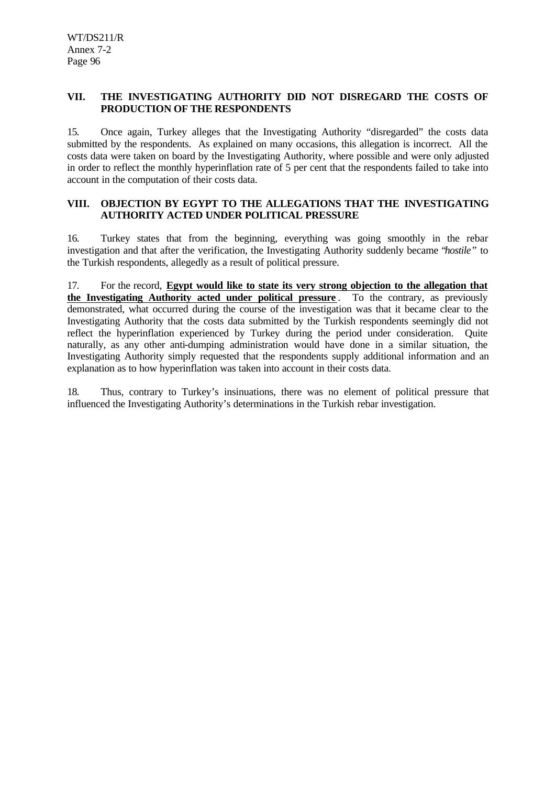### **VII. THE INVESTIGATING AUTHORITY DID NOT DISREGARD THE COSTS OF PRODUCTION OF THE RESPONDENTS**

15. Once again, Turkey alleges that the Investigating Authority "disregarded" the costs data submitted by the respondents. As explained on many occasions, this allegation is incorrect. All the costs data were taken on board by the Investigating Authority, where possible and were only adjusted in order to reflect the monthly hyperinflation rate of 5 per cent that the respondents failed to take into account in the computation of their costs data.

### **VIII. OBJECTION BY EGYPT TO THE ALLEGATIONS THAT THE INVESTIGATING AUTHORITY ACTED UNDER POLITICAL PRESSURE**

16. Turkey states that from the beginning, everything was going smoothly in the rebar investigation and that after the verification, the Investigating Authority suddenly became "*hostile*" to the Turkish respondents, allegedly as a result of political pressure.

17. For the record, **Egypt would like to state its very strong objection to the allegation that the Investigating Authority acted under political pressure** . To the contrary, as previously demonstrated, what occurred during the course of the investigation was that it became clear to the Investigating Authority that the costs data submitted by the Turkish respondents seemingly did not reflect the hyperinflation experienced by Turkey during the period under consideration. Quite naturally, as any other anti-dumping administration would have done in a similar situation, the Investigating Authority simply requested that the respondents supply additional information and an explanation as to how hyperinflation was taken into account in their costs data.

18. Thus, contrary to Turkey's insinuations, there was no element of political pressure that influenced the Investigating Authority's determinations in the Turkish rebar investigation.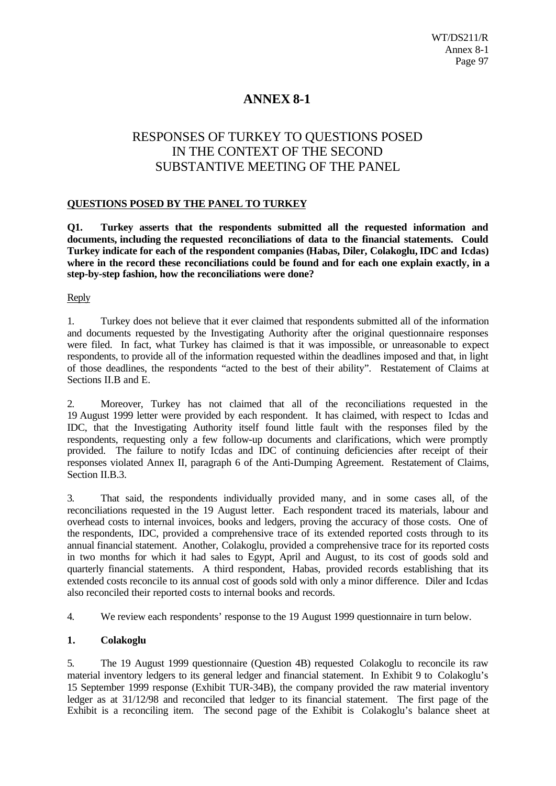# **ANNEX 8-1**

# RESPONSES OF TURKEY TO QUESTIONS POSED IN THE CONTEXT OF THE SECOND SUBSTANTIVE MEETING OF THE PANEL

### **QUESTIONS POSED BY THE PANEL TO TURKEY**

**Q1. Turkey asserts that the respondents submitted all the requested information and documents, including the requested reconciliations of data to the financial statements. Could Turkey indicate for each of the respondent companies (Habas, Diler, Colakoglu, IDC and Icdas) where in the record these reconciliations could be found and for each one explain exactly, in a step-by-step fashion, how the reconciliations were done?**

Reply

1. Turkey does not believe that it ever claimed that respondents submitted all of the information and documents requested by the Investigating Authority after the original questionnaire responses were filed. In fact, what Turkey has claimed is that it was impossible, or unreasonable to expect respondents, to provide all of the information requested within the deadlines imposed and that, in light of those deadlines, the respondents "acted to the best of their ability". Restatement of Claims at Sections II.B and E.

2. Moreover, Turkey has not claimed that all of the reconciliations requested in the 19 August 1999 letter were provided by each respondent. It has claimed, with respect to Icdas and IDC, that the Investigating Authority itself found little fault with the responses filed by the respondents, requesting only a few follow-up documents and clarifications, which were promptly provided. The failure to notify Icdas and IDC of continuing deficiencies after receipt of their responses violated Annex II, paragraph 6 of the Anti-Dumping Agreement. Restatement of Claims, Section II.B.3.

3. That said, the respondents individually provided many, and in some cases all, of the reconciliations requested in the 19 August letter. Each respondent traced its materials, labour and overhead costs to internal invoices, books and ledgers, proving the accuracy of those costs. One of the respondents, IDC, provided a comprehensive trace of its extended reported costs through to its annual financial statement. Another, Colakoglu, provided a comprehensive trace for its reported costs in two months for which it had sales to Egypt, April and August, to its cost of goods sold and quarterly financial statements. A third respondent, Habas, provided records establishing that its extended costs reconcile to its annual cost of goods sold with only a minor difference. Diler and Icdas also reconciled their reported costs to internal books and records.

4. We review each respondents' response to the 19 August 1999 questionnaire in turn below.

#### **1. Colakoglu**

5. The 19 August 1999 questionnaire (Question 4B) requested Colakoglu to reconcile its raw material inventory ledgers to its general ledger and financial statement. In Exhibit 9 to Colakoglu's 15 September 1999 response (Exhibit TUR-34B), the company provided the raw material inventory ledger as at 31/12/98 and reconciled that ledger to its financial statement. The first page of the Exhibit is a reconciling item. The second page of the Exhibit is Colakoglu's balance sheet at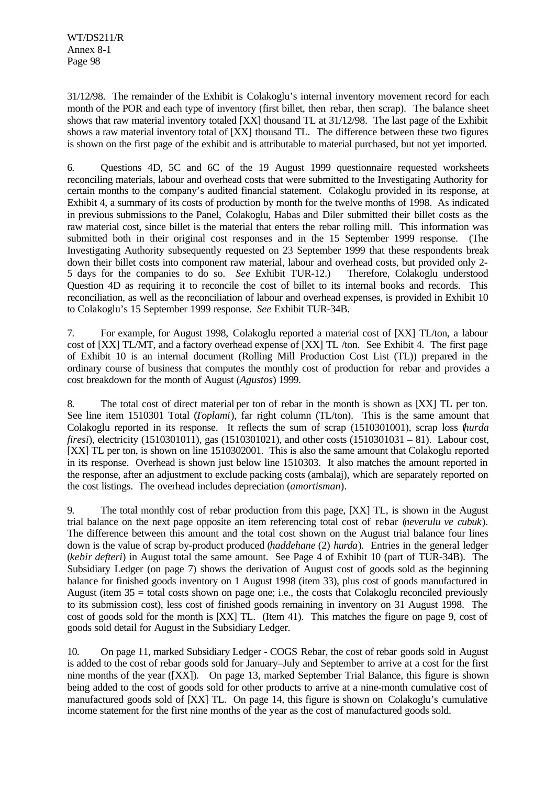WT/DS211/R Annex 8-1 Page 98

31/12/98. The remainder of the Exhibit is Colakoglu's internal inventory movement record for each month of the POR and each type of inventory (first billet, then rebar, then scrap). The balance sheet shows that raw material inventory totaled [XX] thousand TL at 31/12/98. The last page of the Exhibit shows a raw material inventory total of [XX] thousand TL. The difference between these two figures is shown on the first page of the exhibit and is attributable to material purchased, but not yet imported.

6. Questions 4D, 5C and 6C of the 19 August 1999 questionnaire requested worksheets reconciling materials, labour and overhead costs that were submitted to the Investigating Authority for certain months to the company's audited financial statement. Colakoglu provided in its response, at Exhibit 4, a summary of its costs of production by month for the twelve months of 1998. As indicated in previous submissions to the Panel, Colakoglu, Habas and Diler submitted their billet costs as the raw material cost, since billet is the material that enters the rebar rolling mill. This information was submitted both in their original cost responses and in the 15 September 1999 response. (The Investigating Authority subsequently requested on 23 September 1999 that these respondents break down their billet costs into component raw material, labour and overhead costs, but provided only 2- 5 days for the companies to do so. *See* Exhibit TUR-12.) Therefore, Colakoglu understood Question 4D as requiring it to reconcile the cost of billet to its internal books and records. This reconciliation, as well as the reconciliation of labour and overhead expenses, is provided in Exhibit 10 to Colakoglu's 15 September 1999 response. *See* Exhibit TUR-34B.

7. For example, for August 1998, Colakoglu reported a material cost of [XX] TL/ton, a labour cost of [XX] TL/MT, and a factory overhead expense of [XX] TL /ton. See Exhibit 4. The first page of Exhibit 10 is an internal document (Rolling Mill Production Cost List (TL)) prepared in the ordinary course of business that computes the monthly cost of production for rebar and provides a cost breakdown for the month of August (*Agustos*) 1999.

8. The total cost of direct material per ton of rebar in the month is shown as [XX] TL per ton. See line item 1510301 Total (*Toplami*), far right column (TL/ton). This is the same amount that Colakoglu reported in its response. It reflects the sum of scrap (1510301001), scrap loss (*hurda firesi*), electricity (1510301011), gas (1510301021), and other costs (1510301031 – 81). Labour cost, [XX] TL per ton, is shown on line 1510302001. This is also the same amount that Colakoglu reported in its response. Overhead is shown just below line 1510303. It also matches the amount reported in the response, after an adjustment to exclude packing costs (ambalaj), which are separately reported on the cost listings. The overhead includes depreciation (*amortisman*).

9. The total monthly cost of rebar production from this page, [XX] TL, is shown in the August trial balance on the next page opposite an item referencing total cost of rebar (*neverulu ve cubuk*). The difference between this amount and the total cost shown on the August trial balance four lines down is the value of scrap by-product produced (*haddehane* (2) *hurda*). Entries in the general ledger (*kebir defteri*) in August total the same amount. See Page 4 of Exhibit 10 (part of TUR-34B). The Subsidiary Ledger (on page 7) shows the derivation of August cost of goods sold as the beginning balance for finished goods inventory on 1 August 1998 (item 33), plus cost of goods manufactured in August (item  $35$  = total costs shown on page one; i.e., the costs that Colakoglu reconciled previously to its submission cost), less cost of finished goods remaining in inventory on 31 August 1998. The cost of goods sold for the month is [XX] TL. (Item 41). This matches the figure on page 9, cost of goods sold detail for August in the Subsidiary Ledger.

10. On page 11, marked Subsidiary Ledger - COGS Rebar, the cost of rebar goods sold in August is added to the cost of rebar goods sold for January–July and September to arrive at a cost for the first nine months of the year ([XX]). On page 13, marked September Trial Balance, this figure is shown being added to the cost of goods sold for other products to arrive at a nine-month cumulative cost of manufactured goods sold of [XX] TL. On page 14, this figure is shown on Colakoglu's cumulative income statement for the first nine months of the year as the cost of manufactured goods sold.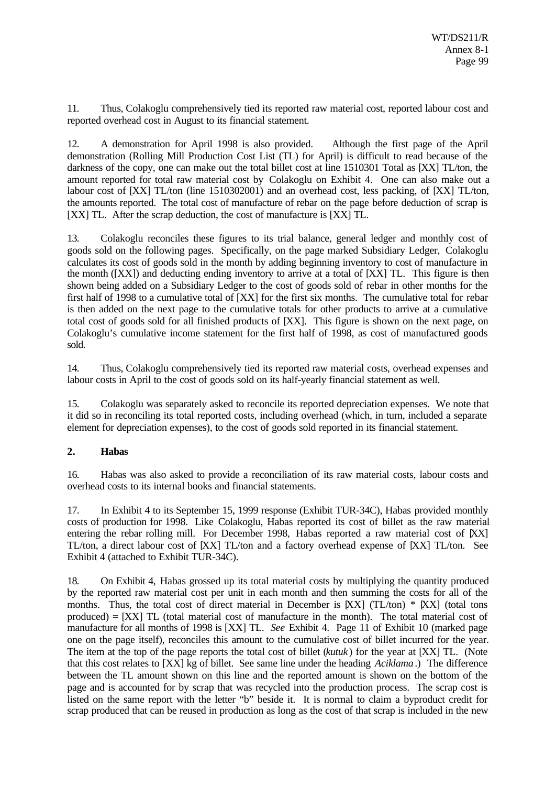11. Thus, Colakoglu comprehensively tied its reported raw material cost, reported labour cost and reported overhead cost in August to its financial statement.

12. A demonstration for April 1998 is also provided. Although the first page of the April demonstration (Rolling Mill Production Cost List (TL) for April) is difficult to read because of the darkness of the copy, one can make out the total billet cost at line 1510301 Total as [XX] TL/ton, the amount reported for total raw material cost by Colakoglu on Exhibit 4. One can also make out a labour cost of [XX] TL/ton (line 1510302001) and an overhead cost, less packing, of [XX] TL/ton, the amounts reported. The total cost of manufacture of rebar on the page before deduction of scrap is [XX] TL. After the scrap deduction, the cost of manufacture is [XX] TL.

13. Colakoglu reconciles these figures to its trial balance, general ledger and monthly cost of goods sold on the following pages. Specifically, on the page marked Subsidiary Ledger, Colakoglu calculates its cost of goods sold in the month by adding beginning inventory to cost of manufacture in the month ([XX]) and deducting ending inventory to arrive at a total of [XX] TL. This figure is then shown being added on a Subsidiary Ledger to the cost of goods sold of rebar in other months for the first half of 1998 to a cumulative total of [XX] for the first six months. The cumulative total for rebar is then added on the next page to the cumulative totals for other products to arrive at a cumulative total cost of goods sold for all finished products of [XX]. This figure is shown on the next page, on Colakoglu's cumulative income statement for the first half of 1998, as cost of manufactured goods sold.

14. Thus, Colakoglu comprehensively tied its reported raw material costs, overhead expenses and labour costs in April to the cost of goods sold on its half-yearly financial statement as well.

15. Colakoglu was separately asked to reconcile its reported depreciation expenses. We note that it did so in reconciling its total reported costs, including overhead (which, in turn, included a separate element for depreciation expenses), to the cost of goods sold reported in its financial statement.

#### **2. Habas**

16. Habas was also asked to provide a reconciliation of its raw material costs, labour costs and overhead costs to its internal books and financial statements.

17. In Exhibit 4 to its September 15, 1999 response (Exhibit TUR-34C), Habas provided monthly costs of production for 1998. Like Colakoglu, Habas reported its cost of billet as the raw material entering the rebar rolling mill. For December 1998, Habas reported a raw material cost of  $|XX|$ TL/ton, a direct labour cost of [XX] TL/ton and a factory overhead expense of [XX] TL/ton. See Exhibit 4 (attached to Exhibit TUR-34C).

18. On Exhibit 4, Habas grossed up its total material costs by multiplying the quantity produced by the reported raw material cost per unit in each month and then summing the costs for all of the months. Thus, the total cost of direct material in December is  $[XX]$  (TL/ton)  $*$   $[XX]$  (total tons  $produced$  =  $[XX]$  TL (total material cost of manufacture in the month). The total material cost of manufacture for all months of 1998 is [XX] TL. *See* Exhibit 4. Page 11 of Exhibit 10 (marked page one on the page itself), reconciles this amount to the cumulative cost of billet incurred for the year. The item at the top of the page reports the total cost of billet (*kutuk* ) for the year at [XX] TL. (Note that this cost relates to [XX] kg of billet. See same line under the heading *Aciklama*.) The difference between the TL amount shown on this line and the reported amount is shown on the bottom of the page and is accounted for by scrap that was recycled into the production process. The scrap cost is listed on the same report with the letter "b" beside it. It is normal to claim a byproduct credit for scrap produced that can be reused in production as long as the cost of that scrap is included in the new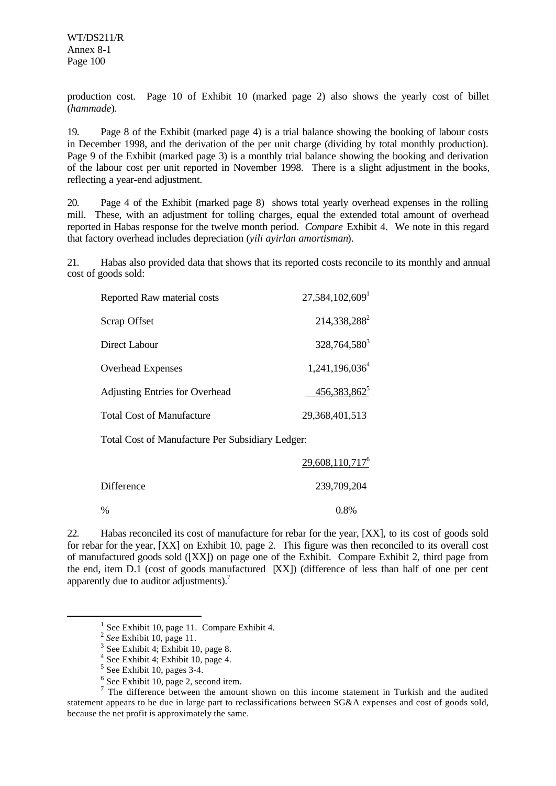WT/DS211/R Annex 8-1 Page 100

production cost. Page 10 of Exhibit 10 (marked page 2) also shows the yearly cost of billet (*hammade*).

19. Page 8 of the Exhibit (marked page 4) is a trial balance showing the booking of labour costs in December 1998, and the derivation of the per unit charge (dividing by total monthly production). Page 9 of the Exhibit (marked page 3) is a monthly trial balance showing the booking and derivation of the labour cost per unit reported in November 1998. There is a slight adjustment in the books, reflecting a year-end adjustment.

20. Page 4 of the Exhibit (marked page 8) shows total yearly overhead expenses in the rolling mill. These, with an adjustment for tolling charges, equal the extended total amount of overhead reported in Habas response for the twelve month period. *Compare* Exhibit 4. We note in this regard that factory overhead includes depreciation (*yili ayirlan amortisman*).

21. Habas also provided data that shows that its reported costs reconcile to its monthly and annual cost of goods sold:

| Reported Raw material costs                      | 27,584,102,609 <sup>1</sup> |
|--------------------------------------------------|-----------------------------|
| Scrap Offset                                     | 214,338,288 <sup>2</sup>    |
| Direct Labour                                    | 328,764,580 <sup>3</sup>    |
| <b>Overhead Expenses</b>                         | 1,241,196,036 <sup>4</sup>  |
| <b>Adjusting Entries for Overhead</b>            | 456, 383, 862 <sup>5</sup>  |
| <b>Total Cost of Manufacture</b>                 | 29,368,401,513              |
| Total Cost of Manufacture Per Subsidiary Ledger: |                             |

|            | $29,608,110,717$ <sup>6</sup> |
|------------|-------------------------------|
| Difference | 239,709,204                   |
| %          | $0.8\%$                       |

22. Habas reconciled its cost of manufacture for rebar for the year, [XX], to its cost of goods sold for rebar for the year, [XX] on Exhibit 10, page 2. This figure was then reconciled to its overall cost of manufactured goods sold ([XX]) on page one of the Exhibit. Compare Exhibit 2, third page from the end, item D.1 (cost of goods manufactured [XX]) (difference of less than half of one per cent apparently due to auditor adjustments).<sup>7</sup>

l

<sup>&</sup>lt;sup>1</sup> See Exhibit 10, page 11. Compare Exhibit 4.

<sup>2</sup> *See* Exhibit 10, page 11.

<sup>&</sup>lt;sup>3</sup> See Exhibit 4; Exhibit 10, page 8.

<sup>4</sup> See Exhibit 4; Exhibit 10, page 4.

 $<sup>5</sup>$  See Exhibit 10, pages 3-4.</sup>

<sup>6</sup> See Exhibit 10, page 2, second item.

<sup>&</sup>lt;sup>7</sup> The difference between the amount shown on this income statement in Turkish and the audited statement appears to be due in large part to reclassifications between SG&A expenses and cost of goods sold, because the net profit is approximately the same.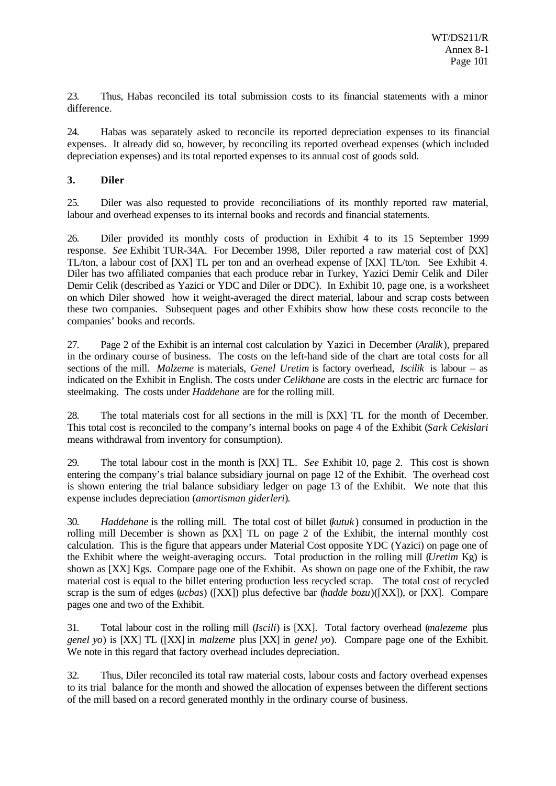23. Thus, Habas reconciled its total submission costs to its financial statements with a minor difference.

24. Habas was separately asked to reconcile its reported depreciation expenses to its financial expenses. It already did so, however, by reconciling its reported overhead expenses (which included depreciation expenses) and its total reported expenses to its annual cost of goods sold.

### **3. Diler**

25. Diler was also requested to provide reconciliations of its monthly reported raw material, labour and overhead expenses to its internal books and records and financial statements.

26. Diler provided its monthly costs of production in Exhibit 4 to its 15 September 1999 response. *See* Exhibit TUR-34A. For December 1998, Diler reported a raw material cost of [XX] TL/ton, a labour cost of [XX] TL per ton and an overhead expense of [XX] TL/ton. See Exhibit 4. Diler has two affiliated companies that each produce rebar in Turkey, Yazici Demir Celik and Diler Demir Celik (described as Yazici or YDC and Diler or DDC). In Exhibit 10, page one, is a worksheet on which Diler showed how it weight-averaged the direct material, labour and scrap costs between these two companies. Subsequent pages and other Exhibits show how these costs reconcile to the companies' books and records.

27. Page 2 of the Exhibit is an internal cost calculation by Yazici in December (*Aralik*), prepared in the ordinary course of business. The costs on the left-hand side of the chart are total costs for all sections of the mill. *Malzeme* is materials, *Genel Uretim* is factory overhead, *Iscilik* is labour – as indicated on the Exhibit in English. The costs under *Celikhane* are costs in the electric arc furnace for steelmaking. The costs under *Haddehane* are for the rolling mill.

28. The total materials cost for all sections in the mill is [XX] TL for the month of December. This total cost is reconciled to the company's internal books on page 4 of the Exhibit (*Sark Cekislari* means withdrawal from inventory for consumption).

29. The total labour cost in the month is [XX] TL. *See* Exhibit 10, page 2. This cost is shown entering the company's trial balance subsidiary journal on page 12 of the Exhibit. The overhead cost is shown entering the trial balance subsidiary ledger on page 13 of the Exhibit. We note that this expense includes depreciation (*amortisman giderleri*).

30. *Haddehane* is the rolling mill. The total cost of billet (*kutuk* ) consumed in production in the rolling mill December is shown as [XX] TL on page 2 of the Exhibit, the internal monthly cost calculation. This is the figure that appears under Material Cost opposite YDC (Yazici) on page one of the Exhibit where the weight-averaging occurs. Total production in the rolling mill (*Uretim* Kg) is shown as [XX] Kgs. Compare page one of the Exhibit. As shown on page one of the Exhibit, the raw material cost is equal to the billet entering production less recycled scrap. The total cost of recycled scrap is the sum of edges (*ucbas*) ([XX]) plus defective bar (*hadde bozu*)([XX]), or [XX]. Compare pages one and two of the Exhibit.

31. Total labour cost in the rolling mill (*Iscili*) is [XX]. Total factory overhead (*malezeme* plus *genel yo*) is [XX] TL ([XX] in *malzeme* plus [XX] in *genel yo*). Compare page one of the Exhibit. We note in this regard that factory overhead includes depreciation.

32. Thus, Diler reconciled its total raw material costs, labour costs and factory overhead expenses to its trial balance for the month and showed the allocation of expenses between the different sections of the mill based on a record generated monthly in the ordinary course of business.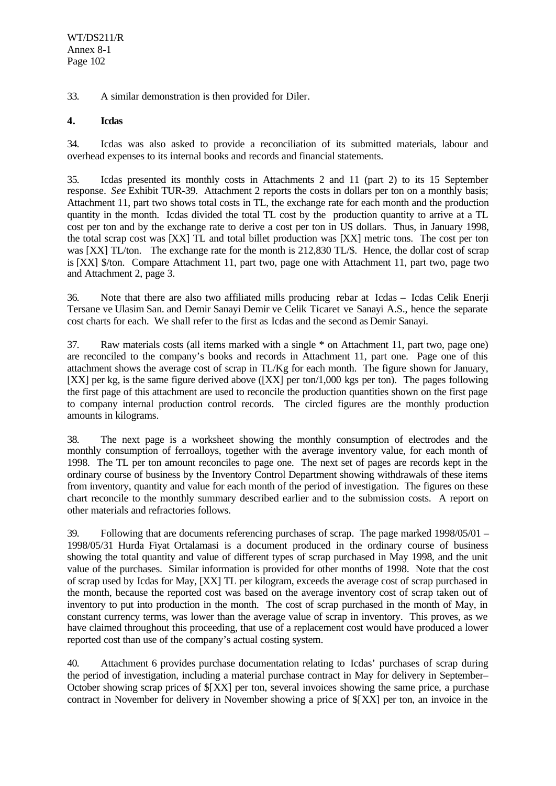## 33. A similar demonstration is then provided for Diler.

### **4. Icdas**

34. Icdas was also asked to provide a reconciliation of its submitted materials, labour and overhead expenses to its internal books and records and financial statements.

35. Icdas presented its monthly costs in Attachments 2 and 11 (part 2) to its 15 September response. *See* Exhibit TUR-39. Attachment 2 reports the costs in dollars per ton on a monthly basis; Attachment 11, part two shows total costs in TL, the exchange rate for each month and the production quantity in the month. Icdas divided the total TL cost by the production quantity to arrive at a TL cost per ton and by the exchange rate to derive a cost per ton in US dollars. Thus, in January 1998, the total scrap cost was [XX] TL and total billet production was [XX] metric tons. The cost per ton was [XX] TL/ton. The exchange rate for the month is 212,830 TL/\$. Hence, the dollar cost of scrap is [XX] \$/ton. Compare Attachment 11, part two, page one with Attachment 11, part two, page two and Attachment 2, page 3.

36. Note that there are also two affiliated mills producing rebar at Icdas – Icdas Celik Enerji Tersane ve Ulasim San. and Demir Sanayi Demir ve Celik Ticaret ve Sanayi A.S., hence the separate cost charts for each. We shall refer to the first as Icdas and the second as Demir Sanayi.

37. Raw materials costs (all items marked with a single \* on Attachment 11, part two, page one) are reconciled to the company's books and records in Attachment 11, part one. Page one of this attachment shows the average cost of scrap in TL/Kg for each month. The figure shown for January, [XX] per kg, is the same figure derived above ([XX] per ton/1,000 kgs per ton). The pages following the first page of this attachment are used to reconcile the production quantities shown on the first page to company internal production control records. The circled figures are the monthly production amounts in kilograms.

38. The next page is a worksheet showing the monthly consumption of electrodes and the monthly consumption of ferroalloys, together with the average inventory value, for each month of 1998. The TL per ton amount reconciles to page one. The next set of pages are records kept in the ordinary course of business by the Inventory Control Department showing withdrawals of these items from inventory, quantity and value for each month of the period of investigation. The figures on these chart reconcile to the monthly summary described earlier and to the submission costs. A report on other materials and refractories follows.

39. Following that are documents referencing purchases of scrap. The page marked 1998/05/01 – 1998/05/31 Hurda Fiyat Ortalamasi is a document produced in the ordinary course of business showing the total quantity and value of different types of scrap purchased in May 1998, and the unit value of the purchases. Similar information is provided for other months of 1998. Note that the cost of scrap used by Icdas for May, [XX] TL per kilogram, exceeds the average cost of scrap purchased in the month, because the reported cost was based on the average inventory cost of scrap taken out of inventory to put into production in the month. The cost of scrap purchased in the month of May, in constant currency terms, was lower than the average value of scrap in inventory. This proves, as we have claimed throughout this proceeding, that use of a replacement cost would have produced a lower reported cost than use of the company's actual costing system.

40. Attachment 6 provides purchase documentation relating to Icdas' purchases of scrap during the period of investigation, including a material purchase contract in May for delivery in September– October showing scrap prices of \$[XX] per ton, several invoices showing the same price, a purchase contract in November for delivery in November showing a price of \$[XX] per ton, an invoice in the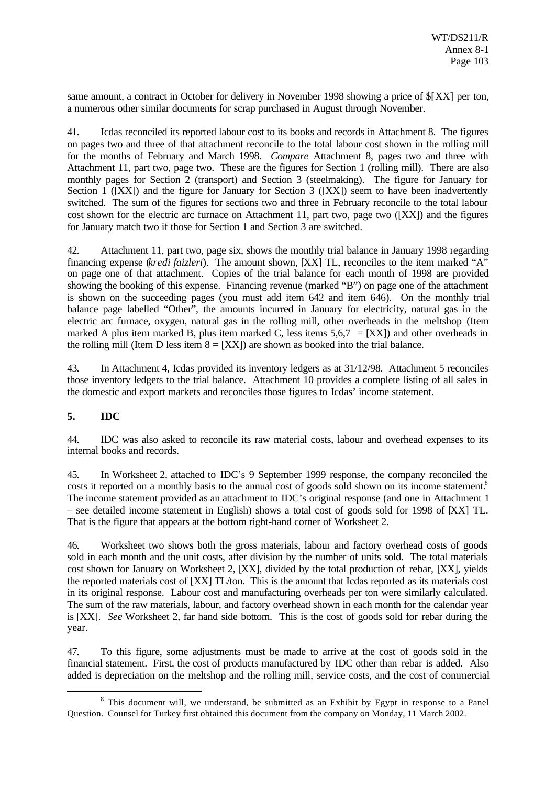same amount, a contract in October for delivery in November 1998 showing a price of \$[XX] per ton, a numerous other similar documents for scrap purchased in August through November.

41. Icdas reconciled its reported labour cost to its books and records in Attachment 8. The figures on pages two and three of that attachment reconcile to the total labour cost shown in the rolling mill for the months of February and March 1998. *Compare* Attachment 8, pages two and three with Attachment 11, part two, page two. These are the figures for Section 1 (rolling mill). There are also monthly pages for Section 2 (transport) and Section 3 (steelmaking). The figure for January for Section 1 ( $[XX]$ ) and the figure for January for Section 3 ( $[XX]$ ) seem to have been inadvertently switched. The sum of the figures for sections two and three in February reconcile to the total labour cost shown for the electric arc furnace on Attachment 11, part two, page two ([XX]) and the figures for January match two if those for Section 1 and Section 3 are switched.

42. Attachment 11, part two, page six, shows the monthly trial balance in January 1998 regarding financing expense (*kredi faizleri*). The amount shown, [XX] TL, reconciles to the item marked "A" on page one of that attachment. Copies of the trial balance for each month of 1998 are provided showing the booking of this expense. Financing revenue (marked "B") on page one of the attachment is shown on the succeeding pages (you must add item 642 and item 646). On the monthly trial balance page labelled "Other", the amounts incurred in January for electricity, natural gas in the electric arc furnace, oxygen, natural gas in the rolling mill, other overheads in the meltshop (Item marked A plus item marked B, plus item marked C, less items  $5.6,7 = [XX]$  and other overheads in the rolling mill (Item D less item  $8 = [XX]$ ) are shown as booked into the trial balance.

43. In Attachment 4, Icdas provided its inventory ledgers as at 31/12/98. Attachment 5 reconciles those inventory ledgers to the trial balance. Attachment 10 provides a complete listing of all sales in the domestic and export markets and reconciles those figures to Icdas' income statement.

## **5. IDC**

l

44. IDC was also asked to reconcile its raw material costs, labour and overhead expenses to its internal books and records.

45. In Worksheet 2, attached to IDC's 9 September 1999 response, the company reconciled the costs it reported on a monthly basis to the annual cost of goods sold shown on its income statement.<sup>8</sup> The income statement provided as an attachment to IDC's original response (and one in Attachment 1 – see detailed income statement in English) shows a total cost of goods sold for 1998 of [XX] TL. That is the figure that appears at the bottom right-hand corner of Worksheet 2.

46. Worksheet two shows both the gross materials, labour and factory overhead costs of goods sold in each month and the unit costs, after division by the number of units sold. The total materials cost shown for January on Worksheet 2, [XX], divided by the total production of rebar, [XX], yields the reported materials cost of [XX] TL/ton. This is the amount that Icdas reported as its materials cost in its original response. Labour cost and manufacturing overheads per ton were similarly calculated. The sum of the raw materials, labour, and factory overhead shown in each month for the calendar year is [XX]. *See* Worksheet 2, far hand side bottom. This is the cost of goods sold for rebar during the year.

47. To this figure, some adjustments must be made to arrive at the cost of goods sold in the financial statement. First, the cost of products manufactured by IDC other than rebar is added. Also added is depreciation on the meltshop and the rolling mill, service costs, and the cost of commercial

<sup>&</sup>lt;sup>8</sup> This document will, we understand, be submitted as an Exhibit by Egypt in response to a Panel Question. Counsel for Turkey first obtained this document from the company on Monday, 11 March 2002.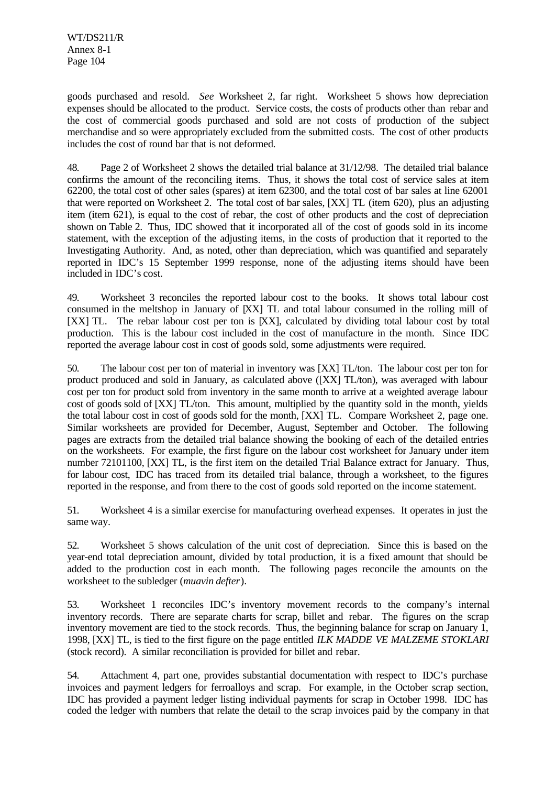goods purchased and resold. *See* Worksheet 2, far right. Worksheet 5 shows how depreciation expenses should be allocated to the product. Service costs, the costs of products other than rebar and the cost of commercial goods purchased and sold are not costs of production of the subject merchandise and so were appropriately excluded from the submitted costs. The cost of other products includes the cost of round bar that is not deformed.

48. Page 2 of Worksheet 2 shows the detailed trial balance at 31/12/98. The detailed trial balance confirms the amount of the reconciling items. Thus, it shows the total cost of service sales at item 62200, the total cost of other sales (spares) at item 62300, and the total cost of bar sales at line 62001 that were reported on Worksheet 2. The total cost of bar sales, [XX] TL (item 620), plus an adjusting item (item 621), is equal to the cost of rebar, the cost of other products and the cost of depreciation shown on Table 2. Thus, IDC showed that it incorporated all of the cost of goods sold in its income statement, with the exception of the adjusting items, in the costs of production that it reported to the Investigating Authority. And, as noted, other than depreciation, which was quantified and separately reported in IDC's 15 September 1999 response, none of the adjusting items should have been included in IDC's cost.

49. Worksheet 3 reconciles the reported labour cost to the books. It shows total labour cost consumed in the meltshop in January of [XX] TL and total labour consumed in the rolling mill of [XX] TL. The rebar labour cost per ton is [XX], calculated by dividing total labour cost by total production. This is the labour cost included in the cost of manufacture in the month. Since IDC reported the average labour cost in cost of goods sold, some adjustments were required.

50. The labour cost per ton of material in inventory was [XX] TL/ton. The labour cost per ton for product produced and sold in January, as calculated above ([XX] TL/ton), was averaged with labour cost per ton for product sold from inventory in the same month to arrive at a weighted average labour cost of goods sold of [XX] TL/ton. This amount, multiplied by the quantity sold in the month, yields the total labour cost in cost of goods sold for the month, [XX] TL. Compare Worksheet 2, page one. Similar worksheets are provided for December, August, September and October. The following pages are extracts from the detailed trial balance showing the booking of each of the detailed entries on the worksheets. For example, the first figure on the labour cost worksheet for January under item number 72101100, [XX] TL, is the first item on the detailed Trial Balance extract for January. Thus, for labour cost, IDC has traced from its detailed trial balance, through a worksheet, to the figures reported in the response, and from there to the cost of goods sold reported on the income statement.

51. Worksheet 4 is a similar exercise for manufacturing overhead expenses. It operates in just the same way.

52. Worksheet 5 shows calculation of the unit cost of depreciation. Since this is based on the year-end total depreciation amount, divided by total production, it is a fixed amount that should be added to the production cost in each month. The following pages reconcile the amounts on the worksheet to the subledger (*muavin defter*).

53. Worksheet 1 reconciles IDC's inventory movement records to the company's internal inventory records. There are separate charts for scrap, billet and rebar. The figures on the scrap inventory movement are tied to the stock records. Thus, the beginning balance for scrap on January 1, 1998, [XX] TL, is tied to the first figure on the page entitled *ILK MADDE VE MALZEME STOKLARI* (stock record). A similar reconciliation is provided for billet and rebar.

54. Attachment 4, part one, provides substantial documentation with respect to IDC's purchase invoices and payment ledgers for ferroalloys and scrap. For example, in the October scrap section, IDC has provided a payment ledger listing individual payments for scrap in October 1998. IDC has coded the ledger with numbers that relate the detail to the scrap invoices paid by the company in that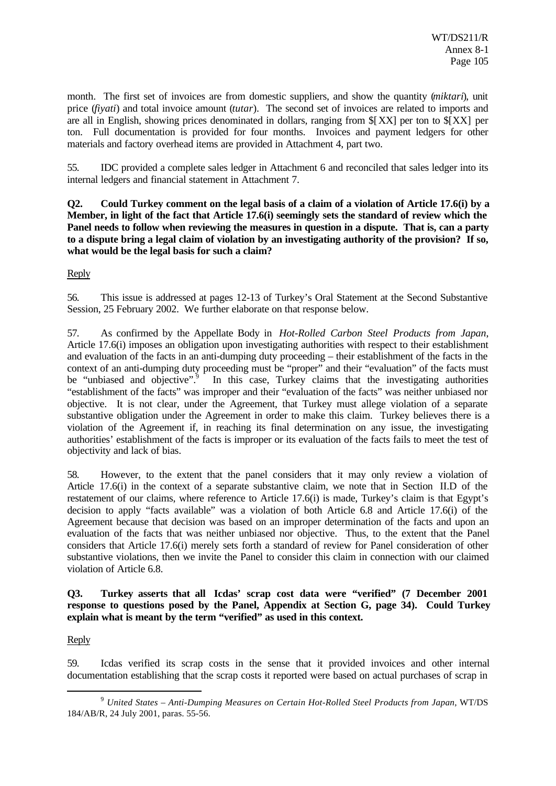month. The first set of invoices are from domestic suppliers, and show the quantity (*miktari*), unit price (*fiyati*) and total invoice amount (*tutar*). The second set of invoices are related to imports and are all in English, showing prices denominated in dollars, ranging from \$[XX] per ton to \$[XX] per ton. Full documentation is provided for four months. Invoices and payment ledgers for other materials and factory overhead items are provided in Attachment 4, part two.

55. IDC provided a complete sales ledger in Attachment 6 and reconciled that sales ledger into its internal ledgers and financial statement in Attachment 7.

**Q2. Could Turkey comment on the legal basis of a claim of a violation of Article 17.6(i) by a Member, in light of the fact that Article 17.6(i) seemingly sets the standard of review which the Panel needs to follow when reviewing the measures in question in a dispute. That is, can a party to a dispute bring a legal claim of violation by an investigating authority of the provision? If so, what would be the legal basis for such a claim?**

### Reply

56. This issue is addressed at pages 12-13 of Turkey's Oral Statement at the Second Substantive Session, 25 February 2002. We further elaborate on that response below.

57. As confirmed by the Appellate Body in *Hot-Rolled Carbon Steel Products from Japan*, Article 17.6(i) imposes an obligation upon investigating authorities with respect to their establishment and evaluation of the facts in an anti-dumping duty proceeding – their establishment of the facts in the context of an anti-dumping duty proceeding must be "proper" and their "evaluation" of the facts must be "unbiased and objective". In this case, Turkey claims that the investigating authorities "establishment of the facts" was improper and their "evaluation of the facts" was neither unbiased nor objective. It is not clear, under the Agreement, that Turkey must allege violation of a separate substantive obligation under the Agreement in order to make this claim. Turkey believes there is a violation of the Agreement if, in reaching its final determination on any issue, the investigating authorities' establishment of the facts is improper or its evaluation of the facts fails to meet the test of objectivity and lack of bias.

58. However, to the extent that the panel considers that it may only review a violation of Article 17.6(i) in the context of a separate substantive claim, we note that in Section II.D of the restatement of our claims, where reference to Article 17.6(i) is made, Turkey's claim is that Egypt's decision to apply "facts available" was a violation of both Article 6.8 and Article 17.6(i) of the Agreement because that decision was based on an improper determination of the facts and upon an evaluation of the facts that was neither unbiased nor objective. Thus, to the extent that the Panel considers that Article 17.6(i) merely sets forth a standard of review for Panel consideration of other substantive violations, then we invite the Panel to consider this claim in connection with our claimed violation of Article 6.8.

#### **Q3. Turkey asserts that all Icdas' scrap cost data were "verified" (7 December 2001 response to questions posed by the Panel, Appendix at Section G, page 34). Could Turkey explain what is meant by the term "verified" as used in this context.**

#### Reply

l

59. Icdas verified its scrap costs in the sense that it provided invoices and other internal documentation establishing that the scrap costs it reported were based on actual purchases of scrap in

<sup>9</sup> *United States – Anti-Dumping Measures on Certain Hot-Rolled Steel Products from Japan*, WT/DS 184/AB/R, 24 July 2001, paras. 55-56.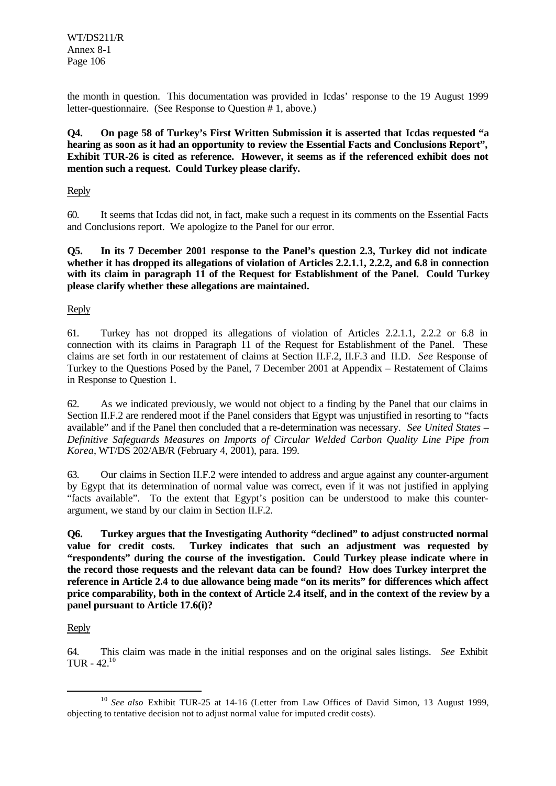WT/DS211/R Annex 8-1 Page 106

the month in question. This documentation was provided in Icdas' response to the 19 August 1999 letter-questionnaire. (See Response to Question # 1, above.)

#### **Q4. On page 58 of Turkey's First Written Submission it is asserted that Icdas requested "a hearing as soon as it had an opportunity to review the Essential Facts and Conclusions Report", Exhibit TUR-26 is cited as reference. However, it seems as if the referenced exhibit does not mention such a request. Could Turkey please clarify.**

Reply

60. It seems that Icdas did not, in fact, make such a request in its comments on the Essential Facts and Conclusions report. We apologize to the Panel for our error.

**Q5. In its 7 December 2001 response to the Panel's question 2.3, Turkey did not indicate whether it has dropped its allegations of violation of Articles 2.2.1.1, 2.2.2, and 6.8 in connection with its claim in paragraph 11 of the Request for Establishment of the Panel. Could Turkey please clarify whether these allegations are maintained.**

Reply

61. Turkey has not dropped its allegations of violation of Articles 2.2.1.1, 2.2.2 or 6.8 in connection with its claims in Paragraph 11 of the Request for Establishment of the Panel. These claims are set forth in our restatement of claims at Section II.F.2, II.F.3 and II.D. *See* Response of Turkey to the Questions Posed by the Panel, 7 December 2001 at Appendix – Restatement of Claims in Response to Question 1.

62. As we indicated previously, we would not object to a finding by the Panel that our claims in Section II.F.2 are rendered moot if the Panel considers that Egypt was unjustified in resorting to "facts" available" and if the Panel then concluded that a re-determination was necessary. *See United States – Definitive Safeguards Measures on Imports of Circular Welded Carbon Quality Line Pipe from Korea*, WT/DS 202/AB/R (February 4, 2001), para. 199.

63. Our claims in Section II.F.2 were intended to address and argue against any counter-argument by Egypt that its determination of normal value was correct, even if it was not justified in applying "facts available". To the extent that Egypt's position can be understood to make this counterargument, we stand by our claim in Section II.F.2.

**Q6. Turkey argues that the Investigating Authority "declined" to adjust constructed normal value for credit costs. Turkey indicates that such an adjustment was requested by "respondents" during the course of the investigation. Could Turkey please indicate where in the record those requests and the relevant data can be found? How does Turkey interpret the reference in Article 2.4 to due allowance being made "on its merits" for differences which affect price comparability, both in the context of Article 2.4 itself, and in the context of the review by a panel pursuant to Article 17.6(i)?**

## Reply

l

64. This claim was made in the initial responses and on the original sales listings. *See* Exhibit TUR -  $42.^{10}$ 

<sup>10</sup> *See also* Exhibit TUR-25 at 14-16 (Letter from Law Offices of David Simon, 13 August 1999, objecting to tentative decision not to adjust normal value for imputed credit costs).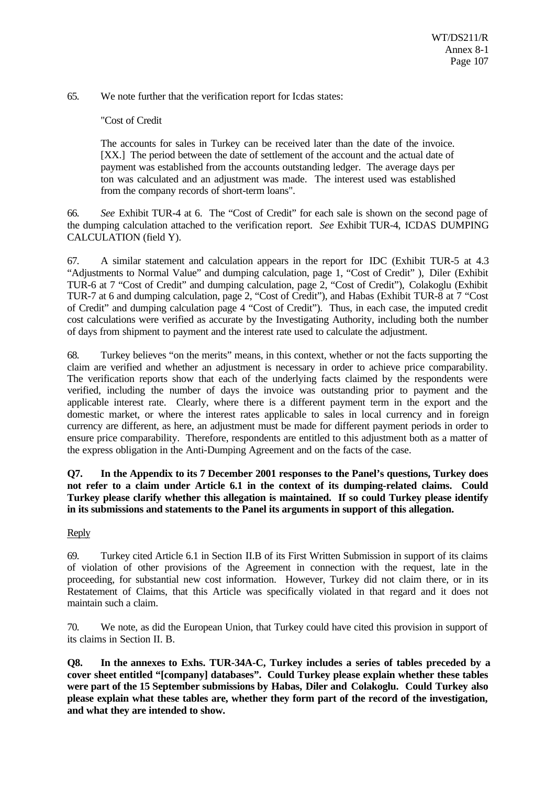65. We note further that the verification report for Icdas states:

"Cost of Credit

The accounts for sales in Turkey can be received later than the date of the invoice. [XX.] The period between the date of settlement of the account and the actual date of payment was established from the accounts outstanding ledger. The average days per ton was calculated and an adjustment was made. The interest used was established from the company records of short-term loans".

66. *See* Exhibit TUR-4 at 6. The "Cost of Credit" for each sale is shown on the second page of the dumping calculation attached to the verification report. *See* Exhibit TUR-4, ICDAS DUMPING CALCULATION (field Y).

67. A similar statement and calculation appears in the report for IDC (Exhibit TUR-5 at 4.3 "Adjustments to Normal Value" and dumping calculation, page 1, "Cost of Credit" ), Diler (Exhibit TUR-6 at 7 "Cost of Credit" and dumping calculation, page 2, "Cost of Credit"), Colakoglu (Exhibit TUR-7 at 6 and dumping calculation, page 2, "Cost of Credit"), and Habas (Exhibit TUR-8 at 7 "Cost of Credit" and dumping calculation page 4 "Cost of Credit"). Thus, in each case, the imputed credit cost calculations were verified as accurate by the Investigating Authority, including both the number of days from shipment to payment and the interest rate used to calculate the adjustment.

68. Turkey believes "on the merits" means, in this context, whether or not the facts supporting the claim are verified and whether an adjustment is necessary in order to achieve price comparability. The verification reports show that each of the underlying facts claimed by the respondents were verified, including the number of days the invoice was outstanding prior to payment and the applicable interest rate. Clearly, where there is a different payment term in the export and the domestic market, or where the interest rates applicable to sales in local currency and in foreign currency are different, as here, an adjustment must be made for different payment periods in order to ensure price comparability. Therefore, respondents are entitled to this adjustment both as a matter of the express obligation in the Anti-Dumping Agreement and on the facts of the case.

**Q7. In the Appendix to its 7 December 2001 responses to the Panel's questions, Turkey does not refer to a claim under Article 6.1 in the context of its dumping-related claims. Could Turkey please clarify whether this allegation is maintained. If so could Turkey please identify in its submissions and statements to the Panel its arguments in support of this allegation.**

## Reply

69. Turkey cited Article 6.1 in Section II.B of its First Written Submission in support of its claims of violation of other provisions of the Agreement in connection with the request, late in the proceeding, for substantial new cost information. However, Turkey did not claim there, or in its Restatement of Claims, that this Article was specifically violated in that regard and it does not maintain such a claim.

70. We note, as did the European Union, that Turkey could have cited this provision in support of its claims in Section II. B.

**Q8. In the annexes to Exhs. TUR-34A-C, Turkey includes a series of tables preceded by a cover sheet entitled "[company] databases". Could Turkey please explain whether these tables were part of the 15 September submissions by Habas, Diler and Colakoglu. Could Turkey also please explain what these tables are, whether they form part of the record of the investigation, and what they are intended to show.**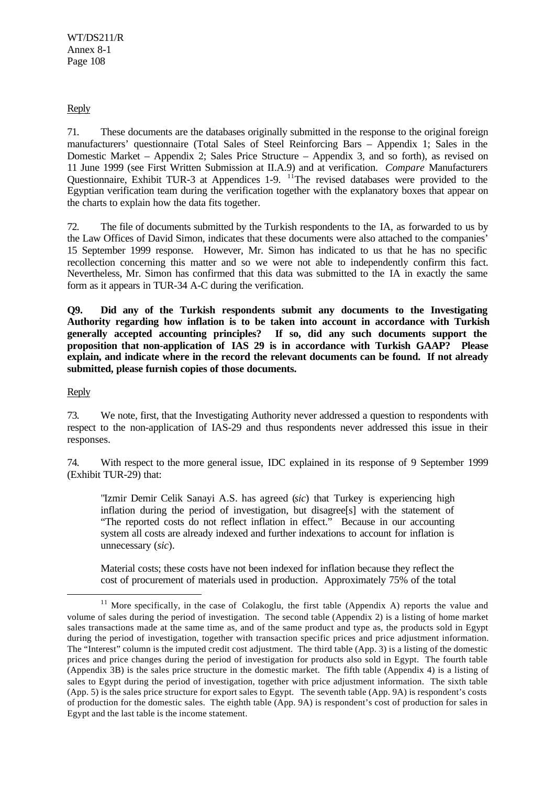### Reply

71. These documents are the databases originally submitted in the response to the original foreign manufacturers' questionnaire (Total Sales of Steel Reinforcing Bars – Appendix 1; Sales in the Domestic Market – Appendix 2; Sales Price Structure – Appendix 3, and so forth), as revised on 11 June 1999 (see First Written Submission at II.A.9) and at verification. *Compare* Manufacturers Questionnaire, Exhibit TUR-3 at Appendices 1-9. <sup>11</sup>The revised databases were provided to the Egyptian verification team during the verification together with the explanatory boxes that appear on the charts to explain how the data fits together.

72. The file of documents submitted by the Turkish respondents to the IA, as forwarded to us by the Law Offices of David Simon, indicates that these documents were also attached to the companies' 15 September 1999 response. However, Mr. Simon has indicated to us that he has no specific recollection concerning this matter and so we were not able to independently confirm this fact. Nevertheless, Mr. Simon has confirmed that this data was submitted to the IA in exactly the same form as it appears in TUR-34 A-C during the verification.

**Q9. Did any of the Turkish respondents submit any documents to the Investigating Authority regarding how inflation is to be taken into account in accordance with Turkish generally accepted accounting principles? If so, did any such documents support the proposition that non-application of IAS 29 is in accordance with Turkish GAAP? Please explain, and indicate where in the record the relevant documents can be found. If not already submitted, please furnish copies of those documents.**

### Reply

l

73. We note, first, that the Investigating Authority never addressed a question to respondents with respect to the non-application of IAS-29 and thus respondents never addressed this issue in their responses.

74. With respect to the more general issue, IDC explained in its response of 9 September 1999 (Exhibit TUR-29) that:

"Izmir Demir Celik Sanayi A.S. has agreed (*sic*) that Turkey is experiencing high inflation during the period of investigation, but disagree[s] with the statement of "The reported costs do not reflect inflation in effect." Because in our accounting system all costs are already indexed and further indexations to account for inflation is unnecessary (*sic*).

Material costs; these costs have not been indexed for inflation because they reflect the cost of procurement of materials used in production. Approximately 75% of the total

 $11$  More specifically, in the case of Colakoglu, the first table (Appendix A) reports the value and volume of sales during the period of investigation. The second table (Appendix 2) is a listing of home market sales transactions made at the same time as, and of the same product and type as, the products sold in Egypt during the period of investigation, together with transaction specific prices and price adjustment information. The "Interest" column is the imputed credit cost adjustment. The third table (App. 3) is a listing of the domestic prices and price changes during the period of investigation for products also sold in Egypt. The fourth table (Appendix 3B) is the sales price structure in the domestic market. The fifth table (Appendix 4) is a listing of sales to Egypt during the period of investigation, together with price adjustment information. The sixth table (App. 5) is the sales price structure for export sales to Egypt. The seventh table (App. 9A) is respondent's costs of production for the domestic sales. The eighth table (App. 9A) is respondent's cost of production for sales in Egypt and the last table is the income statement.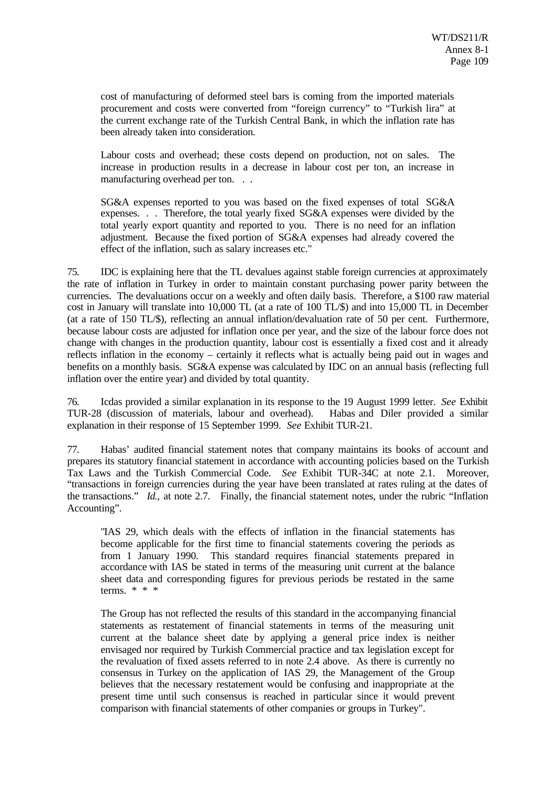cost of manufacturing of deformed steel bars is coming from the imported materials procurement and costs were converted from "foreign currency" to "Turkish lira" at the current exchange rate of the Turkish Central Bank, in which the inflation rate has been already taken into consideration.

Labour costs and overhead; these costs depend on production, not on sales. The increase in production results in a decrease in labour cost per ton, an increase in manufacturing overhead per ton. . .

SG&A expenses reported to you was based on the fixed expenses of total SG&A expenses. . . Therefore, the total yearly fixed SG&A expenses were divided by the total yearly export quantity and reported to you. There is no need for an inflation adjustment. Because the fixed portion of SG&A expenses had already covered the effect of the inflation, such as salary increases etc."

75. IDC is explaining here that the TL devalues against stable foreign currencies at approximately the rate of inflation in Turkey in order to maintain constant purchasing power parity between the currencies. The devaluations occur on a weekly and often daily basis. Therefore, a \$100 raw material cost in January will translate into 10,000 TL (at a rate of 100 TL/\$) and into 15,000 TL in December (at a rate of 150 TL/\$), reflecting an annual inflation/devaluation rate of 50 per cent. Furthermore, because labour costs are adjusted for inflation once per year, and the size of the labour force does not change with changes in the production quantity, labour cost is essentially a fixed cost and it already reflects inflation in the economy – certainly it reflects what is actually being paid out in wages and benefits on a monthly basis. SG&A expense was calculated by IDC on an annual basis (reflecting full inflation over the entire year) and divided by total quantity.

76. Icdas provided a similar explanation in its response to the 19 August 1999 letter. *See* Exhibit TUR-28 (discussion of materials, labour and overhead). Habas and Diler provided a similar explanation in their response of 15 September 1999. *See* Exhibit TUR-21.

77. Habas' audited financial statement notes that company maintains its books of account and prepares its statutory financial statement in accordance with accounting policies based on the Turkish Tax Laws and the Turkish Commercial Code. *See* Exhibit TUR-34C at note 2.1. Moreover, "transactions in foreign currencies during the year have been translated at rates ruling at the dates of the transactions." *Id.,* at note 2.7. Finally, the financial statement notes, under the rubric "Inflation Accounting".

"IAS 29, which deals with the effects of inflation in the financial statements has become applicable for the first time to financial statements covering the periods as from 1 January 1990. This standard requires financial statements prepared in accordance with IAS be stated in terms of the measuring unit current at the balance sheet data and corresponding figures for previous periods be restated in the same terms.  $* * *$ 

The Group has not reflected the results of this standard in the accompanying financial statements as restatement of financial statements in terms of the measuring unit current at the balance sheet date by applying a general price index is neither envisaged nor required by Turkish Commercial practice and tax legislation except for the revaluation of fixed assets referred to in note 2.4 above. As there is currently no consensus in Turkey on the application of IAS 29, the Management of the Group believes that the necessary restatement would be confusing and inappropriate at the present time until such consensus is reached in particular since it would prevent comparison with financial statements of other companies or groups in Turkey".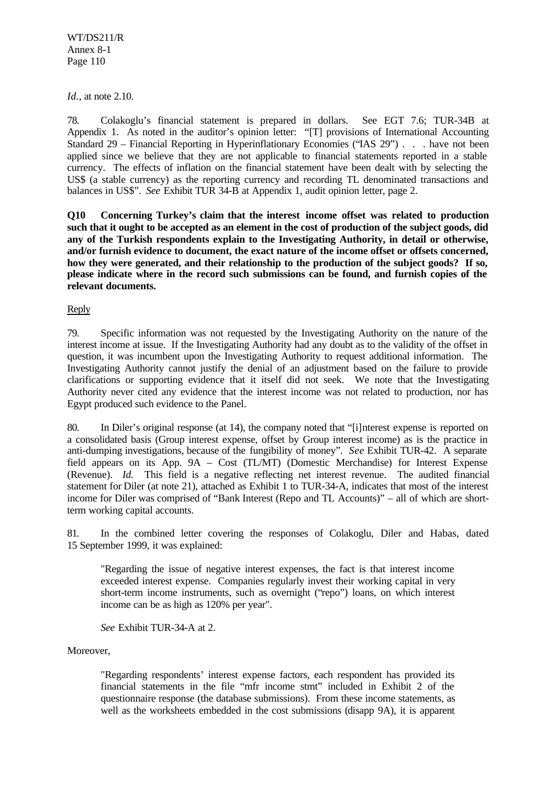WT/DS211/R Annex 8-1 Page 110

*Id.*, at note 2.10.

78. Colakoglu's financial statement is prepared in dollars. See EGT 7.6; TUR-34B at Appendix 1. As noted in the auditor's opinion letter: "[T] provisions of International Accounting Standard 29 – Financial Reporting in Hyperinflationary Economies ("IAS 29") . . . have not been applied since we believe that they are not applicable to financial statements reported in a stable currency. The effects of inflation on the financial statement have been dealt with by selecting the US\$ (a stable currency) as the reporting currency and recording TL denominated transactions and balances in US\$". *See* Exhibit TUR 34-B at Appendix 1, audit opinion letter, page 2.

**Q10 Concerning Turkey's claim that the interest income offset was related to production such that it ought to be accepted as an element in the cost of production of the subject goods, did any of the Turkish respondents explain to the Investigating Authority, in detail or otherwise, and/or furnish evidence to document, the exact nature of the income offset or offsets concerned, how they were generated, and their relationship to the production of the subject goods? If so, please indicate where in the record such submissions can be found, and furnish copies of the relevant documents.**

Reply

79. Specific information was not requested by the Investigating Authority on the nature of the interest income at issue. If the Investigating Authority had any doubt as to the validity of the offset in question, it was incumbent upon the Investigating Authority to request additional information. The Investigating Authority cannot justify the denial of an adjustment based on the failure to provide clarifications or supporting evidence that it itself did not seek. We note that the Investigating Authority never cited any evidence that the interest income was not related to production, nor has Egypt produced such evidence to the Panel.

80. In Diler's original response (at 14), the company noted that "[i]nterest expense is reported on a consolidated basis (Group interest expense, offset by Group interest income) as is the practice in anti-dumping investigations, because of the fungibility of money". *See* Exhibit TUR-42. A separate field appears on its App. 9A – Cost (TL/MT) (Domestic Merchandise) for Interest Expense (Revenue). *Id.* This field is a negative reflecting net interest revenue. The audited financial statement for Diler (at note 21), attached as Exhibit 1 to TUR-34-A, indicates that most of the interest income for Diler was comprised of "Bank Interest (Repo and TL Accounts)" – all of which are shortterm working capital accounts.

81. In the combined letter covering the responses of Colakoglu, Diler and Habas, dated 15 September 1999, it was explained:

"Regarding the issue of negative interest expenses, the fact is that interest income exceeded interest expense. Companies regularly invest their working capital in very short-term income instruments, such as overnight ("repo") loans, on which interest income can be as high as 120% per year".

*See* Exhibit TUR-34-A at 2.

Moreover,

"Regarding respondents' interest expense factors, each respondent has provided its financial statements in the file "mfr income stmt" included in Exhibit 2 of the questionnaire response (the database submissions). From these income statements, as well as the worksheets embedded in the cost submissions (disapp 9A), it is apparent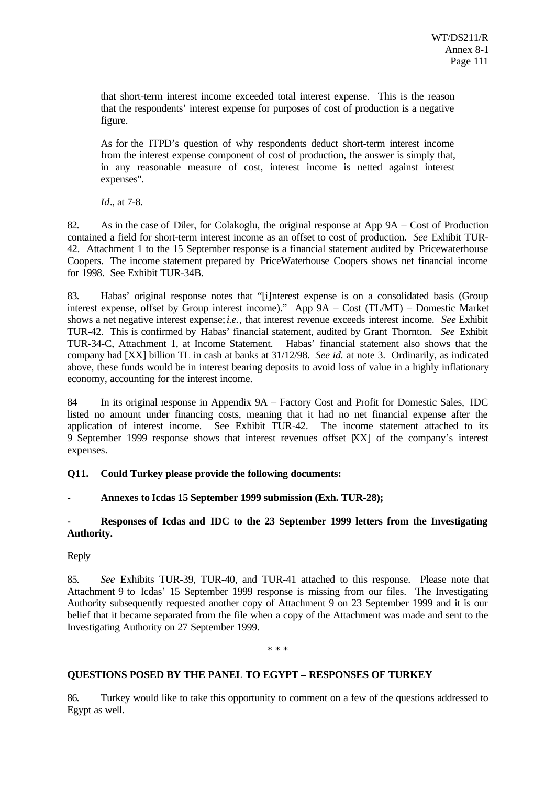that short-term interest income exceeded total interest expense. This is the reason that the respondents' interest expense for purposes of cost of production is a negative figure.

As for the ITPD's question of why respondents deduct short-term interest income from the interest expense component of cost of production, the answer is simply that, in any reasonable measure of cost, interest income is netted against interest expenses".

*Id*., at 7-8.

82. As in the case of Diler, for Colakoglu, the original response at App 9A – Cost of Production contained a field for short-term interest income as an offset to cost of production. *See* Exhibit TUR-42. Attachment 1 to the 15 September response is a financial statement audited by Pricewaterhouse Coopers. The income statement prepared by PriceWaterhouse Coopers shows net financial income for 1998. See Exhibit TUR-34B.

83. Habas' original response notes that "[i]nterest expense is on a consolidated basis (Group interest expense, offset by Group interest income)." App 9A – Cost (TL/MT) – Domestic Market shows a net negative interest expense; *i.e.*, that interest revenue exceeds interest income. *See* Exhibit TUR-42. This is confirmed by Habas' financial statement, audited by Grant Thornton. *See* Exhibit TUR-34-C, Attachment 1, at Income Statement. Habas' financial statement also shows that the company had [XX] billion TL in cash at banks at 31/12/98. *See id.* at note 3. Ordinarily, as indicated above, these funds would be in interest bearing deposits to avoid loss of value in a highly inflationary economy, accounting for the interest income.

84 In its original response in Appendix  $9A -$  Factory Cost and Profit for Domestic Sales, IDC listed no amount under financing costs, meaning that it had no net financial expense after the application of interest income. See Exhibit TUR-42. The income statement attached to its 9 September 1999 response shows that interest revenues offset [XX] of the company's interest expenses.

**Q11. Could Turkey please provide the following documents:**

**- Annexes to Icdas 15 September 1999 submission (Exh. TUR-28);**

# **- Responses of Icdas and IDC to the 23 September 1999 letters from the Investigating Authority.**

# Reply

85. *See* Exhibits TUR-39, TUR-40, and TUR-41 attached to this response. Please note that Attachment 9 to Icdas' 15 September 1999 response is missing from our files. The Investigating Authority subsequently requested another copy of Attachment 9 on 23 September 1999 and it is our belief that it became separated from the file when a copy of the Attachment was made and sent to the Investigating Authority on 27 September 1999.

\* \* \*

# **QUESTIONS POSED BY THE PANEL TO EGYPT – RESPONSES OF TURKEY**

86. Turkey would like to take this opportunity to comment on a few of the questions addressed to Egypt as well.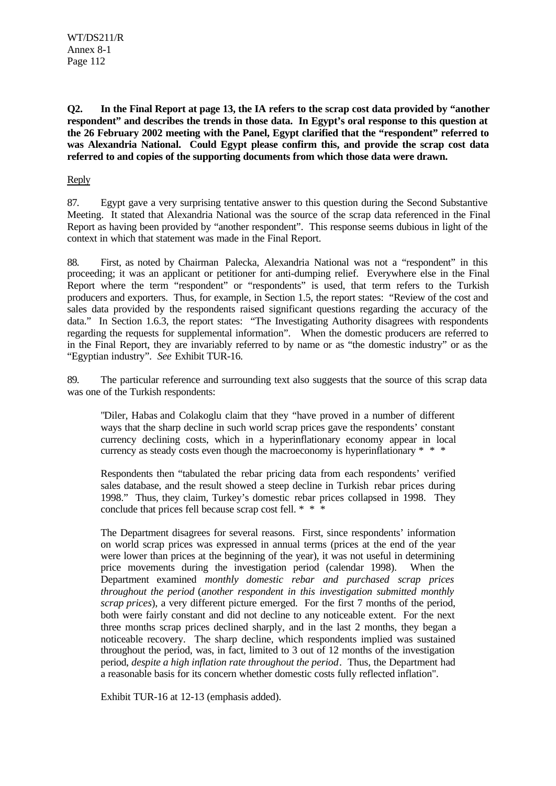**Q2. In the Final Report at page 13, the IA refers to the scrap cost data provided by "another respondent" and describes the trends in those data. In Egypt's oral response to this question at the 26 February 2002 meeting with the Panel, Egypt clarified that the "respondent" referred to was Alexandria National. Could Egypt please confirm this, and provide the scrap cost data referred to and copies of the supporting documents from which those data were drawn.**

### Reply

87. Egypt gave a very surprising tentative answer to this question during the Second Substantive Meeting. It stated that Alexandria National was the source of the scrap data referenced in the Final Report as having been provided by "another respondent". This response seems dubious in light of the context in which that statement was made in the Final Report.

88. First, as noted by Chairman Palecka, Alexandria National was not a "respondent" in this proceeding; it was an applicant or petitioner for anti-dumping relief. Everywhere else in the Final Report where the term "respondent" or "respondents" is used, that term refers to the Turkish producers and exporters. Thus, for example, in Section 1.5, the report states: "Review of the cost and sales data provided by the respondents raised significant questions regarding the accuracy of the data." In Section 1.6.3, the report states: "The Investigating Authority disagrees with respondents regarding the requests for supplemental information". When the domestic producers are referred to in the Final Report, they are invariably referred to by name or as "the domestic industry" or as the "Egyptian industry". *See* Exhibit TUR-16.

89. The particular reference and surrounding text also suggests that the source of this scrap data was one of the Turkish respondents:

"Diler, Habas and Colakoglu claim that they "have proved in a number of different ways that the sharp decline in such world scrap prices gave the respondents' constant currency declining costs, which in a hyperinflationary economy appear in local currency as steady costs even though the macroeconomy is hyperinflationary \* \* \*

Respondents then "tabulated the rebar pricing data from each respondents' verified sales database, and the result showed a steep decline in Turkish rebar prices during 1998." Thus, they claim, Turkey's domestic rebar prices collapsed in 1998. They conclude that prices fell because scrap cost fell. \* \* \*

The Department disagrees for several reasons. First, since respondents' information on world scrap prices was expressed in annual terms (prices at the end of the year were lower than prices at the beginning of the year), it was not useful in determining price movements during the investigation period (calendar 1998). When the Department examined *monthly domestic rebar and purchased scrap prices throughout the period* (*another respondent in this investigation submitted monthly scrap prices*), a very different picture emerged. For the first 7 months of the period, both were fairly constant and did not decline to any noticeable extent. For the next three months scrap prices declined sharply, and in the last 2 months, they began a noticeable recovery. The sharp decline, which respondents implied was sustained throughout the period, was, in fact, limited to 3 out of 12 months of the investigation period, *despite a high inflation rate throughout the period*. Thus, the Department had a reasonable basis for its concern whether domestic costs fully reflected inflation".

Exhibit TUR-16 at 12-13 (emphasis added).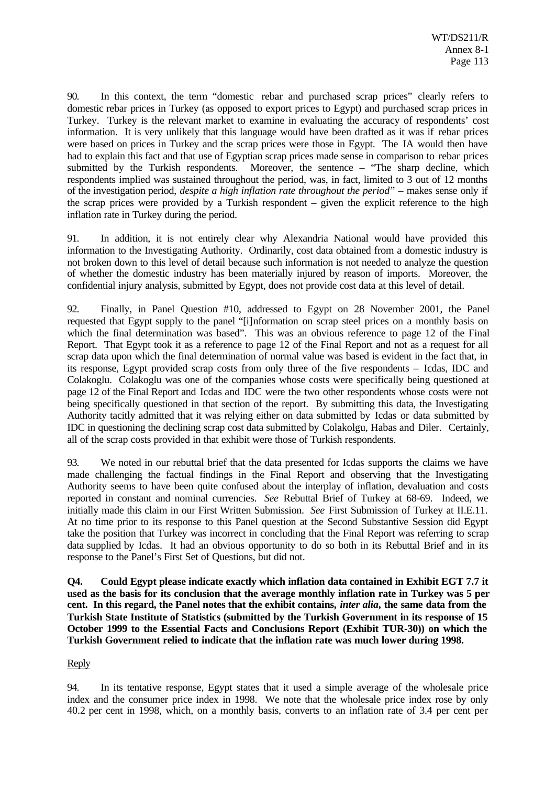90. In this context, the term "domestic rebar and purchased scrap prices" clearly refers to domestic rebar prices in Turkey (as opposed to export prices to Egypt) and purchased scrap prices in Turkey. Turkey is the relevant market to examine in evaluating the accuracy of respondents' cost information. It is very unlikely that this language would have been drafted as it was if rebar prices were based on prices in Turkey and the scrap prices were those in Egypt. The IA would then have had to explain this fact and that use of Egyptian scrap prices made sense in comparison to rebar prices submitted by the Turkish respondents. Moreover, the sentence – "The sharp decline, which respondents implied was sustained throughout the period, was, in fact, limited to 3 out of 12 months of the investigation period, *despite a high inflation rate throughout the period*" – makes sense only if the scrap prices were provided by a Turkish respondent – given the explicit reference to the high inflation rate in Turkey during the period.

91. In addition, it is not entirely clear why Alexandria National would have provided this information to the Investigating Authority. Ordinarily, cost data obtained from a domestic industry is not broken down to this level of detail because such information is not needed to analyze the question of whether the domestic industry has been materially injured by reason of imports. Moreover, the confidential injury analysis, submitted by Egypt, does not provide cost data at this level of detail.

92. Finally, in Panel Question #10, addressed to Egypt on 28 November 2001, the Panel requested that Egypt supply to the panel "[i]nformation on scrap steel prices on a monthly basis on which the final determination was based". This was an obvious reference to page 12 of the Final Report. That Egypt took it as a reference to page 12 of the Final Report and not as a request for all scrap data upon which the final determination of normal value was based is evident in the fact that, in its response, Egypt provided scrap costs from only three of the five respondents – Icdas, IDC and Colakoglu. Colakoglu was one of the companies whose costs were specifically being questioned at page 12 of the Final Report and Icdas and IDC were the two other respondents whose costs were not being specifically questioned in that section of the report. By submitting this data, the Investigating Authority tacitly admitted that it was relying either on data submitted by Icdas or data submitted by IDC in questioning the declining scrap cost data submitted by Colakolgu, Habas and Diler. Certainly, all of the scrap costs provided in that exhibit were those of Turkish respondents.

93. We noted in our rebuttal brief that the data presented for Icdas supports the claims we have made challenging the factual findings in the Final Report and observing that the Investigating Authority seems to have been quite confused about the interplay of inflation, devaluation and costs reported in constant and nominal currencies. *See* Rebuttal Brief of Turkey at 68-69. Indeed, we initially made this claim in our First Written Submission. *See* First Submission of Turkey at II.E.11. At no time prior to its response to this Panel question at the Second Substantive Session did Egypt take the position that Turkey was incorrect in concluding that the Final Report was referring to scrap data supplied by Icdas. It had an obvious opportunity to do so both in its Rebuttal Brief and in its response to the Panel's First Set of Questions, but did not.

**Q4. Could Egypt please indicate exactly which inflation data contained in Exhibit EGT 7.7 it used as the basis for its conclusion that the average monthly inflation rate in Turkey was 5 per cent. In this regard, the Panel notes that the exhibit contains,** *inter alia***, the same data from the Turkish State Institute of Statistics (submitted by the Turkish Government in its response of 15 October 1999 to the Essential Facts and Conclusions Report (Exhibit TUR-30)) on which the Turkish Government relied to indicate that the inflation rate was much lower during 1998.**

#### Reply

94. In its tentative response, Egypt states that it used a simple average of the wholesale price index and the consumer price index in 1998. We note that the wholesale price index rose by only 40.2 per cent in 1998, which, on a monthly basis, converts to an inflation rate of 3.4 per cent per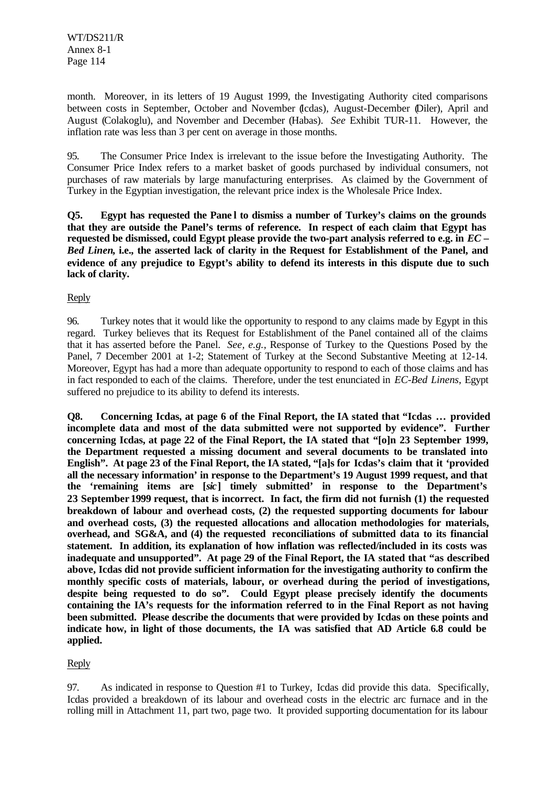month. Moreover, in its letters of 19 August 1999, the Investigating Authority cited comparisons between costs in September, October and November (Icdas), August-December (Diler), April and August (Colakoglu), and November and December (Habas). *See* Exhibit TUR-11. However, the inflation rate was less than 3 per cent on average in those months.

95. The Consumer Price Index is irrelevant to the issue before the Investigating Authority. The Consumer Price Index refers to a market basket of goods purchased by individual consumers, not purchases of raw materials by large manufacturing enterprises. As claimed by the Government of Turkey in the Egyptian investigation, the relevant price index is the Wholesale Price Index.

**Q5. Egypt has requested the Pane l to dismiss a number of Turkey's claims on the grounds that they are outside the Panel's terms of reference. In respect of each claim that Egypt has requested be dismissed, could Egypt please provide the two-part analysis referred to e.g. in** *EC – Bed Linen***, i.e., the asserted lack of clarity in the Request for Establishment of the Panel, and evidence of any prejudice to Egypt's ability to defend its interests in this dispute due to such lack of clarity.**

#### Reply

96. Turkey notes that it would like the opportunity to respond to any claims made by Egypt in this regard. Turkey believes that its Request for Establishment of the Panel contained all of the claims that it has asserted before the Panel. *See, e.g.,* Response of Turkey to the Questions Posed by the Panel, 7 December 2001 at 1-2; Statement of Turkey at the Second Substantive Meeting at 12-14. Moreover, Egypt has had a more than adequate opportunity to respond to each of those claims and has in fact responded to each of the claims. Therefore, under the test enunciated in *EC-Bed Linens*, Egypt suffered no prejudice to its ability to defend its interests.

**Q8. Concerning Icdas, at page 6 of the Final Report, the IA stated that "Icdas … provided incomplete data and most of the data submitted were not supported by evidence". Further concerning Icdas, at page 22 of the Final Report, the IA stated that "[o]n 23 September 1999, the Department requested a missing document and several documents to be translated into English". At page 23 of the Final Report, the IA stated, "[a]s for Icdas's claim that it 'provided all the necessary information' in response to the Department's 19 August 1999 request, and that the 'remaining items are [***sic***] timely submitted' in response to the Department's 23 September 1999 request, that is incorrect. In fact, the firm did not furnish (1) the requested breakdown of labour and overhead costs, (2) the requested supporting documents for labour and overhead costs, (3) the requested allocations and allocation methodologies for materials, overhead, and SG&A, and (4) the requested reconciliations of submitted data to its financial statement. In addition, its explanation of how inflation was reflected/included in its costs was inadequate and unsupported". At page 29 of the Final Report, the IA stated that "as described above, Icdas did not provide sufficient information for the investigating authority to confirm the monthly specific costs of materials, labour, or overhead during the period of investigations, despite being requested to do so". Could Egypt please precisely identify the documents containing the IA's requests for the information referred to in the Final Report as not having been submitted. Please describe the documents that were provided by Icdas on these points and indicate how, in light of those documents, the IA was satisfied that AD Article 6.8 could be applied.**

# Reply

97. As indicated in response to Question #1 to Turkey, Icdas did provide this data. Specifically, Icdas provided a breakdown of its labour and overhead costs in the electric arc furnace and in the rolling mill in Attachment 11, part two, page two. It provided supporting documentation for its labour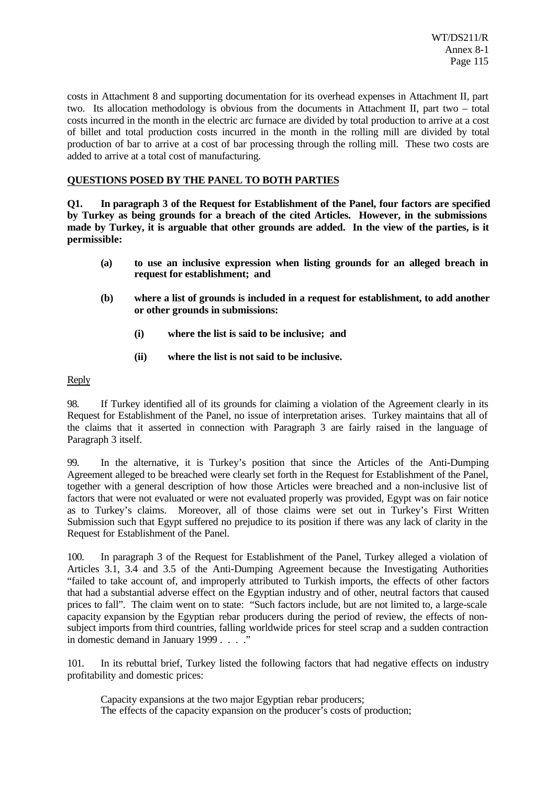costs in Attachment 8 and supporting documentation for its overhead expenses in Attachment II, part two. Its allocation methodology is obvious from the documents in Attachment II, part two – total costs incurred in the month in the electric arc furnace are divided by total production to arrive at a cost of billet and total production costs incurred in the month in the rolling mill are divided by total production of bar to arrive at a cost of bar processing through the rolling mill. These two costs are added to arrive at a total cost of manufacturing.

### **QUESTIONS POSED BY THE PANEL TO BOTH PARTIES**

**Q1. In paragraph 3 of the Request for Establishment of the Panel, four factors are specified by Turkey as being grounds for a breach of the cited Articles. However, in the submissions made by Turkey, it is arguable that other grounds are added. In the view of the parties, is it permissible:**

- **(a) to use an inclusive expression when listing grounds for an alleged breach in request for establishment; and**
- **(b) where a list of grounds is included in a request for establishment, to add another or other grounds in submissions:**
	- **(i) where the list is said to be inclusive; and**
	- **(ii) where the list is not said to be inclusive.**

#### Reply

98. If Turkey identified all of its grounds for claiming a violation of the Agreement clearly in its Request for Establishment of the Panel, no issue of interpretation arises. Turkey maintains that all of the claims that it asserted in connection with Paragraph 3 are fairly raised in the language of Paragraph 3 itself.

99. In the alternative, it is Turkey's position that since the Articles of the Anti-Dumping Agreement alleged to be breached were clearly set forth in the Request for Establishment of the Panel, together with a general description of how those Articles were breached and a non-inclusive list of factors that were not evaluated or were not evaluated properly was provided, Egypt was on fair notice as to Turkey's claims. Moreover, all of those claims were set out in Turkey's First Written Submission such that Egypt suffered no prejudice to its position if there was any lack of clarity in the Request for Establishment of the Panel.

100. In paragraph 3 of the Request for Establishment of the Panel, Turkey alleged a violation of Articles 3.1, 3.4 and 3.5 of the Anti-Dumping Agreement because the Investigating Authorities "failed to take account of, and improperly attributed to Turkish imports, the effects of other factors that had a substantial adverse effect on the Egyptian industry and of other, neutral factors that caused prices to fall". The claim went on to state: "Such factors include, but are not limited to, a large-scale capacity expansion by the Egyptian rebar producers during the period of review, the effects of nonsubject imports from third countries, falling worldwide prices for steel scrap and a sudden contraction in domestic demand in January 1999 . . . ."

101. In its rebuttal brief, Turkey listed the following factors that had negative effects on industry profitability and domestic prices:

Capacity expansions at the two major Egyptian rebar producers; The effects of the capacity expansion on the producer's costs of production;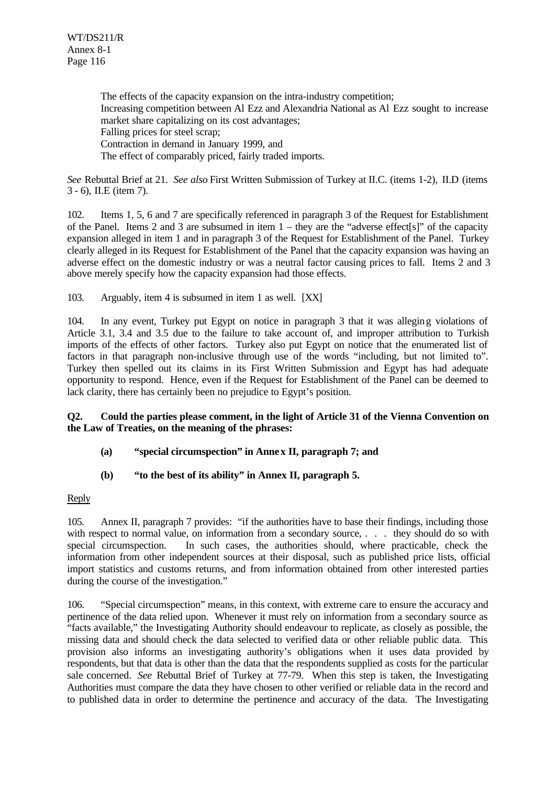The effects of the capacity expansion on the intra-industry competition; Increasing competition between Al Ezz and Alexandria National as Al Ezz sought to increase market share capitalizing on its cost advantages; Falling prices for steel scrap; Contraction in demand in January 1999, and The effect of comparably priced, fairly traded imports.

*See* Rebuttal Brief at 21. *See also* First Written Submission of Turkey at II.C. (items 1-2), II.D (items 3 - 6), II.E (item 7).

102. Items 1, 5, 6 and 7 are specifically referenced in paragraph 3 of the Request for Establishment of the Panel. Items 2 and 3 are subsumed in item 1 – they are the "adverse effect[s]" of the capacity expansion alleged in item 1 and in paragraph 3 of the Request for Establishment of the Panel. Turkey clearly alleged in its Request for Establishment of the Panel that the capacity expansion was having an adverse effect on the domestic industry or was a neutral factor causing prices to fall. Items 2 and 3 above merely specify how the capacity expansion had those effects.

103. Arguably, item 4 is subsumed in item 1 as well. [XX]

104. In any event, Turkey put Egypt on notice in paragraph 3 that it was alleging violations of Article 3.1, 3.4 and 3.5 due to the failure to take account of, and improper attribution to Turkish imports of the effects of other factors. Turkey also put Egypt on notice that the enumerated list of factors in that paragraph non-inclusive through use of the words "including, but not limited to". Turkey then spelled out its claims in its First Written Submission and Egypt has had adequate opportunity to respond. Hence, even if the Request for Establishment of the Panel can be deemed to lack clarity, there has certainly been no prejudice to Egypt's position.

# **Q2. Could the parties please comment, in the light of Article 31 of the Vienna Convention on the Law of Treaties, on the meaning of the phrases:**

- **(a) "special circumspection" in Annex II, paragraph 7; and**
- **(b) "to the best of its ability" in Annex II, paragraph 5.**

# Reply

105. Annex II, paragraph 7 provides: "if the authorities have to base their findings, including those with respect to normal value, on information from a secondary source, . . . they should do so with special circumspection. In such cases, the authorities should, where practicable, check the information from other independent sources at their disposal, such as published price lists, official import statistics and customs returns, and from information obtained from other interested parties during the course of the investigation."

106. "Special circumspection" means, in this context, with extreme care to ensure the accuracy and pertinence of the data relied upon. Whenever it must rely on information from a secondary source as "facts available," the Investigating Authority should endeavour to replicate, as closely as possible, the missing data and should check the data selected to verified data or other reliable public data. This provision also informs an investigating authority's obligations when it uses data provided by respondents, but that data is other than the data that the respondents supplied as costs for the particular sale concerned. *See* Rebuttal Brief of Turkey at 77-79. When this step is taken, the Investigating Authorities must compare the data they have chosen to other verified or reliable data in the record and to published data in order to determine the pertinence and accuracy of the data. The Investigating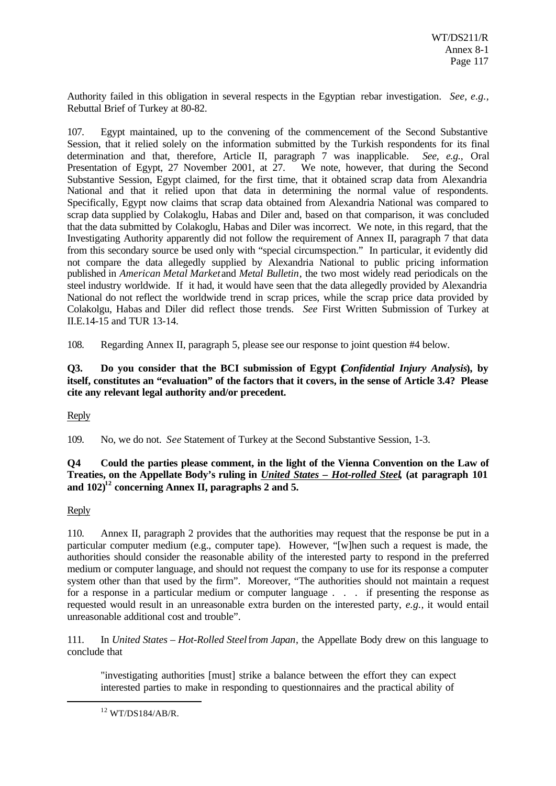Authority failed in this obligation in several respects in the Egyptian rebar investigation. *See, e.g.,* Rebuttal Brief of Turkey at 80-82.

107. Egypt maintained, up to the convening of the commencement of the Second Substantive Session, that it relied solely on the information submitted by the Turkish respondents for its final determination and that, therefore, Article II, paragraph 7 was inapplicable. *See, e.g.,* Oral Presentation of Egypt, 27 November 2001, at 27. We note, however, that during the Second Substantive Session, Egypt claimed, for the first time, that it obtained scrap data from Alexandria National and that it relied upon that data in determining the normal value of respondents. Specifically, Egypt now claims that scrap data obtained from Alexandria National was compared to scrap data supplied by Colakoglu, Habas and Diler and, based on that comparison, it was concluded that the data submitted by Colakoglu, Habas and Diler was incorrect. We note, in this regard, that the Investigating Authority apparently did not follow the requirement of Annex II, paragraph 7 that data from this secondary source be used only with "special circumspection." In particular, it evidently did not compare the data allegedly supplied by Alexandria National to public pricing information published in *American Metal Market* and *Metal Bulletin*, the two most widely read periodicals on the steel industry worldwide. If it had, it would have seen that the data allegedly provided by Alexandria National do not reflect the worldwide trend in scrap prices, while the scrap price data provided by Colakolgu, Habas and Diler did reflect those trends. *See* First Written Submission of Turkey at II.E.14-15 and TUR 13-14.

108. Regarding Annex II, paragraph 5, please see our response to joint question #4 below.

# **Q3. Do you consider that the BCI submission of Egypt (***Confidential Injury Analysis***), by itself, constitutes an "evaluation" of the factors that it covers, in the sense of Article 3.4? Please cite any relevant legal authority and/or precedent.**

# Reply

109. No, we do not. *See* Statement of Turkey at the Second Substantive Session, 1-3.

### **Q4 Could the parties please comment, in the light of the Vienna Convention on the Law of Treaties, on the Appellate Body's ruling in** *United States – Hot-rolled Steel***, (at paragraph 101 and 102)<sup>12</sup> concerning Annex II, paragraphs 2 and 5.**

# Reply

l

110. Annex II, paragraph 2 provides that the authorities may request that the response be put in a particular computer medium (e.g., computer tape). However, "[w]hen such a request is made, the authorities should consider the reasonable ability of the interested party to respond in the preferred medium or computer language, and should not request the company to use for its response a computer system other than that used by the firm". Moreover, "The authorities should not maintain a request for a response in a particular medium or computer language . . . if presenting the response as requested would result in an unreasonable extra burden on the interested party, *e.g.,* it would entail unreasonable additional cost and trouble".

111. In *United States – Hot-Rolled Steel* f*rom Japan*, the Appellate Body drew on this language to conclude that

"investigating authorities [must] strike a balance between the effort they can expect interested parties to make in responding to questionnaires and the practical ability of

<sup>12</sup> WT/DS184/AB/R.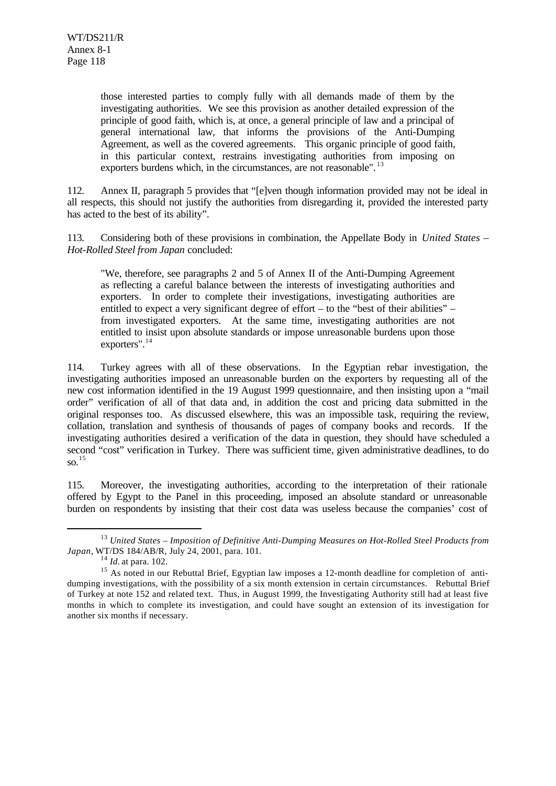those interested parties to comply fully with all demands made of them by the investigating authorities. We see this provision as another detailed expression of the principle of good faith, which is, at once, a general principle of law and a principal of general international law, that informs the provisions of the Anti-Dumping Agreement, as well as the covered agreements. This organic principle of good faith, in this particular context, restrains investigating authorities from imposing on exporters burdens which, in the circumstances, are not reasonable".<sup>13</sup>

112. Annex II, paragraph 5 provides that "[e]ven though information provided may not be ideal in all respects, this should not justify the authorities from disregarding it, provided the interested party has acted to the best of its ability".

113. Considering both of these provisions in combination, the Appellate Body in *United States – Hot-Rolled Steel from Japan* concluded:

"We, therefore, see paragraphs 2 and 5 of Annex II of the Anti-Dumping Agreement as reflecting a careful balance between the interests of investigating authorities and exporters. In order to complete their investigations, investigating authorities are entitled to expect a very significant degree of effort – to the "best of their abilities" – from investigated exporters. At the same time, investigating authorities are not entitled to insist upon absolute standards or impose unreasonable burdens upon those exporters".<sup>14</sup>

114. Turkey agrees with all of these observations. In the Egyptian rebar investigation, the investigating authorities imposed an unreasonable burden on the exporters by requesting all of the new cost information identified in the 19 August 1999 questionnaire, and then insisting upon a "mail order" verification of all of that data and, in addition the cost and pricing data submitted in the original responses too. As discussed elsewhere, this was an impossible task, requiring the review, collation, translation and synthesis of thousands of pages of company books and records. If the investigating authorities desired a verification of the data in question, they should have scheduled a second "cost" verification in Turkey. There was sufficient time, given administrative deadlines, to do so. 15

115. Moreover, the investigating authorities, according to the interpretation of their rationale offered by Egypt to the Panel in this proceeding, imposed an absolute standard or unreasonable burden on respondents by insisting that their cost data was useless because the companies' cost of

l

<sup>13</sup> *United States – Imposition of Definitive Anti-Dumping Measures on Hot-Rolled Steel Products from Japan,* WT/DS 184/AB/R, July 24, 2001, para. 101.

<sup>14</sup> *Id.* at para. 102.

<sup>&</sup>lt;sup>15</sup> As noted in our Rebuttal Brief, Egyptian law imposes a 12-month deadline for completion of antidumping investigations, with the possibility of a six month extension in certain circumstances. Rebuttal Brief of Turkey at note 152 and related text. Thus, in August 1999, the Investigating Authority still had at least five months in which to complete its investigation, and could have sought an extension of its investigation for another six months if necessary.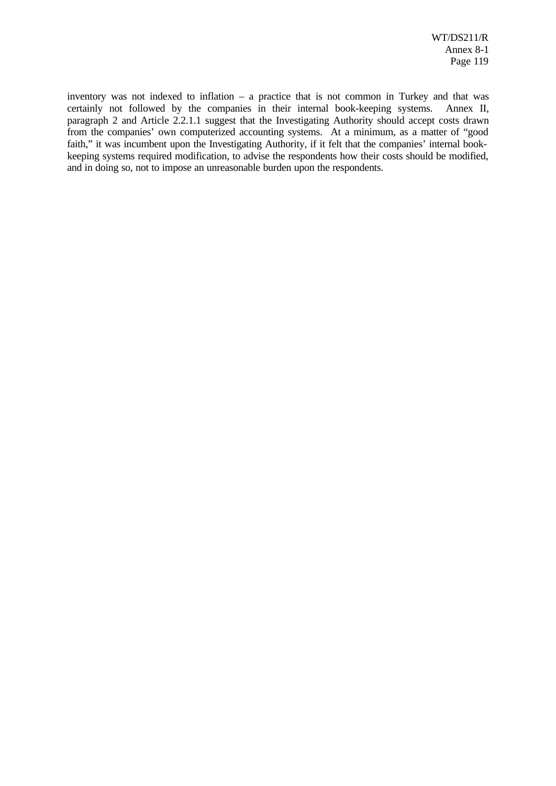inventory was not indexed to inflation – a practice that is not common in Turkey and that was certainly not followed by the companies in their internal book-keeping systems. Annex II, paragraph 2 and Article 2.2.1.1 suggest that the Investigating Authority should accept costs drawn from the companies' own computerized accounting systems. At a minimum, as a matter of "good faith," it was incumbent upon the Investigating Authority, if it felt that the companies' internal bookkeeping systems required modification, to advise the respondents how their costs should be modified, and in doing so, not to impose an unreasonable burden upon the respondents.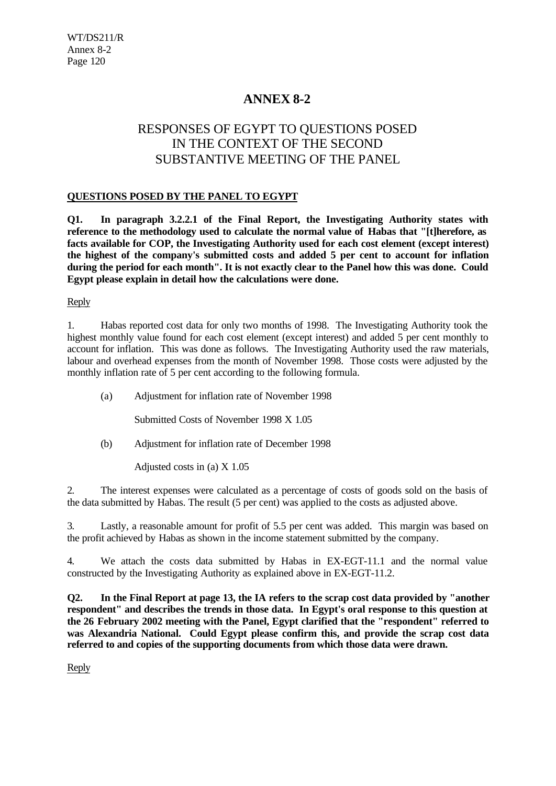# **ANNEX 8-2**

# RESPONSES OF EGYPT TO QUESTIONS POSED IN THE CONTEXT OF THE SECOND SUBSTANTIVE MEETING OF THE PANEL

#### **QUESTIONS POSED BY THE PANEL TO EGYPT**

**Q1. In paragraph 3.2.2.1 of the Final Report, the Investigating Authority states with reference to the methodology used to calculate the normal value of Habas that "[t]herefore, as facts available for COP, the Investigating Authority used for each cost element (except interest) the highest of the company's submitted costs and added 5 per cent to account for inflation during the period for each month". It is not exactly clear to the Panel how this was done. Could Egypt please explain in detail how the calculations were done.**

#### Reply

1. Habas reported cost data for only two months of 1998. The Investigating Authority took the highest monthly value found for each cost element (except interest) and added 5 per cent monthly to account for inflation. This was done as follows. The Investigating Authority used the raw materials, labour and overhead expenses from the month of November 1998. Those costs were adjusted by the monthly inflation rate of 5 per cent according to the following formula.

(a) Adjustment for inflation rate of November 1998

Submitted Costs of November 1998 X 1.05

(b) Adjustment for inflation rate of December 1998

Adjusted costs in (a) X 1.05

2. The interest expenses were calculated as a percentage of costs of goods sold on the basis of the data submitted by Habas. The result (5 per cent) was applied to the costs as adjusted above.

3. Lastly, a reasonable amount for profit of 5.5 per cent was added. This margin was based on the profit achieved by Habas as shown in the income statement submitted by the company.

4. We attach the costs data submitted by Habas in EX-EGT-11.1 and the normal value constructed by the Investigating Authority as explained above in EX-EGT-11.2.

**Q2. In the Final Report at page 13, the IA refers to the scrap cost data provided by "another respondent" and describes the trends in those data. In Egypt's oral response to this question at the 26 February 2002 meeting with the Panel, Egypt clarified that the "respondent" referred to was Alexandria National. Could Egypt please confirm this, and provide the scrap cost data referred to and copies of the supporting documents from which those data were drawn.**

Reply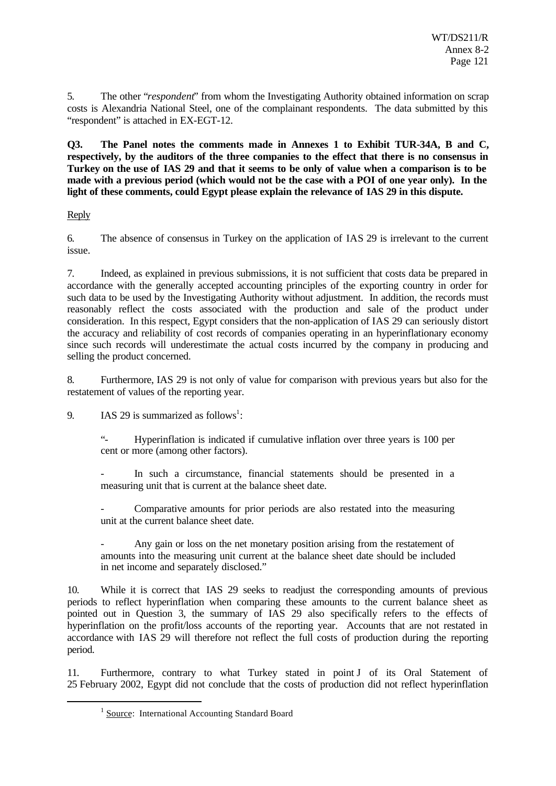5. The other "*respondent*" from whom the Investigating Authority obtained information on scrap costs is Alexandria National Steel, one of the complainant respondents. The data submitted by this "respondent" is attached in EX-EGT-12.

**Q3. The Panel notes the comments made in Annexes 1 to Exhibit TUR-34A, B and C, respectively, by the auditors of the three companies to the effect that there is no consensus in Turkey on the use of IAS 29 and that it seems to be only of value when a comparison is to be made with a previous period (which would not be the case with a POI of one year only). In the light of these comments, could Egypt please explain the relevance of IAS 29 in this dispute.**

# **Reply**

l

6. The absence of consensus in Turkey on the application of IAS 29 is irrelevant to the current issue.

7. Indeed, as explained in previous submissions, it is not sufficient that costs data be prepared in accordance with the generally accepted accounting principles of the exporting country in order for such data to be used by the Investigating Authority without adjustment. In addition, the records must reasonably reflect the costs associated with the production and sale of the product under consideration. In this respect, Egypt considers that the non-application of IAS 29 can seriously distort the accuracy and reliability of cost records of companies operating in an hyperinflationary economy since such records will underestimate the actual costs incurred by the company in producing and selling the product concerned.

8. Furthermore, IAS 29 is not only of value for comparison with previous years but also for the restatement of values of the reporting year.

9. IAS 29 is summarized as follows<sup>1</sup>:

Hyperinflation is indicated if cumulative inflation over three years is 100 per cent or more (among other factors).

In such a circumstance, financial statements should be presented in a measuring unit that is current at the balance sheet date.

- Comparative amounts for prior periods are also restated into the measuring unit at the current balance sheet date.

Any gain or loss on the net monetary position arising from the restatement of amounts into the measuring unit current at the balance sheet date should be included in net income and separately disclosed."

10. While it is correct that IAS 29 seeks to readjust the corresponding amounts of previous periods to reflect hyperinflation when comparing these amounts to the current balance sheet as pointed out in Question 3, the summary of IAS 29 also specifically refers to the effects of hyperinflation on the profit/loss accounts of the reporting year. Accounts that are not restated in accordance with IAS 29 will therefore not reflect the full costs of production during the reporting period.

11. Furthermore, contrary to what Turkey stated in point J of its Oral Statement of 25 February 2002, Egypt did not conclude that the costs of production did not reflect hyperinflation

<sup>&</sup>lt;sup>1</sup> Source: International Accounting Standard Board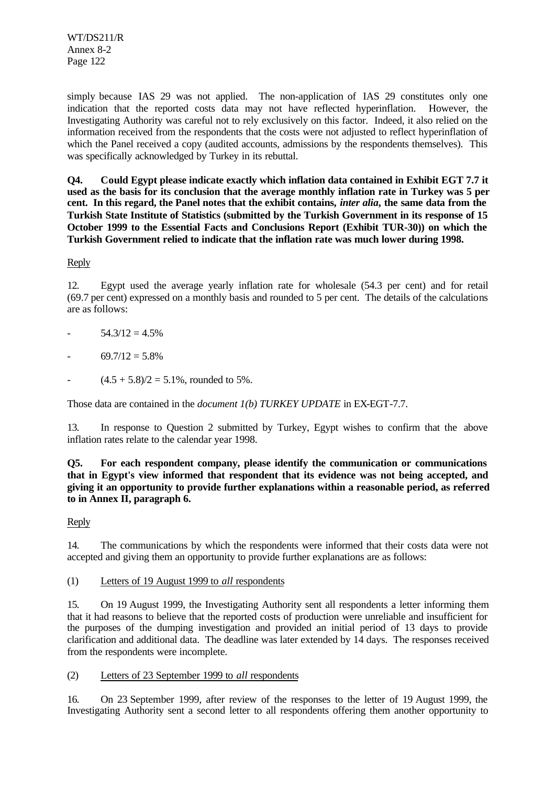WT/DS211/R Annex 8-2 Page 122

simply because IAS 29 was not applied. The non-application of IAS 29 constitutes only one indication that the reported costs data may not have reflected hyperinflation. However, the Investigating Authority was careful not to rely exclusively on this factor. Indeed, it also relied on the information received from the respondents that the costs were not adjusted to reflect hyperinflation of which the Panel received a copy (audited accounts, admissions by the respondents themselves). This was specifically acknowledged by Turkey in its rebuttal.

**Q4. Could Egypt please indicate exactly which inflation data contained in Exhibit EGT 7.7 it used as the basis for its conclusion that the average monthly inflation rate in Turkey was 5 per cent. In this regard, the Panel notes that the exhibit contains,** *inter alia***, the same data from the Turkish State Institute of Statistics (submitted by the Turkish Government in its response of 15 October 1999 to the Essential Facts and Conclusions Report (Exhibit TUR-30)) on which the Turkish Government relied to indicate that the inflation rate was much lower during 1998.**

# Reply

12. Egypt used the average yearly inflation rate for wholesale (54.3 per cent) and for retail (69.7 per cent) expressed on a monthly basis and rounded to 5 per cent. The details of the calculations are as follows:

- $54.3/12 = 4.5%$
- $-69.7/12 = 5.8\%$
- $(4.5 + 5.8)/2 = 5.1\%$ , rounded to 5%.

Those data are contained in the *document 1(b) TURKEY UPDATE* in EX-EGT-7.7.

13. In response to Question 2 submitted by Turkey, Egypt wishes to confirm that the above inflation rates relate to the calendar year 1998.

#### **Q5. For each respondent company, please identify the communication or communications that in Egypt's view informed that respondent that its evidence was not being accepted, and giving it an opportunity to provide further explanations within a reasonable period, as referred to in Annex II, paragraph 6.**

# Reply

14. The communications by which the respondents were informed that their costs data were not accepted and giving them an opportunity to provide further explanations are as follows:

# (1) Letters of 19 August 1999 to *all* respondents

15. On 19 August 1999, the Investigating Authority sent all respondents a letter informing them that it had reasons to believe that the reported costs of production were unreliable and insufficient for the purposes of the dumping investigation and provided an initial period of 13 days to provide clarification and additional data. The deadline was later extended by 14 days. The responses received from the respondents were incomplete.

(2) Letters of 23 September 1999 to *all* respondents

16. On 23 September 1999, after review of the responses to the letter of 19 August 1999, the Investigating Authority sent a second letter to all respondents offering them another opportunity to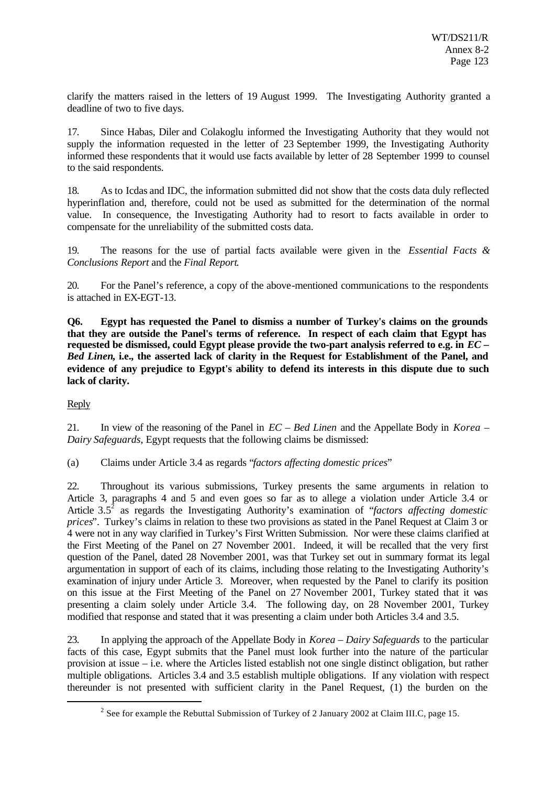clarify the matters raised in the letters of 19 August 1999. The Investigating Authority granted a deadline of two to five days.

17. Since Habas, Diler and Colakoglu informed the Investigating Authority that they would not supply the information requested in the letter of 23 September 1999, the Investigating Authority informed these respondents that it would use facts available by letter of 28 September 1999 to counsel to the said respondents.

18. As to Icdas and IDC, the information submitted did not show that the costs data duly reflected hyperinflation and, therefore, could not be used as submitted for the determination of the normal value. In consequence, the Investigating Authority had to resort to facts available in order to compensate for the unreliability of the submitted costs data.

19. The reasons for the use of partial facts available were given in the *Essential Facts & Conclusions Report* and the *Final Report*.

20. For the Panel's reference, a copy of the above-mentioned communications to the respondents is attached in EX-EGT-13.

**Q6. Egypt has requested the Panel to dismiss a number of Turkey's claims on the grounds that they are outside the Panel's terms of reference. In respect of each claim that Egypt has requested be dismissed, could Egypt please provide the two-part analysis referred to e.g. in** *EC – Bed Linen***, i.e., the asserted lack of clarity in the Request for Establishment of the Panel, and evidence of any prejudice to Egypt's ability to defend its interests in this dispute due to such lack of clarity.**

Reply

l

21. In view of the reasoning of the Panel in *EC – Bed Linen* and the Appellate Body in *Korea – Dairy Safeguards*, Egypt requests that the following claims be dismissed:

(a) Claims under Article 3.4 as regards "*factors affecting domestic prices*"

22. Throughout its various submissions, Turkey presents the same arguments in relation to Article 3, paragraphs 4 and 5 and even goes so far as to allege a violation under Article 3.4 or Article 3.5<sup>2</sup> as regards the Investigating Authority's examination of "*factors affecting domestic prices*". Turkey's claims in relation to these two provisions as stated in the Panel Request at Claim 3 or 4 were not in any way clarified in Turkey's First Written Submission. Nor were these claims clarified at the First Meeting of the Panel on 27 November 2001. Indeed, it will be recalled that the very first question of the Panel, dated 28 November 2001, was that Turkey set out in summary format its legal argumentation in support of each of its claims, including those relating to the Investigating Authority's examination of injury under Article 3. Moreover, when requested by the Panel to clarify its position on this issue at the First Meeting of the Panel on 27 November 2001, Turkey stated that it was presenting a claim solely under Article 3.4. The following day, on 28 November 2001, Turkey modified that response and stated that it was presenting a claim under both Articles 3.4 and 3.5.

23. In applying the approach of the Appellate Body in *Korea – Dairy Safeguards* to the particular facts of this case, Egypt submits that the Panel must look further into the nature of the particular provision at issue – i.e. where the Articles listed establish not one single distinct obligation, but rather multiple obligations. Articles 3.4 and 3.5 establish multiple obligations. If any violation with respect thereunder is not presented with sufficient clarity in the Panel Request, (1) the burden on the

<sup>&</sup>lt;sup>2</sup> See for example the Rebuttal Submission of Turkey of 2 January 2002 at Claim III.C, page 15.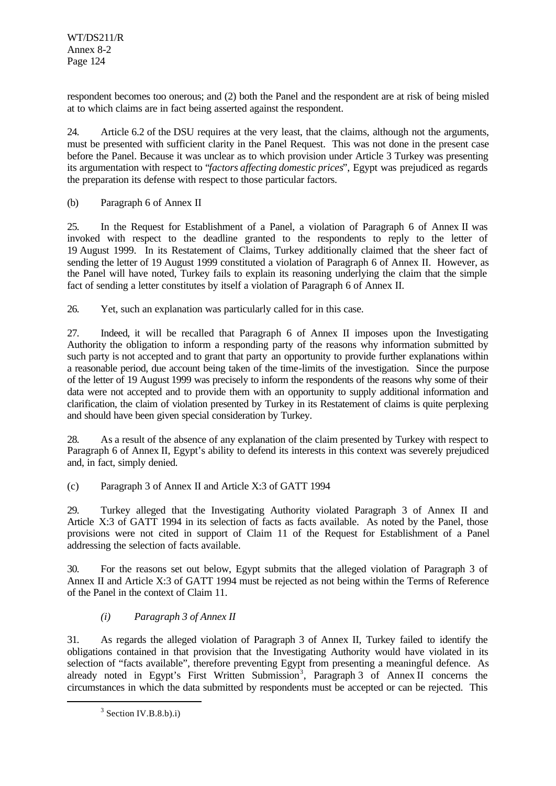respondent becomes too onerous; and (2) both the Panel and the respondent are at risk of being misled at to which claims are in fact being asserted against the respondent.

24. Article 6.2 of the DSU requires at the very least, that the claims, although not the arguments, must be presented with sufficient clarity in the Panel Request. This was not done in the present case before the Panel. Because it was unclear as to which provision under Article 3 Turkey was presenting its argumentation with respect to "*factors affecting domestic prices*", Egypt was prejudiced as regards the preparation its defense with respect to those particular factors.

(b) Paragraph 6 of Annex II

25. In the Request for Establishment of a Panel, a violation of Paragraph 6 of Annex II was invoked with respect to the deadline granted to the respondents to reply to the letter of 19 August 1999. In its Restatement of Claims, Turkey additionally claimed that the sheer fact of sending the letter of 19 August 1999 constituted a violation of Paragraph 6 of Annex II. However, as the Panel will have noted, Turkey fails to explain its reasoning underlying the claim that the simple fact of sending a letter constitutes by itself a violation of Paragraph 6 of Annex II.

26. Yet, such an explanation was particularly called for in this case.

27. Indeed, it will be recalled that Paragraph 6 of Annex II imposes upon the Investigating Authority the obligation to inform a responding party of the reasons why information submitted by such party is not accepted and to grant that party an opportunity to provide further explanations within a reasonable period, due account being taken of the time-limits of the investigation. Since the purpose of the letter of 19 August 1999 was precisely to inform the respondents of the reasons why some of their data were not accepted and to provide them with an opportunity to supply additional information and clarification, the claim of violation presented by Turkey in its Restatement of claims is quite perplexing and should have been given special consideration by Turkey.

28. As a result of the absence of any explanation of the claim presented by Turkey with respect to Paragraph 6 of Annex II, Egypt's ability to defend its interests in this context was severely prejudiced and, in fact, simply denied.

(c) Paragraph 3 of Annex II and Article X:3 of GATT 1994

29. Turkey alleged that the Investigating Authority violated Paragraph 3 of Annex II and Article X:3 of GATT 1994 in its selection of facts as facts available. As noted by the Panel, those provisions were not cited in support of Claim 11 of the Request for Establishment of a Panel addressing the selection of facts available.

30. For the reasons set out below, Egypt submits that the alleged violation of Paragraph 3 of Annex II and Article X:3 of GATT 1994 must be rejected as not being within the Terms of Reference of the Panel in the context of Claim 11.

# *(i) Paragraph 3 of Annex II*

31. As regards the alleged violation of Paragraph 3 of Annex II, Turkey failed to identify the obligations contained in that provision that the Investigating Authority would have violated in its selection of "facts available", therefore preventing Egypt from presenting a meaningful defence. As already noted in Egypt's First Written Submission<sup>3</sup>, Paragraph 3 of Annex II concerns the circumstances in which the data submitted by respondents must be accepted or can be rejected. This

l

 $3$  Section IV.B.8.b).i)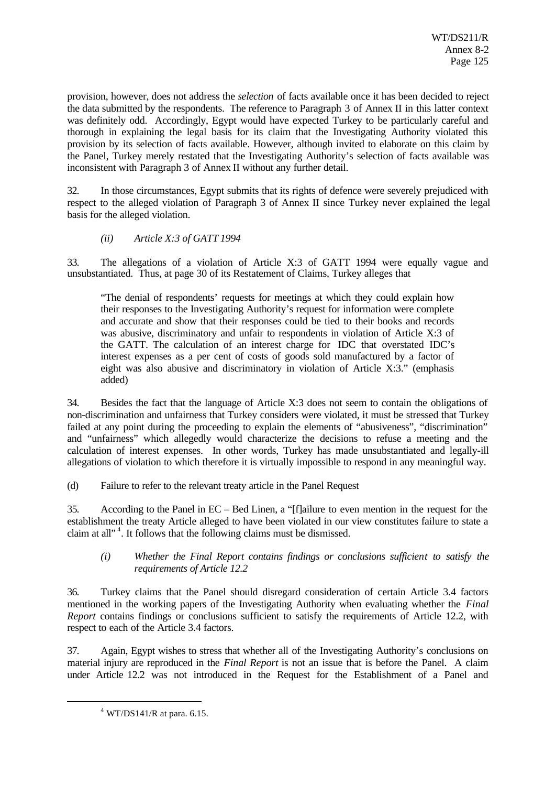provision, however, does not address the *selection* of facts available once it has been decided to reject the data submitted by the respondents. The reference to Paragraph 3 of Annex II in this latter context was definitely odd. Accordingly, Egypt would have expected Turkey to be particularly careful and thorough in explaining the legal basis for its claim that the Investigating Authority violated this provision by its selection of facts available. However, although invited to elaborate on this claim by the Panel, Turkey merely restated that the Investigating Authority's selection of facts available was inconsistent with Paragraph 3 of Annex II without any further detail.

32. In those circumstances, Egypt submits that its rights of defence were severely prejudiced with respect to the alleged violation of Paragraph 3 of Annex II since Turkey never explained the legal basis for the alleged violation.

# *(ii) Article X:3 of GATT 1994*

33. The allegations of a violation of Article X:3 of GATT 1994 were equally vague and unsubstantiated. Thus, at page 30 of its Restatement of Claims, Turkey alleges that

"The denial of respondents' requests for meetings at which they could explain how their responses to the Investigating Authority's request for information were complete and accurate and show that their responses could be tied to their books and records was abusive, discriminatory and unfair to respondents in violation of Article X:3 of the GATT. The calculation of an interest charge for IDC that overstated IDC's interest expenses as a per cent of costs of goods sold manufactured by a factor of eight was also abusive and discriminatory in violation of Article X:3." (emphasis added)

34. Besides the fact that the language of Article X:3 does not seem to contain the obligations of non-discrimination and unfairness that Turkey considers were violated, it must be stressed that Turkey failed at any point during the proceeding to explain the elements of "abusiveness", "discrimination" and "unfairness" which allegedly would characterize the decisions to refuse a meeting and the calculation of interest expenses. In other words, Turkey has made unsubstantiated and legally-ill allegations of violation to which therefore it is virtually impossible to respond in any meaningful way.

(d) Failure to refer to the relevant treaty article in the Panel Request

35. According to the Panel in EC – Bed Linen, a "[f]ailure to even mention in the request for the establishment the treaty Article alleged to have been violated in our view constitutes failure to state a claim at all"<sup>4</sup>. It follows that the following claims must be dismissed.

# *(i) Whether the Final Report contains findings or conclusions sufficient to satisfy the requirements of Article 12.2*

36. Turkey claims that the Panel should disregard consideration of certain Article 3.4 factors mentioned in the working papers of the Investigating Authority when evaluating whether the *Final Report* contains findings or conclusions sufficient to satisfy the requirements of Article 12.2, with respect to each of the Article 3.4 factors.

37. Again, Egypt wishes to stress that whether all of the Investigating Authority's conclusions on material injury are reproduced in the *Final Report* is not an issue that is before the Panel. A claim under Article 12.2 was not introduced in the Request for the Establishment of a Panel and

l

 $4$  WT/DS141/R at para. 6.15.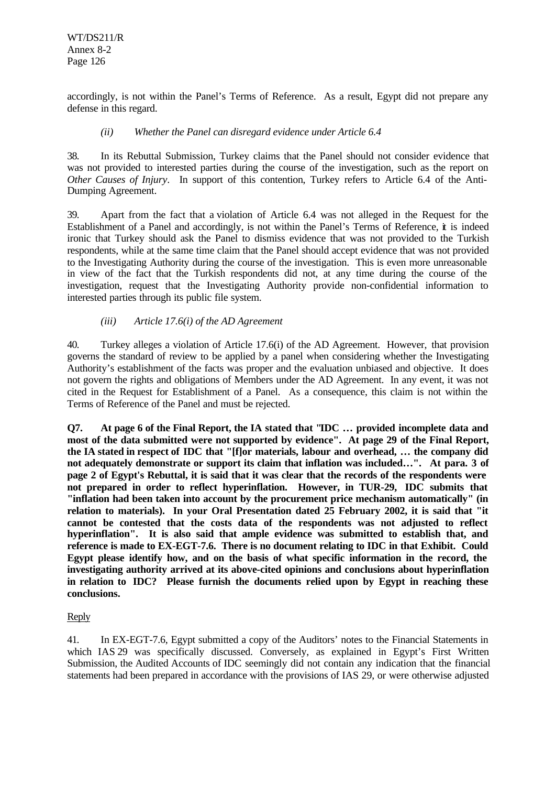WT/DS211/R Annex 8-2 Page 126

accordingly, is not within the Panel's Terms of Reference. As a result, Egypt did not prepare any defense in this regard.

### *(ii) Whether the Panel can disregard evidence under Article 6.4*

38. In its Rebuttal Submission, Turkey claims that the Panel should not consider evidence that was not provided to interested parties during the course of the investigation, such as the report on *Other Causes of Injury*. In support of this contention, Turkey refers to Article 6.4 of the Anti-Dumping Agreement.

39. Apart from the fact that a violation of Article 6.4 was not alleged in the Request for the Establishment of a Panel and accordingly, is not within the Panel's Terms of Reference, it is indeed ironic that Turkey should ask the Panel to dismiss evidence that was not provided to the Turkish respondents, while at the same time claim that the Panel should accept evidence that was not provided to the Investigating Authority during the course of the investigation. This is even more unreasonable in view of the fact that the Turkish respondents did not, at any time during the course of the investigation, request that the Investigating Authority provide non-confidential information to interested parties through its public file system.

#### *(iii) Article 17.6(i) of the AD Agreement*

40. Turkey alleges a violation of Article 17.6(i) of the AD Agreement. However, that provision governs the standard of review to be applied by a panel when considering whether the Investigating Authority's establishment of the facts was proper and the evaluation unbiased and objective. It does not govern the rights and obligations of Members under the AD Agreement. In any event, it was not cited in the Request for Establishment of a Panel. As a consequence, this claim is not within the Terms of Reference of the Panel and must be rejected.

**Q7. At page 6 of the Final Report, the IA stated that "IDC … provided incomplete data and most of the data submitted were not supported by evidence". At page 29 of the Final Report, the IA stated in respect of IDC that "[f]or materials, labour and overhead, … the company did not adequately demonstrate or support its claim that inflation was included…". At para. 3 of page 2 of Egypt's Rebuttal, it is said that it was clear that the records of the respondents were not prepared in order to reflect hyperinflation. However, in TUR-29, IDC submits that "inflation had been taken into account by the procurement price mechanism automatically" (in relation to materials). In your Oral Presentation dated 25 February 2002, it is said that "it cannot be contested that the costs data of the respondents was not adjusted to reflect hyperinflation". It is also said that ample evidence was submitted to establish that, and reference is made to EX-EGT-7.6. There is no document relating to IDC in that Exhibit. Could Egypt please identify how, and on the basis of what specific information in the record, the investigating authority arrived at its above-cited opinions and conclusions about hyperinflation in relation to IDC? Please furnish the documents relied upon by Egypt in reaching these conclusions.**

# Reply

41. In EX-EGT-7.6, Egypt submitted a copy of the Auditors' notes to the Financial Statements in which IAS 29 was specifically discussed. Conversely, as explained in Egypt's First Written Submission, the Audited Accounts of IDC seemingly did not contain any indication that the financial statements had been prepared in accordance with the provisions of IAS 29, or were otherwise adjusted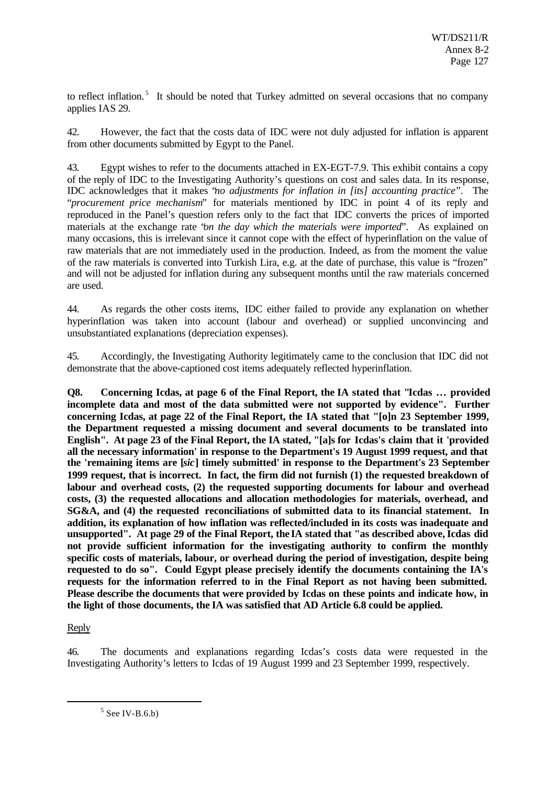to reflect inflation.<sup>5</sup> It should be noted that Turkey admitted on several occasions that no company applies IAS 29.

42. However, the fact that the costs data of IDC were not duly adjusted for inflation is apparent from other documents submitted by Egypt to the Panel.

43. Egypt wishes to refer to the documents attached in EX-EGT-7.9. This exhibit contains a copy of the reply of IDC to the Investigating Authority's questions on cost and sales data. In its response, IDC acknowledges that it makes "*no adjustments for inflation in [its] accounting practice*". The "*procurement price mechanism*" for materials mentioned by IDC in point 4 of its reply and reproduced in the Panel's question refers only to the fact that IDC converts the prices of imported materials at the exchange rate "*on the day which the materials were imported*". As explained on many occasions, this is irrelevant since it cannot cope with the effect of hyperinflation on the value of raw materials that are not immediately used in the production. Indeed, as from the moment the value of the raw materials is converted into Turkish Lira, e.g. at the date of purchase, this value is "frozen" and will not be adjusted for inflation during any subsequent months until the raw materials concerned are used.

44. As regards the other costs items, IDC either failed to provide any explanation on whether hyperinflation was taken into account (labour and overhead) or supplied unconvincing and unsubstantiated explanations (depreciation expenses).

45. Accordingly, the Investigating Authority legitimately came to the conclusion that IDC did not demonstrate that the above-captioned cost items adequately reflected hyperinflation.

**Q8. Concerning Icdas, at page 6 of the Final Report, the IA stated that "Icdas … provided incomplete data and most of the data submitted were not supported by evidence". Further concerning Icdas, at page 22 of the Final Report, the IA stated that "[o]n 23 September 1999, the Department requested a missing document and several documents to be translated into English". At page 23 of the Final Report, the IA stated, "[a]s for Icdas's claim that it 'provided all the necessary information' in response to the Department's 19 August 1999 request, and that the 'remaining items are [***sic***] timely submitted' in response to the Department's 23 September 1999 request, that is incorrect. In fact, the firm did not furnish (1) the requested breakdown of labour and overhead costs, (2) the requested supporting documents for labour and overhead costs, (3) the requested allocations and allocation methodologies for materials, overhead, and SG&A, and (4) the requested reconciliations of submitted data to its financial statement. In addition, its explanation of how inflation was reflected/included in its costs was inadequate and unsupported". At page 29 of the Final Report, the IA stated that "as described above, Icdas did not provide sufficient information for the investigating authority to confirm the monthly specific costs of materials, labour, or overhead during the period of investigation, despite being requested to do so". Could Egypt please precisely identify the documents containing the IA's requests for the information referred to in the Final Report as not having been submitted. Please describe the documents that were provided by Icdas on these points and indicate how, in the light of those documents, the IA was satisfied that AD Article 6.8 could be applied.**

# Reply

l

46. The documents and explanations regarding Icdas's costs data were requested in the Investigating Authority's letters to Icdas of 19 August 1999 and 23 September 1999, respectively.

 $5$  See IV-B.6.b)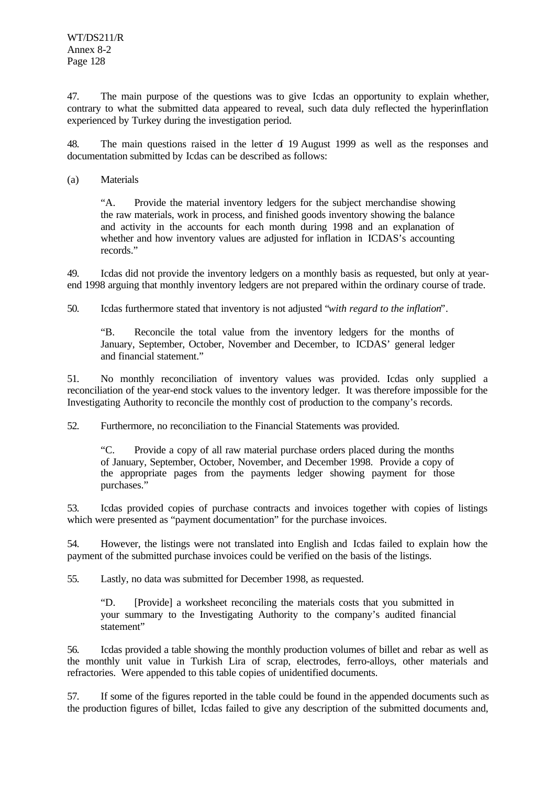47. The main purpose of the questions was to give Icdas an opportunity to explain whether, contrary to what the submitted data appeared to reveal, such data duly reflected the hyperinflation experienced by Turkey during the investigation period.

48. The main questions raised in the letter of 19 August 1999 as well as the responses and documentation submitted by Icdas can be described as follows:

(a) Materials

"A. Provide the material inventory ledgers for the subject merchandise showing the raw materials, work in process, and finished goods inventory showing the balance and activity in the accounts for each month during 1998 and an explanation of whether and how inventory values are adjusted for inflation in ICDAS's accounting records."

49. Icdas did not provide the inventory ledgers on a monthly basis as requested, but only at yearend 1998 arguing that monthly inventory ledgers are not prepared within the ordinary course of trade.

50. Icdas furthermore stated that inventory is not adjusted "*with regard to the inflation*".

"B. Reconcile the total value from the inventory ledgers for the months of January, September, October, November and December, to ICDAS' general ledger and financial statement."

51. No monthly reconciliation of inventory values was provided. Icdas only supplied a reconciliation of the year-end stock values to the inventory ledger. It was therefore impossible for the Investigating Authority to reconcile the monthly cost of production to the company's records.

52. Furthermore, no reconciliation to the Financial Statements was provided.

"C. Provide a copy of all raw material purchase orders placed during the months of January, September, October, November, and December 1998. Provide a copy of the appropriate pages from the payments ledger showing payment for those purchases."

53. Icdas provided copies of purchase contracts and invoices together with copies of listings which were presented as "payment documentation" for the purchase invoices.

54. However, the listings were not translated into English and Icdas failed to explain how the payment of the submitted purchase invoices could be verified on the basis of the listings.

55. Lastly, no data was submitted for December 1998, as requested.

"D. [Provide] a worksheet reconciling the materials costs that you submitted in your summary to the Investigating Authority to the company's audited financial statement"

56. Icdas provided a table showing the monthly production volumes of billet and rebar as well as the monthly unit value in Turkish Lira of scrap, electrodes, ferro-alloys, other materials and refractories. Were appended to this table copies of unidentified documents.

57. If some of the figures reported in the table could be found in the appended documents such as the production figures of billet, Icdas failed to give any description of the submitted documents and,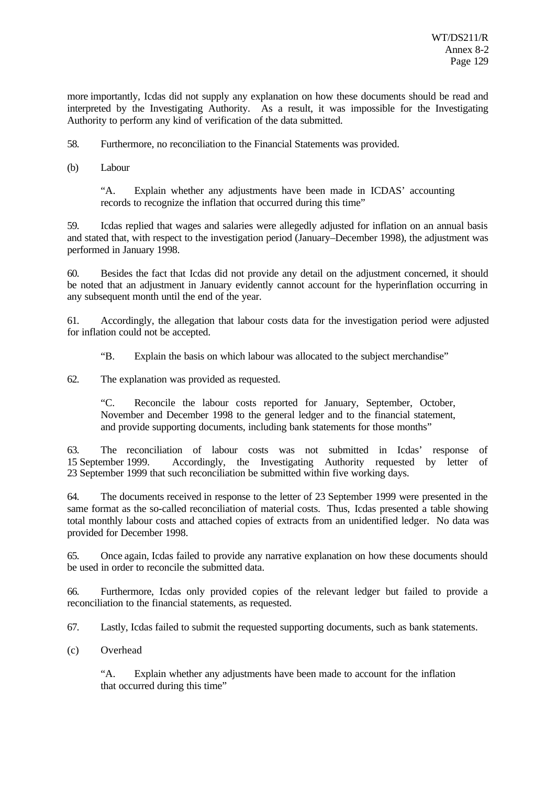more importantly, Icdas did not supply any explanation on how these documents should be read and interpreted by the Investigating Authority. As a result, it was impossible for the Investigating Authority to perform any kind of verification of the data submitted.

58. Furthermore, no reconciliation to the Financial Statements was provided.

(b) Labour

"A. Explain whether any adjustments have been made in ICDAS' accounting records to recognize the inflation that occurred during this time"

59. Icdas replied that wages and salaries were allegedly adjusted for inflation on an annual basis and stated that, with respect to the investigation period (January–December 1998), the adjustment was performed in January 1998.

60. Besides the fact that Icdas did not provide any detail on the adjustment concerned, it should be noted that an adjustment in January evidently cannot account for the hyperinflation occurring in any subsequent month until the end of the year.

61. Accordingly, the allegation that labour costs data for the investigation period were adjusted for inflation could not be accepted.

"B. Explain the basis on which labour was allocated to the subject merchandise"

62. The explanation was provided as requested.

"C. Reconcile the labour costs reported for January, September, October, November and December 1998 to the general ledger and to the financial statement, and provide supporting documents, including bank statements for those months"

63. The reconciliation of labour costs was not submitted in Icdas' response of 15 September 1999. Accordingly, the Investigating Authority requested by letter of 23 September 1999 that such reconciliation be submitted within five working days.

64. The documents received in response to the letter of 23 September 1999 were presented in the same format as the so-called reconciliation of material costs. Thus, Icdas presented a table showing total monthly labour costs and attached copies of extracts from an unidentified ledger. No data was provided for December 1998.

65. Once again, Icdas failed to provide any narrative explanation on how these documents should be used in order to reconcile the submitted data.

66. Furthermore, Icdas only provided copies of the relevant ledger but failed to provide a reconciliation to the financial statements, as requested.

67. Lastly, Icdas failed to submit the requested supporting documents, such as bank statements.

(c) Overhead

"A. Explain whether any adjustments have been made to account for the inflation that occurred during this time"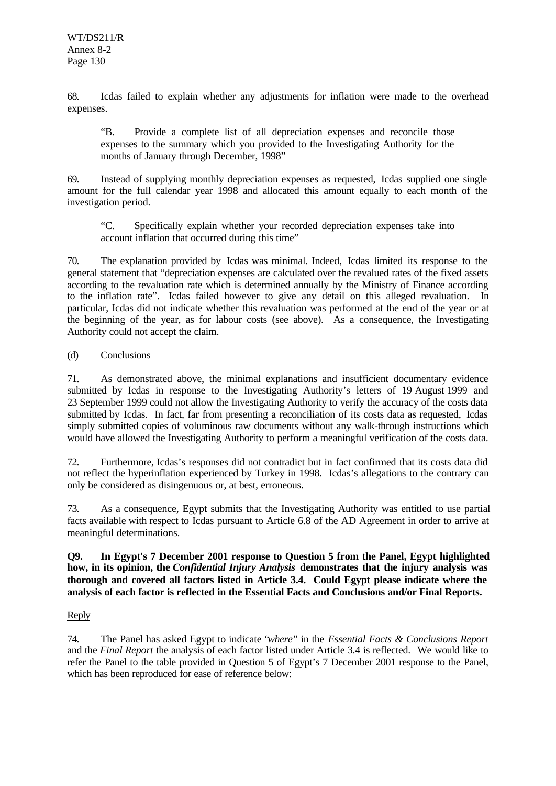WT/DS211/R Annex 8-2 Page 130

68. Icdas failed to explain whether any adjustments for inflation were made to the overhead expenses.

"B. Provide a complete list of all depreciation expenses and reconcile those expenses to the summary which you provided to the Investigating Authority for the months of January through December, 1998"

69. Instead of supplying monthly depreciation expenses as requested, Icdas supplied one single amount for the full calendar year 1998 and allocated this amount equally to each month of the investigation period.

"C. Specifically explain whether your recorded depreciation expenses take into account inflation that occurred during this time"

70. The explanation provided by Icdas was minimal. Indeed, Icdas limited its response to the general statement that "depreciation expenses are calculated over the revalued rates of the fixed assets according to the revaluation rate which is determined annually by the Ministry of Finance according to the inflation rate". Icdas failed however to give any detail on this alleged revaluation. In particular, Icdas did not indicate whether this revaluation was performed at the end of the year or at the beginning of the year, as for labour costs (see above). As a consequence, the Investigating Authority could not accept the claim.

#### (d) Conclusions

71. As demonstrated above, the minimal explanations and insufficient documentary evidence submitted by Icdas in response to the Investigating Authority's letters of 19 August 1999 and 23 September 1999 could not allow the Investigating Authority to verify the accuracy of the costs data submitted by Icdas. In fact, far from presenting a reconciliation of its costs data as requested, Icdas simply submitted copies of voluminous raw documents without any walk-through instructions which would have allowed the Investigating Authority to perform a meaningful verification of the costs data.

72. Furthermore, Icdas's responses did not contradict but in fact confirmed that its costs data did not reflect the hyperinflation experienced by Turkey in 1998. Icdas's allegations to the contrary can only be considered as disingenuous or, at best, erroneous.

73. As a consequence, Egypt submits that the Investigating Authority was entitled to use partial facts available with respect to Icdas pursuant to Article 6.8 of the AD Agreement in order to arrive at meaningful determinations.

#### **Q9. In Egypt's 7 December 2001 response to Question 5 from the Panel, Egypt highlighted how, in its opinion, the** *Confidential Injury Analysis* **demonstrates that the injury analysis was thorough and covered all factors listed in Article 3.4. Could Egypt please indicate where the analysis of each factor is reflected in the Essential Facts and Conclusions and/or Final Reports.**

# Reply

74. The Panel has asked Egypt to indicate "*where*" in the *Essential Facts & Conclusions Report* and the *Final Report* the analysis of each factor listed under Article 3.4 is reflected. We would like to refer the Panel to the table provided in Question 5 of Egypt's 7 December 2001 response to the Panel, which has been reproduced for ease of reference below: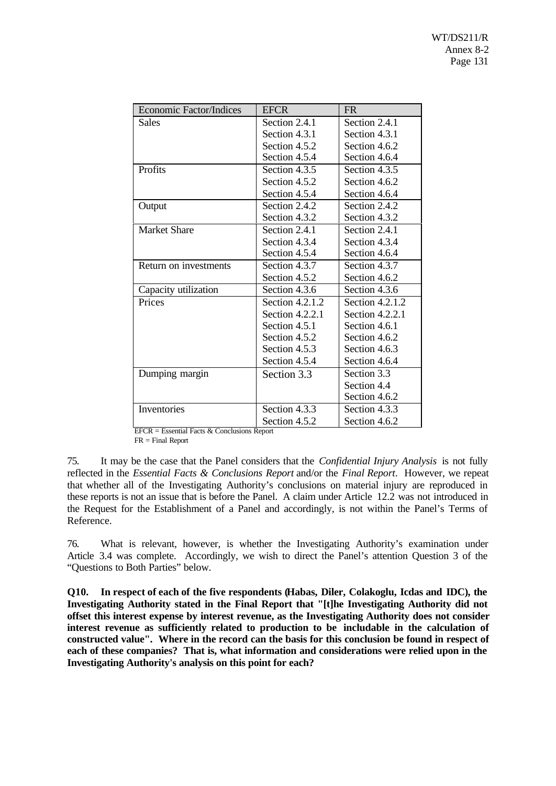| Economic Factor/Indices | <b>EFCR</b>     | <b>FR</b>       |
|-------------------------|-----------------|-----------------|
| Sales                   | Section 2.4.1   | Section 2.4.1   |
|                         | Section 4.3.1   | Section 4.3.1   |
|                         | Section 4.5.2   | Section 4.6.2   |
|                         | Section 4.5.4   | Section 4.6.4   |
| Profits                 | Section 4.3.5   | Section 4.3.5   |
|                         | Section 4.5.2   | Section 4.6.2   |
|                         | Section 4.5.4   | Section 4.6.4   |
| Output                  | Section 2.4.2   | Section 2.4.2   |
|                         | Section 4.3.2   | Section 4.3.2   |
| <b>Market Share</b>     | Section 2.4.1   | Section 2.4.1   |
|                         | Section 4.3.4   | Section 4.3.4   |
|                         | Section 4.5.4   | Section 4.6.4   |
| Return on investments   | Section 4.3.7   | Section 4.3.7   |
|                         | Section 4.5.2   | Section 4.6.2   |
| Capacity utilization    | Section 4.3.6   | Section 4.3.6   |
| Prices                  | Section 4.2.1.2 | Section 4.2.1.2 |
|                         | Section 4.2.2.1 | Section 4.2.2.1 |
|                         | Section 4.5.1   | Section 4.6.1   |
|                         | Section 4.5.2   | Section 4.6.2   |
|                         | Section 4.5.3   | Section 4.6.3   |
|                         | Section 4.5.4   | Section 4.6.4   |
| Dumping margin          | Section 3.3     | Section 3.3     |
|                         |                 | Section 4.4     |
|                         |                 | Section 4.6.2   |
| Inventories             | Section 4.3.3   | Section 4.3.3   |
|                         | Section 4.5.2   | Section 4.6.2   |

EFCR = Essential Facts & Conclusions Report

FR = Final Report

75. It may be the case that the Panel considers that the *Confidential Injury Analysis* is not fully reflected in the *Essential Facts & Conclusions Report* and/or the *Final Report*. However, we repeat that whether all of the Investigating Authority's conclusions on material injury are reproduced in these reports is not an issue that is before the Panel. A claim under Article 12.2 was not introduced in the Request for the Establishment of a Panel and accordingly, is not within the Panel's Terms of Reference.

76. What is relevant, however, is whether the Investigating Authority's examination under Article 3.4 was complete. Accordingly, we wish to direct the Panel's attention Question 3 of the "Questions to Both Parties" below.

**Q10. In respect of each of the five respondents (Habas, Diler, Colakoglu, Icdas and IDC), the Investigating Authority stated in the Final Report that "[t]he Investigating Authority did not offset this interest expense by interest revenue, as the Investigating Authority does not consider interest revenue as sufficiently related to production to be includable in the calculation of constructed value". Where in the record can the basis for this conclusion be found in respect of each of these companies? That is, what information and considerations were relied upon in the Investigating Authority's analysis on this point for each?**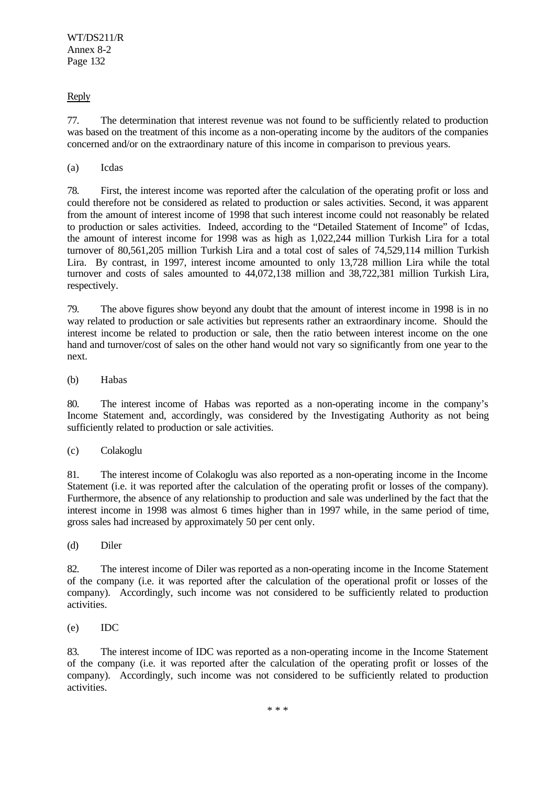# Reply

77. The determination that interest revenue was not found to be sufficiently related to production was based on the treatment of this income as a non-operating income by the auditors of the companies concerned and/or on the extraordinary nature of this income in comparison to previous years.

(a) Icdas

78. First, the interest income was reported after the calculation of the operating profit or loss and could therefore not be considered as related to production or sales activities. Second, it was apparent from the amount of interest income of 1998 that such interest income could not reasonably be related to production or sales activities. Indeed, according to the "Detailed Statement of Income" of Icdas, the amount of interest income for 1998 was as high as 1,022,244 million Turkish Lira for a total turnover of 80,561,205 million Turkish Lira and a total cost of sales of 74,529,114 million Turkish Lira. By contrast, in 1997, interest income amounted to only 13,728 million Lira while the total turnover and costs of sales amounted to 44,072,138 million and 38,722,381 million Turkish Lira, respectively.

79. The above figures show beyond any doubt that the amount of interest income in 1998 is in no way related to production or sale activities but represents rather an extraordinary income. Should the interest income be related to production or sale, then the ratio between interest income on the one hand and turnover/cost of sales on the other hand would not vary so significantly from one year to the next.

(b) Habas

80. The interest income of Habas was reported as a non-operating income in the company's Income Statement and, accordingly, was considered by the Investigating Authority as not being sufficiently related to production or sale activities.

(c) Colakoglu

81. The interest income of Colakoglu was also reported as a non-operating income in the Income Statement (i.e. it was reported after the calculation of the operating profit or losses of the company). Furthermore, the absence of any relationship to production and sale was underlined by the fact that the interest income in 1998 was almost 6 times higher than in 1997 while, in the same period of time, gross sales had increased by approximately 50 per cent only.

(d) Diler

82. The interest income of Diler was reported as a non-operating income in the Income Statement of the company (i.e. it was reported after the calculation of the operational profit or losses of the company). Accordingly, such income was not considered to be sufficiently related to production activities.

(e) IDC

83. The interest income of IDC was reported as a non-operating income in the Income Statement of the company (i.e. it was reported after the calculation of the operating profit or losses of the company). Accordingly, such income was not considered to be sufficiently related to production activities.

\* \* \*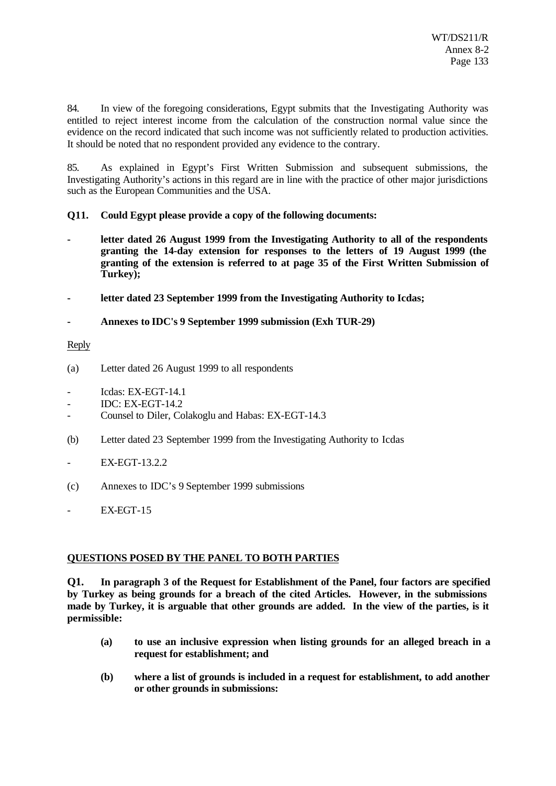84. In view of the foregoing considerations, Egypt submits that the Investigating Authority was entitled to reject interest income from the calculation of the construction normal value since the evidence on the record indicated that such income was not sufficiently related to production activities. It should be noted that no respondent provided any evidence to the contrary.

85. As explained in Egypt's First Written Submission and subsequent submissions, the Investigating Authority's actions in this regard are in line with the practice of other major jurisdictions such as the European Communities and the USA.

**Q11. Could Egypt please provide a copy of the following documents:**

- **- letter dated 26 August 1999 from the Investigating Authority to all of the respondents granting the 14-day extension for responses to the letters of 19 August 1999 (the granting of the extension is referred to at page 35 of the First Written Submission of Turkey);**
- **- letter dated 23 September 1999 from the Investigating Authority to Icdas;**
- **- Annexes to IDC's 9 September 1999 submission (Exh TUR-29)**

#### Reply

- (a) Letter dated 26 August 1999 to all respondents
- Icdas: EX-EGT-14.1
- IDC: EX-EGT-14.2
- Counsel to Diler, Colakoglu and Habas: EX-EGT-14.3
- (b) Letter dated 23 September 1999 from the Investigating Authority to Icdas
- EX-EGT-13.2.2
- (c) Annexes to IDC's 9 September 1999 submissions
- EX-EGT-15

#### **QUESTIONS POSED BY THE PANEL TO BOTH PARTIES**

**Q1. In paragraph 3 of the Request for Establishment of the Panel, four factors are specified by Turkey as being grounds for a breach of the cited Articles. However, in the submissions made by Turkey, it is arguable that other grounds are added. In the view of the parties, is it permissible:**

- **(a) to use an inclusive expression when listing grounds for an alleged breach in a request for establishment; and**
- **(b) where a list of grounds is included in a request for establishment, to add another or other grounds in submissions:**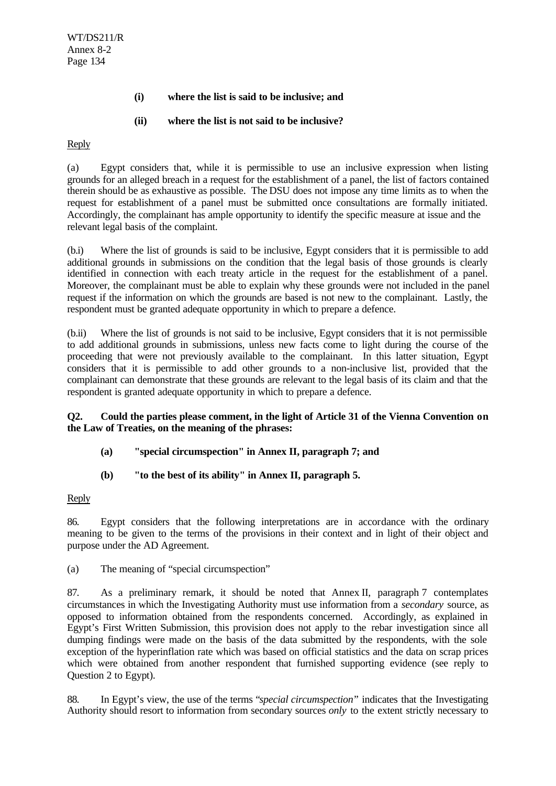# **(i) where the list is said to be inclusive; and**

# **(ii) where the list is not said to be inclusive?**

Reply

(a) Egypt considers that, while it is permissible to use an inclusive expression when listing grounds for an alleged breach in a request for the establishment of a panel, the list of factors contained therein should be as exhaustive as possible. The DSU does not impose any time limits as to when the request for establishment of a panel must be submitted once consultations are formally initiated. Accordingly, the complainant has ample opportunity to identify the specific measure at issue and the relevant legal basis of the complaint.

(b.i) Where the list of grounds is said to be inclusive, Egypt considers that it is permissible to add additional grounds in submissions on the condition that the legal basis of those grounds is clearly identified in connection with each treaty article in the request for the establishment of a panel. Moreover, the complainant must be able to explain why these grounds were not included in the panel request if the information on which the grounds are based is not new to the complainant. Lastly, the respondent must be granted adequate opportunity in which to prepare a defence.

(b.ii) Where the list of grounds is not said to be inclusive, Egypt considers that it is not permissible to add additional grounds in submissions, unless new facts come to light during the course of the proceeding that were not previously available to the complainant. In this latter situation, Egypt considers that it is permissible to add other grounds to a non-inclusive list, provided that the complainant can demonstrate that these grounds are relevant to the legal basis of its claim and that the respondent is granted adequate opportunity in which to prepare a defence.

# **Q2. Could the parties please comment, in the light of Article 31 of the Vienna Convention on the Law of Treaties, on the meaning of the phrases:**

**(a) "special circumspection" in Annex II, paragraph 7; and**

# **(b) "to the best of its ability" in Annex II, paragraph 5.**

#### Reply

86. Egypt considers that the following interpretations are in accordance with the ordinary meaning to be given to the terms of the provisions in their context and in light of their object and purpose under the AD Agreement.

(a) The meaning of "special circumspection"

87. As a preliminary remark, it should be noted that Annex II, paragraph 7 contemplates circumstances in which the Investigating Authority must use information from a *secondary* source, as opposed to information obtained from the respondents concerned. Accordingly, as explained in Egypt's First Written Submission, this provision does not apply to the rebar investigation since all dumping findings were made on the basis of the data submitted by the respondents, with the sole exception of the hyperinflation rate which was based on official statistics and the data on scrap prices which were obtained from another respondent that furnished supporting evidence (see reply to Question 2 to Egypt).

88. In Egypt's view, the use of the terms "*special circumspection*" indicates that the Investigating Authority should resort to information from secondary sources *only* to the extent strictly necessary to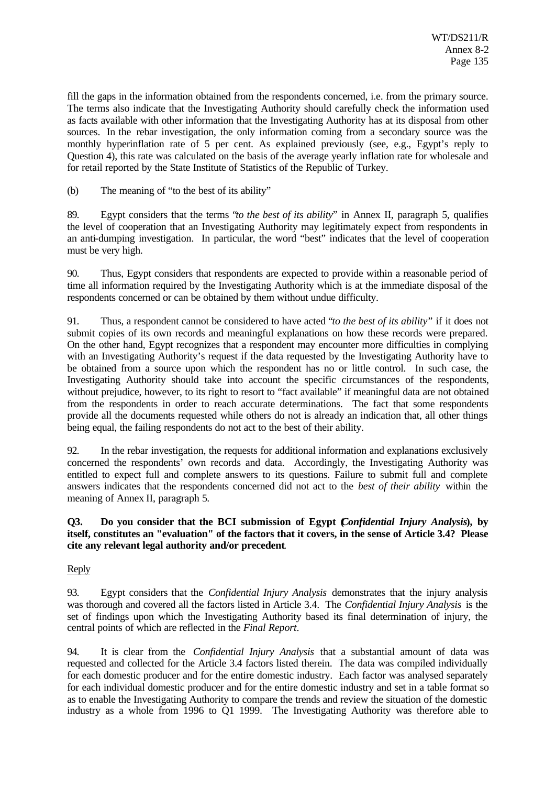fill the gaps in the information obtained from the respondents concerned, i.e. from the primary source. The terms also indicate that the Investigating Authority should carefully check the information used as facts available with other information that the Investigating Authority has at its disposal from other sources. In the rebar investigation, the only information coming from a secondary source was the monthly hyperinflation rate of 5 per cent. As explained previously (see, e.g., Egypt's reply to Question 4), this rate was calculated on the basis of the average yearly inflation rate for wholesale and for retail reported by the State Institute of Statistics of the Republic of Turkey.

(b) The meaning of "to the best of its ability"

89. Egypt considers that the terms "*to the best of its ability*" in Annex II, paragraph 5, qualifies the level of cooperation that an Investigating Authority may legitimately expect from respondents in an anti-dumping investigation. In particular, the word "best" indicates that the level of cooperation must be very high.

90. Thus, Egypt considers that respondents are expected to provide within a reasonable period of time all information required by the Investigating Authority which is at the immediate disposal of the respondents concerned or can be obtained by them without undue difficulty.

91. Thus, a respondent cannot be considered to have acted "*to the best of its ability*" if it does not submit copies of its own records and meaningful explanations on how these records were prepared. On the other hand, Egypt recognizes that a respondent may encounter more difficulties in complying with an Investigating Authority's request if the data requested by the Investigating Authority have to be obtained from a source upon which the respondent has no or little control. In such case, the Investigating Authority should take into account the specific circumstances of the respondents, without prejudice, however, to its right to resort to "fact available" if meaningful data are not obtained from the respondents in order to reach accurate determinations. The fact that some respondents provide all the documents requested while others do not is already an indication that, all other things being equal, the failing respondents do not act to the best of their ability.

92. In the rebar investigation, the requests for additional information and explanations exclusively concerned the respondents' own records and data. Accordingly, the Investigating Authority was entitled to expect full and complete answers to its questions. Failure to submit full and complete answers indicates that the respondents concerned did not act to the *best of their ability* within the meaning of Annex II, paragraph 5.

#### **Q3. Do you consider that the BCI submission of Egypt (***Confidential Injury Analysis***), by itself, constitutes an "evaluation" of the factors that it covers, in the sense of Article 3.4? Please cite any relevant legal authority and/or precedent**.

# Reply

93. Egypt considers that the *Confidential Injury Analysis* demonstrates that the injury analysis was thorough and covered all the factors listed in Article 3.4. The *Confidential Injury Analysis* is the set of findings upon which the Investigating Authority based its final determination of injury, the central points of which are reflected in the *Final Report*.

94. It is clear from the *Confidential Injury Analysis* that a substantial amount of data was requested and collected for the Article 3.4 factors listed therein. The data was compiled individually for each domestic producer and for the entire domestic industry. Each factor was analysed separately for each individual domestic producer and for the entire domestic industry and set in a table format so as to enable the Investigating Authority to compare the trends and review the situation of the domestic industry as a whole from 1996 to Q1 1999. The Investigating Authority was therefore able to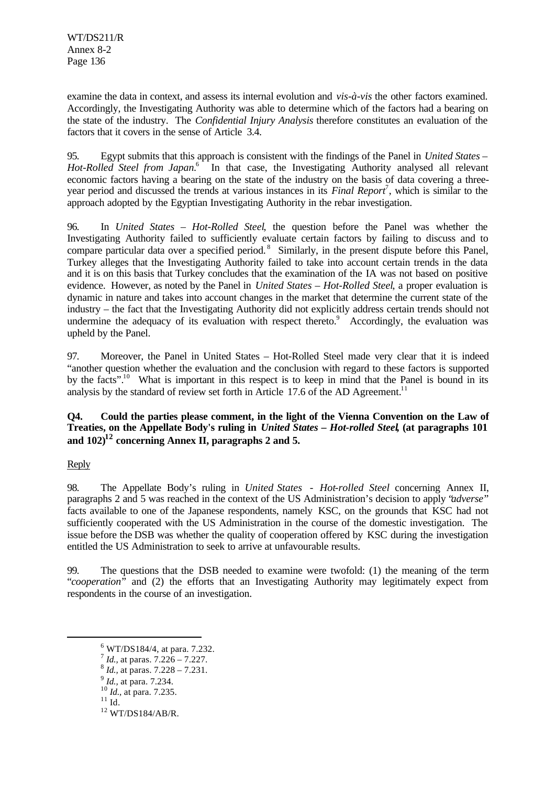examine the data in context, and assess its internal evolution and *vis-à-vis* the other factors examined. Accordingly, the Investigating Authority was able to determine which of the factors had a bearing on the state of the industry. The *Confidential Injury Analysis* therefore constitutes an evaluation of the factors that it covers in the sense of Article 3.4.

95. Egypt submits that this approach is consistent with the findings of the Panel in *United States –* Hot-Rolled Steel from Japan.<sup>6</sup> In that case, the Investigating Authority analysed all relevant economic factors having a bearing on the state of the industry on the basis of data covering a threeyear period and discussed the trends at various instances in its *Final Report*<sup>7</sup> , which is similar to the approach adopted by the Egyptian Investigating Authority in the rebar investigation.

96. In *United States – Hot-Rolled Steel*, the question before the Panel was whether the Investigating Authority failed to sufficiently evaluate certain factors by failing to discuss and to compare particular data over a specified period.<sup>8</sup> Similarly, in the present dispute before this Panel, Turkey alleges that the Investigating Authority failed to take into account certain trends in the data and it is on this basis that Turkey concludes that the examination of the IA was not based on positive evidence. However, as noted by the Panel in *United States – Hot-Rolled Steel*, a proper evaluation is dynamic in nature and takes into account changes in the market that determine the current state of the industry – the fact that the Investigating Authority did not explicitly address certain trends should not undermine the adequacy of its evaluation with respect thereto. $9$  Accordingly, the evaluation was upheld by the Panel.

97. Moreover, the Panel in United States – Hot-Rolled Steel made very clear that it is indeed "another question whether the evaluation and the conclusion with regard to these factors is supported by the facts".<sup>10</sup> What is important in this respect is to keep in mind that the Panel is bound in its analysis by the standard of review set forth in Article 17.6 of the AD Agreement.<sup>11</sup>

# **Q4. Could the parties please comment, in the light of the Vienna Convention on the Law of Treaties, on the Appellate Body's ruling in** *United States – Hot-rolled Steel***, (at paragraphs 101 and 102)12 concerning Annex II, paragraphs 2 and 5.**

# **Reply**

l

98. The Appellate Body's ruling in *United States - Hot-rolled Steel* concerning Annex II, paragraphs 2 and 5 was reached in the context of the US Administration's decision to apply "*adverse*" facts available to one of the Japanese respondents, namely KSC, on the grounds that KSC had not sufficiently cooperated with the US Administration in the course of the domestic investigation. The issue before the DSB was whether the quality of cooperation offered by KSC during the investigation entitled the US Administration to seek to arrive at unfavourable results.

99. The questions that the DSB needed to examine were twofold: (1) the meaning of the term "*cooperation*" and (2) the efforts that an Investigating Authority may legitimately expect from respondents in the course of an investigation.

 $6$  WT/DS184/4, at para. 7.232.

<sup>7</sup> *Id.,* at paras. 7.226 – 7.227.

<sup>8</sup> *Id.,* at paras. 7.228 – 7.231.

<sup>9</sup> *Id.,* at para. 7.234.

<sup>10</sup> *Id.,* at para. 7.235.

 $^{11}$  Id.

<sup>12</sup> WT/DS184/AB/R.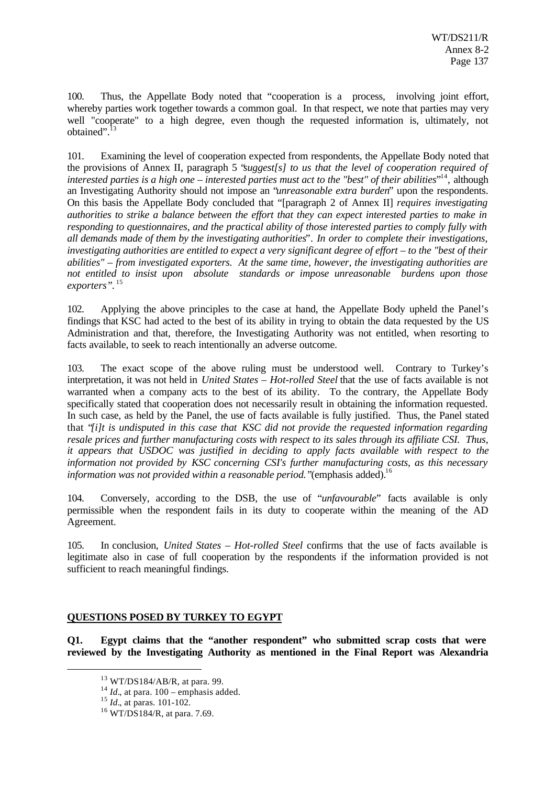100. Thus, the Appellate Body noted that "cooperation is a process, involving joint effort, whereby parties work together towards a common goal. In that respect, we note that parties may very well "cooperate" to a high degree, even though the requested information is, ultimately, not obtained".<sup>13</sup>

101. Examining the level of cooperation expected from respondents, the Appellate Body noted that the provisions of Annex II, paragraph 5 "*suggest[s] to us that the level of cooperation required of interested parties is a high one – interested parties must act to the "best" of their abilities*" <sup>14</sup>, although an Investigating Authority should not impose an "*unreasonable extra burden*" upon the respondents. On this basis the Appellate Body concluded that "[paragraph 2 of Annex II] *requires investigating authorities to strike a balance between the effort that they can expect interested parties to make in responding to questionnaires, and the practical ability of those interested parties to comply fully with all demands made of them by the investigating authorities*". *In order to complete their investigations, investigating authorities are entitled to expect a very significant degree of effort – to the "best of their abilities" – from investigated exporters. At the same time, however, the investigating authorities are not entitled to insist upon absolute standards or impose unreasonable burdens upon those exporters"*. 15

102. Applying the above principles to the case at hand, the Appellate Body upheld the Panel's findings that KSC had acted to the best of its ability in trying to obtain the data requested by the US Administration and that, therefore, the Investigating Authority was not entitled, when resorting to facts available, to seek to reach intentionally an adverse outcome.

103. The exact scope of the above ruling must be understood well. Contrary to Turkey's interpretation, it was not held in *United States – Hot-rolled Steel* that the use of facts available is not warranted when a company acts to the best of its ability. To the contrary, the Appellate Body specifically stated that cooperation does not necessarily result in obtaining the information requested. In such case, as held by the Panel, the use of facts available is fully justified. Thus, the Panel stated that "*[i]t is undisputed in this case that KSC did not provide the requested information regarding resale prices and further manufacturing costs with respect to its sales through its affiliate CSI. Thus, it appears that USDOC was justified in deciding to apply facts available with respect to the information not provided by KSC concerning CSI's further manufacturing costs, as this necessary information was not provided within a reasonable period.* "(emphasis added).<sup>16</sup>

104. Conversely, according to the DSB, the use of "*unfavourable*" facts available is only permissible when the respondent fails in its duty to cooperate within the meaning of the AD Agreement.

105. In conclusion, *United States – Hot-rolled Steel* confirms that the use of facts available is legitimate also in case of full cooperation by the respondents if the information provided is not sufficient to reach meaningful findings.

# **QUESTIONS POSED BY TURKEY TO EGYPT**

**Q1. Egypt claims that the "another respondent" who submitted scrap costs that were reviewed by the Investigating Authority as mentioned in the Final Report was Alexandria**

l

<sup>13</sup> WT/DS184/AB/R, at para. 99.

 $14$  *Id.*, at para.  $100$  – emphasis added.

<sup>15</sup> *Id.*, at paras. 101-102.

<sup>16</sup> WT/DS184/R, at para. 7.69.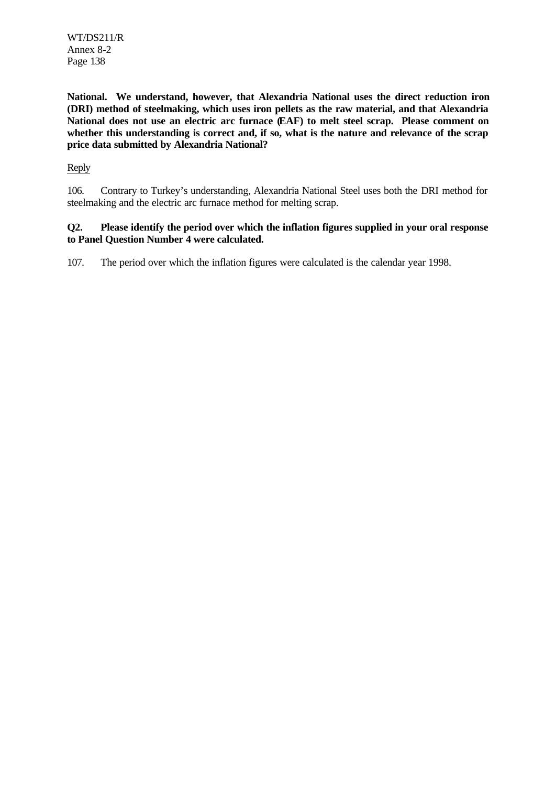WT/DS211/R Annex 8-2 Page 138

**National. We understand, however, that Alexandria National uses the direct reduction iron (DRI) method of steelmaking, which uses iron pellets as the raw material, and that Alexandria National does not use an electric arc furnace (EAF) to melt steel scrap. Please comment on whether this understanding is correct and, if so, what is the nature and relevance of the scrap price data submitted by Alexandria National?**

#### Reply

106. Contrary to Turkey's understanding, Alexandria National Steel uses both the DRI method for steelmaking and the electric arc furnace method for melting scrap.

#### **Q2. Please identify the period over which the inflation figures supplied in your oral response to Panel Question Number 4 were calculated.**

107. The period over which the inflation figures were calculated is the calendar year 1998.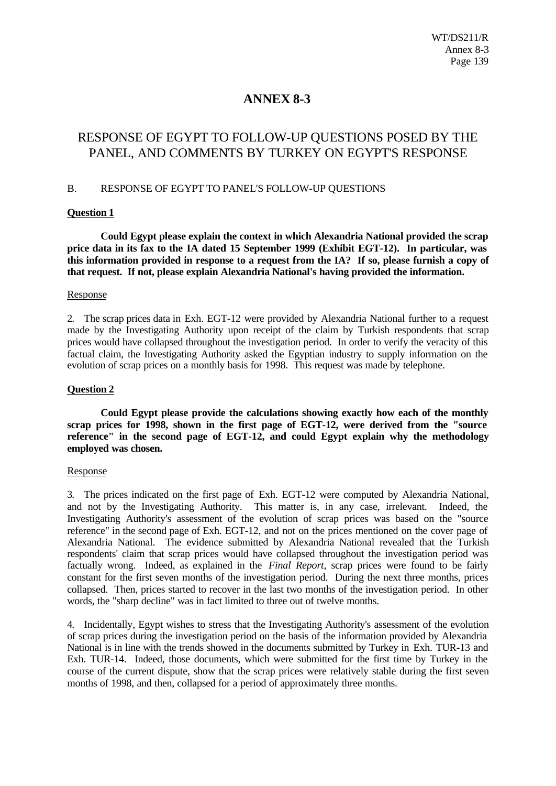# **ANNEX 8-3**

# RESPONSE OF EGYPT TO FOLLOW-UP QUESTIONS POSED BY THE PANEL, AND COMMENTS BY TURKEY ON EGYPT'S RESPONSE

#### B. RESPONSE OF EGYPT TO PANEL'S FOLLOW-UP QUESTIONS

#### **Question 1**

**Could Egypt please explain the context in which Alexandria National provided the scrap price data in its fax to the IA dated 15 September 1999 (Exhibit EGT-12). In particular, was this information provided in response to a request from the IA? If so, please furnish a copy of that request. If not, please explain Alexandria National's having provided the information.**

#### Response

2. The scrap prices data in Exh. EGT-12 were provided by Alexandria National further to a request made by the Investigating Authority upon receipt of the claim by Turkish respondents that scrap prices would have collapsed throughout the investigation period. In order to verify the veracity of this factual claim, the Investigating Authority asked the Egyptian industry to supply information on the evolution of scrap prices on a monthly basis for 1998. This request was made by telephone.

#### **Question 2**

**Could Egypt please provide the calculations showing exactly how each of the monthly scrap prices for 1998, shown in the first page of EGT-12, were derived from the "source reference" in the second page of EGT-12, and could Egypt explain why the methodology employed was chosen.**

#### Response

3. The prices indicated on the first page of Exh. EGT-12 were computed by Alexandria National, and not by the Investigating Authority. This matter is, in any case, irrelevant. Indeed, the Investigating Authority's assessment of the evolution of scrap prices was based on the "source reference" in the second page of Exh. EGT-12, and not on the prices mentioned on the cover page of Alexandria National. The evidence submitted by Alexandria National revealed that the Turkish respondents' claim that scrap prices would have collapsed throughout the investigation period was factually wrong. Indeed, as explained in the *Final Report*, scrap prices were found to be fairly constant for the first seven months of the investigation period. During the next three months, prices collapsed. Then, prices started to recover in the last two months of the investigation period. In other words, the "sharp decline" was in fact limited to three out of twelve months.

4. Incidentally, Egypt wishes to stress that the Investigating Authority's assessment of the evolution of scrap prices during the investigation period on the basis of the information provided by Alexandria National is in line with the trends showed in the documents submitted by Turkey in Exh. TUR-13 and Exh. TUR-14. Indeed, those documents, which were submitted for the first time by Turkey in the course of the current dispute, show that the scrap prices were relatively stable during the first seven months of 1998, and then, collapsed for a period of approximately three months.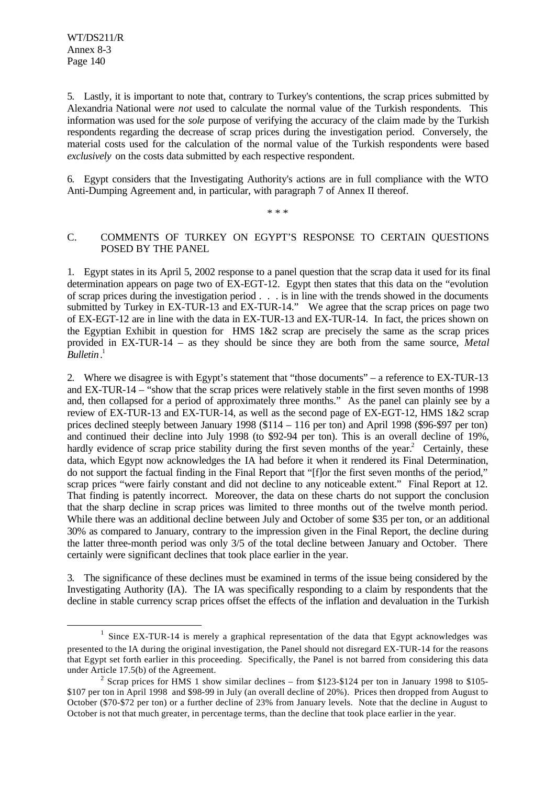l

5. Lastly, it is important to note that, contrary to Turkey's contentions, the scrap prices submitted by Alexandria National were *not* used to calculate the normal value of the Turkish respondents. This information was used for the *sole* purpose of verifying the accuracy of the claim made by the Turkish respondents regarding the decrease of scrap prices during the investigation period. Conversely, the material costs used for the calculation of the normal value of the Turkish respondents were based *exclusively* on the costs data submitted by each respective respondent.

6. Egypt considers that the Investigating Authority's actions are in full compliance with the WTO Anti-Dumping Agreement and, in particular, with paragraph 7 of Annex II thereof.

\* \* \*

# C. COMMENTS OF TURKEY ON EGYPT'S RESPONSE TO CERTAIN QUESTIONS POSED BY THE PANEL

1. Egypt states in its April 5, 2002 response to a panel question that the scrap data it used for its final determination appears on page two of EX-EGT-12. Egypt then states that this data on the "evolution of scrap prices during the investigation period . . . is in line with the trends showed in the documents submitted by Turkey in EX-TUR-13 and EX-TUR-14." We agree that the scrap prices on page two of EX-EGT-12 are in line with the data in EX-TUR-13 and EX-TUR-14. In fact, the prices shown on the Egyptian Exhibit in question for HMS  $1&&2$  scrap are precisely the same as the scrap prices provided in EX-TUR-14 – as they should be since they are both from the same source, *Metal Bulletin*. 1

2. Where we disagree is with Egypt's statement that "those documents" – a reference to EX-TUR-13 and EX-TUR-14 – "show that the scrap prices were relatively stable in the first seven months of 1998 and, then collapsed for a period of approximately three months." As the panel can plainly see by a review of EX-TUR-13 and EX-TUR-14, as well as the second page of EX-EGT-12, HMS 1&2 scrap prices declined steeply between January 1998 (\$114 – 116 per ton) and April 1998 (\$96-\$97 per ton) and continued their decline into July 1998 (to \$92-94 per ton). This is an overall decline of 19%, hardly evidence of scrap price stability during the first seven months of the year.<sup>2</sup> Certainly, these data, which Egypt now acknowledges the IA had before it when it rendered its Final Determination, do not support the factual finding in the Final Report that "[f]or the first seven months of the period," scrap prices "were fairly constant and did not decline to any noticeable extent." Final Report at 12. That finding is patently incorrect. Moreover, the data on these charts do not support the conclusion that the sharp decline in scrap prices was limited to three months out of the twelve month period. While there was an additional decline between July and October of some \$35 per ton, or an additional 30% as compared to January, contrary to the impression given in the Final Report, the decline during the latter three-month period was only 3/5 of the total decline between January and October. There certainly were significant declines that took place earlier in the year.

3. The significance of these declines must be examined in terms of the issue being considered by the Investigating Authority (IA). The IA was specifically responding to a claim by respondents that the decline in stable currency scrap prices offset the effects of the inflation and devaluation in the Turkish

<sup>&</sup>lt;sup>1</sup> Since EX-TUR-14 is merely a graphical representation of the data that Egypt acknowledges was presented to the IA during the original investigation, the Panel should not disregard EX-TUR-14 for the reasons that Egypt set forth earlier in this proceeding. Specifically, the Panel is not barred from considering this data under Article 17.5(b) of the Agreement.

<sup>&</sup>lt;sup>2</sup> Scrap prices for HMS 1 show similar declines – from \$123-\$124 per ton in January 1998 to \$105-\$107 per ton in April 1998 and \$98-99 in July (an overall decline of 20%). Prices then dropped from August to October (\$70-\$72 per ton) or a further decline of 23% from January levels. Note that the decline in August to October is not that much greater, in percentage terms, than the decline that took place earlier in the year.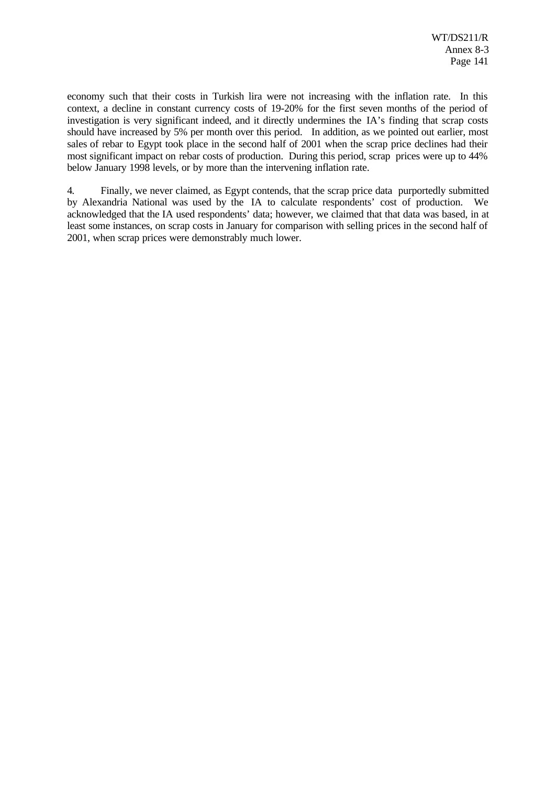economy such that their costs in Turkish lira were not increasing with the inflation rate. In this context, a decline in constant currency costs of 19-20% for the first seven months of the period of investigation is very significant indeed, and it directly undermines the IA's finding that scrap costs should have increased by 5% per month over this period. In addition, as we pointed out earlier, most sales of rebar to Egypt took place in the second half of 2001 when the scrap price declines had their most significant impact on rebar costs of production. During this period, scrap prices were up to 44% below January 1998 levels, or by more than the intervening inflation rate.

4. Finally, we never claimed, as Egypt contends, that the scrap price data purportedly submitted by Alexandria National was used by the IA to calculate respondents' cost of production. We acknowledged that the IA used respondents' data; however, we claimed that that data was based, in at least some instances, on scrap costs in January for comparison with selling prices in the second half of 2001, when scrap prices were demonstrably much lower.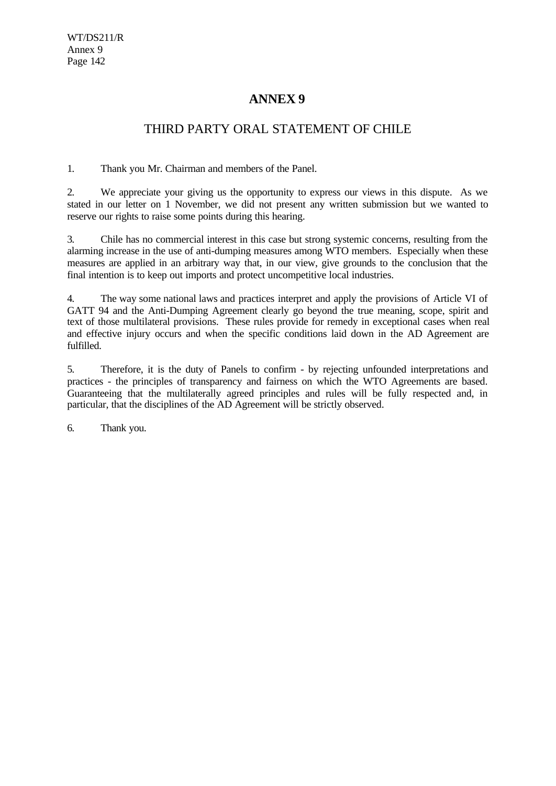# **ANNEX 9**

# THIRD PARTY ORAL STATEMENT OF CHILE

1. Thank you Mr. Chairman and members of the Panel.

2. We appreciate your giving us the opportunity to express our views in this dispute. As we stated in our letter on 1 November, we did not present any written submission but we wanted to reserve our rights to raise some points during this hearing.

3. Chile has no commercial interest in this case but strong systemic concerns, resulting from the alarming increase in the use of anti-dumping measures among WTO members. Especially when these measures are applied in an arbitrary way that, in our view, give grounds to the conclusion that the final intention is to keep out imports and protect uncompetitive local industries.

4. The way some national laws and practices interpret and apply the provisions of Article VI of GATT 94 and the Anti-Dumping Agreement clearly go beyond the true meaning, scope, spirit and text of those multilateral provisions. These rules provide for remedy in exceptional cases when real and effective injury occurs and when the specific conditions laid down in the AD Agreement are fulfilled.

5. Therefore, it is the duty of Panels to confirm - by rejecting unfounded interpretations and practices - the principles of transparency and fairness on which the WTO Agreements are based. Guaranteeing that the multilaterally agreed principles and rules will be fully respected and, in particular, that the disciplines of the AD Agreement will be strictly observed.

6. Thank you.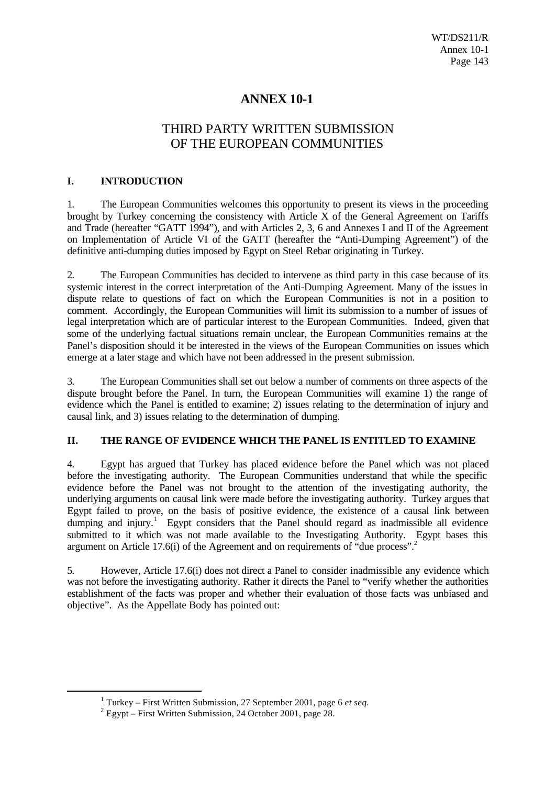# **ANNEX 10-1**

# THIRD PARTY WRITTEN SUBMISSION OF THE EUROPEAN COMMUNITIES

# **I. INTRODUCTION**

1. The European Communities welcomes this opportunity to present its views in the proceeding brought by Turkey concerning the consistency with Article X of the General Agreement on Tariffs and Trade (hereafter "GATT 1994"), and with Articles 2, 3, 6 and Annexes I and II of the Agreement on Implementation of Article VI of the GATT (hereafter the "Anti-Dumping Agreement") of the definitive anti-dumping duties imposed by Egypt on Steel Rebar originating in Turkey.

2. The European Communities has decided to intervene as third party in this case because of its systemic interest in the correct interpretation of the Anti-Dumping Agreement. Many of the issues in dispute relate to questions of fact on which the European Communities is not in a position to comment. Accordingly, the European Communities will limit its submission to a number of issues of legal interpretation which are of particular interest to the European Communities. Indeed, given that some of the underlying factual situations remain unclear, the European Communities remains at the Panel's disposition should it be interested in the views of the European Communities on issues which emerge at a later stage and which have not been addressed in the present submission.

3. The European Communities shall set out below a number of comments on three aspects of the dispute brought before the Panel. In turn, the European Communities will examine 1) the range of evidence which the Panel is entitled to examine; 2) issues relating to the determination of injury and causal link, and 3) issues relating to the determination of dumping.

# **II. THE RANGE OF EVIDENCE WHICH THE PANEL IS ENTITLED TO EXAMINE**

4. Egypt has argued that Turkey has placed evidence before the Panel which was not placed before the investigating authority. The European Communities understand that while the specific evidence before the Panel was not brought to the attention of the investigating authority, the underlying arguments on causal link were made before the investigating authority. Turkey argues that Egypt failed to prove, on the basis of positive evidence, the existence of a causal link between dumping and injury.<sup>1</sup> Egypt considers that the Panel should regard as inadmissible all evidence submitted to it which was not made available to the Investigating Authority. Egypt bases this argument on Article 17.6(i) of the Agreement and on requirements of "due process".<sup>2</sup>

5. However, Article 17.6(i) does not direct a Panel to consider inadmissible any evidence which was not before the investigating authority. Rather it directs the Panel to "verify whether the authorities establishment of the facts was proper and whether their evaluation of those facts was unbiased and objective". As the Appellate Body has pointed out:

l

<sup>1</sup> Turkey – First Written Submission, 27 September 2001, page 6 *et seq.*

 $2^{2}$  Egypt – First Written Submission, 24 October 2001, page 28.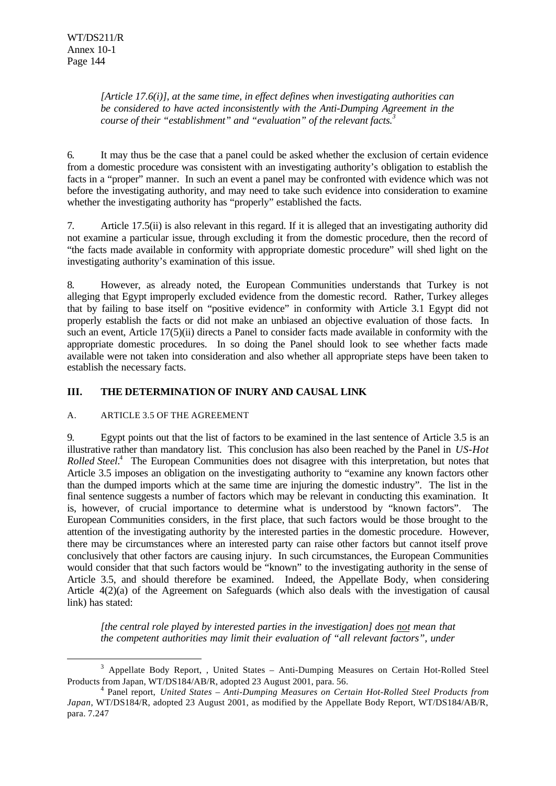*[Article 17.6(i)], at the same time, in effect defines when investigating authorities can be considered to have acted inconsistently with the Anti-Dumping Agreement in the course of their "establishment" and "evaluation" of the relevant facts.<sup>3</sup>*

6. It may thus be the case that a panel could be asked whether the exclusion of certain evidence from a domestic procedure was consistent with an investigating authority's obligation to establish the facts in a "proper" manner. In such an event a panel may be confronted with evidence which was not before the investigating authority, and may need to take such evidence into consideration to examine whether the investigating authority has "properly" established the facts.

7. Article 17.5(ii) is also relevant in this regard. If it is alleged that an investigating authority did not examine a particular issue, through excluding it from the domestic procedure, then the record of "the facts made available in conformity with appropriate domestic procedure" will shed light on the investigating authority's examination of this issue.

8. However, as already noted, the European Communities understands that Turkey is not alleging that Egypt improperly excluded evidence from the domestic record. Rather, Turkey alleges that by failing to base itself on "positive evidence" in conformity with Article 3.1 Egypt did not properly establish the facts or did not make an unbiased an objective evaluation of those facts. In such an event, Article 17(5)(ii) directs a Panel to consider facts made available in conformity with the appropriate domestic procedures. In so doing the Panel should look to see whether facts made available were not taken into consideration and also whether all appropriate steps have been taken to establish the necessary facts.

# **III. THE DETERMINATION OF INURY AND CAUSAL LINK**

# A. ARTICLE 3.5 OF THE AGREEMENT

l

9. Egypt points out that the list of factors to be examined in the last sentence of Article 3.5 is an illustrative rather than mandatory list. This conclusion has also been reached by the Panel in *US-Hot* Rolled Steel.<sup>4</sup> The European Communities does not disagree with this interpretation, but notes that Article 3.5 imposes an obligation on the investigating authority to "examine any known factors other than the dumped imports which at the same time are injuring the domestic industry". The list in the final sentence suggests a number of factors which may be relevant in conducting this examination. It is, however, of crucial importance to determine what is understood by "known factors". The European Communities considers, in the first place, that such factors would be those brought to the attention of the investigating authority by the interested parties in the domestic procedure. However, there may be circumstances where an interested party can raise other factors but cannot itself prove conclusively that other factors are causing injury. In such circumstances, the European Communities would consider that that such factors would be "known" to the investigating authority in the sense of Article 3.5, and should therefore be examined. Indeed, the Appellate Body, when considering Article 4(2)(a) of the Agreement on Safeguards (which also deals with the investigation of causal link) has stated:

*[the central role played by interested parties in the investigation] does not mean that the competent authorities may limit their evaluation of "all relevant factors", under*

 $3$  Appellate Body Report, , United States – Anti-Dumping Measures on Certain Hot-Rolled Steel Products from Japan, WT/DS184/AB/R, adopted 23 August 2001, para. 56.

<sup>4</sup> Panel report, *United States – Anti-Dumping Measures on Certain Hot-Rolled Steel Products from Japan*, WT/DS184/R, adopted 23 August 2001, as modified by the Appellate Body Report, WT/DS184/AB/R, para. 7.247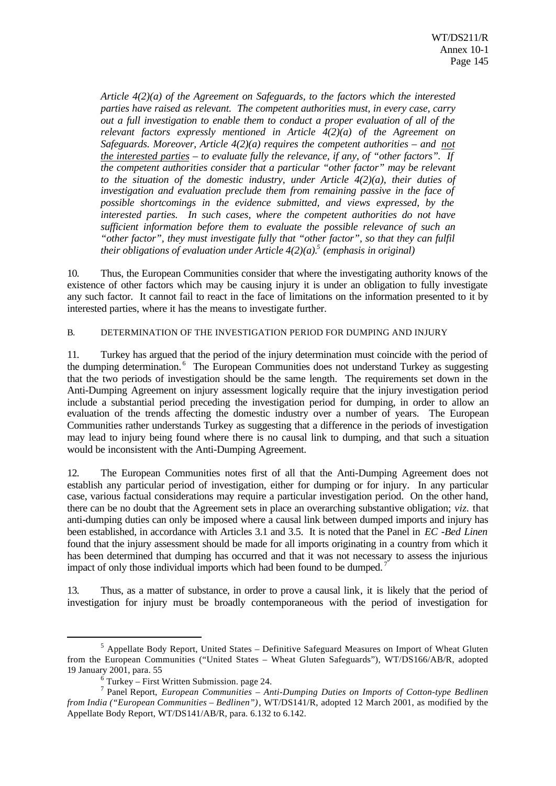*Article 4(2)(a) of the Agreement on Safeguards, to the factors which the interested parties have raised as relevant. The competent authorities must, in every case, carry out a full investigation to enable them to conduct a proper evaluation of all of the relevant factors expressly mentioned in Article 4(2)(a) of the Agreement on Safeguards. Moreover, Article 4(2)(a) requires the competent authorities – and not the interested parties – to evaluate fully the relevance, if any, of "other factors". If the competent authorities consider that a particular "other factor" may be relevant to the situation of the domestic industry, under Article 4(2)(a), their duties of investigation and evaluation preclude them from remaining passive in the face of possible shortcomings in the evidence submitted, and views expressed, by the interested parties. In such cases, where the competent authorities do not have sufficient information before them to evaluate the possible relevance of such an "other factor", they must investigate fully that "other factor", so that they can fulfil their obligations of evaluation under Article 4(2)(a).<sup>5</sup> (emphasis in original)*

10. Thus, the European Communities consider that where the investigating authority knows of the existence of other factors which may be causing injury it is under an obligation to fully investigate any such factor. It cannot fail to react in the face of limitations on the information presented to it by interested parties, where it has the means to investigate further.

### B. DETERMINATION OF THE INVESTIGATION PERIOD FOR DUMPING AND INJURY

11. Turkey has argued that the period of the injury determination must coincide with the period of the dumping determination.<sup>6</sup> The European Communities does not understand Turkey as suggesting that the two periods of investigation should be the same length. The requirements set down in the Anti-Dumping Agreement on injury assessment logically require that the injury investigation period include a substantial period preceding the investigation period for dumping, in order to allow an evaluation of the trends affecting the domestic industry over a number of years. The European Communities rather understands Turkey as suggesting that a difference in the periods of investigation may lead to injury being found where there is no causal link to dumping, and that such a situation would be inconsistent with the Anti-Dumping Agreement.

12. The European Communities notes first of all that the Anti-Dumping Agreement does not establish any particular period of investigation, either for dumping or for injury. In any particular case, various factual considerations may require a particular investigation period. On the other hand, there can be no doubt that the Agreement sets in place an overarching substantive obligation; *viz.* that anti-dumping duties can only be imposed where a causal link between dumped imports and injury has been established, in accordance with Articles 3.1 and 3.5. It is noted that the Panel in *EC -Bed Linen* found that the injury assessment should be made for all imports originating in a country from which it has been determined that dumping has occurred and that it was not necessary to assess the injurious impact of only those individual imports which had been found to be dumped.<sup>7</sup>

13. Thus, as a matter of substance, in order to prove a causal link, it is likely that the period of investigation for injury must be broadly contemporaneous with the period of investigation for

<sup>&</sup>lt;sup>5</sup> Appellate Body Report, United States – Definitive Safeguard Measures on Import of Wheat Gluten from the European Communities ("United States – Wheat Gluten Safeguards"), WT/DS166/AB/R, adopted 19 January 2001, para. 55

 $\frac{6}{6}$  Turkey – First Written Submission. page 24.

<sup>7</sup> Panel Report, *European Communities – Anti-Dumping Duties on Imports of Cotton-type Bedlinen from India ("European Communities – Bedlinen")*, WT/DS141/R, adopted 12 March 2001, as modified by the Appellate Body Report, WT/DS141/AB/R, para. 6.132 to 6.142.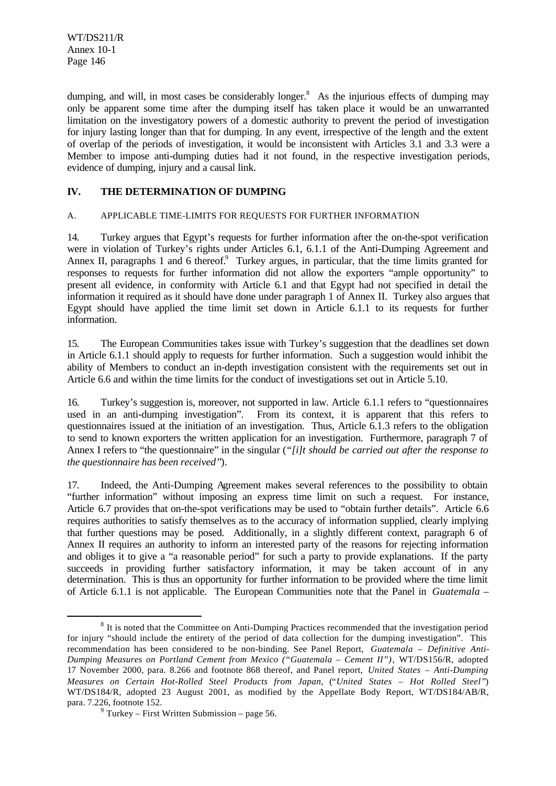WT/DS211/R Annex 10-1 Page 146

dumping, and will, in most cases be considerably longer.<sup>8</sup> As the injurious effects of dumping may only be apparent some time after the dumping itself has taken place it would be an unwarranted limitation on the investigatory powers of a domestic authority to prevent the period of investigation for injury lasting longer than that for dumping. In any event, irrespective of the length and the extent of overlap of the periods of investigation, it would be inconsistent with Articles 3.1 and 3.3 were a Member to impose anti-dumping duties had it not found, in the respective investigation periods, evidence of dumping, injury and a causal link.

## **IV. THE DETERMINATION OF DUMPING**

### A. APPLICABLE TIME-LIMITS FOR REQUESTS FOR FURTHER INFORMATION

14. Turkey argues that Egypt's requests for further information after the on-the-spot verification were in violation of Turkey's rights under Articles 6.1, 6.1.1 of the Anti-Dumping Agreement and Annex II, paragraphs 1 and 6 thereof.<sup>9</sup> Turkey argues, in particular, that the time limits granted for responses to requests for further information did not allow the exporters "ample opportunity" to present all evidence, in conformity with Article 6.1 and that Egypt had not specified in detail the information it required as it should have done under paragraph 1 of Annex II. Turkey also argues that Egypt should have applied the time limit set down in Article 6.1.1 to its requests for further information.

15. The European Communities takes issue with Turkey's suggestion that the deadlines set down in Article 6.1.1 should apply to requests for further information. Such a suggestion would inhibit the ability of Members to conduct an in-depth investigation consistent with the requirements set out in Article 6.6 and within the time limits for the conduct of investigations set out in Article 5.10.

16. Turkey's suggestion is, moreover, not supported in law. Article 6.1.1 refers to "questionnaires used in an anti-dumping investigation". From its context, it is apparent that this refers to questionnaires issued at the initiation of an investigation. Thus, Article 6.1.3 refers to the obligation to send to known exporters the written application for an investigation. Furthermore, paragraph 7 of Annex I refers to "the questionnaire" in the singular (*"[i]t should be carried out after the response to the questionnaire has been received"*).

17. Indeed, the Anti-Dumping Agreement makes several references to the possibility to obtain "further information" without imposing an express time limit on such a request. For instance, Article 6.7 provides that on-the-spot verifications may be used to "obtain further details". Article 6.6 requires authorities to satisfy themselves as to the accuracy of information supplied, clearly implying that further questions may be posed. Additionally, in a slightly different context, paragraph 6 of Annex II requires an authority to inform an interested party of the reasons for rejecting information and obliges it to give a "a reasonable period" for such a party to provide explanations. If the party succeeds in providing further satisfactory information, it may be taken account of in any determination. This is thus an opportunity for further information to be provided where the time limit of Article 6.1.1 is not applicable. The European Communities note that the Panel in *Guatemala –*

 $8$  It is noted that the Committee on Anti-Dumping Practices recommended that the investigation period for injury "should include the entirety of the period of data collection for the dumping investigation". This recommendation has been considered to be non-binding. See Panel Report, *Guatemala – Definitive Anti-Dumping Measures on Portland Cement from Mexico ("Guatemala – Cement II")*, WT/DS156/R, adopted 17 November 2000, para. 8.266 and footnote 868 thereof, and Panel report, *United States – Anti-Dumping Measures on Certain Hot-Rolled Steel Products from Japan*, ("*United States – Hot Rolled Steel"*) WT/DS184/R, adopted 23 August 2001, as modified by the Appellate Body Report, WT/DS184/AB/R, para. 7.226, footnote 152.

 $9$  Turkey – First Written Submission – page 56.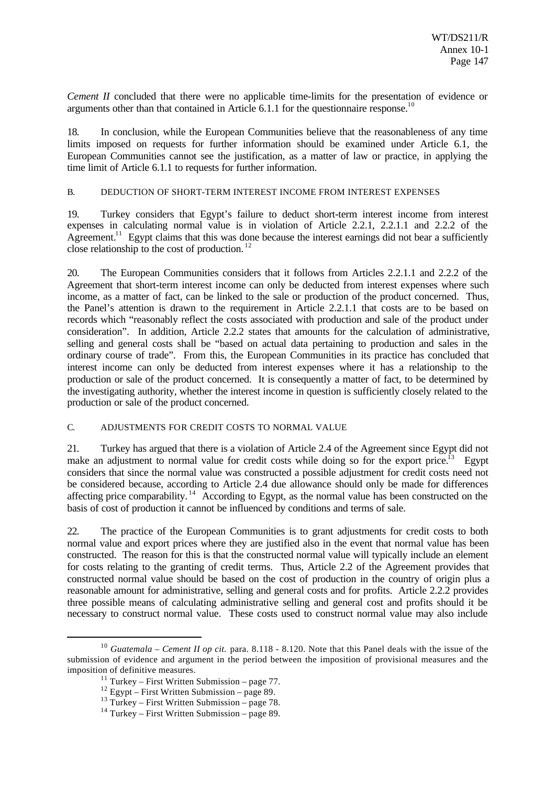*Cement II* concluded that there were no applicable time-limits for the presentation of evidence or arguments other than that contained in Article 6.1.1 for the questionnaire response.<sup>10</sup>

18. In conclusion, while the European Communities believe that the reasonableness of any time limits imposed on requests for further information should be examined under Article 6.1, the European Communities cannot see the justification, as a matter of law or practice, in applying the time limit of Article 6.1.1 to requests for further information.

### B. DEDUCTION OF SHORT-TERM INTEREST INCOME FROM INTEREST EXPENSES

19. Turkey considers that Egypt's failure to deduct short-term interest income from interest expenses in calculating normal value is in violation of Article 2.2.1, 2.2.1.1 and 2.2.2 of the Agreement.<sup>11</sup> Egypt claims that this was done because the interest earnings did not bear a sufficiently close relationship to the cost of production.  $12$ 

20. The European Communities considers that it follows from Articles 2.2.1.1 and 2.2.2 of the Agreement that short-term interest income can only be deducted from interest expenses where such income, as a matter of fact, can be linked to the sale or production of the product concerned. Thus, the Panel's attention is drawn to the requirement in Article 2.2.1.1 that costs are to be based on records which "reasonably reflect the costs associated with production and sale of the product under consideration". In addition, Article 2.2.2 states that amounts for the calculation of administrative, selling and general costs shall be "based on actual data pertaining to production and sales in the ordinary course of trade". From this, the European Communities in its practice has concluded that interest income can only be deducted from interest expenses where it has a relationship to the production or sale of the product concerned. It is consequently a matter of fact, to be determined by the investigating authority, whether the interest income in question is sufficiently closely related to the production or sale of the product concerned.

### C. ADJUSTMENTS FOR CREDIT COSTS TO NORMAL VALUE

21. Turkey has argued that there is a violation of Article 2.4 of the Agreement since Egypt did not make an adjustment to normal value for credit costs while doing so for the export price.<sup>13</sup> Egypt considers that since the normal value was constructed a possible adjustment for credit costs need not be considered because, according to Article 2.4 due allowance should only be made for differences affecting price comparability. <sup>14</sup> According to Egypt, as the normal value has been constructed on the basis of cost of production it cannot be influenced by conditions and terms of sale.

22. The practice of the European Communities is to grant adjustments for credit costs to both normal value and export prices where they are justified also in the event that normal value has been constructed. The reason for this is that the constructed normal value will typically include an element for costs relating to the granting of credit terms. Thus, Article 2.2 of the Agreement provides that constructed normal value should be based on the cost of production in the country of origin plus a reasonable amount for administrative, selling and general costs and for profits. Article 2.2.2 provides three possible means of calculating administrative selling and general cost and profits should it be necessary to construct normal value. These costs used to construct normal value may also include

<sup>&</sup>lt;sup>10</sup> *Guatemala – Cement II op cit.* para. 8.118 - 8.120. Note that this Panel deals with the issue of the submission of evidence and argument in the period between the imposition of provisional measures and the imposition of definitive measures.

<sup>&</sup>lt;sup>11</sup> Turkey – First Written Submission – page 77.

 $12$  Egypt – First Written Submission – page 89.

 $13$  Turkey – First Written Submission – page 78.

 $14$  Turkey – First Written Submission – page 89.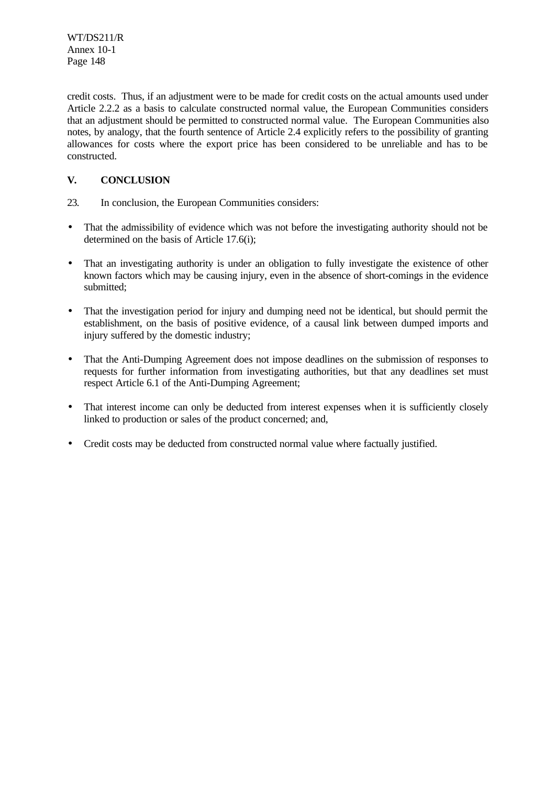WT/DS211/R Annex 10-1 Page 148

credit costs. Thus, if an adjustment were to be made for credit costs on the actual amounts used under Article 2.2.2 as a basis to calculate constructed normal value, the European Communities considers that an adjustment should be permitted to constructed normal value. The European Communities also notes, by analogy, that the fourth sentence of Article 2.4 explicitly refers to the possibility of granting allowances for costs where the export price has been considered to be unreliable and has to be constructed.

## **V. CONCLUSION**

- 23. In conclusion, the European Communities considers:
- That the admissibility of evidence which was not before the investigating authority should not be determined on the basis of Article 17.6(i);
- That an investigating authority is under an obligation to fully investigate the existence of other known factors which may be causing injury, even in the absence of short-comings in the evidence submitted;
- That the investigation period for injury and dumping need not be identical, but should permit the establishment, on the basis of positive evidence, of a causal link between dumped imports and injury suffered by the domestic industry;
- That the Anti-Dumping Agreement does not impose deadlines on the submission of responses to requests for further information from investigating authorities, but that any deadlines set must respect Article 6.1 of the Anti-Dumping Agreement;
- That interest income can only be deducted from interest expenses when it is sufficiently closely linked to production or sales of the product concerned; and,
- Credit costs may be deducted from constructed normal value where factually justified.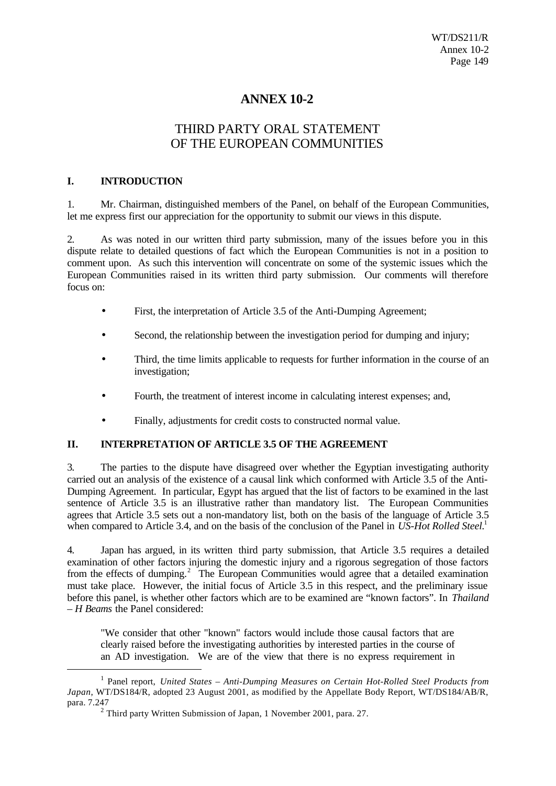# **ANNEX 10-2**

## THIRD PARTY ORAL STATEMENT OF THE EUROPEAN COMMUNITIES

### **I. INTRODUCTION**

l

1. Mr. Chairman, distinguished members of the Panel, on behalf of the European Communities, let me express first our appreciation for the opportunity to submit our views in this dispute.

2. As was noted in our written third party submission, many of the issues before you in this dispute relate to detailed questions of fact which the European Communities is not in a position to comment upon. As such this intervention will concentrate on some of the systemic issues which the European Communities raised in its written third party submission. Our comments will therefore focus on:

- First, the interpretation of Article 3.5 of the Anti-Dumping Agreement;
- Second, the relationship between the investigation period for dumping and injury;
- Third, the time limits applicable to requests for further information in the course of an investigation;
- Fourth, the treatment of interest income in calculating interest expenses; and,
- Finally, adjustments for credit costs to constructed normal value.

## **II. INTERPRETATION OF ARTICLE 3.5 OF THE AGREEMENT**

3. The parties to the dispute have disagreed over whether the Egyptian investigating authority carried out an analysis of the existence of a causal link which conformed with Article 3.5 of the Anti-Dumping Agreement. In particular, Egypt has argued that the list of factors to be examined in the last sentence of Article 3.5 is an illustrative rather than mandatory list. The European Communities agrees that Article 3.5 sets out a non-mandatory list, both on the basis of the language of Article 3.5 when compared to Article 3.4, and on the basis of the conclusion of the Panel in *US-Hot Rolled Steel.*<sup>1</sup>

4. Japan has argued, in its written third party submission, that Article 3.5 requires a detailed examination of other factors injuring the domestic injury and a rigorous segregation of those factors from the effects of dumping.<sup>2</sup> The European Communities would agree that a detailed examination must take place. However, the initial focus of Article 3.5 in this respect, and the preliminary issue before this panel, is whether other factors which are to be examined are "known factors". In *Thailand – H Beams* the Panel considered:

"We consider that other "known" factors would include those causal factors that are clearly raised before the investigating authorities by interested parties in the course of an AD investigation. We are of the view that there is no express requirement in

<sup>1</sup> Panel report, *United States – Anti-Dumping Measures on Certain Hot-Rolled Steel Products from Japan*, WT/DS184/R, adopted 23 August 2001, as modified by the Appellate Body Report, WT/DS184/AB/R, para. 7.247

 $2$  Third party Written Submission of Japan, 1 November 2001, para. 27.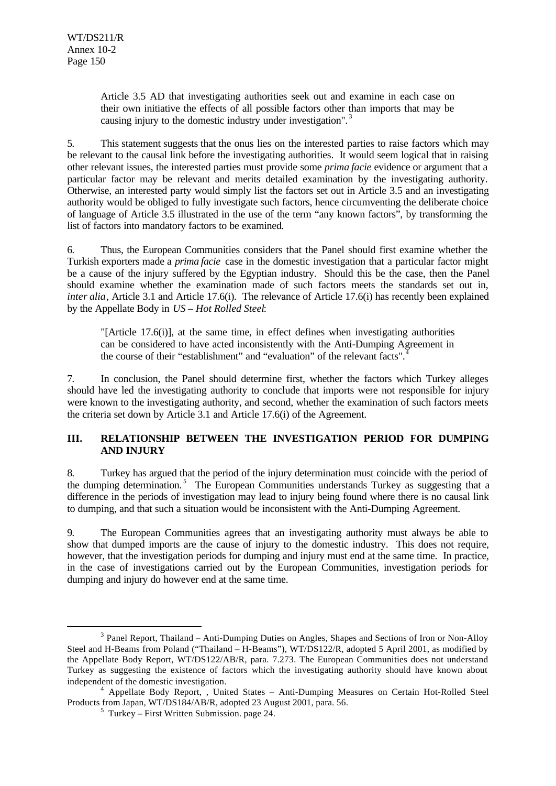Article 3.5 AD that investigating authorities seek out and examine in each case on their own initiative the effects of all possible factors other than imports that may be causing injury to the domestic industry under investigation". <sup>3</sup>

5. This statement suggests that the onus lies on the interested parties to raise factors which may be relevant to the causal link before the investigating authorities. It would seem logical that in raising other relevant issues, the interested parties must provide some *prima facie* evidence or argument that a particular factor may be relevant and merits detailed examination by the investigating authority. Otherwise, an interested party would simply list the factors set out in Article 3.5 and an investigating authority would be obliged to fully investigate such factors, hence circumventing the deliberate choice of language of Article 3.5 illustrated in the use of the term "any known factors", by transforming the list of factors into mandatory factors to be examined.

6. Thus, the European Communities considers that the Panel should first examine whether the Turkish exporters made a *prima facie* case in the domestic investigation that a particular factor might be a cause of the injury suffered by the Egyptian industry. Should this be the case, then the Panel should examine whether the examination made of such factors meets the standards set out in, *inter alia*, Article 3.1 and Article 17.6(i). The relevance of Article 17.6(i) has recently been explained by the Appellate Body in *US – Hot Rolled Steel*:

"[Article 17.6(i)], at the same time, in effect defines when investigating authorities can be considered to have acted inconsistently with the Anti-Dumping Agreement in the course of their "establishment" and "evaluation" of the relevant facts".<sup>4</sup>

7. In conclusion, the Panel should determine first, whether the factors which Turkey alleges should have led the investigating authority to conclude that imports were not responsible for injury were known to the investigating authority, and second, whether the examination of such factors meets the criteria set down by Article 3.1 and Article 17.6(i) of the Agreement.

## **III. RELATIONSHIP BETWEEN THE INVESTIGATION PERIOD FOR DUMPING AND INJURY**

8. Turkey has argued that the period of the injury determination must coincide with the period of the dumping determination.<sup>5</sup> The European Communities understands Turkey as suggesting that a difference in the periods of investigation may lead to injury being found where there is no causal link to dumping, and that such a situation would be inconsistent with the Anti-Dumping Agreement.

9. The European Communities agrees that an investigating authority must always be able to show that dumped imports are the cause of injury to the domestic industry. This does not require, however, that the investigation periods for dumping and injury must end at the same time. In practice, in the case of investigations carried out by the European Communities, investigation periods for dumping and injury do however end at the same time.

<sup>&</sup>lt;sup>3</sup> Panel Report, Thailand – Anti-Dumping Duties on Angles, Shapes and Sections of Iron or Non-Alloy Steel and H-Beams from Poland ("Thailand – H-Beams"), WT/DS122/R, adopted 5 April 2001, as modified by the Appellate Body Report, WT/DS122/AB/R, para. 7.273. The European Communities does not understand Turkey as suggesting the existence of factors which the investigating authority should have known about independent of the domestic investigation.

<sup>&</sup>lt;sup>4</sup> Appellate Body Report, , United States - Anti-Dumping Measures on Certain Hot-Rolled Steel Products from Japan, WT/DS184/AB/R, adopted 23 August 2001, para. 56.

<sup>5</sup> Turkey – First Written Submission. page 24.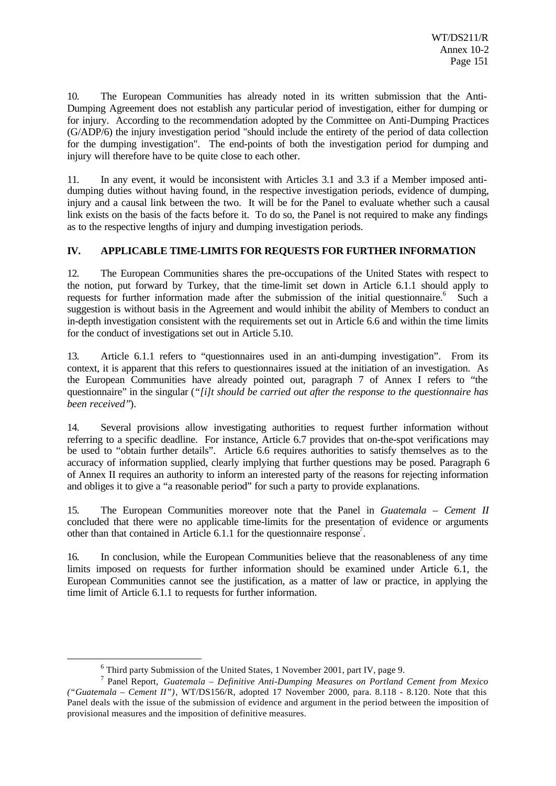10. The European Communities has already noted in its written submission that the Anti-Dumping Agreement does not establish any particular period of investigation, either for dumping or for injury. According to the recommendation adopted by the Committee on Anti-Dumping Practices (G/ADP/6) the injury investigation period "should include the entirety of the period of data collection for the dumping investigation". The end-points of both the investigation period for dumping and injury will therefore have to be quite close to each other.

11. In any event, it would be inconsistent with Articles 3.1 and 3.3 if a Member imposed antidumping duties without having found, in the respective investigation periods, evidence of dumping, injury and a causal link between the two. It will be for the Panel to evaluate whether such a causal link exists on the basis of the facts before it. To do so, the Panel is not required to make any findings as to the respective lengths of injury and dumping investigation periods.

## **IV. APPLICABLE TIME-LIMITS FOR REQUESTS FOR FURTHER INFORMATION**

12. The European Communities shares the pre-occupations of the United States with respect to the notion, put forward by Turkey, that the time-limit set down in Article 6.1.1 should apply to requests for further information made after the submission of the initial questionnaire.<sup>6</sup> Such a suggestion is without basis in the Agreement and would inhibit the ability of Members to conduct an in-depth investigation consistent with the requirements set out in Article 6.6 and within the time limits for the conduct of investigations set out in Article 5.10.

13. Article 6.1.1 refers to "questionnaires used in an anti-dumping investigation". From its context, it is apparent that this refers to questionnaires issued at the initiation of an investigation. As the European Communities have already pointed out, paragraph 7 of Annex I refers to "the questionnaire" in the singular (*"[i]t should be carried out after the response to the questionnaire has been received"*).

14. Several provisions allow investigating authorities to request further information without referring to a specific deadline. For instance, Article 6.7 provides that on-the-spot verifications may be used to "obtain further details". Article 6.6 requires authorities to satisfy themselves as to the accuracy of information supplied, clearly implying that further questions may be posed. Paragraph 6 of Annex II requires an authority to inform an interested party of the reasons for rejecting information and obliges it to give a "a reasonable period" for such a party to provide explanations.

15. The European Communities moreover note that the Panel in *Guatemala – Cement II* concluded that there were no applicable time-limits for the presentation of evidence or arguments other than that contained in Article 6.1.1 for the questionnaire response<sup>7</sup>.

16. In conclusion, while the European Communities believe that the reasonableness of any time limits imposed on requests for further information should be examined under Article 6.1, the European Communities cannot see the justification, as a matter of law or practice, in applying the time limit of Article 6.1.1 to requests for further information.

 $6$  Third party Submission of the United States, 1 November 2001, part IV, page 9.

<sup>7</sup> Panel Report, *Guatemala – Definitive Anti-Dumping Measures on Portland Cement from Mexico ("Guatemala – Cement II")*, WT/DS156/R, adopted 17 November 2000, para. 8.118 - 8.120. Note that this Panel deals with the issue of the submission of evidence and argument in the period between the imposition of provisional measures and the imposition of definitive measures.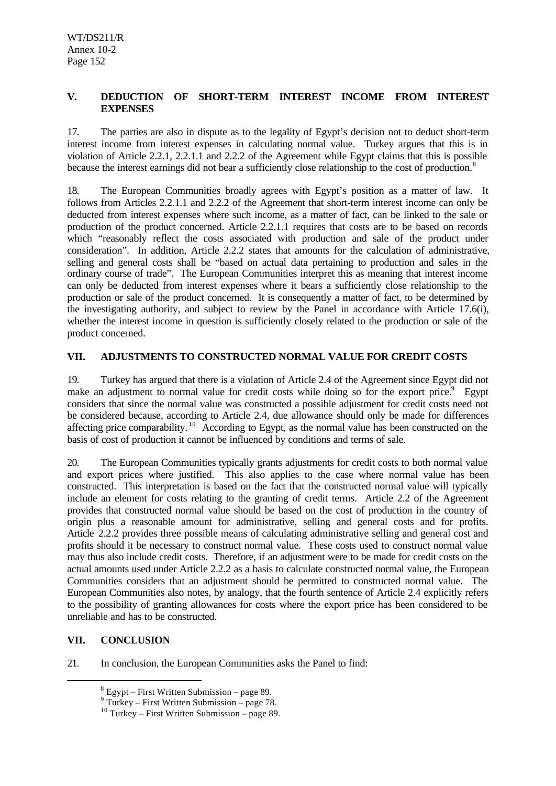### **V. DEDUCTION OF SHORT-TERM INTEREST INCOME FROM INTEREST EXPENSES**

17. The parties are also in dispute as to the legality of Egypt's decision not to deduct short-term interest income from interest expenses in calculating normal value. Turkey argues that this is in violation of Article 2.2.1, 2.2.1.1 and 2.2.2 of the Agreement while Egypt claims that this is possible because the interest earnings did not bear a sufficiently close relationship to the cost of production.<sup>8</sup>

18. The European Communities broadly agrees with Egypt's position as a matter of law. It follows from Articles 2.2.1.1 and 2.2.2 of the Agreement that short-term interest income can only be deducted from interest expenses where such income, as a matter of fact, can be linked to the sale or production of the product concerned. Article 2.2.1.1 requires that costs are to be based on records which "reasonably reflect the costs associated with production and sale of the product under consideration". In addition, Article 2.2.2 states that amounts for the calculation of administrative, selling and general costs shall be "based on actual data pertaining to production and sales in the ordinary course of trade". The European Communities interpret this as meaning that interest income can only be deducted from interest expenses where it bears a sufficiently close relationship to the production or sale of the product concerned. It is consequently a matter of fact, to be determined by the investigating authority, and subject to review by the Panel in accordance with Article 17.6(i), whether the interest income in question is sufficiently closely related to the production or sale of the product concerned.

## **VII. ADJUSTMENTS TO CONSTRUCTED NORMAL VALUE FOR CREDIT COSTS**

19. Turkey has argued that there is a violation of Article 2.4 of the Agreement since Egypt did not make an adjustment to normal value for credit costs while doing so for the export price.<sup>9</sup> Egypt considers that since the normal value was constructed a possible adjustment for credit costs need not be considered because, according to Article 2.4, due allowance should only be made for differences affecting price comparability.<sup>10</sup> According to Egypt, as the normal value has been constructed on the basis of cost of production it cannot be influenced by conditions and terms of sale.

20. The European Communities typically grants adjustments for credit costs to both normal value and export prices where justified. This also applies to the case where normal value has been constructed. This interpretation is based on the fact that the constructed normal value will typically include an element for costs relating to the granting of credit terms. Article 2.2 of the Agreement provides that constructed normal value should be based on the cost of production in the country of origin plus a reasonable amount for administrative, selling and general costs and for profits. Article 2.2.2 provides three possible means of calculating administrative selling and general cost and profits should it be necessary to construct normal value. These costs used to construct normal value may thus also include credit costs. Therefore, if an adjustment were to be made for credit costs on the actual amounts used under Article 2.2.2 as a basis to calculate constructed normal value, the European Communities considers that an adjustment should be permitted to constructed normal value. The European Communities also notes, by analogy, that the fourth sentence of Article 2.4 explicitly refers to the possibility of granting allowances for costs where the export price has been considered to be unreliable and has to be constructed.

## **VII. CONCLUSION**

l

21. In conclusion, the European Communities asks the Panel to find:

 $8$  Egypt – First Written Submission – page 89.

<sup>&</sup>lt;sup>9</sup> Turkey – First Written Submission – page 78.

 $10$  Turkey – First Written Submission – page 89.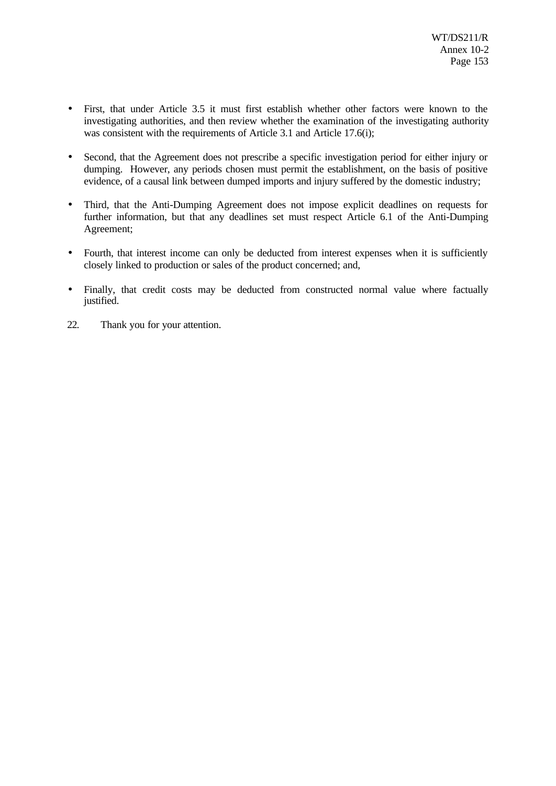- First, that under Article 3.5 it must first establish whether other factors were known to the investigating authorities, and then review whether the examination of the investigating authority was consistent with the requirements of Article 3.1 and Article 17.6(i);
- Second, that the Agreement does not prescribe a specific investigation period for either injury or dumping. However, any periods chosen must permit the establishment, on the basis of positive evidence, of a causal link between dumped imports and injury suffered by the domestic industry;
- Third, that the Anti-Dumping Agreement does not impose explicit deadlines on requests for further information, but that any deadlines set must respect Article 6.1 of the Anti-Dumping Agreement;
- Fourth, that interest income can only be deducted from interest expenses when it is sufficiently closely linked to production or sales of the product concerned; and,
- Finally, that credit costs may be deducted from constructed normal value where factually justified.
- 22. Thank you for your attention.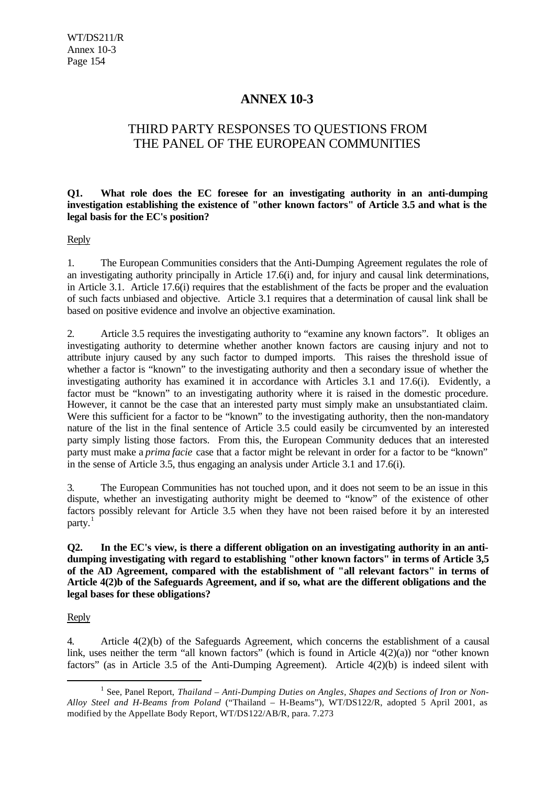## **ANNEX 10-3**

## THIRD PARTY RESPONSES TO QUESTIONS FROM THE PANEL OF THE EUROPEAN COMMUNITIES

**Q1. What role does the EC foresee for an investigating authority in an anti-dumping investigation establishing the existence of "other known factors" of Article 3.5 and what is the legal basis for the EC's position?**

Reply

1. The European Communities considers that the Anti-Dumping Agreement regulates the role of an investigating authority principally in Article 17.6(i) and, for injury and causal link determinations, in Article 3.1. Article 17.6(i) requires that the establishment of the facts be proper and the evaluation of such facts unbiased and objective. Article 3.1 requires that a determination of causal link shall be based on positive evidence and involve an objective examination.

2. Article 3.5 requires the investigating authority to "examine any known factors". It obliges an investigating authority to determine whether another known factors are causing injury and not to attribute injury caused by any such factor to dumped imports. This raises the threshold issue of whether a factor is "known" to the investigating authority and then a secondary issue of whether the investigating authority has examined it in accordance with Articles 3.1 and 17.6(i). Evidently, a factor must be "known" to an investigating authority where it is raised in the domestic procedure. However, it cannot be the case that an interested party must simply make an unsubstantiated claim. Were this sufficient for a factor to be "known" to the investigating authority, then the non-mandatory nature of the list in the final sentence of Article 3.5 could easily be circumvented by an interested party simply listing those factors. From this, the European Community deduces that an interested party must make a *prima facie* case that a factor might be relevant in order for a factor to be "known" in the sense of Article 3.5, thus engaging an analysis under Article 3.1 and 17.6(i).

3. The European Communities has not touched upon, and it does not seem to be an issue in this dispute, whether an investigating authority might be deemed to "know" of the existence of other factors possibly relevant for Article 3.5 when they have not been raised before it by an interested party. $1$ 

**Q2. In the EC's view, is there a different obligation on an investigating authority in an antidumping investigating with regard to establishing "other known factors" in terms of Article 3,5 of the AD Agreement, compared with the establishment of "all relevant factors" in terms of Article 4(2)b of the Safeguards Agreement, and if so, what are the different obligations and the legal bases for these obligations?**

## Reply

l

4. Article 4(2)(b) of the Safeguards Agreement, which concerns the establishment of a causal link, uses neither the term "all known factors" (which is found in Article  $4(2)(a)$ ) nor "other known factors" (as in Article 3.5 of the Anti-Dumping Agreement). Article 4(2)(b) is indeed silent with

<sup>&</sup>lt;sup>1</sup> See, Panel Report, *Thailand – Anti-Dumping Duties on Angles, Shapes and Sections of Iron or Non-Alloy Steel and H-Beams from Poland* ("Thailand – H-Beams"), WT/DS122/R, adopted 5 April 2001, as modified by the Appellate Body Report, WT/DS122/AB/R, para. 7.273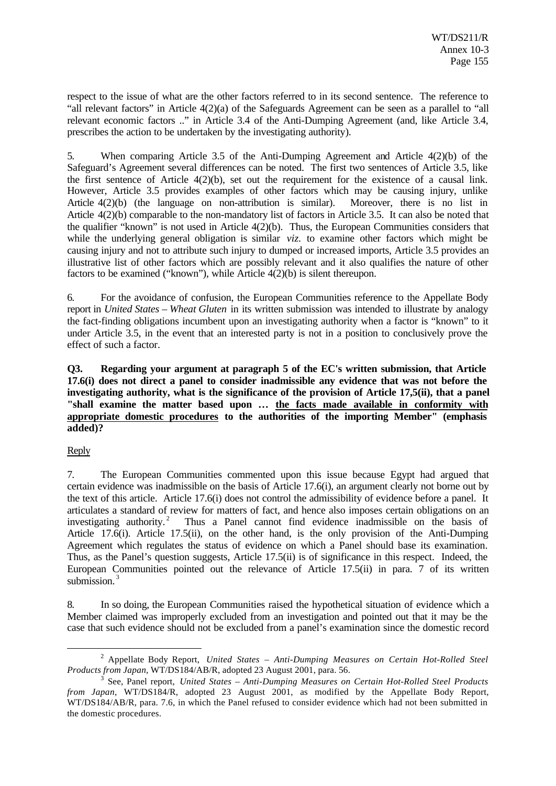respect to the issue of what are the other factors referred to in its second sentence. The reference to "all relevant factors" in Article 4(2)(a) of the Safeguards Agreement can be seen as a parallel to "all relevant economic factors .." in Article 3.4 of the Anti-Dumping Agreement (and, like Article 3.4, prescribes the action to be undertaken by the investigating authority).

5. When comparing Article 3.5 of the Anti-Dumping Agreement and Article 4(2)(b) of the Safeguard's Agreement several differences can be noted. The first two sentences of Article 3.5, like the first sentence of Article 4(2)(b), set out the requirement for the existence of a causal link. However, Article 3.5 provides examples of other factors which may be causing injury, unlike Article 4(2)(b) (the language on non-attribution is similar). Moreover, there is no list in Article 4(2)(b) comparable to the non-mandatory list of factors in Article 3.5. It can also be noted that the qualifier "known" is not used in Article 4(2)(b). Thus, the European Communities considers that while the underlying general obligation is similar *viz.* to examine other factors which might be causing injury and not to attribute such injury to dumped or increased imports, Article 3.5 provides an illustrative list of other factors which are possibly relevant and it also qualifies the nature of other factors to be examined ("known"), while Article  $4(2)(b)$  is silent thereupon.

6. For the avoidance of confusion, the European Communities reference to the Appellate Body report in *United States – Wheat Gluten* in its written submission was intended to illustrate by analogy the fact-finding obligations incumbent upon an investigating authority when a factor is "known" to it under Article 3.5, in the event that an interested party is not in a position to conclusively prove the effect of such a factor.

**Q3. Regarding your argument at paragraph 5 of the EC's written submission, that Article 17.6(i) does not direct a panel to consider inadmissible any evidence that was not before the investigating authority, what is the significance of the provision of Article 17,5(ii), that a panel "shall examine the matter based upon … the facts made available in conformity with appropriate domestic procedures to the authorities of the importing Member" (emphasis added)?**

## Reply

l

7. The European Communities commented upon this issue because Egypt had argued that certain evidence was inadmissible on the basis of Article 17.6(i), an argument clearly not borne out by the text of this article. Article 17.6(i) does not control the admissibility of evidence before a panel. It articulates a standard of review for matters of fact, and hence also imposes certain obligations on an investigating authority. <sup>2</sup> Thus a Panel cannot find evidence inadmissible on the basis of Article 17.6(i). Article 17.5(ii), on the other hand, is the only provision of the Anti-Dumping Agreement which regulates the status of evidence on which a Panel should base its examination. Thus, as the Panel's question suggests, Article 17.5(ii) is of significance in this respect. Indeed, the European Communities pointed out the relevance of Article 17.5(ii) in para. 7 of its written submission.<sup>3</sup>

8. In so doing, the European Communities raised the hypothetical situation of evidence which a Member claimed was improperly excluded from an investigation and pointed out that it may be the case that such evidence should not be excluded from a panel's examination since the domestic record

<sup>2</sup> Appellate Body Report, *United States – Anti-Dumping Measures on Certain Hot-Rolled Steel Products from Japan*, WT/DS184/AB/R, adopted 23 August 2001, para. 56.

<sup>3</sup> See, Panel report, *United States – Anti-Dumping Measures on Certain Hot-Rolled Steel Products from Japan*, WT/DS184/R, adopted 23 August 2001, as modified by the Appellate Body Report, WT/DS184/AB/R, para. 7.6, in which the Panel refused to consider evidence which had not been submitted in the domestic procedures.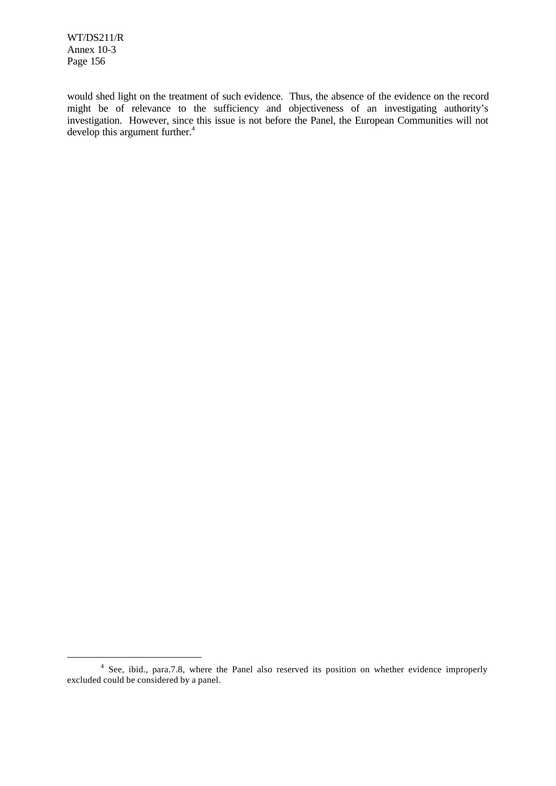WT/DS211/R Annex 10-3 Page 156

l

would shed light on the treatment of such evidence. Thus, the absence of the evidence on the record might be of relevance to the sufficiency and objectiveness of an investigating authority's investigation. However, since this issue is not before the Panel, the European Communities will not develop this argument further.<sup>4</sup>

<sup>&</sup>lt;sup>4</sup> See, ibid., para.7.8, where the Panel also reserved its position on whether evidence improperly excluded could be considered by a panel.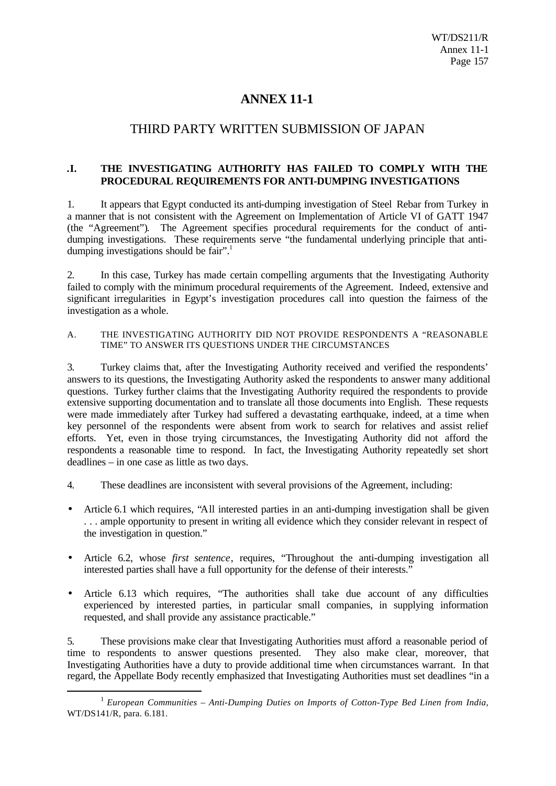# **ANNEX 11-1**

## THIRD PARTY WRITTEN SUBMISSION OF JAPAN

## *.***I. THE INVESTIGATING AUTHORITY HAS FAILED TO COMPLY WITH THE PROCEDURAL REQUIREMENTS FOR ANTI-DUMPING INVESTIGATIONS**

1. It appears that Egypt conducted its anti-dumping investigation of Steel Rebar from Turkey in a manner that is not consistent with the Agreement on Implementation of Article VI of GATT 1947 (the "Agreement"). The Agreement specifies procedural requirements for the conduct of antidumping investigations. These requirements serve "the fundamental underlying principle that antidumping investigations should be fair".<sup>1</sup>

2. In this case, Turkey has made certain compelling arguments that the Investigating Authority failed to comply with the minimum procedural requirements of the Agreement. Indeed, extensive and significant irregularities in Egypt's investigation procedures call into question the fairness of the investigation as a whole.

A. THE INVESTIGATING AUTHORITY DID NOT PROVIDE RESPONDENTS A "REASONABLE TIME" TO ANSWER ITS QUESTIONS UNDER THE CIRCUMSTANCES

3. Turkey claims that, after the Investigating Authority received and verified the respondents' answers to its questions, the Investigating Authority asked the respondents to answer many additional questions. Turkey further claims that the Investigating Authority required the respondents to provide extensive supporting documentation and to translate all those documents into English. These requests were made immediately after Turkey had suffered a devastating earthquake, indeed, at a time when key personnel of the respondents were absent from work to search for relatives and assist relief efforts. Yet, even in those trying circumstances, the Investigating Authority did not afford the respondents a reasonable time to respond. In fact, the Investigating Authority repeatedly set short deadlines – in one case as little as two days.

- 4. These deadlines are inconsistent with several provisions of the Agreement, including:
- Article 6.1 which requires, "All interested parties in an anti-dumping investigation shall be given . . . ample opportunity to present in writing all evidence which they consider relevant in respect of the investigation in question."
- Article 6.2, whose *first sentence*, requires, "Throughout the anti-dumping investigation all interested parties shall have a full opportunity for the defense of their interests."
- Article 6.13 which requires, "The authorities shall take due account of any difficulties experienced by interested parties, in particular small companies, in supplying information requested, and shall provide any assistance practicable."

5. These provisions make clear that Investigating Authorities must afford a reasonable period of time to respondents to answer questions presented. They also make clear, moreover, that Investigating Authorities have a duty to provide additional time when circumstances warrant. In that regard, the Appellate Body recently emphasized that Investigating Authorities must set deadlines "in a

<sup>1</sup> *European Communities – Anti-Dumping Duties on Imports of Cotton-Type Bed Linen from India*, WT/DS141/R, para. 6.181.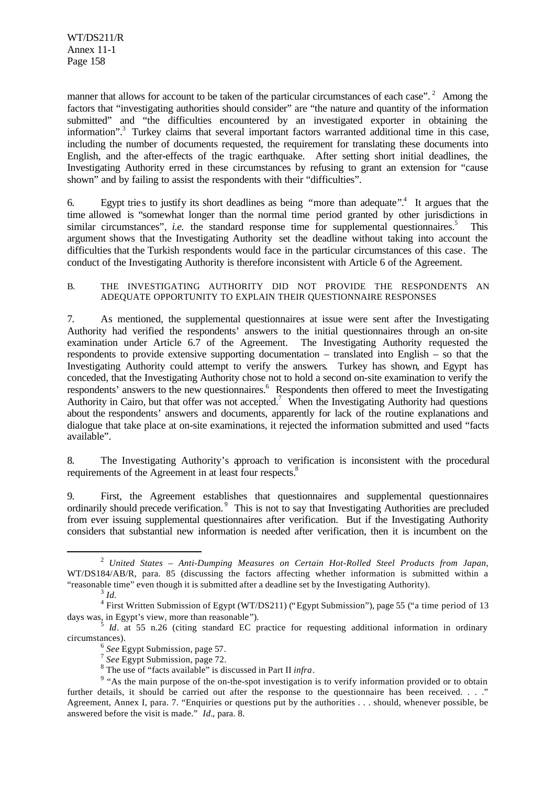WT/DS211/R Annex 11-1 Page 158

manner that allows for account to be taken of the particular circumstances of each case". <sup>2</sup> Among the factors that "investigating authorities should consider" are "the nature and quantity of the information submitted" and "the difficulties encountered by an investigated exporter in obtaining the information".<sup>3</sup> Turkey claims that several important factors warranted additional time in this case, including the number of documents requested, the requirement for translating these documents into English, and the after-effects of the tragic earthquake. After setting short initial deadlines, the Investigating Authority erred in these circumstances by refusing to grant an extension for "cause shown" and by failing to assist the respondents with their "difficulties".

6. Egypt tries to justify its short deadlines as being "more than adequate".<sup>4</sup> It argues that the time allowed is "somewhat longer than the normal time period granted by other jurisdictions in similar circumstances", *i.e.* the standard response time for supplemental questionnaires.<sup>5</sup> This argument shows that the Investigating Authority set the deadline without taking into account the difficulties that the Turkish respondents would face in the particular circumstances of this case. The conduct of the Investigating Authority is therefore inconsistent with Article 6 of the Agreement.

#### B. THE INVESTIGATING AUTHORITY DID NOT PROVIDE THE RESPONDENTS AN ADEQUATE OPPORTUNITY TO EXPLAIN THEIR QUESTIONNAIRE RESPONSES

7. As mentioned, the supplemental questionnaires at issue were sent after the Investigating Authority had verified the respondents' answers to the initial questionnaires through an on-site examination under Article 6.7 of the Agreement. The Investigating Authority requested the respondents to provide extensive supporting documentation – translated into English – so that the Investigating Authority could attempt to verify the answers. Turkey has shown, and Egypt has conceded, that the Investigating Authority chose not to hold a second on-site examination to verify the respondents' answers to the new questionnaires.<sup>6</sup> Respondents then offered to meet the Investigating Authority in Cairo, but that offer was not accepted.<sup>7</sup> When the Investigating Authority had questions about the respondents' answers and documents, apparently for lack of the routine explanations and dialogue that take place at on-site examinations, it rejected the information submitted and used "facts available".

8. The Investigating Authority's approach to verification is inconsistent with the procedural requirements of the Agreement in at least four respects.<sup>8</sup>

9. First, the Agreement establishes that questionnaires and supplemental questionnaires ordinarily should precede verification.<sup>9</sup> This is not to say that Investigating Authorities are precluded from ever issuing supplemental questionnaires after verification. But if the Investigating Authority considers that substantial new information is needed after verification, then it is incumbent on the

<sup>2</sup> *United States – Anti-Dumping Measures on Certain Hot-Rolled Steel Products from Japan*, WT/DS184/AB/R, para. 85 (discussing the factors affecting whether information is submitted within a "reasonable time" even though it is submitted after a deadline set by the Investigating Authority).

<sup>3</sup> *Id.*

<sup>&</sup>lt;sup>4</sup> First Written Submission of Egypt (WT/DS211) ("Egypt Submission"), page 55 ("a time period of 13 days was, in Egypt's view, more than reasonable").

 $\frac{5}{5}$  *Id.* at 55 n.26 (citing standard EC practice for requesting additional information in ordinary circumstances).

<sup>6</sup> *See* Egypt Submission, page 57.

<sup>7</sup> *See* Egypt Submission, page 72.

<sup>8</sup> The use of "facts available" is discussed in Part II *infra*.

<sup>&</sup>lt;sup>9</sup> "As the main purpose of the on-the-spot investigation is to verify information provided or to obtain further details, it should be carried out after the response to the questionnaire has been received.  $\ldots$ Agreement, Annex I, para. 7. "Enquiries or questions put by the authorities . . . should, whenever possible, be answered before the visit is made." *Id.*, para. 8.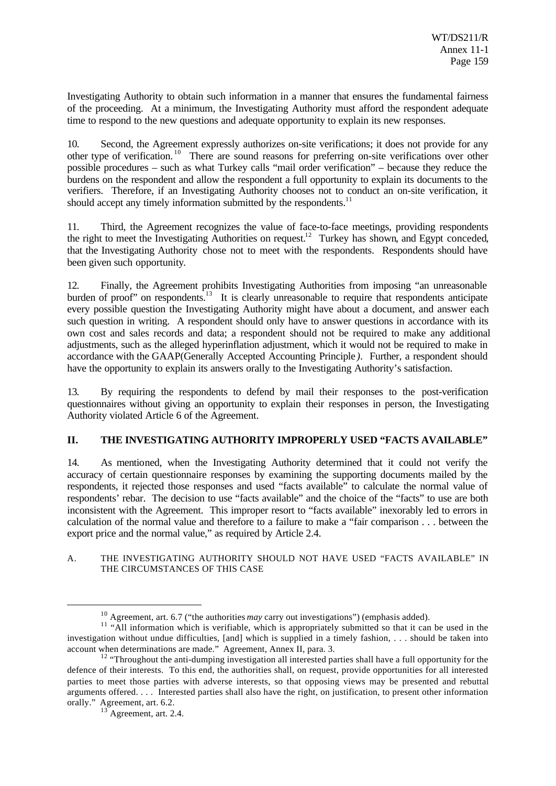Investigating Authority to obtain such information in a manner that ensures the fundamental fairness of the proceeding. At a minimum, the Investigating Authority must afford the respondent adequate time to respond to the new questions and adequate opportunity to explain its new responses.

10. Second, the Agreement expressly authorizes on-site verifications; it does not provide for any other type of verification.<sup>10</sup> There are sound reasons for preferring on-site verifications over other possible procedures – such as what Turkey calls "mail order verification" – because they reduce the burdens on the respondent and allow the respondent a full opportunity to explain its documents to the verifiers. Therefore, if an Investigating Authority chooses not to conduct an on-site verification, it should accept any timely information submitted by the respondents. $11$ 

11. Third, the Agreement recognizes the value of face-to-face meetings, providing respondents the right to meet the Investigating Authorities on request.<sup>12</sup> Turkey has shown, and Egypt conceded, that the Investigating Authority chose not to meet with the respondents. Respondents should have been given such opportunity.

12. Finally, the Agreement prohibits Investigating Authorities from imposing "an unreasonable burden of proof" on respondents.<sup>13</sup> It is clearly unreasonable to require that respondents anticipate every possible question the Investigating Authority might have about a document, and answer each such question in writing. A respondent should only have to answer questions in accordance with its own cost and sales records and data; a respondent should not be required to make any additional adjustments, such as the alleged hyperinflation adjustment, which it would not be required to make in accordance with the GAAP(Generally Accepted Accounting Principle *)*. Further, a respondent should have the opportunity to explain its answers orally to the Investigating Authority's satisfaction.

13. By requiring the respondents to defend by mail their responses to the post-verification questionnaires without giving an opportunity to explain their responses in person, the Investigating Authority violated Article 6 of the Agreement.

## **II. THE INVESTIGATING AUTHORITY IMPROPERLY USED "FACTS AVAILABLE"**

14. As mentioned, when the Investigating Authority determined that it could not verify the accuracy of certain questionnaire responses by examining the supporting documents mailed by the respondents, it rejected those responses and used "facts available" to calculate the normal value of respondents' rebar. The decision to use "facts available" and the choice of the "facts" to use are both inconsistent with the Agreement. This improper resort to "facts available" inexorably led to errors in calculation of the normal value and therefore to a failure to make a "fair comparison . . . between the export price and the normal value," as required by Article 2.4.

A. THE INVESTIGATING AUTHORITY SHOULD NOT HAVE USED "FACTS AVAILABLE" IN THE CIRCUMSTANCES OF THIS CASE

<sup>&</sup>lt;sup>10</sup> Agreement, art. 6.7 ("the authorities *may* carry out investigations") (emphasis added).

<sup>&</sup>lt;sup>11</sup> "All information which is verifiable, which is appropriately submitted so that it can be used in the investigation without undue difficulties, [and] which is supplied in a timely fashion, . . . should be taken into account when determinations are made." Agreement, Annex II, para. 3.

<sup>&</sup>lt;sup>12</sup> "Throughout the anti-dumping investigation all interested parties shall have a full opportunity for the defence of their interests. To this end, the authorities shall, on request, provide opportunities for all interested parties to meet those parties with adverse interests, so that opposing views may be presented and rebuttal arguments offered. . . . Interested parties shall also have the right, on justification, to present other information orally." Agreement, art. 6.2.

 $^{13}$  Agreement, art. 2.4.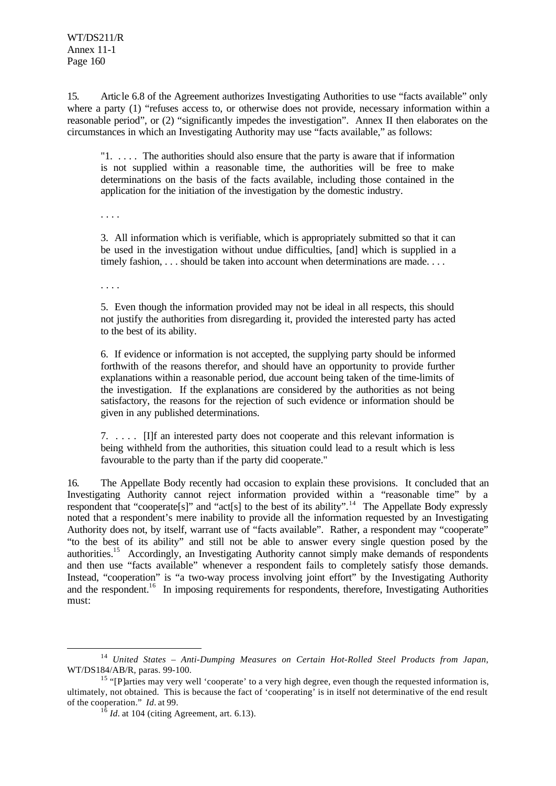15. Article 6.8 of the Agreement authorizes Investigating Authorities to use "facts available" only where a party (1) "refuses access to, or otherwise does not provide, necessary information within a reasonable period", or (2) "significantly impedes the investigation". Annex II then elaborates on the circumstances in which an Investigating Authority may use "facts available," as follows:

"1. . . . . The authorities should also ensure that the party is aware that if information is not supplied within a reasonable time, the authorities will be free to make determinations on the basis of the facts available, including those contained in the application for the initiation of the investigation by the domestic industry.

. . . .

3. All information which is verifiable, which is appropriately submitted so that it can be used in the investigation without undue difficulties, [and] which is supplied in a timely fashion,  $\ldots$  should be taken into account when determinations are made.

. . . .

l

5. Even though the information provided may not be ideal in all respects, this should not justify the authorities from disregarding it, provided the interested party has acted to the best of its ability.

6. If evidence or information is not accepted, the supplying party should be informed forthwith of the reasons therefor, and should have an opportunity to provide further explanations within a reasonable period, due account being taken of the time-limits of the investigation. If the explanations are considered by the authorities as not being satisfactory, the reasons for the rejection of such evidence or information should be given in any published determinations.

7. . . . . [I]f an interested party does not cooperate and this relevant information is being withheld from the authorities, this situation could lead to a result which is less favourable to the party than if the party did cooperate."

16. The Appellate Body recently had occasion to explain these provisions. It concluded that an Investigating Authority cannot reject information provided within a "reasonable time" by a respondent that "cooperate[s]" and "act[s] to the best of its ability".<sup>14</sup> The Appellate Body expressly noted that a respondent's mere inability to provide all the information requested by an Investigating Authority does not, by itself, warrant use of "facts available". Rather, a respondent may "cooperate" "to the best of its ability" and still not be able to answer every single question posed by the authorities.<sup>15</sup> Accordingly, an Investigating Authority cannot simply make demands of respondents and then use "facts available" whenever a respondent fails to completely satisfy those demands. Instead, "cooperation" is "a two-way process involving joint effort" by the Investigating Authority and the respondent.<sup>16</sup> In imposing requirements for respondents, therefore, Investigating Authorities must:

<sup>14</sup> *United States – Anti-Dumping Measures on Certain Hot-Rolled Steel Products from Japan*, WT/DS184/AB/R, paras. 99-100.

<sup>&</sup>lt;sup>15</sup> "[Plarties may very well 'cooperate' to a very high degree, even though the requested information is, ultimately, not obtained. This is because the fact of 'cooperating' is in itself not determinative of the end result of the cooperation." *Id.* at 99.

 $16$  *Id.* at 104 (citing Agreement, art. 6.13).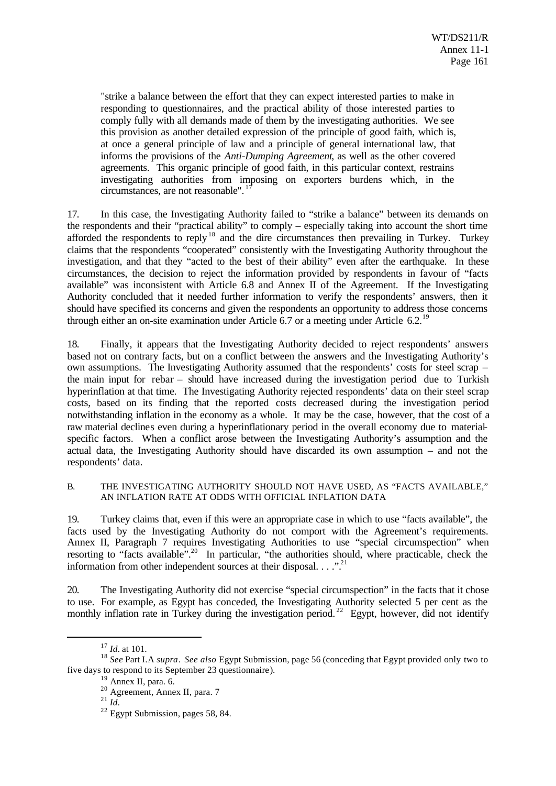"strike a balance between the effort that they can expect interested parties to make in responding to questionnaires, and the practical ability of those interested parties to comply fully with all demands made of them by the investigating authorities. We see this provision as another detailed expression of the principle of good faith, which is, at once a general principle of law and a principle of general international law, that informs the provisions of the *Anti-Dumping Agreement*, as well as the other covered agreements. This organic principle of good faith, in this particular context, restrains investigating authorities from imposing on exporters burdens which, in the circumstances, are not reasonable".<sup>1</sup>

17. In this case, the Investigating Authority failed to "strike a balance" between its demands on the respondents and their "practical ability" to comply – especially taking into account the short time afforded the respondents to reply<sup>18</sup> and the dire circumstances then prevailing in Turkey. Turkey claims that the respondents "cooperated" consistently with the Investigating Authority throughout the investigation, and that they "acted to the best of their ability" even after the earthquake. In these circumstances, the decision to reject the information provided by respondents in favour of "facts available" was inconsistent with Article 6.8 and Annex II of the Agreement. If the Investigating Authority concluded that it needed further information to verify the respondents' answers, then it should have specified its concerns and given the respondents an opportunity to address those concerns through either an on-site examination under Article 6.7 or a meeting under Article 6.2.<sup>19</sup>

18. Finally, it appears that the Investigating Authority decided to reject respondents' answers based not on contrary facts, but on a conflict between the answers and the Investigating Authority's own assumptions. The Investigating Authority assumed that the respondents' costs for steel scrap – the main input for rebar – should have increased during the investigation period due to Turkish hyperinflation at that time. The Investigating Authority rejected respondents' data on their steel scrap costs, based on its finding that the reported costs decreased during the investigation period notwithstanding inflation in the economy as a whole. It may be the case, however, that the cost of a raw material declines even during a hyperinflationary period in the overall economy due to materialspecific factors. When a conflict arose between the Investigating Authority's assumption and the actual data, the Investigating Authority should have discarded its own assumption – and not the respondents' data.

#### B. THE INVESTIGATING AUTHORITY SHOULD NOT HAVE USED, AS "FACTS AVAILABLE," AN INFLATION RATE AT ODDS WITH OFFICIAL INFLATION DATA

19. Turkey claims that, even if this were an appropriate case in which to use "facts available", the facts used by the Investigating Authority do not comport with the Agreement's requirements. Annex II, Paragraph 7 requires Investigating Authorities to use "special circumspection" when resorting to "facts available".<sup>20</sup> In particular, "the authorities should, where practicable, check the information from other independent sources at their disposal. . . .".<sup>21</sup>

20. The Investigating Authority did not exercise "special circumspection" in the facts that it chose to use. For example, as Egypt has conceded, the Investigating Authority selected 5 per cent as the monthly inflation rate in Turkey during the investigation period.<sup>22</sup> Egypt, however, did not identify

<sup>17</sup> *Id.* at 101.

<sup>18</sup> *See* Part I.A *supra*. *See also* Egypt Submission, page 56 (conceding that Egypt provided only two to five days to respond to its September 23 questionnaire).

<sup>19</sup> Annex II, para. 6.

<sup>&</sup>lt;sup>20</sup> Agreement, Annex II, para. 7

<sup>21</sup> *Id.*

<sup>&</sup>lt;sup>22</sup> Egypt Submission, pages 58, 84.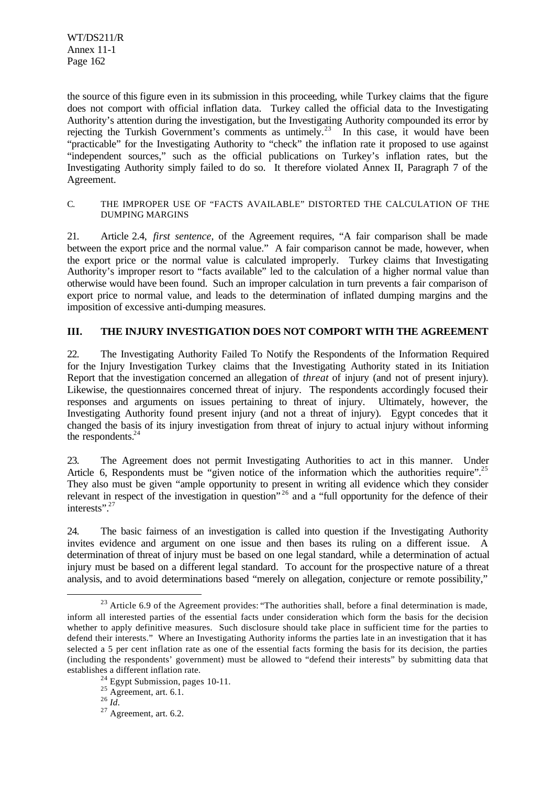WT/DS211/R Annex 11-1 Page 162

the source of this figure even in its submission in this proceeding, while Turkey claims that the figure does not comport with official inflation data. Turkey called the official data to the Investigating Authority's attention during the investigation, but the Investigating Authority compounded its error by rejecting the Turkish Government's comments as untimely.<sup>23</sup> In this case, it would have been "practicable" for the Investigating Authority to "check" the inflation rate it proposed to use against "independent sources," such as the official publications on Turkey's inflation rates, but the Investigating Authority simply failed to do so. It therefore violated Annex II, Paragraph 7 of the Agreement.

### C. THE IMPROPER USE OF "FACTS AVAILABLE" DISTORTED THE CALCULATION OF THE DUMPING MARGINS

21. Article 2.4, *first sentence*, of the Agreement requires, "A fair comparison shall be made between the export price and the normal value." A fair comparison cannot be made, however, when the export price or the normal value is calculated improperly. Turkey claims that Investigating Authority's improper resort to "facts available" led to the calculation of a higher normal value than otherwise would have been found. Such an improper calculation in turn prevents a fair comparison of export price to normal value, and leads to the determination of inflated dumping margins and the imposition of excessive anti-dumping measures.

## **III. THE INJURY INVESTIGATION DOES NOT COMPORT WITH THE AGREEMENT**

22. The Investigating Authority Failed To Notify the Respondents of the Information Required for the Injury Investigation Turkey claims that the Investigating Authority stated in its Initiation Report that the investigation concerned an allegation of *threat* of injury (and not of present injury). Likewise, the questionnaires concerned threat of injury. The respondents accordingly focused their responses and arguments on issues pertaining to threat of injury. Ultimately, however, the Investigating Authority found present injury (and not a threat of injury). Egypt concedes that it changed the basis of its injury investigation from threat of injury to actual injury without informing the respondents.<sup>24</sup>

23. The Agreement does not permit Investigating Authorities to act in this manner. Under Article 6, Respondents must be "given notice of the information which the authorities require".<sup>25</sup> They also must be given "ample opportunity to present in writing all evidence which they consider relevant in respect of the investigation in question"<sup>26</sup> and a "full opportunity for the defence of their interests".<sup>27</sup>

24. The basic fairness of an investigation is called into question if the Investigating Authority invites evidence and argument on one issue and then bases its ruling on a different issue. A determination of threat of injury must be based on one legal standard, while a determination of actual injury must be based on a different legal standard. To account for the prospective nature of a threat analysis, and to avoid determinations based "merely on allegation, conjecture or remote possibility,"

 $23$  Article 6.9 of the Agreement provides: "The authorities shall, before a final determination is made, inform all interested parties of the essential facts under consideration which form the basis for the decision whether to apply definitive measures. Such disclosure should take place in sufficient time for the parties to defend their interests." Where an Investigating Authority informs the parties late in an investigation that it has selected a 5 per cent inflation rate as one of the essential facts forming the basis for its decision, the parties (including the respondents' government) must be allowed to "defend their interests" by submitting data that establishes a different inflation rate.

 $^{24}$  Egypt Submission, pages 10-11.

 $^{25}$  Agreement, art. 6.1.

 $26 \overline{id}$ .

 $27$  Agreement, art. 6.2.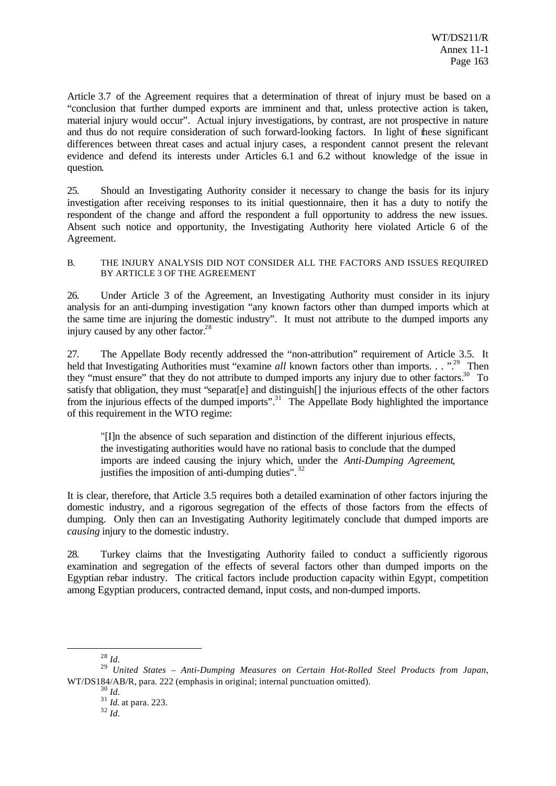Article 3.7 of the Agreement requires that a determination of threat of injury must be based on a "conclusion that further dumped exports are imminent and that, unless protective action is taken, material injury would occur". Actual injury investigations, by contrast, are not prospective in nature and thus do not require consideration of such forward-looking factors. In light of these significant differences between threat cases and actual injury cases, a respondent cannot present the relevant evidence and defend its interests under Articles 6.1 and 6.2 without knowledge of the issue in question.

25. Should an Investigating Authority consider it necessary to change the basis for its injury investigation after receiving responses to its initial questionnaire, then it has a duty to notify the respondent of the change and afford the respondent a full opportunity to address the new issues. Absent such notice and opportunity, the Investigating Authority here violated Article 6 of the Agreement.

#### B. THE INJURY ANALYSIS DID NOT CONSIDER ALL THE FACTORS AND ISSUES REQUIRED BY ARTICLE 3 OF THE AGREEMENT

26. Under Article 3 of the Agreement, an Investigating Authority must consider in its injury analysis for an anti-dumping investigation "any known factors other than dumped imports which at the same time are injuring the domestic industry". It must not attribute to the dumped imports any injury caused by any other factor. $28$ 

27. The Appellate Body recently addressed the "non-attribution" requirement of Article 3.5. It held that Investigating Authorities must "examine *all* known factors other than imports. . . "<sup>29</sup> Then they "must ensure" that they do not attribute to dumped imports any injury due to other factors.<sup>30</sup> To satisfy that obligation, they must "separat[e] and distinguish[] the injurious effects of the other factors from the injurious effects of the dumped imports".<sup>31</sup> The Appellate Body highlighted the importance of this requirement in the WTO regime:

"[I]n the absence of such separation and distinction of the different injurious effects, the investigating authorities would have no rational basis to conclude that the dumped imports are indeed causing the injury which, under the *Anti-Dumping Agreement*, justifies the imposition of anti-dumping duties".<sup>32</sup>

It is clear, therefore, that Article 3.5 requires both a detailed examination of other factors injuring the domestic industry, and a rigorous segregation of the effects of those factors from the effects of dumping. Only then can an Investigating Authority legitimately conclude that dumped imports are *causing* injury to the domestic industry.

28. Turkey claims that the Investigating Authority failed to conduct a sufficiently rigorous examination and segregation of the effects of several factors other than dumped imports on the Egyptian rebar industry. The critical factors include production capacity within Egypt, competition among Egyptian producers, contracted demand, input costs, and non-dumped imports.

<sup>28</sup> *Id.*

<sup>29</sup> *United States – Anti-Dumping Measures on Certain Hot-Rolled Steel Products from Japan*, WT/DS184/AB/R, para. 222 (emphasis in original; internal punctuation omitted).

<sup>30</sup> *Id.*

<sup>31</sup> *Id.* at para. 223.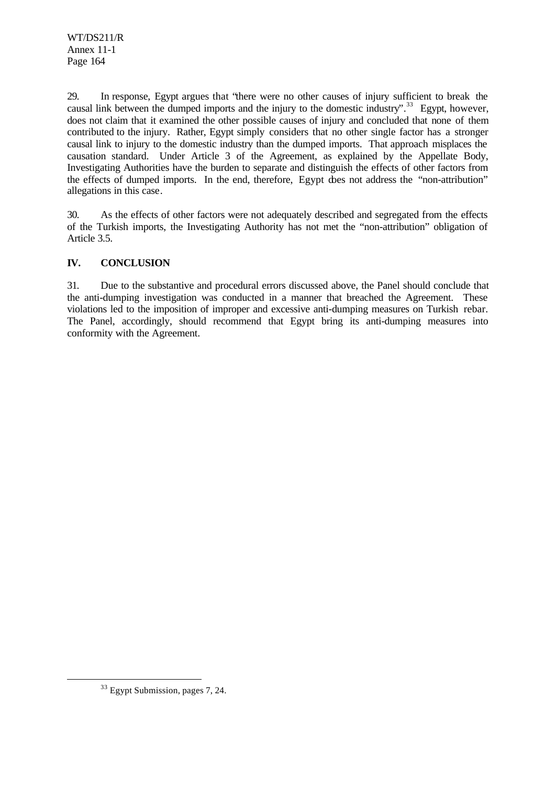29. In response, Egypt argues that "there were no other causes of injury sufficient to break the causal link between the dumped imports and the injury to the domestic industry".<sup>33</sup> Egypt, however, does not claim that it examined the other possible causes of injury and concluded that none of them contributed to the injury. Rather, Egypt simply considers that no other single factor has a stronger causal link to injury to the domestic industry than the dumped imports. That approach misplaces the causation standard. Under Article 3 of the Agreement, as explained by the Appellate Body, Investigating Authorities have the burden to separate and distinguish the effects of other factors from the effects of dumped imports. In the end, therefore, Egypt does not address the "non-attribution" allegations in this case.

30. As the effects of other factors were not adequately described and segregated from the effects of the Turkish imports, the Investigating Authority has not met the "non-attribution" obligation of Article 3.5.

## **IV. CONCLUSION**

31. Due to the substantive and procedural errors discussed above, the Panel should conclude that the anti-dumping investigation was conducted in a manner that breached the Agreement. These violations led to the imposition of improper and excessive anti-dumping measures on Turkish rebar. The Panel, accordingly, should recommend that Egypt bring its anti-dumping measures into conformity with the Agreement.

<sup>&</sup>lt;sup>33</sup> Egypt Submission, pages 7, 24.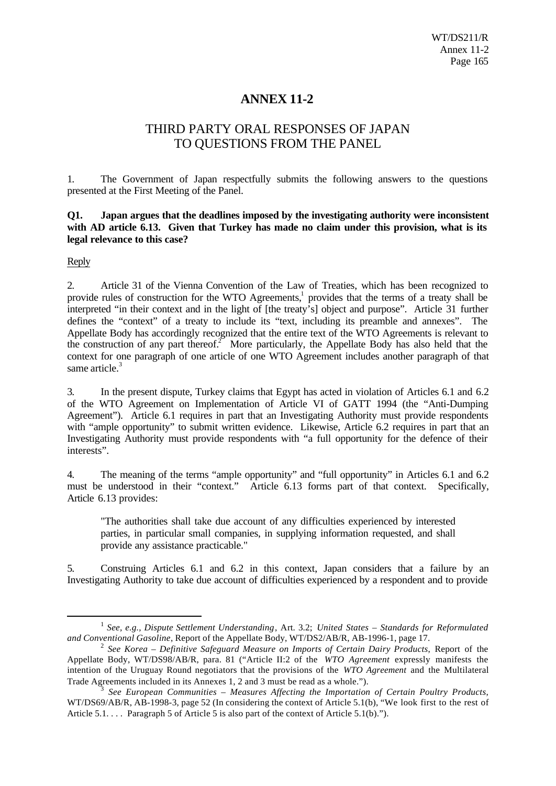## **ANNEX 11-2**

## THIRD PARTY ORAL RESPONSES OF JAPAN TO QUESTIONS FROM THE PANEL

1. The Government of Japan respectfully submits the following answers to the questions presented at the First Meeting of the Panel.

**Q1. Japan argues that the deadlines imposed by the investigating authority were inconsistent with AD article 6.13. Given that Turkey has made no claim under this provision, what is its legal relevance to this case?**

Reply

l

2. Article 31 of the Vienna Convention of the Law of Treaties, which has been recognized to provide rules of construction for the WTO Agreements,<sup>1</sup> provides that the terms of a treaty shall be interpreted "in their context and in the light of [the treaty's] object and purpose". Article 31 further defines the "context" of a treaty to include its "text, including its preamble and annexes". The Appellate Body has accordingly recognized that the entire text of the WTO Agreements is relevant to the construction of any part thereof.<sup>2</sup> More particularly, the Appellate Body has also held that the context for one paragraph of one article of one WTO Agreement includes another paragraph of that same article. $3$ 

3. In the present dispute, Turkey claims that Egypt has acted in violation of Articles 6.1 and 6.2 of the WTO Agreement on Implementation of Article VI of GATT 1994 (the "Anti-Dumping Agreement"). Article 6.1 requires in part that an Investigating Authority must provide respondents with "ample opportunity" to submit written evidence. Likewise, Article 6.2 requires in part that an Investigating Authority must provide respondents with "a full opportunity for the defence of their interests".

4. The meaning of the terms "ample opportunity" and "full opportunity" in Articles 6.1 and 6.2 must be understood in their "context." Article 6.13 forms part of that context. Specifically, Article 6.13 provides:

"The authorities shall take due account of any difficulties experienced by interested parties, in particular small companies, in supplying information requested, and shall provide any assistance practicable."

5. Construing Articles 6.1 and 6.2 in this context, Japan considers that a failure by an Investigating Authority to take due account of difficulties experienced by a respondent and to provide

<sup>1</sup> *See, e.g., Dispute Settlement Understanding*, Art. 3.2; *United States – Standards for Reformulated and Conventional Gasoline*, Report of the Appellate Body, WT/DS2/AB/R, AB-1996-1, page 17.

<sup>2</sup> *See Korea – Definitive Safeguard Measure on Imports of Certain Dairy Products*, Report of the Appellate Body, WT/DS98/AB/R, para. 81 ("Article II:2 of the *WTO Agreement* expressly manifests the intention of the Uruguay Round negotiators that the provisions of the *WTO Agreement* and the Multilateral Trade Agreements included in its Annexes 1, 2 and 3 must be read as a whole.").

<sup>3</sup> *See European Communities – Measures Affecting the Importation of Certain Poultry Products*, WT/DS69/AB/R, AB-1998-3, page 52 (In considering the context of Article 5.1(b), "We look first to the rest of Article  $5.1$ .... Paragraph 5 of Article 5 is also part of the context of Article  $5.1(b)$ .").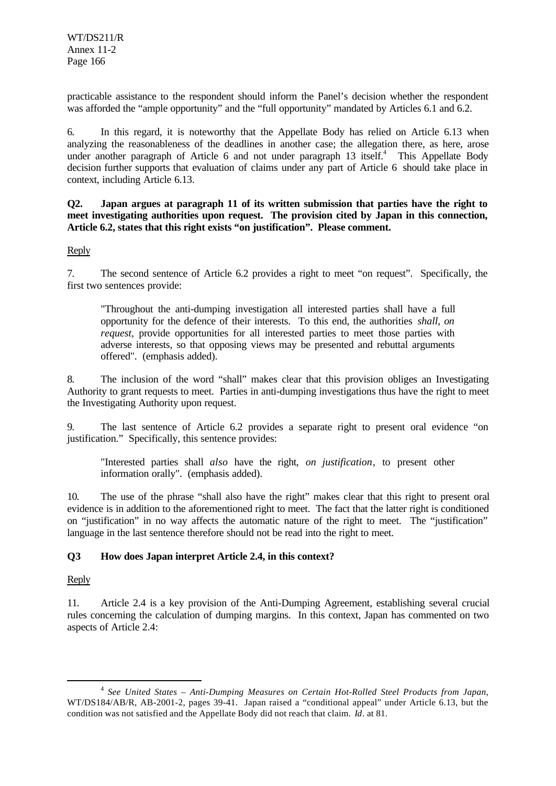practicable assistance to the respondent should inform the Panel's decision whether the respondent was afforded the "ample opportunity" and the "full opportunity" mandated by Articles 6.1 and 6.2.

6. In this regard, it is noteworthy that the Appellate Body has relied on Article 6.13 when analyzing the reasonableness of the deadlines in another case; the allegation there, as here, arose under another paragraph of Article 6 and not under paragraph 13 itself.<sup>4</sup> This Appellate Body decision further supports that evaluation of claims under any part of Article 6 should take place in context, including Article 6.13.

**Q2. Japan argues at paragraph 11 of its written submission that parties have the right to meet investigating authorities upon request. The provision cited by Japan in this connection, Article 6.2, states that this right exists "on justification". Please comment.**

### Reply

7. The second sentence of Article 6.2 provides a right to meet "on request". Specifically, the first two sentences provide:

"Throughout the anti-dumping investigation all interested parties shall have a full opportunity for the defence of their interests. To this end, the authorities *shall*, *on request*, provide opportunities for all interested parties to meet those parties with adverse interests, so that opposing views may be presented and rebuttal arguments offered". (emphasis added).

8. The inclusion of the word "shall" makes clear that this provision obliges an Investigating Authority to grant requests to meet. Parties in anti-dumping investigations thus have the right to meet the Investigating Authority upon request.

9. The last sentence of Article 6.2 provides a separate right to present oral evidence "on justification." Specifically, this sentence provides:

"Interested parties shall *also* have the right, *on justification*, to present other information orally". (emphasis added).

10. The use of the phrase "shall also have the right" makes clear that this right to present oral evidence is in addition to the aforementioned right to meet. The fact that the latter right is conditioned on "justification" in no way affects the automatic nature of the right to meet. The "justification" language in the last sentence therefore should not be read into the right to meet.

## **Q3 How does Japan interpret Article 2.4, in this context?**

## Reply

l

11. Article 2.4 is a key provision of the Anti-Dumping Agreement, establishing several crucial rules concerning the calculation of dumping margins. In this context, Japan has commented on two aspects of Article 2.4:

<sup>4</sup> *See United States – Anti-Dumping Measures on Certain Hot-Rolled Steel Products from Japan*, WT/DS184/AB/R, AB-2001-2, pages 39-41. Japan raised a "conditional appeal" under Article 6.13, but the condition was not satisfied and the Appellate Body did not reach that claim. *Id*. at 81.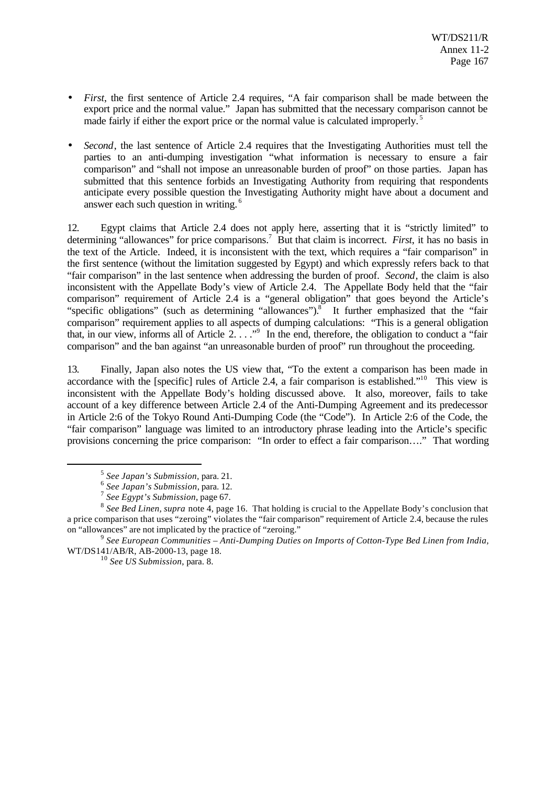- *First*, the first sentence of Article 2.4 requires, "A fair comparison shall be made between the export price and the normal value." Japan has submitted that the necessary comparison cannot be made fairly if either the export price or the normal value is calculated improperly.<sup>5</sup>
- Second, the last sentence of Article 2.4 requires that the Investigating Authorities must tell the parties to an anti-dumping investigation "what information is necessary to ensure a fair comparison" and "shall not impose an unreasonable burden of proof" on those parties. Japan has submitted that this sentence forbids an Investigating Authority from requiring that respondents anticipate every possible question the Investigating Authority might have about a document and answer each such question in writing. <sup>6</sup>

12. Egypt claims that Article 2.4 does not apply here, asserting that it is "strictly limited" to determining "allowances" for price comparisons.<sup>7</sup> But that claim is incorrect. *First*, it has no basis in the text of the Article. Indeed, it is inconsistent with the text, which requires a "fair comparison" in the first sentence (without the limitation suggested by Egypt) and which expressly refers back to that "fair comparison" in the last sentence when addressing the burden of proof. *Second*, the claim is also inconsistent with the Appellate Body's view of Article 2.4. The Appellate Body held that the "fair comparison" requirement of Article 2.4 is a "general obligation" that goes beyond the Article's "specific obligations" (such as determining "allowances").<sup>8</sup> It further emphasized that the "fair comparison" requirement applies to all aspects of dumping calculations: "This is a general obligation that, in our view, informs all of Article 2. . . . . . 9 In the end, therefore, the obligation to conduct a "fair comparison" and the ban against "an unreasonable burden of proof" run throughout the proceeding.

13. Finally, Japan also notes the US view that, "To the extent a comparison has been made in accordance with the [specific] rules of Article 2.4, a fair comparison is established."<sup>10</sup> This view is inconsistent with the Appellate Body's holding discussed above. It also, moreover, fails to take account of a key difference between Article 2.4 of the Anti-Dumping Agreement and its predecessor in Article 2:6 of the Tokyo Round Anti-Dumping Code (the "Code"). In Article 2:6 of the Code, the "fair comparison" language was limited to an introductory phrase leading into the Article's specific provisions concerning the price comparison: "In order to effect a fair comparison…." That wording

<sup>5</sup> *See Japan's Submission,* para. 21.

<sup>6</sup> *See Japan's Submission*, para. 12.

<sup>7</sup> *See Egypt's Submission*, page 67.

<sup>&</sup>lt;sup>8</sup> See Bed Linen, supra note 4, page 16. That holding is crucial to the Appellate Body's conclusion that a price comparison that uses "zeroing" violates the "fair comparison" requirement of Article 2.4, because the rules on "allowances" are not implicated by the practice of "zeroing."

<sup>9</sup> *See European Communities – Anti-Dumping Duties on Imports of Cotton-Type Bed Linen from India,* WT/DS141/AB/R, AB-2000-13, page 18.

<sup>10</sup> *See US Submission*, para. 8.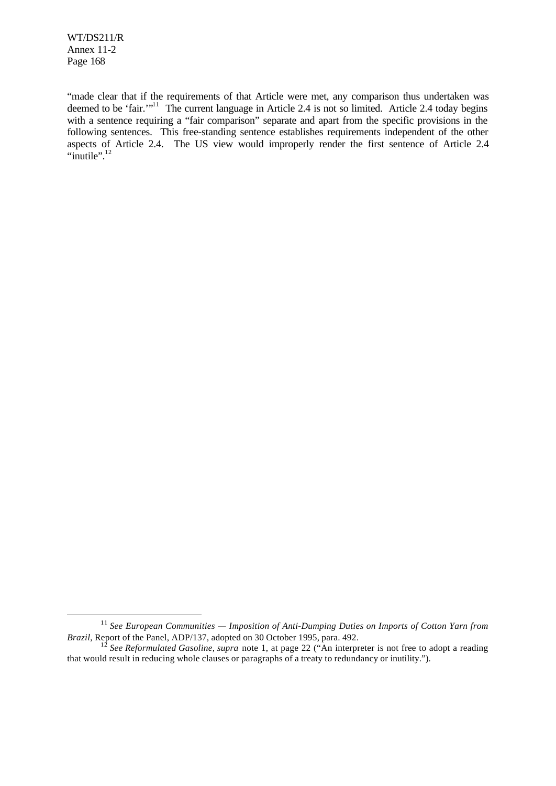WT/DS211/R Annex 11-2 Page 168

l

"made clear that if the requirements of that Article were met, any comparison thus undertaken was deemed to be 'fair.'"<sup>11</sup> The current language in Article 2.4 is not so limited. Article 2.4 today begins with a sentence requiring a "fair comparison" separate and apart from the specific provisions in the following sentences. This free-standing sentence establishes requirements independent of the other aspects of Article 2.4. The US view would improperly render the first sentence of Article 2.4 "inutile".<sup>12</sup>

<sup>11</sup> *See European Communities — Imposition of Anti-Dumping Duties on Imports of Cotton Yarn from Brazil*, Report of the Panel, ADP/137, adopted on 30 October 1995, para. 492.

<sup>&</sup>lt;sup>12</sup> *See Reformulated Gasoline, supra* note 1, at page 22 ("An interpreter is not free to adopt a reading that would result in reducing whole clauses or paragraphs of a treaty to redundancy or inutility.").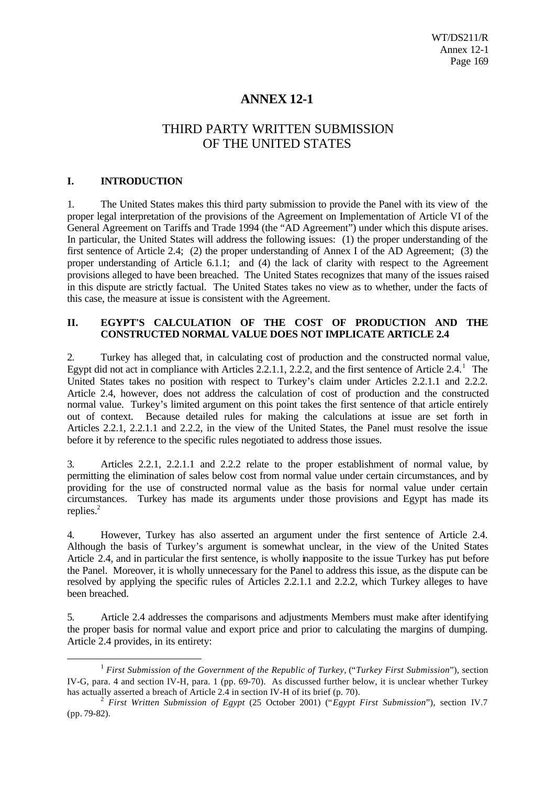# **ANNEX 12-1**

## THIRD PARTY WRITTEN SUBMISSION OF THE UNITED STATES

## **I. INTRODUCTION**

l

1. The United States makes this third party submission to provide the Panel with its view of the proper legal interpretation of the provisions of the Agreement on Implementation of Article VI of the General Agreement on Tariffs and Trade 1994 (the "AD Agreement") under which this dispute arises. In particular, the United States will address the following issues: (1) the proper understanding of the first sentence of Article 2.4; (2) the proper understanding of Annex I of the AD Agreement; (3) the proper understanding of Article 6.1.1; and (4) the lack of clarity with respect to the Agreement provisions alleged to have been breached. The United States recognizes that many of the issues raised in this dispute are strictly factual. The United States takes no view as to whether, under the facts of this case, the measure at issue is consistent with the Agreement.

### **II. EGYPT'S CALCULATION OF THE COST OF PRODUCTION AND THE CONSTRUCTED NORMAL VALUE DOES NOT IMPLICATE ARTICLE 2.4**

2. Turkey has alleged that, in calculating cost of production and the constructed normal value, Egypt did not act in compliance with Articles 2.2.1.1, 2.2.2, and the first sentence of Article 2.4.<sup>1</sup> The United States takes no position with respect to Turkey's claim under Articles 2.2.1.1 and 2.2.2. Article 2.4, however, does not address the calculation of cost of production and the constructed normal value. Turkey's limited argument on this point takes the first sentence of that article entirely out of context. Because detailed rules for making the calculations at issue are set forth in Articles 2.2.1, 2.2.1.1 and 2.2.2, in the view of the United States, the Panel must resolve the issue before it by reference to the specific rules negotiated to address those issues.

3. Articles 2.2.1, 2.2.1.1 and 2.2.2 relate to the proper establishment of normal value, by permitting the elimination of sales below cost from normal value under certain circumstances, and by providing for the use of constructed normal value as the basis for normal value under certain circumstances. Turkey has made its arguments under those provisions and Egypt has made its replies.<sup>2</sup>

4. However, Turkey has also asserted an argument under the first sentence of Article 2.4. Although the basis of Turkey's argument is somewhat unclear, in the view of the United States Article 2.4, and in particular the first sentence, is wholly inapposite to the issue Turkey has put before the Panel. Moreover, it is wholly unnecessary for the Panel to address this issue, as the dispute can be resolved by applying the specific rules of Articles 2.2.1.1 and 2.2.2, which Turkey alleges to have been breached.

5. Article 2.4 addresses the comparisons and adjustments Members must make after identifying the proper basis for normal value and export price and prior to calculating the margins of dumping. Article 2.4 provides, in its entirety:

<sup>1</sup> *First Submission of the Government of the Republic of Turkey*, ("*Turkey First Submission*"), section IV-G, para. 4 and section IV-H, para. 1 (pp. 69-70). As discussed further below, it is unclear whether Turkey has actually asserted a breach of Article 2.4 in section IV-H of its brief (p. 70).

<sup>2</sup> *First Written Submission of Egypt* (25 October 2001) ("*Egypt First Submission*"), section IV.7 (pp. 79-82).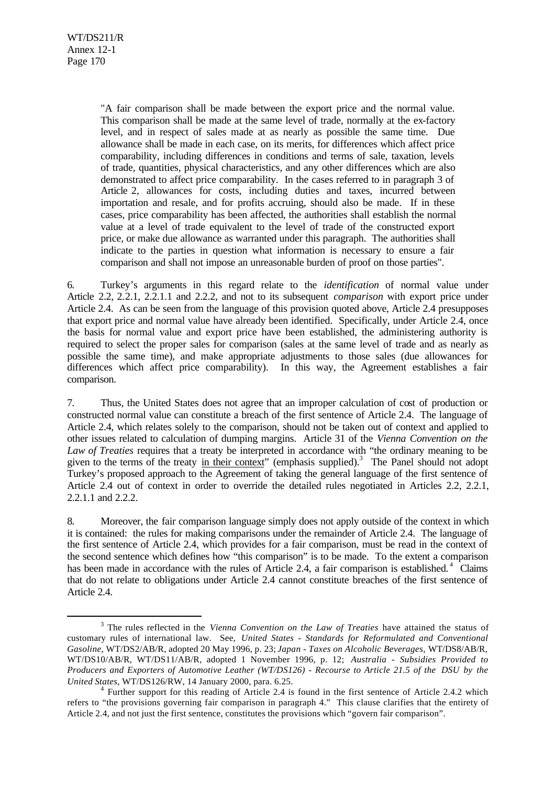l

"A fair comparison shall be made between the export price and the normal value. This comparison shall be made at the same level of trade, normally at the ex-factory level, and in respect of sales made at as nearly as possible the same time. Due allowance shall be made in each case, on its merits, for differences which affect price comparability, including differences in conditions and terms of sale, taxation, levels of trade, quantities, physical characteristics, and any other differences which are also demonstrated to affect price comparability. In the cases referred to in paragraph 3 of Article 2, allowances for costs, including duties and taxes, incurred between importation and resale, and for profits accruing, should also be made. If in these cases, price comparability has been affected, the authorities shall establish the normal value at a level of trade equivalent to the level of trade of the constructed export price, or make due allowance as warranted under this paragraph. The authorities shall indicate to the parties in question what information is necessary to ensure a fair comparison and shall not impose an unreasonable burden of proof on those parties".

6. Turkey's arguments in this regard relate to the *identification* of normal value under Article 2.2, 2.2.1, 2.2.1.1 and 2.2.2, and not to its subsequent *comparison* with export price under Article 2.4. As can be seen from the language of this provision quoted above, Article 2.4 presupposes that export price and normal value have already been identified. Specifically, under Article 2.4, once the basis for normal value and export price have been established, the administering authority is required to select the proper sales for comparison (sales at the same level of trade and as nearly as possible the same time), and make appropriate adjustments to those sales (due allowances for differences which affect price comparability). In this way, the Agreement establishes a fair comparison.

7. Thus, the United States does not agree that an improper calculation of cost of production or constructed normal value can constitute a breach of the first sentence of Article 2.4. The language of Article 2.4, which relates solely to the comparison, should not be taken out of context and applied to other issues related to calculation of dumping margins. Article 31 of the *Vienna Convention on the Law of Treaties* requires that a treaty be interpreted in accordance with "the ordinary meaning to be given to the terms of the treaty in their context" (emphasis supplied).<sup>3</sup> The Panel should not adopt Turkey's proposed approach to the Agreement of taking the general language of the first sentence of Article 2.4 out of context in order to override the detailed rules negotiated in Articles 2.2, 2.2.1, 2.2.1.1 and 2.2.2.

8. Moreover, the fair comparison language simply does not apply outside of the context in which it is contained: the rules for making comparisons under the remainder of Article 2.4. The language of the first sentence of Article 2.4, which provides for a fair comparison, must be read in the context of the second sentence which defines how "this comparison" is to be made. To the extent a comparison has been made in accordance with the rules of Article 2.4, a fair comparison is established.<sup>4</sup> Claims that do not relate to obligations under Article 2.4 cannot constitute breaches of the first sentence of Article 2.4.

<sup>3</sup> The rules reflected in the *Vienna Convention on the Law of Treaties* have attained the status of customary rules of international law. See, *United States - Standards for Reformulated and Conventional Gasoline*, WT/DS2/AB/R, adopted 20 May 1996, p. 23; *Japan - Taxes on Alcoholic Beverages*, WT/DS8/AB/R, WT/DS10/AB/R, WT/DS11/AB/R, adopted 1 November 1996, p. 12; *Australia - Subsidies Provided to Producers and Exporters of Automotive Leather (WT/DS126) - Recourse to Article 21.5 of the DSU by the United States*, WT/DS126/RW, 14 January 2000, para. 6.25.

<sup>&</sup>lt;sup>4</sup> Further support for this reading of Article 2.4 is found in the first sentence of Article 2.4.2 which refers to "the provisions governing fair comparison in paragraph 4." This clause clarifies that the entirety of Article 2.4, and not just the first sentence, constitutes the provisions which "govern fair comparison".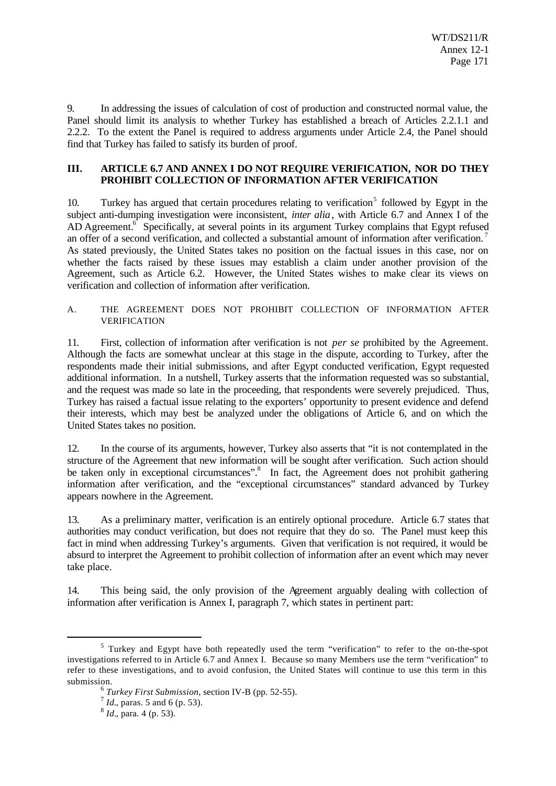9. In addressing the issues of calculation of cost of production and constructed normal value, the Panel should limit its analysis to whether Turkey has established a breach of Articles 2.2.1.1 and 2.2.2. To the extent the Panel is required to address arguments under Article 2.4, the Panel should find that Turkey has failed to satisfy its burden of proof.

### **III. ARTICLE 6.7 AND ANNEX I DO NOT REQUIRE VERIFICATION, NOR DO THEY PROHIBIT COLLECTION OF INFORMATION AFTER VERIFICATION**

10. Turkey has argued that certain procedures relating to verification<sup>5</sup> followed by Egypt in the subject anti-dumping investigation were inconsistent, *inter alia*, with Article 6.7 and Annex I of the AD Agreement.<sup>6</sup> Specifically, at several points in its argument Turkey complains that Egypt refused an offer of a second verification, and collected a substantial amount of information after verification. <sup>7</sup> As stated previously, the United States takes no position on the factual issues in this case, nor on whether the facts raised by these issues may establish a claim under another provision of the Agreement, such as Article 6.2. However, the United States wishes to make clear its views on verification and collection of information after verification.

### A. THE AGREEMENT DOES NOT PROHIBIT COLLECTION OF INFORMATION AFTER VERIFICATION

11. First, collection of information after verification is not *per se* prohibited by the Agreement. Although the facts are somewhat unclear at this stage in the dispute, according to Turkey, after the respondents made their initial submissions, and after Egypt conducted verification, Egypt requested additional information. In a nutshell, Turkey asserts that the information requested was so substantial, and the request was made so late in the proceeding, that respondents were severely prejudiced. Thus, Turkey has raised a factual issue relating to the exporters' opportunity to present evidence and defend their interests, which may best be analyzed under the obligations of Article 6, and on which the United States takes no position.

12. In the course of its arguments, however, Turkey also asserts that "it is not contemplated in the structure of the Agreement that new information will be sought after verification. Such action should be taken only in exceptional circumstances".<sup>8</sup> In fact, the Agreement does not prohibit gathering information after verification, and the "exceptional circumstances" standard advanced by Turkey appears nowhere in the Agreement.

13. As a preliminary matter, verification is an entirely optional procedure. Article 6.7 states that authorities may conduct verification, but does not require that they do so. The Panel must keep this fact in mind when addressing Turkey's arguments. Given that verification is not required, it would be absurd to interpret the Agreement to prohibit collection of information after an event which may never take place.

14. This being said, the only provision of the Agreement arguably dealing with collection of information after verification is Annex I, paragraph 7, which states in pertinent part:

<sup>&</sup>lt;sup>5</sup> Turkey and Egypt have both repeatedly used the term "verification" to refer to the on-the-spot investigations referred to in Article 6.7 and Annex I. Because so many Members use the term "verification" to refer to these investigations, and to avoid confusion, the United States will continue to use this term in this submission.

<sup>6</sup> *Turkey First Submission*, section IV-B (pp. 52-55).

 $^{7}$  *Id.*, paras. 5 and 6 (p. 53).

<sup>8</sup> *Id.*, para. 4 (p. 53).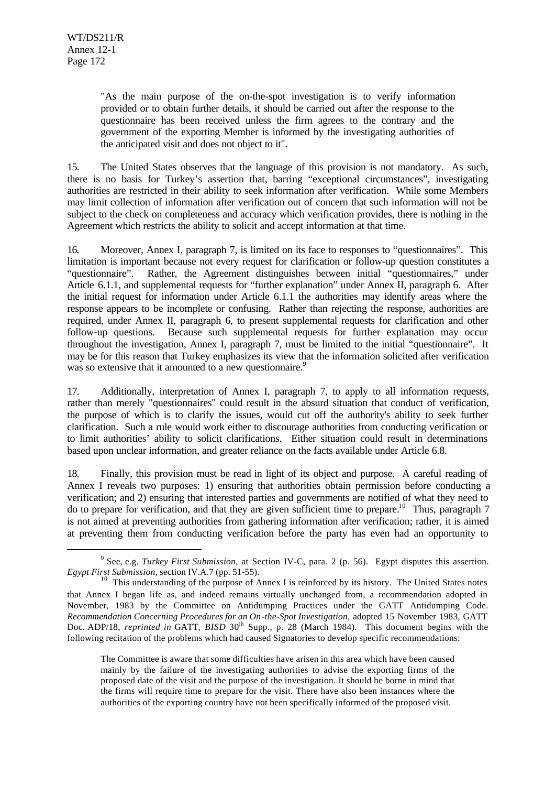l

"As the main purpose of the on-the-spot investigation is to verify information provided or to obtain further details, it should be carried out after the response to the questionnaire has been received unless the firm agrees to the contrary and the government of the exporting Member is informed by the investigating authorities of the anticipated visit and does not object to it".

15. The United States observes that the language of this provision is not mandatory. As such, there is no basis for Turkey's assertion that, barring "exceptional circumstances", investigating authorities are restricted in their ability to seek information after verification. While some Members may limit collection of information after verification out of concern that such information will not be subject to the check on completeness and accuracy which verification provides, there is nothing in the Agreement which restricts the ability to solicit and accept information at that time.

16. Moreover, Annex I, paragraph 7, is limited on its face to responses to "questionnaires". This limitation is important because not every request for clarification or follow-up question constitutes a "questionnaire". Rather, the Agreement distinguishes between initial "questionnaires," under Article 6.1.1, and supplemental requests for "further explanation" under Annex II, paragraph 6. After the initial request for information under Article 6.1.1 the authorities may identify areas where the response appears to be incomplete or confusing. Rather than rejecting the response, authorities are required, under Annex II, paragraph 6, to present supplemental requests for clarification and other follow-up questions. Because such supplemental requests for further explanation may occur throughout the investigation, Annex I, paragraph 7, must be limited to the initial "questionnaire". It may be for this reason that Turkey emphasizes its view that the information solicited after verification was so extensive that it amounted to a new questionnaire.<sup>9</sup>

17. Additionally, interpretation of Annex I, paragraph 7, to apply to all information requests, rather than merely "questionnaires" could result in the absurd situation that conduct of verification, the purpose of which is to clarify the issues, would cut off the authority's ability to seek further clarification. Such a rule would work either to discourage authorities from conducting verification or to limit authorities' ability to solicit clarifications. Either situation could result in determinations based upon unclear information, and greater reliance on the facts available under Article 6.8.

18. Finally, this provision must be read in light of its object and purpose. A careful reading of Annex I reveals two purposes: 1) ensuring that authorities obtain permission before conducting a verification; and 2) ensuring that interested parties and governments are notified of what they need to do to prepare for verification, and that they are given sufficient time to prepare.<sup>10</sup> Thus, paragraph 7 is not aimed at preventing authorities from gathering information after verification; rather, it is aimed at preventing them from conducting verification before the party has even had an opportunity to

The Committee is aware that some difficulties have arisen in this area which have been caused mainly by the failure of the investigating authorities to advise the exporting firms of the proposed date of the visit and the purpose of the investigation. It should be borne in mind that the firms will require time to prepare for the visit. There have also been instances where the authorities of the exporting country have not been specifically informed of the proposed visit.

<sup>&</sup>lt;sup>9</sup> See, e.g. *Turkey First Submission*, at Section IV-C, para. 2 (p. 56). Egypt disputes this assertion. *Egypt First Submission*, section IV.A.7 (pp. 51-55).

 $10$  This understanding of the purpose of Annex I is reinforced by its history. The United States notes that Annex I began life as, and indeed remains virtually unchanged from, a recommendation adopted in November, 1983 by the Committee on Antidumping Practices under the GATT Antidumping Code. *Recommendation Concerning Procedures for an On-the-Spot Investigation*, adopted 15 November 1983, GATT Doc. ADP/18, *reprinted in* GATT, *BISD* 30<sup>th</sup> Supp., p. 28 (March 1984). This document begins with the following recitation of the problems which had caused Signatories to develop specific recommendations: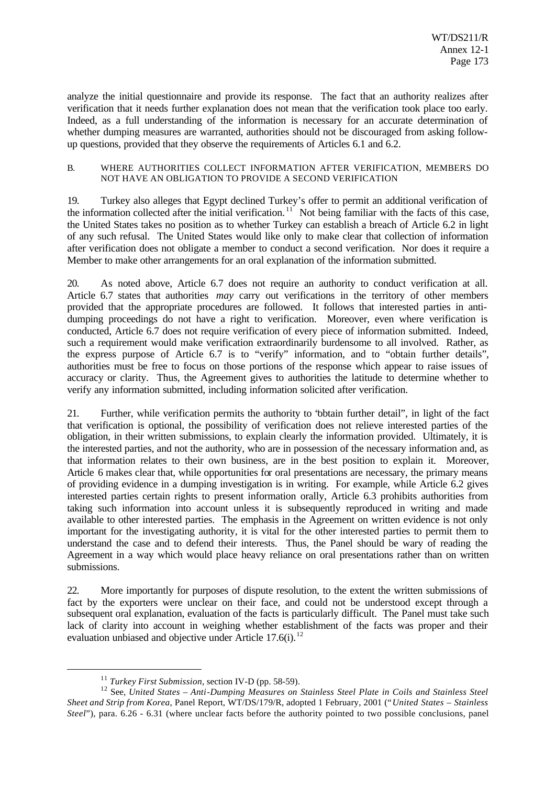analyze the initial questionnaire and provide its response. The fact that an authority realizes after verification that it needs further explanation does not mean that the verification took place too early. Indeed, as a full understanding of the information is necessary for an accurate determination of whether dumping measures are warranted, authorities should not be discouraged from asking followup questions, provided that they observe the requirements of Articles 6.1 and 6.2.

#### B. WHERE AUTHORITIES COLLECT INFORMATION AFTER VERIFICATION, MEMBERS DO NOT HAVE AN OBLIGATION TO PROVIDE A SECOND VERIFICATION

19. Turkey also alleges that Egypt declined Turkey's offer to permit an additional verification of the information collected after the initial verification.<sup>11</sup> Not being familiar with the facts of this case, the United States takes no position as to whether Turkey can establish a breach of Article 6.2 in light of any such refusal. The United States would like only to make clear that collection of information after verification does not obligate a member to conduct a second verification. Nor does it require a Member to make other arrangements for an oral explanation of the information submitted.

20. As noted above, Article 6.7 does not require an authority to conduct verification at all. Article 6.7 states that authorities *may* carry out verifications in the territory of other members provided that the appropriate procedures are followed. It follows that interested parties in antidumping proceedings do not have a right to verification. Moreover, even where verification is conducted, Article 6.7 does not require verification of every piece of information submitted. Indeed, such a requirement would make verification extraordinarily burdensome to all involved. Rather, as the express purpose of Article 6.7 is to "verify" information, and to "obtain further details", authorities must be free to focus on those portions of the response which appear to raise issues of accuracy or clarity. Thus, the Agreement gives to authorities the latitude to determine whether to verify any information submitted, including information solicited after verification.

21. Further, while verification permits the authority to "obtain further detail", in light of the fact that verification is optional, the possibility of verification does not relieve interested parties of the obligation, in their written submissions, to explain clearly the information provided. Ultimately, it is the interested parties, and not the authority, who are in possession of the necessary information and, as that information relates to their own business, are in the best position to explain it. Moreover, Article 6 makes clear that, while opportunities for oral presentations are necessary, the primary means of providing evidence in a dumping investigation is in writing. For example, while Article 6.2 gives interested parties certain rights to present information orally, Article 6.3 prohibits authorities from taking such information into account unless it is subsequently reproduced in writing and made available to other interested parties. The emphasis in the Agreement on written evidence is not only important for the investigating authority, it is vital for the other interested parties to permit them to understand the case and to defend their interests. Thus, the Panel should be wary of reading the Agreement in a way which would place heavy reliance on oral presentations rather than on written submissions.

22. More importantly for purposes of dispute resolution, to the extent the written submissions of fact by the exporters were unclear on their face, and could not be understood except through a subsequent oral explanation, evaluation of the facts is particularly difficult. The Panel must take such lack of clarity into account in weighing whether establishment of the facts was proper and their evaluation unbiased and objective under Article 17.6(i).<sup>12</sup>

<sup>11</sup> *Turkey First Submission*, section IV-D (pp. 58-59).

<sup>12</sup> See, *United States – Anti-Dumping Measures on Stainless Steel Plate in Coils and Stainless Steel Sheet and Strip from Korea*, Panel Report, WT/DS/179/R, adopted 1 February, 2001 ("*United States – Stainless Steel*"), para. 6.26 - 6.31 (where unclear facts before the authority pointed to two possible conclusions, panel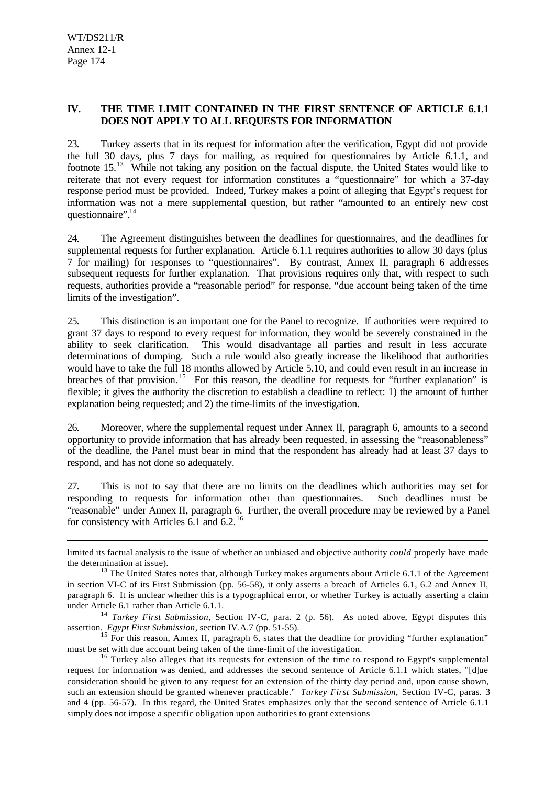l

## **IV. THE TIME LIMIT CONTAINED IN THE FIRST SENTENCE OF ARTICLE 6.1.1 DOES NOT APPLY TO ALL REQUESTS FOR INFORMATION**

23. Turkey asserts that in its request for information after the verification, Egypt did not provide the full 30 days, plus 7 days for mailing, as required for questionnaires by Article 6.1.1, and footnote 15.<sup>13</sup> While not taking any position on the factual dispute, the United States would like to reiterate that not every request for information constitutes a "questionnaire" for which a 37-day response period must be provided. Indeed, Turkey makes a point of alleging that Egypt's request for information was not a mere supplemental question, but rather "amounted to an entirely new cost questionnaire".<sup>14</sup>

24. The Agreement distinguishes between the deadlines for questionnaires, and the deadlines for supplemental requests for further explanation. Article 6.1.1 requires authorities to allow 30 days (plus 7 for mailing) for responses to "questionnaires". By contrast, Annex II, paragraph 6 addresses subsequent requests for further explanation. That provisions requires only that, with respect to such requests, authorities provide a "reasonable period" for response, "due account being taken of the time limits of the investigation".

25. This distinction is an important one for the Panel to recognize. If authorities were required to grant 37 days to respond to every request for information, they would be severely constrained in the ability to seek clarification. This would disadvantage all parties and result in less accurate determinations of dumping. Such a rule would also greatly increase the likelihood that authorities would have to take the full 18 months allowed by Article 5.10, and could even result in an increase in breaches of that provision.<sup>15</sup> For this reason, the deadline for requests for "further explanation" is flexible; it gives the authority the discretion to establish a deadline to reflect: 1) the amount of further explanation being requested; and 2) the time-limits of the investigation.

26. Moreover, where the supplemental request under Annex II, paragraph 6, amounts to a second opportunity to provide information that has already been requested, in assessing the "reasonableness" of the deadline, the Panel must bear in mind that the respondent has already had at least 37 days to respond, and has not done so adequately.

27. This is not to say that there are no limits on the deadlines which authorities may set for responding to requests for information other than questionnaires. Such deadlines must be "reasonable" under Annex II, paragraph 6. Further, the overall procedure may be reviewed by a Panel for consistency with Articles 6.1 and  $6.2^{16}$ 

limited its factual analysis to the issue of whether an unbiased and objective authority *could* properly have made the determination at issue).

<sup>&</sup>lt;sup>13</sup> The United States notes that, although Turkey makes arguments about Article 6.1.1 of the Agreement in section VI-C of its First Submission (pp. 56-58), it only asserts a breach of Articles 6.1, 6.2 and Annex II, paragraph 6. It is unclear whether this is a typographical error, or whether Turkey is actually asserting a claim under Article 6.1 rather than Article 6.1.1.

<sup>&</sup>lt;sup>14</sup> *Turkey First Submission*, Section IV-C, para. 2 (p. 56). As noted above, Egypt disputes this assertion. *Egypt First Submission*, section IV.A.7 (pp. 51-55).

<sup>&</sup>lt;sup>15</sup> For this reason, Annex II, paragraph 6, states that the deadline for providing "further explanation" must be set with due account being taken of the time-limit of the investigation.

<sup>&</sup>lt;sup>16</sup> Turkey also alleges that its requests for extension of the time to respond to Egypt's supplemental request for information was denied, and addresses the second sentence of Article 6.1.1 which states, "[d]ue consideration should be given to any request for an extension of the thirty day period and, upon cause shown, such an extension should be granted whenever practicable." *Turkey First Submission*, Section IV-C, paras. 3 and 4 (pp. 56-57). In this regard, the United States emphasizes only that the second sentence of Article 6.1.1 simply does not impose a specific obligation upon authorities to grant extensions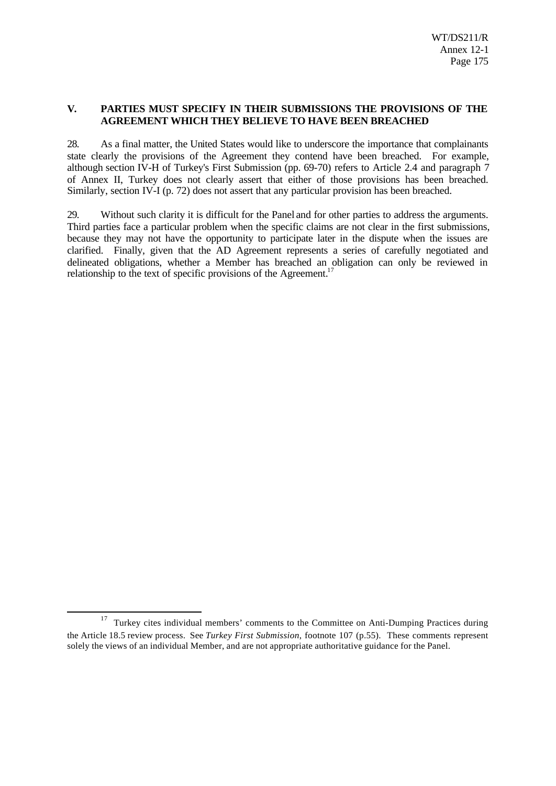### **V. PARTIES MUST SPECIFY IN THEIR SUBMISSIONS THE PROVISIONS OF THE AGREEMENT WHICH THEY BELIEVE TO HAVE BEEN BREACHED**

28. As a final matter, the United States would like to underscore the importance that complainants state clearly the provisions of the Agreement they contend have been breached. For example, although section IV-H of Turkey's First Submission (pp. 69-70) refers to Article 2.4 and paragraph 7 of Annex II, Turkey does not clearly assert that either of those provisions has been breached. Similarly, section IV-I (p. 72) does not assert that any particular provision has been breached.

29. Without such clarity it is difficult for the Panel and for other parties to address the arguments. Third parties face a particular problem when the specific claims are not clear in the first submissions, because they may not have the opportunity to participate later in the dispute when the issues are clarified. Finally, given that the AD Agreement represents a series of carefully negotiated and delineated obligations, whether a Member has breached an obligation can only be reviewed in relationship to the text of specific provisions of the Agreement.<sup>1</sup>

<sup>&</sup>lt;sup>17</sup> Turkey cites individual members' comments to the Committee on Anti-Dumping Practices during the Article 18.5 review process. See *Turkey First Submission*, footnote 107 (p.55). These comments represent solely the views of an individual Member, and are not appropriate authoritative guidance for the Panel.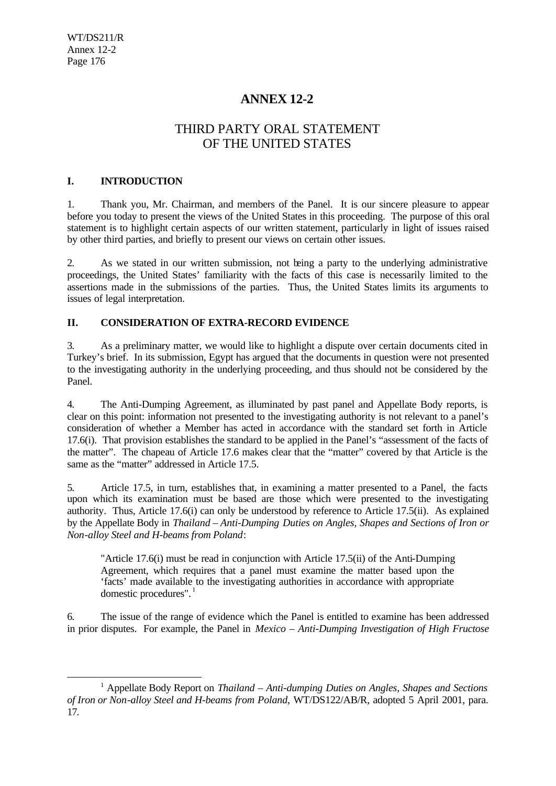l

# **ANNEX 12-2**

# THIRD PARTY ORAL STATEMENT OF THE UNITED STATES

## **I. INTRODUCTION**

1. Thank you, Mr. Chairman, and members of the Panel. It is our sincere pleasure to appear before you today to present the views of the United States in this proceeding. The purpose of this oral statement is to highlight certain aspects of our written statement, particularly in light of issues raised by other third parties, and briefly to present our views on certain other issues.

2. As we stated in our written submission, not being a party to the underlying administrative proceedings, the United States' familiarity with the facts of this case is necessarily limited to the assertions made in the submissions of the parties. Thus, the United States limits its arguments to issues of legal interpretation.

## **II. CONSIDERATION OF EXTRA-RECORD EVIDENCE**

3. As a preliminary matter, we would like to highlight a dispute over certain documents cited in Turkey's brief. In its submission, Egypt has argued that the documents in question were not presented to the investigating authority in the underlying proceeding, and thus should not be considered by the Panel.

4. The Anti-Dumping Agreement, as illuminated by past panel and Appellate Body reports, is clear on this point: information not presented to the investigating authority is not relevant to a panel's consideration of whether a Member has acted in accordance with the standard set forth in Article 17.6(i). That provision establishes the standard to be applied in the Panel's "assessment of the facts of the matter". The chapeau of Article 17.6 makes clear that the "matter" covered by that Article is the same as the "matter" addressed in Article 17.5.

5. Article 17.5, in turn, establishes that, in examining a matter presented to a Panel, the facts upon which its examination must be based are those which were presented to the investigating authority. Thus, Article 17.6(i) can only be understood by reference to Article 17.5(ii). As explained by the Appellate Body in *Thailand – Anti-Dumping Duties on Angles, Shapes and Sections of Iron or Non-alloy Steel and H-beams from Poland*:

"Article 17.6(i) must be read in conjunction with Article 17.5(ii) of the Anti-Dumping Agreement, which requires that a panel must examine the matter based upon the 'facts' made available to the investigating authorities in accordance with appropriate domestic procedures". $1$ 

6. The issue of the range of evidence which the Panel is entitled to examine has been addressed in prior disputes. For example, the Panel in *Mexico – Anti-Dumping Investigation of High Fructose*

<sup>&</sup>lt;sup>1</sup> Appellate Body Report on *Thailand – Anti-dumping Duties on Angles, Shapes and Sections of Iron or Non-alloy Steel and H-beams from Poland*, WT/DS122/AB/R, adopted 5 April 2001, para. 17.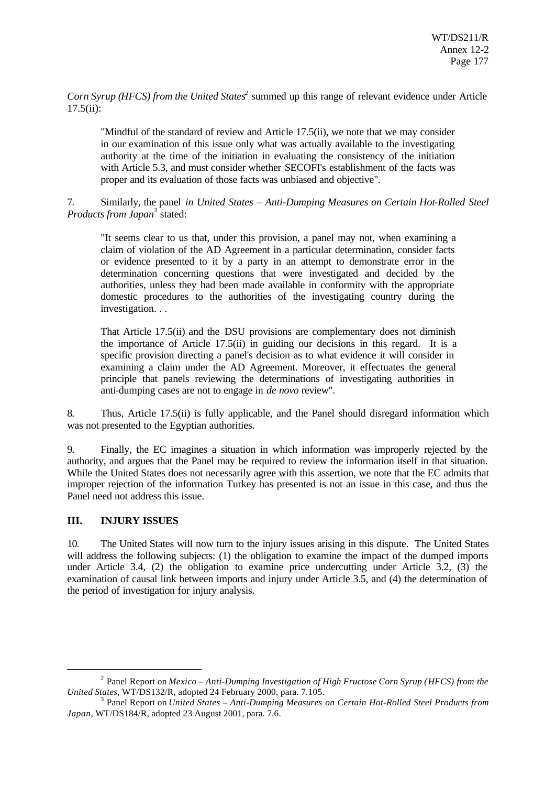Corn Syrup (HFCS) from the United States<sup>2</sup> summed up this range of relevant evidence under Article  $17.5(ii):$ 

"Mindful of the standard of review and Article 17.5(ii), we note that we may consider in our examination of this issue only what was actually available to the investigating authority at the time of the initiation in evaluating the consistency of the initiation with Article 5.3, and must consider whether SECOFI's establishment of the facts was proper and its evaluation of those facts was unbiased and objective".

### 7. Similarly, the panel *in United States – Anti-Dumping Measures on Certain Hot-Rolled Steel Products from Japan<sup>3</sup>* stated:

"It seems clear to us that, under this provision, a panel may not, when examining a claim of violation of the AD Agreement in a particular determination, consider facts or evidence presented to it by a party in an attempt to demonstrate error in the determination concerning questions that were investigated and decided by the authorities, unless they had been made available in conformity with the appropriate domestic procedures to the authorities of the investigating country during the investigation. . .

That Article 17.5(ii) and the DSU provisions are complementary does not diminish the importance of Article 17.5(ii) in guiding our decisions in this regard. It is a specific provision directing a panel's decision as to what evidence it will consider in examining a claim under the AD Agreement. Moreover, it effectuates the general principle that panels reviewing the determinations of investigating authorities in anti-dumping cases are not to engage in *de novo* review".

8. Thus, Article 17.5(ii) is fully applicable, and the Panel should disregard information which was not presented to the Egyptian authorities.

9. Finally, the EC imagines a situation in which information was improperly rejected by the authority, and argues that the Panel may be required to review the information itself in that situation. While the United States does not necessarily agree with this assertion, we note that the EC admits that improper rejection of the information Turkey has presented is not an issue in this case, and thus the Panel need not address this issue.

## **III. INJURY ISSUES**

l

10. The United States will now turn to the injury issues arising in this dispute. The United States will address the following subjects: (1) the obligation to examine the impact of the dumped imports under Article 3.4, (2) the obligation to examine price undercutting under Article 3.2, (3) the examination of causal link between imports and injury under Article 3.5, and (4) the determination of the period of investigation for injury analysis.

<sup>2</sup> Panel Report on *Mexico – Anti-Dumping Investigation of High Fructose Corn Syrup (HFCS) from the United States*, WT/DS132/R, adopted 24 February 2000, para. 7.105.

<sup>3</sup> Panel Report on *United States – Anti-Dumping Measures on Certain Hot-Rolled Steel Products from Japan*, WT/DS184/R, adopted 23 August 2001, para. 7.6.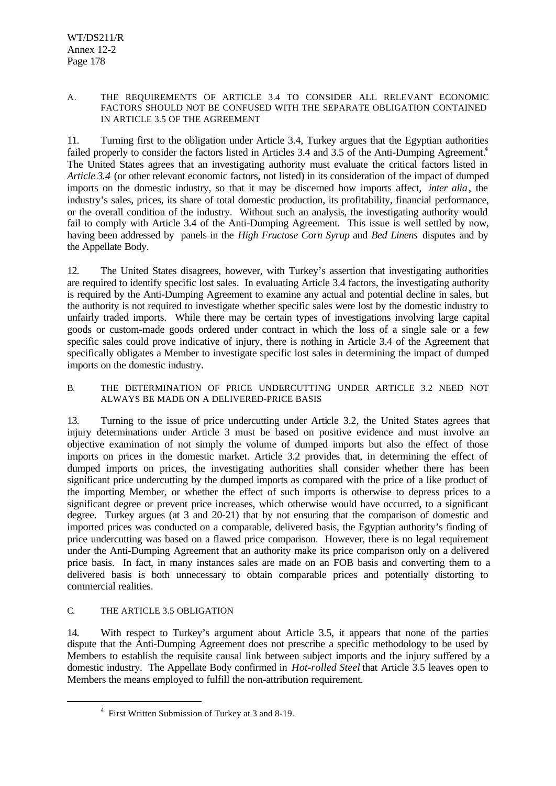#### A. THE REQUIREMENTS OF ARTICLE 3.4 TO CONSIDER ALL RELEVANT ECONOMIC FACTORS SHOULD NOT BE CONFUSED WITH THE SEPARATE OBLIGATION CONTAINED IN ARTICLE 3.5 OF THE AGREEMENT

11. Turning first to the obligation under Article 3.4, Turkey argues that the Egyptian authorities failed properly to consider the factors listed in Articles 3.4 and 3.5 of the Anti-Dumping Agreement.<sup>4</sup> The United States agrees that an investigating authority must evaluate the critical factors listed in *Article 3.4* (or other relevant economic factors, not listed) in its consideration of the impact of dumped imports on the domestic industry, so that it may be discerned how imports affect, *inter alia*, the industry's sales, prices, its share of total domestic production, its profitability, financial performance, or the overall condition of the industry. Without such an analysis, the investigating authority would fail to comply with Article 3.4 of the Anti-Dumping Agreement. This issue is well settled by now, having been addressed by panels in the *High Fructose Corn Syrup* and *Bed Linens* disputes and by the Appellate Body.

12. The United States disagrees, however, with Turkey's assertion that investigating authorities are required to identify specific lost sales. In evaluating Article 3.4 factors, the investigating authority is required by the Anti-Dumping Agreement to examine any actual and potential decline in sales, but the authority is not required to investigate whether specific sales were lost by the domestic industry to unfairly traded imports. While there may be certain types of investigations involving large capital goods or custom-made goods ordered under contract in which the loss of a single sale or a few specific sales could prove indicative of injury, there is nothing in Article 3.4 of the Agreement that specifically obligates a Member to investigate specific lost sales in determining the impact of dumped imports on the domestic industry.

### B. THE DETERMINATION OF PRICE UNDERCUTTING UNDER ARTICLE 3.2 NEED NOT ALWAYS BE MADE ON A DELIVERED-PRICE BASIS

13. Turning to the issue of price undercutting under Article 3.2, the United States agrees that injury determinations under Article 3 must be based on positive evidence and must involve an objective examination of not simply the volume of dumped imports but also the effect of those imports on prices in the domestic market. Article 3.2 provides that, in determining the effect of dumped imports on prices, the investigating authorities shall consider whether there has been significant price undercutting by the dumped imports as compared with the price of a like product of the importing Member, or whether the effect of such imports is otherwise to depress prices to a significant degree or prevent price increases, which otherwise would have occurred, to a significant degree. Turkey argues (at 3 and 20-21) that by not ensuring that the comparison of domestic and imported prices was conducted on a comparable, delivered basis, the Egyptian authority's finding of price undercutting was based on a flawed price comparison. However, there is no legal requirement under the Anti-Dumping Agreement that an authority make its price comparison only on a delivered price basis. In fact, in many instances sales are made on an FOB basis and converting them to a delivered basis is both unnecessary to obtain comparable prices and potentially distorting to commercial realities.

## C. THE ARTICLE 3.5 OBLIGATION

l

14. With respect to Turkey's argument about Article 3.5, it appears that none of the parties dispute that the Anti-Dumping Agreement does not prescribe a specific methodology to be used by Members to establish the requisite causal link between subject imports and the injury suffered by a domestic industry. The Appellate Body confirmed in *Hot-rolled Steel* that Article 3.5 leaves open to Members the means employed to fulfill the non-attribution requirement.

<sup>&</sup>lt;sup>4</sup> First Written Submission of Turkey at 3 and 8-19.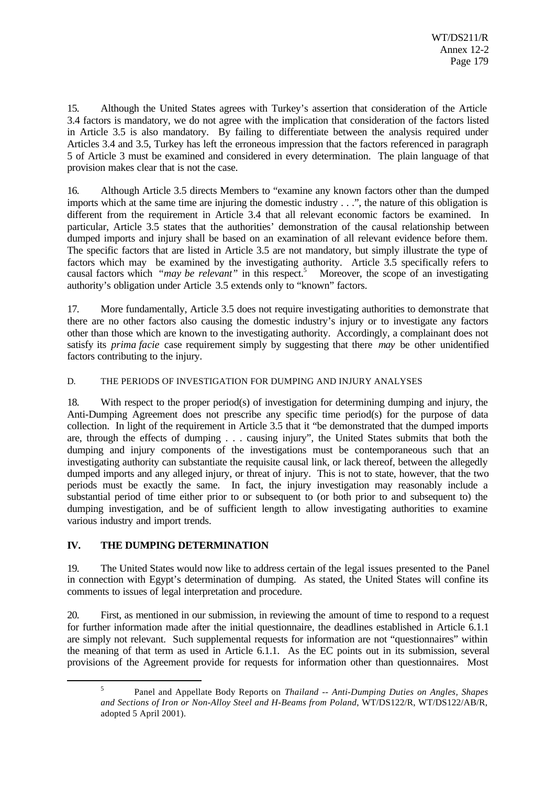15. Although the United States agrees with Turkey's assertion that consideration of the Article 3.4 factors is mandatory, we do not agree with the implication that consideration of the factors listed in Article 3.5 is also mandatory. By failing to differentiate between the analysis required under Articles 3.4 and 3.5, Turkey has left the erroneous impression that the factors referenced in paragraph 5 of Article 3 must be examined and considered in every determination. The plain language of that provision makes clear that is not the case.

16. Although Article 3.5 directs Members to "examine any known factors other than the dumped imports which at the same time are injuring the domestic industry . . .", the nature of this obligation is different from the requirement in Article 3.4 that all relevant economic factors be examined. In particular, Article 3.5 states that the authorities' demonstration of the causal relationship between dumped imports and injury shall be based on an examination of all relevant evidence before them. The specific factors that are listed in Article 3.5 are not mandatory, but simply illustrate the type of factors which may be examined by the investigating authority. Article 3.5 specifically refers to causal factors which *"may be relevant"* in this respect.<sup>5</sup> Moreover, the scope of an investigating authority's obligation under Article 3.5 extends only to "known" factors.

17. More fundamentally, Article 3.5 does not require investigating authorities to demonstrate that there are no other factors also causing the domestic industry's injury or to investigate any factors other than those which are known to the investigating authority. Accordingly, a complainant does not satisfy its *prima facie* case requirement simply by suggesting that there *may* be other unidentified factors contributing to the injury.

### D. THE PERIODS OF INVESTIGATION FOR DUMPING AND INJURY ANALYSES

18. With respect to the proper period(s) of investigation for determining dumping and injury, the Anti-Dumping Agreement does not prescribe any specific time period(s) for the purpose of data collection. In light of the requirement in Article 3.5 that it "be demonstrated that the dumped imports are, through the effects of dumping . . . causing injury", the United States submits that both the dumping and injury components of the investigations must be contemporaneous such that an investigating authority can substantiate the requisite causal link, or lack thereof, between the allegedly dumped imports and any alleged injury, or threat of injury. This is not to state, however, that the two periods must be exactly the same. In fact, the injury investigation may reasonably include a substantial period of time either prior to or subsequent to (or both prior to and subsequent to) the dumping investigation, and be of sufficient length to allow investigating authorities to examine various industry and import trends.

## **IV. THE DUMPING DETERMINATION**

l

19. The United States would now like to address certain of the legal issues presented to the Panel in connection with Egypt's determination of dumping. As stated, the United States will confine its comments to issues of legal interpretation and procedure.

20. First, as mentioned in our submission, in reviewing the amount of time to respond to a request for further information made after the initial questionnaire, the deadlines established in Article 6.1.1 are simply not relevant. Such supplemental requests for information are not "questionnaires" within the meaning of that term as used in Article 6.1.1. As the EC points out in its submission, several provisions of the Agreement provide for requests for information other than questionnaires. Most

<sup>5</sup> Panel and Appellate Body Reports on *Thailand -- Anti-Dumping Duties on Angles, Shapes and Sections of Iron or Non-Alloy Steel and H-Beams from Poland*, WT/DS122/R, WT/DS122/AB/R, adopted 5 April 2001).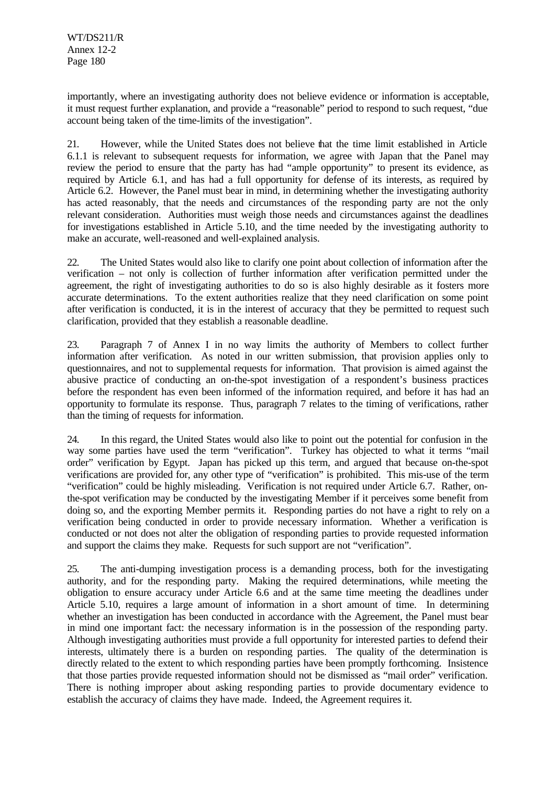importantly, where an investigating authority does not believe evidence or information is acceptable, it must request further explanation, and provide a "reasonable" period to respond to such request, "due account being taken of the time-limits of the investigation".

21. However, while the United States does not believe that the time limit established in Article 6.1.1 is relevant to subsequent requests for information, we agree with Japan that the Panel may review the period to ensure that the party has had "ample opportunity" to present its evidence, as required by Article 6.1, and has had a full opportunity for defense of its interests, as required by Article 6.2. However, the Panel must bear in mind, in determining whether the investigating authority has acted reasonably, that the needs and circumstances of the responding party are not the only relevant consideration. Authorities must weigh those needs and circumstances against the deadlines for investigations established in Article 5.10, and the time needed by the investigating authority to make an accurate, well-reasoned and well-explained analysis.

22. The United States would also like to clarify one point about collection of information after the verification – not only is collection of further information after verification permitted under the agreement, the right of investigating authorities to do so is also highly desirable as it fosters more accurate determinations. To the extent authorities realize that they need clarification on some point after verification is conducted, it is in the interest of accuracy that they be permitted to request such clarification, provided that they establish a reasonable deadline.

23. Paragraph 7 of Annex I in no way limits the authority of Members to collect further information after verification. As noted in our written submission, that provision applies only to questionnaires, and not to supplemental requests for information. That provision is aimed against the abusive practice of conducting an on-the-spot investigation of a respondent's business practices before the respondent has even been informed of the information required, and before it has had an opportunity to formulate its response. Thus, paragraph 7 relates to the timing of verifications, rather than the timing of requests for information.

24. In this regard, the United States would also like to point out the potential for confusion in the way some parties have used the term "verification". Turkey has objected to what it terms "mail order" verification by Egypt. Japan has picked up this term, and argued that because on-the-spot verifications are provided for, any other type of "verification" is prohibited. This mis-use of the term "verification" could be highly misleading. Verification is not required under Article 6.7. Rather, onthe-spot verification may be conducted by the investigating Member if it perceives some benefit from doing so, and the exporting Member permits it. Responding parties do not have a right to rely on a verification being conducted in order to provide necessary information. Whether a verification is conducted or not does not alter the obligation of responding parties to provide requested information and support the claims they make. Requests for such support are not "verification".

25. The anti-dumping investigation process is a demanding process, both for the investigating authority, and for the responding party. Making the required determinations, while meeting the obligation to ensure accuracy under Article 6.6 and at the same time meeting the deadlines under Article 5.10, requires a large amount of information in a short amount of time. In determining whether an investigation has been conducted in accordance with the Agreement, the Panel must bear in mind one important fact: the necessary information is in the possession of the responding party. Although investigating authorities must provide a full opportunity for interested parties to defend their interests, ultimately there is a burden on responding parties. The quality of the determination is directly related to the extent to which responding parties have been promptly forthcoming. Insistence that those parties provide requested information should not be dismissed as "mail order" verification. There is nothing improper about asking responding parties to provide documentary evidence to establish the accuracy of claims they have made. Indeed, the Agreement requires it.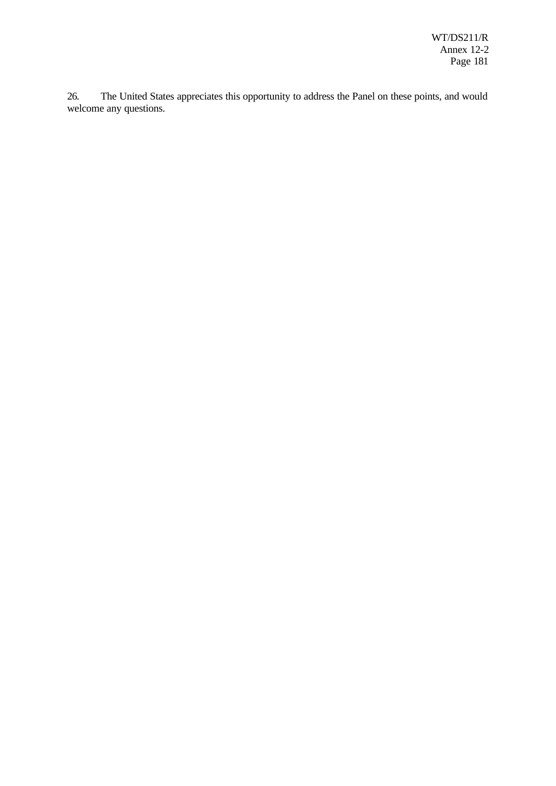26. The United States appreciates this opportunity to address the Panel on these points, and would welcome any questions.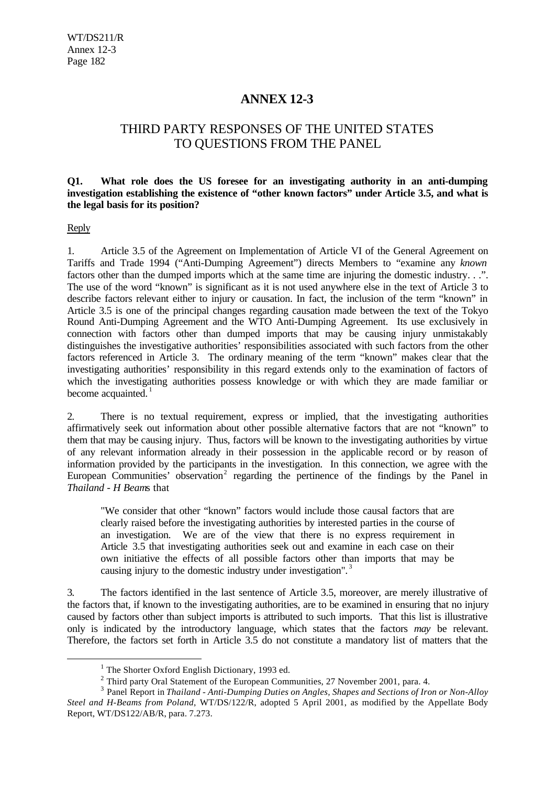## **ANNEX 12-3**

## THIRD PARTY RESPONSES OF THE UNITED STATES TO QUESTIONS FROM THE PANEL

#### **Q1. What role does the US foresee for an investigating authority in an anti-dumping investigation establishing the existence of "other known factors" under Article 3.5, and what is the legal basis for its position?**

Reply

l

1. Article 3.5 of the Agreement on Implementation of Article VI of the General Agreement on Tariffs and Trade 1994 ("Anti-Dumping Agreement") directs Members to "examine any *known* factors other than the dumped imports which at the same time are injuring the domestic industry. . .". The use of the word "known" is significant as it is not used anywhere else in the text of Article 3 to describe factors relevant either to injury or causation. In fact, the inclusion of the term "known" in Article 3.5 is one of the principal changes regarding causation made between the text of the Tokyo Round Anti-Dumping Agreement and the WTO Anti-Dumping Agreement. Its use exclusively in connection with factors other than dumped imports that may be causing injury unmistakably distinguishes the investigative authorities' responsibilities associated with such factors from the other factors referenced in Article 3. The ordinary meaning of the term "known" makes clear that the investigating authorities' responsibility in this regard extends only to the examination of factors of which the investigating authorities possess knowledge or with which they are made familiar or become acquainted. $1$ 

2. There is no textual requirement, express or implied, that the investigating authorities affirmatively seek out information about other possible alternative factors that are not "known" to them that may be causing injury. Thus, factors will be known to the investigating authorities by virtue of any relevant information already in their possession in the applicable record or by reason of information provided by the participants in the investigation. In this connection, we agree with the European Communities' observation<sup>2</sup> regarding the pertinence of the findings by the Panel in *Thailand - H Beam*s that

"We consider that other "known" factors would include those causal factors that are clearly raised before the investigating authorities by interested parties in the course of an investigation. We are of the view that there is no express requirement in Article 3.5 that investigating authorities seek out and examine in each case on their own initiative the effects of all possible factors other than imports that may be causing injury to the domestic industry under investigation".<sup>3</sup>

3. The factors identified in the last sentence of Article 3.5, moreover, are merely illustrative of the factors that, if known to the investigating authorities, are to be examined in ensuring that no injury caused by factors other than subject imports is attributed to such imports. That this list is illustrative only is indicated by the introductory language, which states that the factors *may* be relevant. Therefore, the factors set forth in Article 3.5 do not constitute a mandatory list of matters that the

<sup>&</sup>lt;sup>1</sup> The Shorter Oxford English Dictionary, 1993 ed.

 $2$  Third party Oral Statement of the European Communities, 27 November 2001, para. 4.

<sup>3</sup> Panel Report in *Thailand - Anti-Dumping Duties on Angles, Shapes and Sections of Iron or Non-Alloy Steel and H-Beams from Poland*, WT/DS/122/R, adopted 5 April 2001, as modified by the Appellate Body Report, WT/DS122/AB/R, para. 7.273.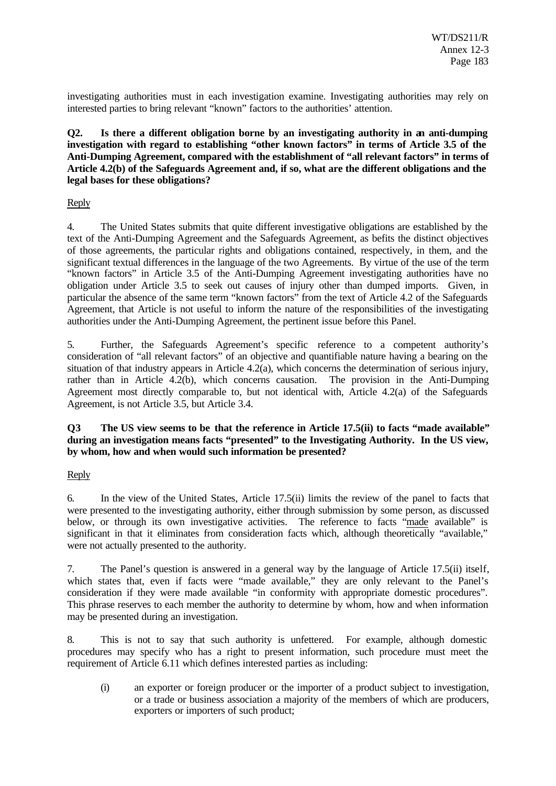investigating authorities must in each investigation examine. Investigating authorities may rely on interested parties to bring relevant "known" factors to the authorities' attention.

**Q2. Is there a different obligation borne by an investigating authority in an anti-dumping investigation with regard to establishing "other known factors" in terms of Article 3.5 of the Anti-Dumping Agreement, compared with the establishment of "all relevant factors" in terms of Article 4.2(b) of the Safeguards Agreement and, if so, what are the different obligations and the legal bases for these obligations?**

## Reply

4. The United States submits that quite different investigative obligations are established by the text of the Anti-Dumping Agreement and the Safeguards Agreement, as befits the distinct objectives of those agreements, the particular rights and obligations contained, respectively, in them, and the significant textual differences in the language of the two Agreements. By virtue of the use of the term "known factors" in Article 3.5 of the Anti-Dumping Agreement investigating authorities have no obligation under Article 3.5 to seek out causes of injury other than dumped imports. Given, in particular the absence of the same term "known factors" from the text of Article 4.2 of the Safeguards Agreement, that Article is not useful to inform the nature of the responsibilities of the investigating authorities under the Anti-Dumping Agreement, the pertinent issue before this Panel.

5. Further, the Safeguards Agreement's specific reference to a competent authority's consideration of "all relevant factors" of an objective and quantifiable nature having a bearing on the situation of that industry appears in Article 4.2(a), which concerns the determination of serious injury, rather than in Article 4.2(b), which concerns causation. The provision in the Anti-Dumping Agreement most directly comparable to, but not identical with, Article 4.2(a) of the Safeguards Agreement, is not Article 3.5, but Article 3.4.

#### **Q3 The US view seems to be that the reference in Article 17.5(ii) to facts "made available" during an investigation means facts "presented" to the Investigating Authority. In the US view, by whom, how and when would such information be presented?**

#### Reply

6. In the view of the United States, Article 17.5(ii) limits the review of the panel to facts that were presented to the investigating authority, either through submission by some person, as discussed below, or through its own investigative activities. The reference to facts "made available" is significant in that it eliminates from consideration facts which, although theoretically "available," were not actually presented to the authority.

7. The Panel's question is answered in a general way by the language of Article 17.5(ii) itself, which states that, even if facts were "made available," they are only relevant to the Panel's consideration if they were made available "in conformity with appropriate domestic procedures". This phrase reserves to each member the authority to determine by whom, how and when information may be presented during an investigation.

8. This is not to say that such authority is unfettered. For example, although domestic procedures may specify who has a right to present information, such procedure must meet the requirement of Article 6.11 which defines interested parties as including:

(i) an exporter or foreign producer or the importer of a product subject to investigation, or a trade or business association a majority of the members of which are producers, exporters or importers of such product;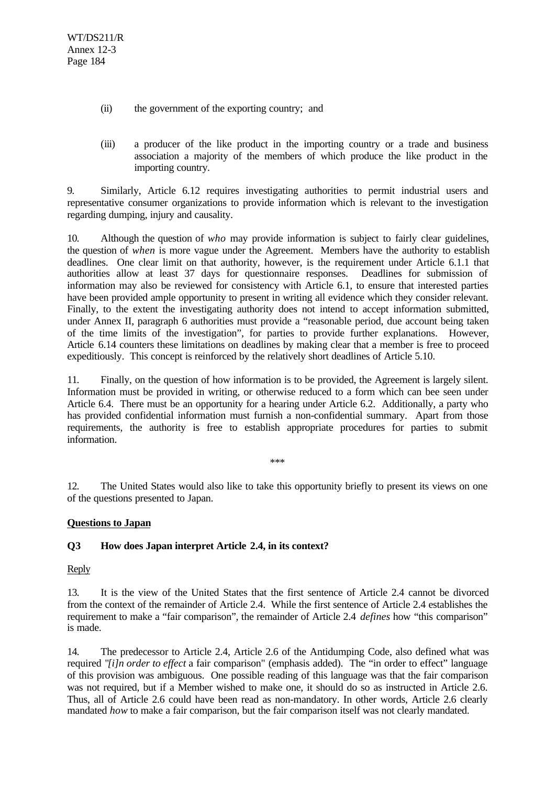- (ii) the government of the exporting country; and
- (iii) a producer of the like product in the importing country or a trade and business association a majority of the members of which produce the like product in the importing country.

9. Similarly, Article 6.12 requires investigating authorities to permit industrial users and representative consumer organizations to provide information which is relevant to the investigation regarding dumping, injury and causality.

10. Although the question of *who* may provide information is subject to fairly clear guidelines, the question of *when* is more vague under the Agreement. Members have the authority to establish deadlines. One clear limit on that authority, however, is the requirement under Article 6.1.1 that authorities allow at least 37 days for questionnaire responses. Deadlines for submission of information may also be reviewed for consistency with Article 6.1, to ensure that interested parties have been provided ample opportunity to present in writing all evidence which they consider relevant. Finally, to the extent the investigating authority does not intend to accept information submitted, under Annex II, paragraph 6 authorities must provide a "reasonable period, due account being taken of the time limits of the investigation", for parties to provide further explanations. However, Article 6.14 counters these limitations on deadlines by making clear that a member is free to proceed expeditiously. This concept is reinforced by the relatively short deadlines of Article 5.10.

11. Finally, on the question of how information is to be provided, the Agreement is largely silent. Information must be provided in writing, or otherwise reduced to a form which can bee seen under Article 6.4. There must be an opportunity for a hearing under Article 6.2. Additionally, a party who has provided confidential information must furnish a non-confidential summary. Apart from those requirements, the authority is free to establish appropriate procedures for parties to submit information.

\*\*\*

12. The United States would also like to take this opportunity briefly to present its views on one of the questions presented to Japan.

## **Questions to Japan**

## **Q3 How does Japan interpret Article 2.4, in its context?**

Reply

13. It is the view of the United States that the first sentence of Article 2.4 cannot be divorced from the context of the remainder of Article 2.4. While the first sentence of Article 2.4 establishes the requirement to make a "fair comparison", the remainder of Article 2.4 *defines* how "this comparison" is made.

14. The predecessor to Article 2.4, Article 2.6 of the Antidumping Code, also defined what was required "*[i]n order to effect* a fair comparison" (emphasis added). The "in order to effect" language of this provision was ambiguous. One possible reading of this language was that the fair comparison was not required, but if a Member wished to make one, it should do so as instructed in Article 2.6. Thus, all of Article 2.6 could have been read as non-mandatory. In other words, Article 2.6 clearly mandated *how* to make a fair comparison, but the fair comparison itself was not clearly mandated.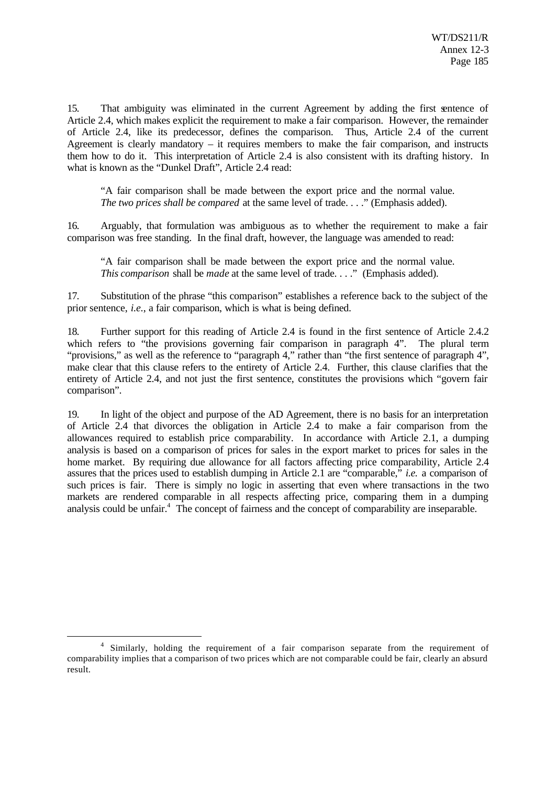15. That ambiguity was eliminated in the current Agreement by adding the first sentence of Article 2.4, which makes explicit the requirement to make a fair comparison. However, the remainder of Article 2.4, like its predecessor, defines the comparison. Thus, Article 2.4 of the current Agreement is clearly mandatory  $-$  it requires members to make the fair comparison, and instructs them how to do it. This interpretation of Article 2.4 is also consistent with its drafting history. In what is known as the "Dunkel Draft", Article 2.4 read:

"A fair comparison shall be made between the export price and the normal value. *The two prices shall be compared* at the same level of trade. . . ." (Emphasis added).

16. Arguably, that formulation was ambiguous as to whether the requirement to make a fair comparison was free standing. In the final draft, however, the language was amended to read:

"A fair comparison shall be made between the export price and the normal value. *This comparison* shall be *made* at the same level of trade. . . ." (Emphasis added).

17. Substitution of the phrase "this comparison" establishes a reference back to the subject of the prior sentence, *i.e.*, a fair comparison, which is what is being defined.

18. Further support for this reading of Article 2.4 is found in the first sentence of Article 2.4.2 which refers to "the provisions governing fair comparison in paragraph 4". The plural term "provisions," as well as the reference to "paragraph 4," rather than "the first sentence of paragraph 4", make clear that this clause refers to the entirety of Article 2.4. Further, this clause clarifies that the entirety of Article 2.4, and not just the first sentence, constitutes the provisions which "govern fair comparison".

19. In light of the object and purpose of the AD Agreement, there is no basis for an interpretation of Article 2.4 that divorces the obligation in Article 2.4 to make a fair comparison from the allowances required to establish price comparability. In accordance with Article 2.1, a dumping analysis is based on a comparison of prices for sales in the export market to prices for sales in the home market. By requiring due allowance for all factors affecting price comparability, Article 2.4 assures that the prices used to establish dumping in Article 2.1 are "comparable," *i.e.* a comparison of such prices is fair. There is simply no logic in asserting that even where transactions in the two markets are rendered comparable in all respects affecting price, comparing them in a dumping analysis could be unfair.<sup>4</sup> The concept of fairness and the concept of comparability are inseparable.

l

<sup>&</sup>lt;sup>4</sup> Similarly, holding the requirement of a fair comparison separate from the requirement of comparability implies that a comparison of two prices which are not comparable could be fair, clearly an absurd result.